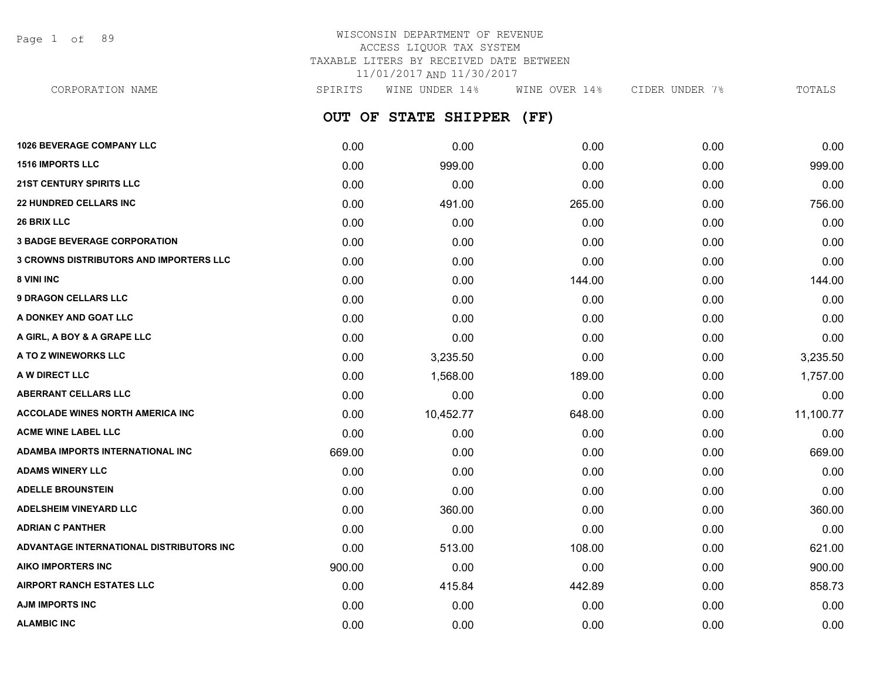Page 1 of 89

# WISCONSIN DEPARTMENT OF REVENUE ACCESS LIQUOR TAX SYSTEM TAXABLE LITERS BY RECEIVED DATE BETWEEN 11/01/2017 AND 11/30/2017

**OUT OF STATE SHIPPER (FF)** CORPORATION NAME SPIRITS WINE UNDER 14% WINE OVER 14% CIDER UNDER 7% TOTALS

| 1026 BEVERAGE COMPANY LLC                      | 0.00   | 0.00      | 0.00   | 0.00 | 0.00      |
|------------------------------------------------|--------|-----------|--------|------|-----------|
| <b>1516 IMPORTS LLC</b>                        | 0.00   | 999.00    | 0.00   | 0.00 | 999.00    |
| <b>21ST CENTURY SPIRITS LLC</b>                | 0.00   | 0.00      | 0.00   | 0.00 | 0.00      |
| <b>22 HUNDRED CELLARS INC</b>                  | 0.00   | 491.00    | 265.00 | 0.00 | 756.00    |
| <b>26 BRIX LLC</b>                             | 0.00   | 0.00      | 0.00   | 0.00 | 0.00      |
| <b>3 BADGE BEVERAGE CORPORATION</b>            | 0.00   | 0.00      | 0.00   | 0.00 | 0.00      |
| <b>3 CROWNS DISTRIBUTORS AND IMPORTERS LLC</b> | 0.00   | 0.00      | 0.00   | 0.00 | 0.00      |
| 8 VINI INC                                     | 0.00   | 0.00      | 144.00 | 0.00 | 144.00    |
| <b>9 DRAGON CELLARS LLC</b>                    | 0.00   | 0.00      | 0.00   | 0.00 | 0.00      |
| A DONKEY AND GOAT LLC                          | 0.00   | 0.00      | 0.00   | 0.00 | 0.00      |
| A GIRL, A BOY & A GRAPE LLC                    | 0.00   | 0.00      | 0.00   | 0.00 | 0.00      |
| A TO Z WINEWORKS LLC                           | 0.00   | 3,235.50  | 0.00   | 0.00 | 3,235.50  |
| A W DIRECT LLC                                 | 0.00   | 1,568.00  | 189.00 | 0.00 | 1,757.00  |
| ABERRANT CELLARS LLC                           | 0.00   | 0.00      | 0.00   | 0.00 | 0.00      |
| <b>ACCOLADE WINES NORTH AMERICA INC.</b>       | 0.00   | 10,452.77 | 648.00 | 0.00 | 11,100.77 |
| <b>ACME WINE LABEL LLC</b>                     | 0.00   | 0.00      | 0.00   | 0.00 | 0.00      |
| ADAMBA IMPORTS INTERNATIONAL INC               | 669.00 | 0.00      | 0.00   | 0.00 | 669.00    |
| <b>ADAMS WINERY LLC</b>                        | 0.00   | 0.00      | 0.00   | 0.00 | 0.00      |
| <b>ADELLE BROUNSTEIN</b>                       | 0.00   | 0.00      | 0.00   | 0.00 | 0.00      |
| <b>ADELSHEIM VINEYARD LLC</b>                  | 0.00   | 360.00    | 0.00   | 0.00 | 360.00    |
| <b>ADRIAN C PANTHER</b>                        | 0.00   | 0.00      | 0.00   | 0.00 | 0.00      |
| ADVANTAGE INTERNATIONAL DISTRIBUTORS INC       | 0.00   | 513.00    | 108.00 | 0.00 | 621.00    |
| <b>AIKO IMPORTERS INC</b>                      | 900.00 | 0.00      | 0.00   | 0.00 | 900.00    |
| <b>AIRPORT RANCH ESTATES LLC</b>               | 0.00   | 415.84    | 442.89 | 0.00 | 858.73    |
| <b>AJM IMPORTS INC</b>                         | 0.00   | 0.00      | 0.00   | 0.00 | 0.00      |
| <b>ALAMBIC INC</b>                             | 0.00   | 0.00      | 0.00   | 0.00 | 0.00      |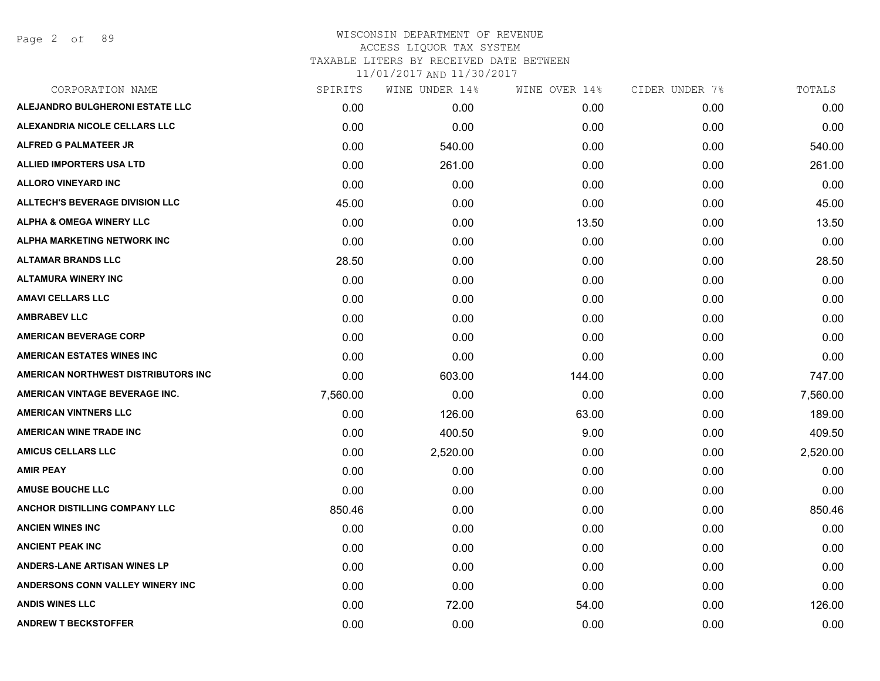Page 2 of 89

| CORPORATION NAME                       | SPIRITS  | WINE UNDER 14% | WINE OVER 14% | CIDER UNDER 7% | TOTALS   |
|----------------------------------------|----------|----------------|---------------|----------------|----------|
| ALEJANDRO BULGHERONI ESTATE LLC        | 0.00     | 0.00           | 0.00          | 0.00           | 0.00     |
| ALEXANDRIA NICOLE CELLARS LLC          | 0.00     | 0.00           | 0.00          | 0.00           | 0.00     |
| <b>ALFRED G PALMATEER JR</b>           | 0.00     | 540.00         | 0.00          | 0.00           | 540.00   |
| <b>ALLIED IMPORTERS USA LTD</b>        | 0.00     | 261.00         | 0.00          | 0.00           | 261.00   |
| <b>ALLORO VINEYARD INC</b>             | 0.00     | 0.00           | 0.00          | 0.00           | 0.00     |
| <b>ALLTECH'S BEVERAGE DIVISION LLC</b> | 45.00    | 0.00           | 0.00          | 0.00           | 45.00    |
| <b>ALPHA &amp; OMEGA WINERY LLC</b>    | 0.00     | 0.00           | 13.50         | 0.00           | 13.50    |
| ALPHA MARKETING NETWORK INC            | 0.00     | 0.00           | 0.00          | 0.00           | 0.00     |
| <b>ALTAMAR BRANDS LLC</b>              | 28.50    | 0.00           | 0.00          | 0.00           | 28.50    |
| <b>ALTAMURA WINERY INC</b>             | 0.00     | 0.00           | 0.00          | 0.00           | 0.00     |
| <b>AMAVI CELLARS LLC</b>               | 0.00     | 0.00           | 0.00          | 0.00           | 0.00     |
| <b>AMBRABEV LLC</b>                    | 0.00     | 0.00           | 0.00          | 0.00           | 0.00     |
| <b>AMERICAN BEVERAGE CORP</b>          | 0.00     | 0.00           | 0.00          | 0.00           | 0.00     |
| <b>AMERICAN ESTATES WINES INC</b>      | 0.00     | 0.00           | 0.00          | 0.00           | 0.00     |
| AMERICAN NORTHWEST DISTRIBUTORS INC    | 0.00     | 603.00         | 144.00        | 0.00           | 747.00   |
| AMERICAN VINTAGE BEVERAGE INC.         | 7,560.00 | 0.00           | 0.00          | 0.00           | 7,560.00 |
| <b>AMERICAN VINTNERS LLC</b>           | 0.00     | 126.00         | 63.00         | 0.00           | 189.00   |
| <b>AMERICAN WINE TRADE INC</b>         | 0.00     | 400.50         | 9.00          | 0.00           | 409.50   |
| <b>AMICUS CELLARS LLC</b>              | 0.00     | 2,520.00       | 0.00          | 0.00           | 2,520.00 |
| <b>AMIR PEAY</b>                       | 0.00     | 0.00           | 0.00          | 0.00           | 0.00     |
| <b>AMUSE BOUCHE LLC</b>                | 0.00     | 0.00           | 0.00          | 0.00           | 0.00     |
| ANCHOR DISTILLING COMPANY LLC          | 850.46   | 0.00           | 0.00          | 0.00           | 850.46   |
| <b>ANCIEN WINES INC</b>                | 0.00     | 0.00           | 0.00          | 0.00           | 0.00     |
| <b>ANCIENT PEAK INC</b>                | 0.00     | 0.00           | 0.00          | 0.00           | 0.00     |
| ANDERS-LANE ARTISAN WINES LP           | 0.00     | 0.00           | 0.00          | 0.00           | 0.00     |
| ANDERSONS CONN VALLEY WINERY INC       | 0.00     | 0.00           | 0.00          | 0.00           | 0.00     |
| <b>ANDIS WINES LLC</b>                 | 0.00     | 72.00          | 54.00         | 0.00           | 126.00   |
| <b>ANDREW T BECKSTOFFER</b>            | 0.00     | 0.00           | 0.00          | 0.00           | 0.00     |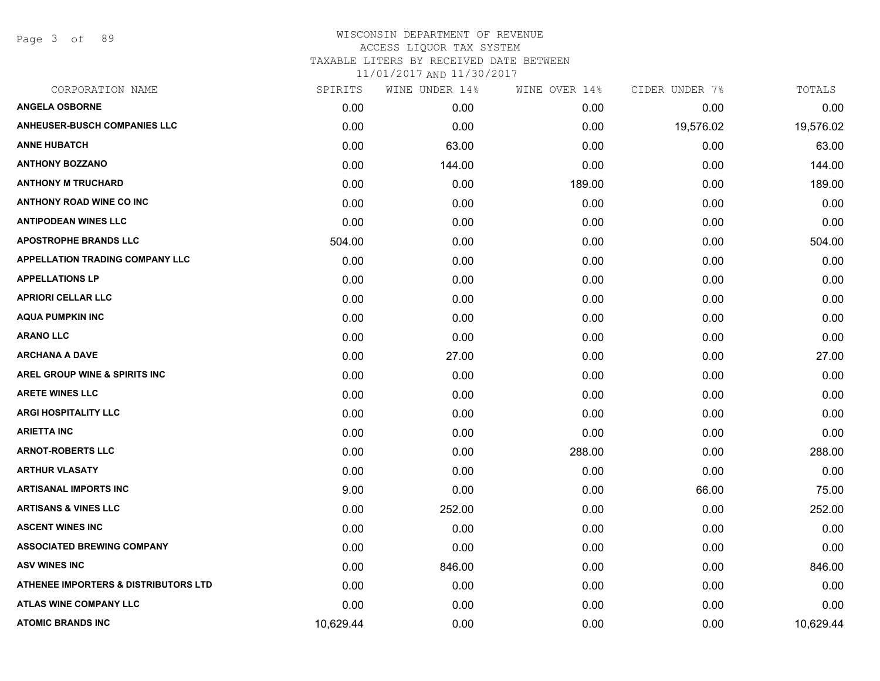Page 3 of 89

| CORPORATION NAME                       | SPIRITS   | WINE UNDER 14% | WINE OVER 14% | CIDER UNDER 7% | TOTALS    |
|----------------------------------------|-----------|----------------|---------------|----------------|-----------|
| <b>ANGELA OSBORNE</b>                  | 0.00      | 0.00           | 0.00          | 0.00           | 0.00      |
| <b>ANHEUSER-BUSCH COMPANIES LLC</b>    | 0.00      | 0.00           | 0.00          | 19,576.02      | 19,576.02 |
| <b>ANNE HUBATCH</b>                    | 0.00      | 63.00          | 0.00          | 0.00           | 63.00     |
| <b>ANTHONY BOZZANO</b>                 | 0.00      | 144.00         | 0.00          | 0.00           | 144.00    |
| <b>ANTHONY M TRUCHARD</b>              | 0.00      | 0.00           | 189.00        | 0.00           | 189.00    |
| <b>ANTHONY ROAD WINE CO INC</b>        | 0.00      | 0.00           | 0.00          | 0.00           | 0.00      |
| <b>ANTIPODEAN WINES LLC</b>            | 0.00      | 0.00           | 0.00          | 0.00           | 0.00      |
| <b>APOSTROPHE BRANDS LLC</b>           | 504.00    | 0.00           | 0.00          | 0.00           | 504.00    |
| <b>APPELLATION TRADING COMPANY LLC</b> | 0.00      | 0.00           | 0.00          | 0.00           | 0.00      |
| <b>APPELLATIONS LP</b>                 | 0.00      | 0.00           | 0.00          | 0.00           | 0.00      |
| <b>APRIORI CELLAR LLC</b>              | 0.00      | 0.00           | 0.00          | 0.00           | 0.00      |
| <b>AQUA PUMPKIN INC</b>                | 0.00      | 0.00           | 0.00          | 0.00           | 0.00      |
| <b>ARANO LLC</b>                       | 0.00      | 0.00           | 0.00          | 0.00           | 0.00      |
| <b>ARCHANA A DAVE</b>                  | 0.00      | 27.00          | 0.00          | 0.00           | 27.00     |
| AREL GROUP WINE & SPIRITS INC          | 0.00      | 0.00           | 0.00          | 0.00           | 0.00      |
| <b>ARETE WINES LLC</b>                 | 0.00      | 0.00           | 0.00          | 0.00           | 0.00      |
| <b>ARGI HOSPITALITY LLC</b>            | 0.00      | 0.00           | 0.00          | 0.00           | 0.00      |
| ARIETTA INC                            | 0.00      | 0.00           | 0.00          | 0.00           | 0.00      |
| <b>ARNOT-ROBERTS LLC</b>               | 0.00      | 0.00           | 288.00        | 0.00           | 288.00    |
| <b>ARTHUR VLASATY</b>                  | 0.00      | 0.00           | 0.00          | 0.00           | 0.00      |
| <b>ARTISANAL IMPORTS INC</b>           | 9.00      | 0.00           | 0.00          | 66.00          | 75.00     |
| <b>ARTISANS &amp; VINES LLC</b>        | 0.00      | 252.00         | 0.00          | 0.00           | 252.00    |
| <b>ASCENT WINES INC</b>                | 0.00      | 0.00           | 0.00          | 0.00           | 0.00      |
| <b>ASSOCIATED BREWING COMPANY</b>      | 0.00      | 0.00           | 0.00          | 0.00           | 0.00      |
| <b>ASV WINES INC</b>                   | 0.00      | 846.00         | 0.00          | 0.00           | 846.00    |
| ATHENEE IMPORTERS & DISTRIBUTORS LTD   | 0.00      | 0.00           | 0.00          | 0.00           | 0.00      |
| <b>ATLAS WINE COMPANY LLC</b>          | 0.00      | 0.00           | 0.00          | 0.00           | 0.00      |
| <b>ATOMIC BRANDS INC</b>               | 10,629.44 | 0.00           | 0.00          | 0.00           | 10,629.44 |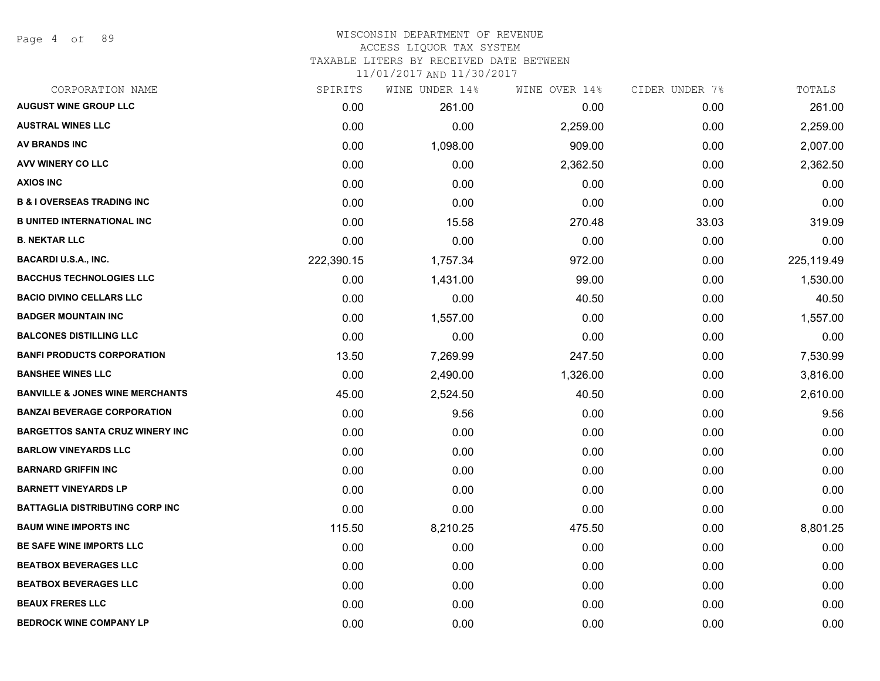Page 4 of 89

#### WISCONSIN DEPARTMENT OF REVENUE ACCESS LIQUOR TAX SYSTEM

TAXABLE LITERS BY RECEIVED DATE BETWEEN

| CORPORATION NAME                           | SPIRITS    | WINE UNDER 14% | WINE OVER 14% | CIDER UNDER 7% | TOTALS     |
|--------------------------------------------|------------|----------------|---------------|----------------|------------|
| <b>AUGUST WINE GROUP LLC</b>               | 0.00       | 261.00         | 0.00          | 0.00           | 261.00     |
| <b>AUSTRAL WINES LLC</b>                   | 0.00       | 0.00           | 2,259.00      | 0.00           | 2,259.00   |
| <b>AV BRANDS INC</b>                       | 0.00       | 1,098.00       | 909.00        | 0.00           | 2,007.00   |
| AVV WINERY CO LLC                          | 0.00       | 0.00           | 2,362.50      | 0.00           | 2,362.50   |
| <b>AXIOS INC</b>                           | 0.00       | 0.00           | 0.00          | 0.00           | 0.00       |
| <b>B &amp; I OVERSEAS TRADING INC</b>      | 0.00       | 0.00           | 0.00          | 0.00           | 0.00       |
| <b>B UNITED INTERNATIONAL INC</b>          | 0.00       | 15.58          | 270.48        | 33.03          | 319.09     |
| <b>B. NEKTAR LLC</b>                       | 0.00       | 0.00           | 0.00          | 0.00           | 0.00       |
| <b>BACARDI U.S.A., INC.</b>                | 222,390.15 | 1,757.34       | 972.00        | 0.00           | 225,119.49 |
| <b>BACCHUS TECHNOLOGIES LLC</b>            | 0.00       | 1,431.00       | 99.00         | 0.00           | 1,530.00   |
| <b>BACIO DIVINO CELLARS LLC</b>            | 0.00       | 0.00           | 40.50         | 0.00           | 40.50      |
| <b>BADGER MOUNTAIN INC</b>                 | 0.00       | 1,557.00       | 0.00          | 0.00           | 1,557.00   |
| <b>BALCONES DISTILLING LLC</b>             | 0.00       | 0.00           | 0.00          | 0.00           | 0.00       |
| <b>BANFI PRODUCTS CORPORATION</b>          | 13.50      | 7,269.99       | 247.50        | 0.00           | 7,530.99   |
| <b>BANSHEE WINES LLC</b>                   | 0.00       | 2,490.00       | 1,326.00      | 0.00           | 3,816.00   |
| <b>BANVILLE &amp; JONES WINE MERCHANTS</b> | 45.00      | 2,524.50       | 40.50         | 0.00           | 2,610.00   |
| <b>BANZAI BEVERAGE CORPORATION</b>         | 0.00       | 9.56           | 0.00          | 0.00           | 9.56       |
| <b>BARGETTOS SANTA CRUZ WINERY INC</b>     | 0.00       | 0.00           | 0.00          | 0.00           | 0.00       |
| <b>BARLOW VINEYARDS LLC</b>                | 0.00       | 0.00           | 0.00          | 0.00           | 0.00       |
| <b>BARNARD GRIFFIN INC</b>                 | 0.00       | 0.00           | 0.00          | 0.00           | 0.00       |
| <b>BARNETT VINEYARDS LP</b>                | 0.00       | 0.00           | 0.00          | 0.00           | 0.00       |
| <b>BATTAGLIA DISTRIBUTING CORP INC</b>     | 0.00       | 0.00           | 0.00          | 0.00           | 0.00       |
| <b>BAUM WINE IMPORTS INC</b>               | 115.50     | 8,210.25       | 475.50        | 0.00           | 8,801.25   |
| BE SAFE WINE IMPORTS LLC                   | 0.00       | 0.00           | 0.00          | 0.00           | 0.00       |
| <b>BEATBOX BEVERAGES LLC</b>               | 0.00       | 0.00           | 0.00          | 0.00           | 0.00       |
| <b>BEATBOX BEVERAGES LLC</b>               | 0.00       | 0.00           | 0.00          | 0.00           | 0.00       |
| <b>BEAUX FRERES LLC</b>                    | 0.00       | 0.00           | 0.00          | 0.00           | 0.00       |
| <b>BEDROCK WINE COMPANY LP</b>             | 0.00       | 0.00           | 0.00          | 0.00           | 0.00       |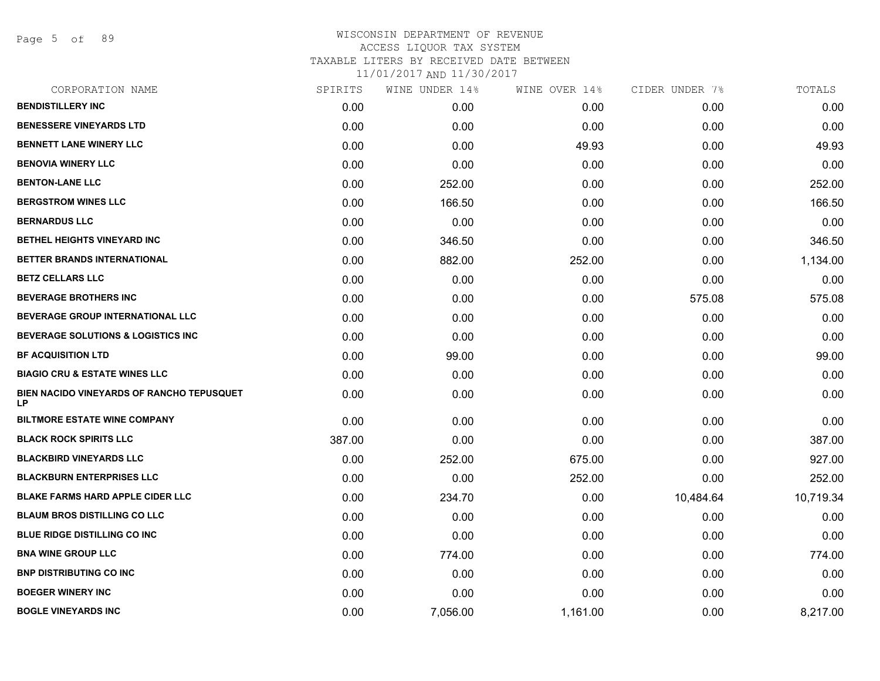Page 5 of 89

| CORPORATION NAME                                       | SPIRITS | WINE UNDER 14% | WINE OVER 14% | CIDER UNDER 7% | TOTALS    |
|--------------------------------------------------------|---------|----------------|---------------|----------------|-----------|
| <b>BENDISTILLERY INC</b>                               | 0.00    | 0.00           | 0.00          | 0.00           | 0.00      |
| <b>BENESSERE VINEYARDS LTD</b>                         | 0.00    | 0.00           | 0.00          | 0.00           | 0.00      |
| <b>BENNETT LANE WINERY LLC</b>                         | 0.00    | 0.00           | 49.93         | 0.00           | 49.93     |
| <b>BENOVIA WINERY LLC</b>                              | 0.00    | 0.00           | 0.00          | 0.00           | 0.00      |
| <b>BENTON-LANE LLC</b>                                 | 0.00    | 252.00         | 0.00          | 0.00           | 252.00    |
| <b>BERGSTROM WINES LLC</b>                             | 0.00    | 166.50         | 0.00          | 0.00           | 166.50    |
| <b>BERNARDUS LLC</b>                                   | 0.00    | 0.00           | 0.00          | 0.00           | 0.00      |
| BETHEL HEIGHTS VINEYARD INC                            | 0.00    | 346.50         | 0.00          | 0.00           | 346.50    |
| <b>BETTER BRANDS INTERNATIONAL</b>                     | 0.00    | 882.00         | 252.00        | 0.00           | 1,134.00  |
| <b>BETZ CELLARS LLC</b>                                | 0.00    | 0.00           | 0.00          | 0.00           | 0.00      |
| <b>BEVERAGE BROTHERS INC</b>                           | 0.00    | 0.00           | 0.00          | 575.08         | 575.08    |
| <b>BEVERAGE GROUP INTERNATIONAL LLC</b>                | 0.00    | 0.00           | 0.00          | 0.00           | 0.00      |
| <b>BEVERAGE SOLUTIONS &amp; LOGISTICS INC</b>          | 0.00    | 0.00           | 0.00          | 0.00           | 0.00      |
| <b>BF ACQUISITION LTD</b>                              | 0.00    | 99.00          | 0.00          | 0.00           | 99.00     |
| <b>BIAGIO CRU &amp; ESTATE WINES LLC</b>               | 0.00    | 0.00           | 0.00          | 0.00           | 0.00      |
| <b>BIEN NACIDO VINEYARDS OF RANCHO TEPUSQUET</b><br>LP | 0.00    | 0.00           | 0.00          | 0.00           | 0.00      |
| <b>BILTMORE ESTATE WINE COMPANY</b>                    | 0.00    | 0.00           | 0.00          | 0.00           | 0.00      |
| <b>BLACK ROCK SPIRITS LLC</b>                          | 387.00  | 0.00           | 0.00          | 0.00           | 387.00    |
| <b>BLACKBIRD VINEYARDS LLC</b>                         | 0.00    | 252.00         | 675.00        | 0.00           | 927.00    |
| <b>BLACKBURN ENTERPRISES LLC</b>                       | 0.00    | 0.00           | 252.00        | 0.00           | 252.00    |
| <b>BLAKE FARMS HARD APPLE CIDER LLC</b>                | 0.00    | 234.70         | 0.00          | 10,484.64      | 10,719.34 |
| <b>BLAUM BROS DISTILLING CO LLC</b>                    | 0.00    | 0.00           | 0.00          | 0.00           | 0.00      |
| <b>BLUE RIDGE DISTILLING CO INC</b>                    | 0.00    | 0.00           | 0.00          | 0.00           | 0.00      |
| <b>BNA WINE GROUP LLC</b>                              | 0.00    | 774.00         | 0.00          | 0.00           | 774.00    |
| <b>BNP DISTRIBUTING CO INC</b>                         | 0.00    | 0.00           | 0.00          | 0.00           | 0.00      |
| <b>BOEGER WINERY INC</b>                               | 0.00    | 0.00           | 0.00          | 0.00           | 0.00      |
| <b>BOGLE VINEYARDS INC</b>                             | 0.00    | 7,056.00       | 1,161.00      | 0.00           | 8,217.00  |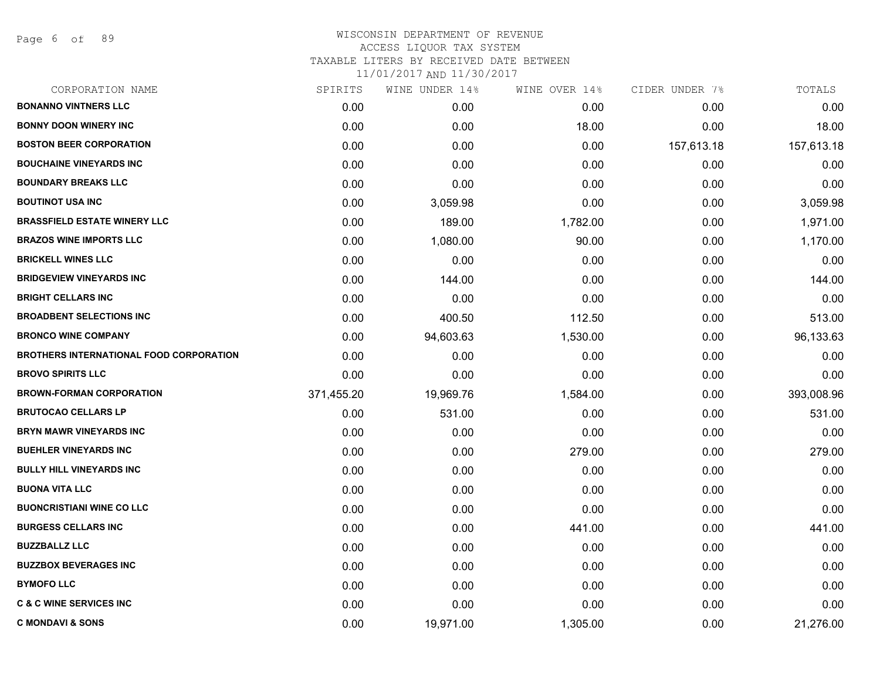Page 6 of 89

| CORPORATION NAME                               | SPIRITS    | WINE UNDER 14% | WINE OVER 14% | CIDER UNDER 7% | TOTALS     |
|------------------------------------------------|------------|----------------|---------------|----------------|------------|
| <b>BONANNO VINTNERS LLC</b>                    | 0.00       | 0.00           | 0.00          | 0.00           | 0.00       |
| <b>BONNY DOON WINERY INC</b>                   | 0.00       | 0.00           | 18.00         | 0.00           | 18.00      |
| <b>BOSTON BEER CORPORATION</b>                 | 0.00       | 0.00           | 0.00          | 157,613.18     | 157,613.18 |
| <b>BOUCHAINE VINEYARDS INC</b>                 | 0.00       | 0.00           | 0.00          | 0.00           | 0.00       |
| <b>BOUNDARY BREAKS LLC</b>                     | 0.00       | 0.00           | 0.00          | 0.00           | 0.00       |
| <b>BOUTINOT USA INC</b>                        | 0.00       | 3,059.98       | 0.00          | 0.00           | 3,059.98   |
| <b>BRASSFIELD ESTATE WINERY LLC</b>            | 0.00       | 189.00         | 1,782.00      | 0.00           | 1,971.00   |
| <b>BRAZOS WINE IMPORTS LLC</b>                 | 0.00       | 1,080.00       | 90.00         | 0.00           | 1,170.00   |
| <b>BRICKELL WINES LLC</b>                      | 0.00       | 0.00           | 0.00          | 0.00           | 0.00       |
| <b>BRIDGEVIEW VINEYARDS INC</b>                | 0.00       | 144.00         | 0.00          | 0.00           | 144.00     |
| <b>BRIGHT CELLARS INC</b>                      | 0.00       | 0.00           | 0.00          | 0.00           | 0.00       |
| <b>BROADBENT SELECTIONS INC</b>                | 0.00       | 400.50         | 112.50        | 0.00           | 513.00     |
| <b>BRONCO WINE COMPANY</b>                     | 0.00       | 94,603.63      | 1,530.00      | 0.00           | 96,133.63  |
| <b>BROTHERS INTERNATIONAL FOOD CORPORATION</b> | 0.00       | 0.00           | 0.00          | 0.00           | 0.00       |
| <b>BROVO SPIRITS LLC</b>                       | 0.00       | 0.00           | 0.00          | 0.00           | 0.00       |
| <b>BROWN-FORMAN CORPORATION</b>                | 371,455.20 | 19,969.76      | 1,584.00      | 0.00           | 393,008.96 |
| <b>BRUTOCAO CELLARS LP</b>                     | 0.00       | 531.00         | 0.00          | 0.00           | 531.00     |
| <b>BRYN MAWR VINEYARDS INC</b>                 | 0.00       | 0.00           | 0.00          | 0.00           | 0.00       |
| <b>BUEHLER VINEYARDS INC</b>                   | 0.00       | 0.00           | 279.00        | 0.00           | 279.00     |
| <b>BULLY HILL VINEYARDS INC</b>                | 0.00       | 0.00           | 0.00          | 0.00           | 0.00       |
| <b>BUONA VITA LLC</b>                          | 0.00       | 0.00           | 0.00          | 0.00           | 0.00       |
| <b>BUONCRISTIANI WINE CO LLC</b>               | 0.00       | 0.00           | 0.00          | 0.00           | 0.00       |
| <b>BURGESS CELLARS INC</b>                     | 0.00       | 0.00           | 441.00        | 0.00           | 441.00     |
| <b>BUZZBALLZ LLC</b>                           | 0.00       | 0.00           | 0.00          | 0.00           | 0.00       |
| <b>BUZZBOX BEVERAGES INC</b>                   | 0.00       | 0.00           | 0.00          | 0.00           | 0.00       |
| <b>BYMOFO LLC</b>                              | 0.00       | 0.00           | 0.00          | 0.00           | 0.00       |
| <b>C &amp; C WINE SERVICES INC</b>             | 0.00       | 0.00           | 0.00          | 0.00           | 0.00       |
| <b>C MONDAVI &amp; SONS</b>                    | 0.00       | 19,971.00      | 1,305.00      | 0.00           | 21,276.00  |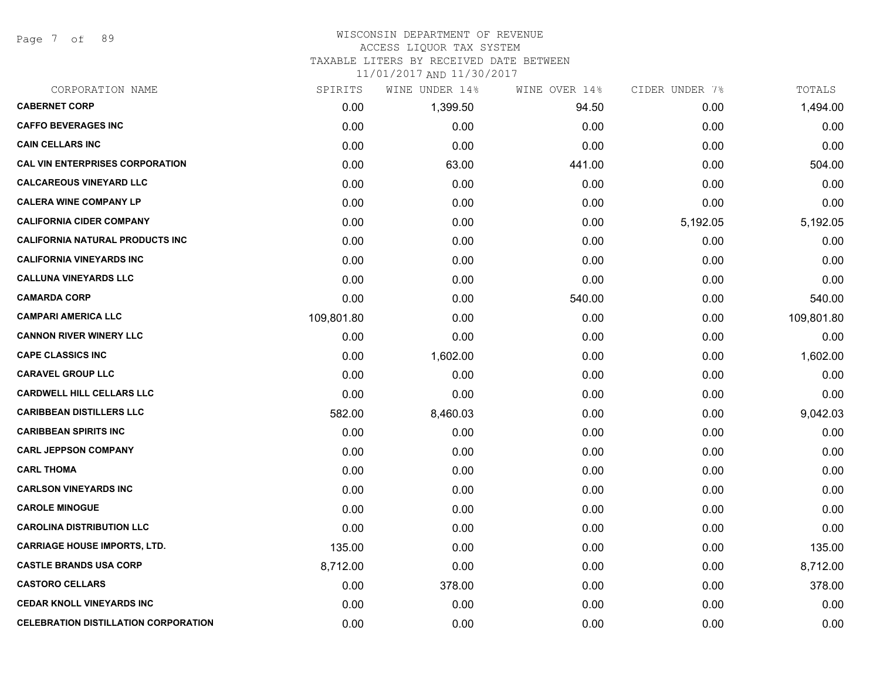Page 7 of 89

#### WISCONSIN DEPARTMENT OF REVENUE ACCESS LIQUOR TAX SYSTEM

TAXABLE LITERS BY RECEIVED DATE BETWEEN

| CORPORATION NAME                            | SPIRITS    | WINE UNDER 14% | WINE OVER 14% | CIDER UNDER 7% | TOTALS     |
|---------------------------------------------|------------|----------------|---------------|----------------|------------|
| <b>CABERNET CORP</b>                        | 0.00       | 1,399.50       | 94.50         | 0.00           | 1,494.00   |
| <b>CAFFO BEVERAGES INC</b>                  | 0.00       | 0.00           | 0.00          | 0.00           | 0.00       |
| <b>CAIN CELLARS INC</b>                     | 0.00       | 0.00           | 0.00          | 0.00           | 0.00       |
| <b>CAL VIN ENTERPRISES CORPORATION</b>      | 0.00       | 63.00          | 441.00        | 0.00           | 504.00     |
| <b>CALCAREOUS VINEYARD LLC</b>              | 0.00       | 0.00           | 0.00          | 0.00           | 0.00       |
| <b>CALERA WINE COMPANY LP</b>               | 0.00       | 0.00           | 0.00          | 0.00           | 0.00       |
| <b>CALIFORNIA CIDER COMPANY</b>             | 0.00       | 0.00           | 0.00          | 5,192.05       | 5,192.05   |
| <b>CALIFORNIA NATURAL PRODUCTS INC</b>      | 0.00       | 0.00           | 0.00          | 0.00           | 0.00       |
| <b>CALIFORNIA VINEYARDS INC</b>             | 0.00       | 0.00           | 0.00          | 0.00           | 0.00       |
| <b>CALLUNA VINEYARDS LLC</b>                | 0.00       | 0.00           | 0.00          | 0.00           | 0.00       |
| <b>CAMARDA CORP</b>                         | 0.00       | 0.00           | 540.00        | 0.00           | 540.00     |
| <b>CAMPARI AMERICA LLC</b>                  | 109,801.80 | 0.00           | 0.00          | 0.00           | 109,801.80 |
| <b>CANNON RIVER WINERY LLC</b>              | 0.00       | 0.00           | 0.00          | 0.00           | 0.00       |
| <b>CAPE CLASSICS INC</b>                    | 0.00       | 1,602.00       | 0.00          | 0.00           | 1,602.00   |
| <b>CARAVEL GROUP LLC</b>                    | 0.00       | 0.00           | 0.00          | 0.00           | 0.00       |
| <b>CARDWELL HILL CELLARS LLC</b>            | 0.00       | 0.00           | 0.00          | 0.00           | 0.00       |
| <b>CARIBBEAN DISTILLERS LLC</b>             | 582.00     | 8,460.03       | 0.00          | 0.00           | 9,042.03   |
| <b>CARIBBEAN SPIRITS INC</b>                | 0.00       | 0.00           | 0.00          | 0.00           | 0.00       |
| <b>CARL JEPPSON COMPANY</b>                 | 0.00       | 0.00           | 0.00          | 0.00           | 0.00       |
| <b>CARL THOMA</b>                           | 0.00       | 0.00           | 0.00          | 0.00           | 0.00       |
| <b>CARLSON VINEYARDS INC</b>                | 0.00       | 0.00           | 0.00          | 0.00           | 0.00       |
| <b>CAROLE MINOGUE</b>                       | 0.00       | 0.00           | 0.00          | 0.00           | 0.00       |
| <b>CAROLINA DISTRIBUTION LLC</b>            | 0.00       | 0.00           | 0.00          | 0.00           | 0.00       |
| <b>CARRIAGE HOUSE IMPORTS, LTD.</b>         | 135.00     | 0.00           | 0.00          | 0.00           | 135.00     |
| <b>CASTLE BRANDS USA CORP</b>               | 8,712.00   | 0.00           | 0.00          | 0.00           | 8,712.00   |
| <b>CASTORO CELLARS</b>                      | 0.00       | 378.00         | 0.00          | 0.00           | 378.00     |
| <b>CEDAR KNOLL VINEYARDS INC</b>            | 0.00       | 0.00           | 0.00          | 0.00           | 0.00       |
| <b>CELEBRATION DISTILLATION CORPORATION</b> | 0.00       | 0.00           | 0.00          | 0.00           | 0.00       |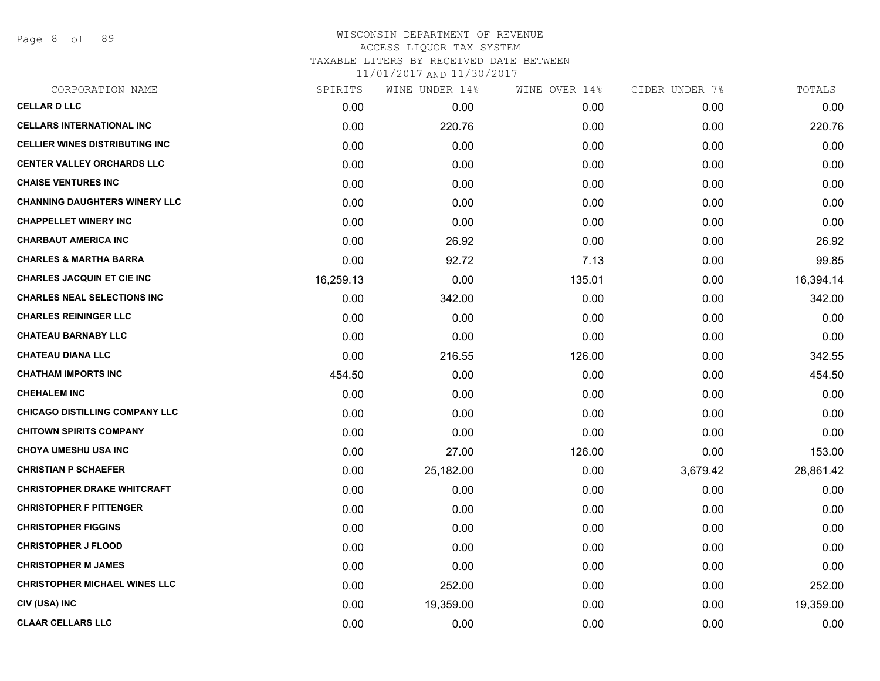Page 8 of 89

# WISCONSIN DEPARTMENT OF REVENUE ACCESS LIQUOR TAX SYSTEM TAXABLE LITERS BY RECEIVED DATE BETWEEN

| CORPORATION NAME                      | SPIRITS   | WINE UNDER 14% | WINE OVER 14% | CIDER UNDER 7% | TOTALS    |
|---------------------------------------|-----------|----------------|---------------|----------------|-----------|
| <b>CELLAR D LLC</b>                   | 0.00      | 0.00           | 0.00          | 0.00           | 0.00      |
| <b>CELLARS INTERNATIONAL INC</b>      | 0.00      | 220.76         | 0.00          | 0.00           | 220.76    |
| <b>CELLIER WINES DISTRIBUTING INC</b> | 0.00      | 0.00           | 0.00          | 0.00           | 0.00      |
| <b>CENTER VALLEY ORCHARDS LLC</b>     | 0.00      | 0.00           | 0.00          | 0.00           | 0.00      |
| <b>CHAISE VENTURES INC</b>            | 0.00      | 0.00           | 0.00          | 0.00           | 0.00      |
| <b>CHANNING DAUGHTERS WINERY LLC</b>  | 0.00      | 0.00           | 0.00          | 0.00           | 0.00      |
| <b>CHAPPELLET WINERY INC</b>          | 0.00      | 0.00           | 0.00          | 0.00           | 0.00      |
| <b>CHARBAUT AMERICA INC</b>           | 0.00      | 26.92          | 0.00          | 0.00           | 26.92     |
| <b>CHARLES &amp; MARTHA BARRA</b>     | 0.00      | 92.72          | 7.13          | 0.00           | 99.85     |
| <b>CHARLES JACQUIN ET CIE INC</b>     | 16,259.13 | 0.00           | 135.01        | 0.00           | 16,394.14 |
| <b>CHARLES NEAL SELECTIONS INC</b>    | 0.00      | 342.00         | 0.00          | 0.00           | 342.00    |
| <b>CHARLES REININGER LLC</b>          | 0.00      | 0.00           | 0.00          | 0.00           | 0.00      |
| <b>CHATEAU BARNABY LLC</b>            | 0.00      | 0.00           | 0.00          | 0.00           | 0.00      |
| <b>CHATEAU DIANA LLC</b>              | 0.00      | 216.55         | 126.00        | 0.00           | 342.55    |
| <b>CHATHAM IMPORTS INC</b>            | 454.50    | 0.00           | 0.00          | 0.00           | 454.50    |
| <b>CHEHALEM INC</b>                   | 0.00      | 0.00           | 0.00          | 0.00           | 0.00      |
| <b>CHICAGO DISTILLING COMPANY LLC</b> | 0.00      | 0.00           | 0.00          | 0.00           | 0.00      |
| <b>CHITOWN SPIRITS COMPANY</b>        | 0.00      | 0.00           | 0.00          | 0.00           | 0.00      |
| <b>CHOYA UMESHU USA INC</b>           | 0.00      | 27.00          | 126.00        | 0.00           | 153.00    |
| <b>CHRISTIAN P SCHAEFER</b>           | 0.00      | 25,182.00      | 0.00          | 3,679.42       | 28,861.42 |
| <b>CHRISTOPHER DRAKE WHITCRAFT</b>    | 0.00      | 0.00           | 0.00          | 0.00           | 0.00      |
| <b>CHRISTOPHER F PITTENGER</b>        | 0.00      | 0.00           | 0.00          | 0.00           | 0.00      |
| <b>CHRISTOPHER FIGGINS</b>            | 0.00      | 0.00           | 0.00          | 0.00           | 0.00      |
| <b>CHRISTOPHER J FLOOD</b>            | 0.00      | 0.00           | 0.00          | 0.00           | 0.00      |
| <b>CHRISTOPHER M JAMES</b>            | 0.00      | 0.00           | 0.00          | 0.00           | 0.00      |
| <b>CHRISTOPHER MICHAEL WINES LLC</b>  | 0.00      | 252.00         | 0.00          | 0.00           | 252.00    |
| CIV (USA) INC                         | 0.00      | 19,359.00      | 0.00          | 0.00           | 19,359.00 |
| <b>CLAAR CELLARS LLC</b>              | 0.00      | 0.00           | 0.00          | 0.00           | 0.00      |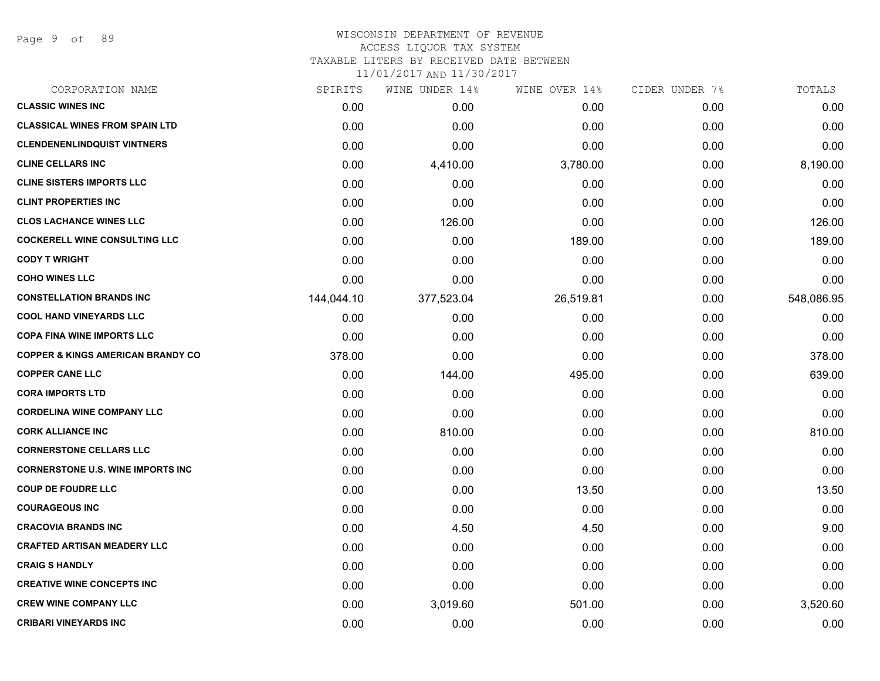Page 9 of 89

#### WISCONSIN DEPARTMENT OF REVENUE ACCESS LIQUOR TAX SYSTEM

TAXABLE LITERS BY RECEIVED DATE BETWEEN

| CORPORATION NAME                             | SPIRITS    | WINE UNDER 14% | WINE OVER 14% | CIDER UNDER 7% | TOTALS     |
|----------------------------------------------|------------|----------------|---------------|----------------|------------|
| <b>CLASSIC WINES INC</b>                     | 0.00       | 0.00           | 0.00          | 0.00           | 0.00       |
| <b>CLASSICAL WINES FROM SPAIN LTD</b>        | 0.00       | 0.00           | 0.00          | 0.00           | 0.00       |
| <b>CLENDENENLINDQUIST VINTNERS</b>           | 0.00       | 0.00           | 0.00          | 0.00           | 0.00       |
| <b>CLINE CELLARS INC</b>                     | 0.00       | 4,410.00       | 3,780.00      | 0.00           | 8,190.00   |
| <b>CLINE SISTERS IMPORTS LLC</b>             | 0.00       | 0.00           | 0.00          | 0.00           | 0.00       |
| <b>CLINT PROPERTIES INC</b>                  | 0.00       | 0.00           | 0.00          | 0.00           | 0.00       |
| <b>CLOS LACHANCE WINES LLC</b>               | 0.00       | 126.00         | 0.00          | 0.00           | 126.00     |
| <b>COCKERELL WINE CONSULTING LLC</b>         | 0.00       | 0.00           | 189.00        | 0.00           | 189.00     |
| <b>CODY T WRIGHT</b>                         | 0.00       | 0.00           | 0.00          | 0.00           | 0.00       |
| <b>COHO WINES LLC</b>                        | 0.00       | 0.00           | 0.00          | 0.00           | 0.00       |
| <b>CONSTELLATION BRANDS INC</b>              | 144,044.10 | 377,523.04     | 26,519.81     | 0.00           | 548,086.95 |
| <b>COOL HAND VINEYARDS LLC</b>               | 0.00       | 0.00           | 0.00          | 0.00           | 0.00       |
| <b>COPA FINA WINE IMPORTS LLC</b>            | 0.00       | 0.00           | 0.00          | 0.00           | 0.00       |
| <b>COPPER &amp; KINGS AMERICAN BRANDY CO</b> | 378.00     | 0.00           | 0.00          | 0.00           | 378.00     |
| <b>COPPER CANE LLC</b>                       | 0.00       | 144.00         | 495.00        | 0.00           | 639.00     |
| <b>CORA IMPORTS LTD</b>                      | 0.00       | 0.00           | 0.00          | 0.00           | 0.00       |
| <b>CORDELINA WINE COMPANY LLC</b>            | 0.00       | 0.00           | 0.00          | 0.00           | 0.00       |
| <b>CORK ALLIANCE INC</b>                     | 0.00       | 810.00         | 0.00          | 0.00           | 810.00     |
| <b>CORNERSTONE CELLARS LLC</b>               | 0.00       | 0.00           | 0.00          | 0.00           | 0.00       |
| <b>CORNERSTONE U.S. WINE IMPORTS INC</b>     | 0.00       | 0.00           | 0.00          | 0.00           | 0.00       |
| <b>COUP DE FOUDRE LLC</b>                    | 0.00       | 0.00           | 13.50         | 0.00           | 13.50      |
| <b>COURAGEOUS INC</b>                        | 0.00       | 0.00           | 0.00          | 0.00           | 0.00       |
| <b>CRACOVIA BRANDS INC</b>                   | 0.00       | 4.50           | 4.50          | 0.00           | 9.00       |
| <b>CRAFTED ARTISAN MEADERY LLC</b>           | 0.00       | 0.00           | 0.00          | 0.00           | 0.00       |
| <b>CRAIG S HANDLY</b>                        | 0.00       | 0.00           | 0.00          | 0.00           | 0.00       |
| <b>CREATIVE WINE CONCEPTS INC</b>            | 0.00       | 0.00           | 0.00          | 0.00           | 0.00       |
| <b>CREW WINE COMPANY LLC</b>                 | 0.00       | 3,019.60       | 501.00        | 0.00           | 3,520.60   |
| <b>CRIBARI VINEYARDS INC</b>                 | 0.00       | 0.00           | 0.00          | 0.00           | 0.00       |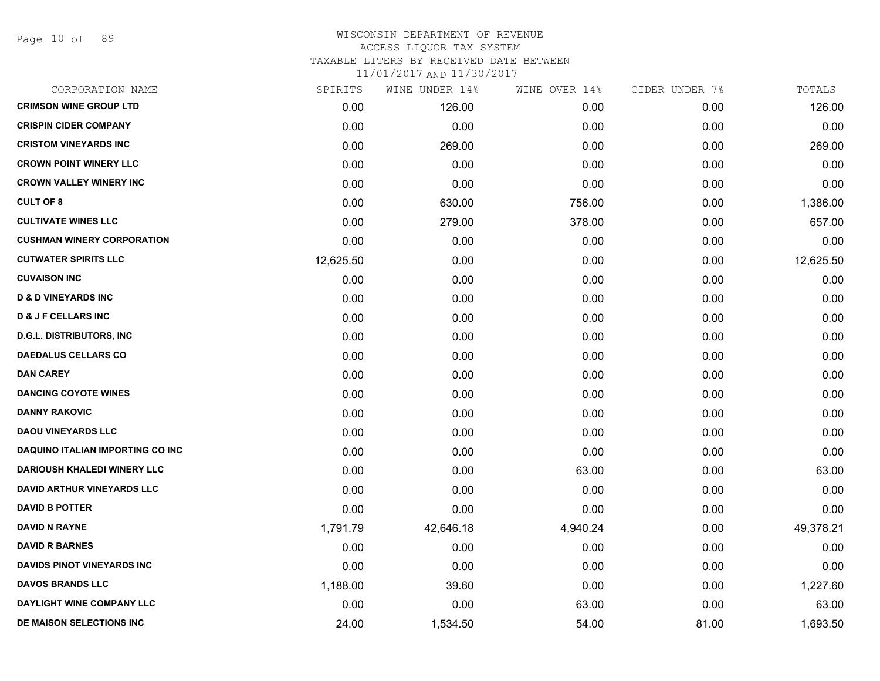Page 10 of 89

## WISCONSIN DEPARTMENT OF REVENUE ACCESS LIQUOR TAX SYSTEM TAXABLE LITERS BY RECEIVED DATE BETWEEN

| CORPORATION NAME                        | SPIRITS   | WINE UNDER 14% | WINE OVER 14% | CIDER UNDER 7% | TOTALS    |
|-----------------------------------------|-----------|----------------|---------------|----------------|-----------|
| <b>CRIMSON WINE GROUP LTD</b>           | 0.00      | 126.00         | 0.00          | 0.00           | 126.00    |
| <b>CRISPIN CIDER COMPANY</b>            | 0.00      | 0.00           | 0.00          | 0.00           | 0.00      |
| <b>CRISTOM VINEYARDS INC</b>            | 0.00      | 269.00         | 0.00          | 0.00           | 269.00    |
| <b>CROWN POINT WINERY LLC</b>           | 0.00      | 0.00           | 0.00          | 0.00           | 0.00      |
| <b>CROWN VALLEY WINERY INC</b>          | 0.00      | 0.00           | 0.00          | 0.00           | 0.00      |
| <b>CULT OF 8</b>                        | 0.00      | 630.00         | 756.00        | 0.00           | 1,386.00  |
| <b>CULTIVATE WINES LLC</b>              | 0.00      | 279.00         | 378.00        | 0.00           | 657.00    |
| <b>CUSHMAN WINERY CORPORATION</b>       | 0.00      | 0.00           | 0.00          | 0.00           | 0.00      |
| <b>CUTWATER SPIRITS LLC</b>             | 12,625.50 | 0.00           | 0.00          | 0.00           | 12,625.50 |
| <b>CUVAISON INC</b>                     | 0.00      | 0.00           | 0.00          | 0.00           | 0.00      |
| <b>D &amp; D VINEYARDS INC</b>          | 0.00      | 0.00           | 0.00          | 0.00           | 0.00      |
| <b>D &amp; J F CELLARS INC</b>          | 0.00      | 0.00           | 0.00          | 0.00           | 0.00      |
| <b>D.G.L. DISTRIBUTORS, INC</b>         | 0.00      | 0.00           | 0.00          | 0.00           | 0.00      |
| <b>DAEDALUS CELLARS CO</b>              | 0.00      | 0.00           | 0.00          | 0.00           | 0.00      |
| <b>DAN CAREY</b>                        | 0.00      | 0.00           | 0.00          | 0.00           | 0.00      |
| <b>DANCING COYOTE WINES</b>             | 0.00      | 0.00           | 0.00          | 0.00           | 0.00      |
| <b>DANNY RAKOVIC</b>                    | 0.00      | 0.00           | 0.00          | 0.00           | 0.00      |
| <b>DAOU VINEYARDS LLC</b>               | 0.00      | 0.00           | 0.00          | 0.00           | 0.00      |
| <b>DAQUINO ITALIAN IMPORTING CO INC</b> | 0.00      | 0.00           | 0.00          | 0.00           | 0.00      |
| DARIOUSH KHALEDI WINERY LLC             | 0.00      | 0.00           | 63.00         | 0.00           | 63.00     |
| <b>DAVID ARTHUR VINEYARDS LLC</b>       | 0.00      | 0.00           | 0.00          | 0.00           | 0.00      |
| <b>DAVID B POTTER</b>                   | 0.00      | 0.00           | 0.00          | 0.00           | 0.00      |
| <b>DAVID N RAYNE</b>                    | 1,791.79  | 42,646.18      | 4,940.24      | 0.00           | 49,378.21 |
| <b>DAVID R BARNES</b>                   | 0.00      | 0.00           | 0.00          | 0.00           | 0.00      |
| <b>DAVIDS PINOT VINEYARDS INC</b>       | 0.00      | 0.00           | 0.00          | 0.00           | 0.00      |
| <b>DAVOS BRANDS LLC</b>                 | 1,188.00  | 39.60          | 0.00          | 0.00           | 1,227.60  |
| DAYLIGHT WINE COMPANY LLC               | 0.00      | 0.00           | 63.00         | 0.00           | 63.00     |
| DE MAISON SELECTIONS INC                | 24.00     | 1,534.50       | 54.00         | 81.00          | 1,693.50  |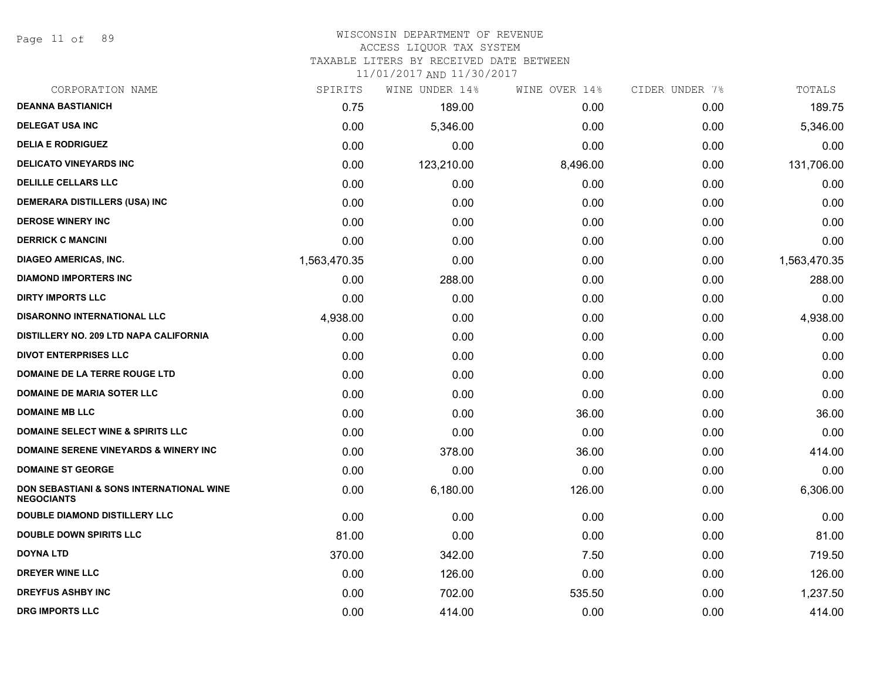Page 11 of 89

# WISCONSIN DEPARTMENT OF REVENUE

# ACCESS LIQUOR TAX SYSTEM

TAXABLE LITERS BY RECEIVED DATE BETWEEN

| CORPORATION NAME                                                         | SPIRITS      | WINE UNDER 14% | WINE OVER 14% | CIDER UNDER 7% | TOTALS       |
|--------------------------------------------------------------------------|--------------|----------------|---------------|----------------|--------------|
| <b>DEANNA BASTIANICH</b>                                                 | 0.75         | 189.00         | 0.00          | 0.00           | 189.75       |
| <b>DELEGAT USA INC</b>                                                   | 0.00         | 5,346.00       | 0.00          | 0.00           | 5,346.00     |
| <b>DELIA E RODRIGUEZ</b>                                                 | 0.00         | 0.00           | 0.00          | 0.00           | 0.00         |
| <b>DELICATO VINEYARDS INC</b>                                            | 0.00         | 123,210.00     | 8,496.00      | 0.00           | 131,706.00   |
| <b>DELILLE CELLARS LLC</b>                                               | 0.00         | 0.00           | 0.00          | 0.00           | 0.00         |
| <b>DEMERARA DISTILLERS (USA) INC</b>                                     | 0.00         | 0.00           | 0.00          | 0.00           | 0.00         |
| <b>DEROSE WINERY INC</b>                                                 | 0.00         | 0.00           | 0.00          | 0.00           | 0.00         |
| <b>DERRICK C MANCINI</b>                                                 | 0.00         | 0.00           | 0.00          | 0.00           | 0.00         |
| <b>DIAGEO AMERICAS, INC.</b>                                             | 1,563,470.35 | 0.00           | 0.00          | 0.00           | 1,563,470.35 |
| <b>DIAMOND IMPORTERS INC</b>                                             | 0.00         | 288.00         | 0.00          | 0.00           | 288.00       |
| <b>DIRTY IMPORTS LLC</b>                                                 | 0.00         | 0.00           | 0.00          | 0.00           | 0.00         |
| <b>DISARONNO INTERNATIONAL LLC</b>                                       | 4,938.00     | 0.00           | 0.00          | 0.00           | 4,938.00     |
| DISTILLERY NO. 209 LTD NAPA CALIFORNIA                                   | 0.00         | 0.00           | 0.00          | 0.00           | 0.00         |
| <b>DIVOT ENTERPRISES LLC</b>                                             | 0.00         | 0.00           | 0.00          | 0.00           | 0.00         |
| DOMAINE DE LA TERRE ROUGE LTD                                            | 0.00         | 0.00           | 0.00          | 0.00           | 0.00         |
| <b>DOMAINE DE MARIA SOTER LLC</b>                                        | 0.00         | 0.00           | 0.00          | 0.00           | 0.00         |
| <b>DOMAINE MB LLC</b>                                                    | 0.00         | 0.00           | 36.00         | 0.00           | 36.00        |
| <b>DOMAINE SELECT WINE &amp; SPIRITS LLC</b>                             | 0.00         | 0.00           | 0.00          | 0.00           | 0.00         |
| <b>DOMAINE SERENE VINEYARDS &amp; WINERY INC.</b>                        | 0.00         | 378.00         | 36.00         | 0.00           | 414.00       |
| <b>DOMAINE ST GEORGE</b>                                                 | 0.00         | 0.00           | 0.00          | 0.00           | 0.00         |
| <b>DON SEBASTIANI &amp; SONS INTERNATIONAL WINE</b><br><b>NEGOCIANTS</b> | 0.00         | 6,180.00       | 126.00        | 0.00           | 6,306.00     |
| DOUBLE DIAMOND DISTILLERY LLC                                            | 0.00         | 0.00           | 0.00          | 0.00           | 0.00         |
| <b>DOUBLE DOWN SPIRITS LLC</b>                                           | 81.00        | 0.00           | 0.00          | 0.00           | 81.00        |
| <b>DOYNA LTD</b>                                                         | 370.00       | 342.00         | 7.50          | 0.00           | 719.50       |
| <b>DREYER WINE LLC</b>                                                   | 0.00         | 126.00         | 0.00          | 0.00           | 126.00       |
| <b>DREYFUS ASHBY INC</b>                                                 | 0.00         | 702.00         | 535.50        | 0.00           | 1,237.50     |
| <b>DRG IMPORTS LLC</b>                                                   | 0.00         | 414.00         | 0.00          | 0.00           | 414.00       |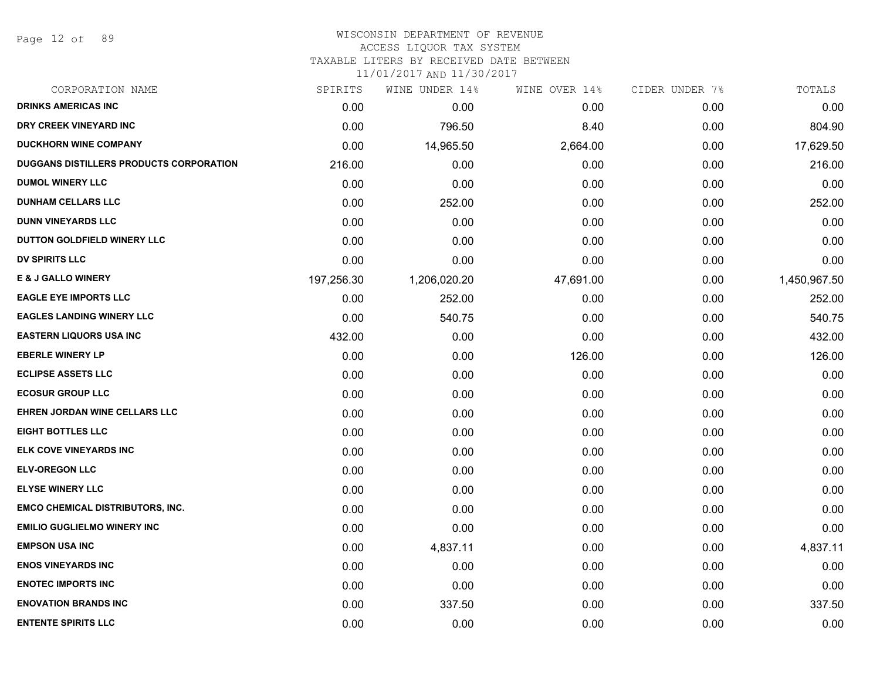Page 12 of 89

#### WISCONSIN DEPARTMENT OF REVENUE ACCESS LIQUOR TAX SYSTEM

TAXABLE LITERS BY RECEIVED DATE BETWEEN

| CORPORATION NAME                        | SPIRITS    | WINE UNDER 14% | WINE OVER 14% | CIDER UNDER 7% | TOTALS       |
|-----------------------------------------|------------|----------------|---------------|----------------|--------------|
| <b>DRINKS AMERICAS INC</b>              | 0.00       | 0.00           | 0.00          | 0.00           | 0.00         |
| DRY CREEK VINEYARD INC                  | 0.00       | 796.50         | 8.40          | 0.00           | 804.90       |
| <b>DUCKHORN WINE COMPANY</b>            | 0.00       | 14,965.50      | 2,664.00      | 0.00           | 17,629.50    |
| DUGGANS DISTILLERS PRODUCTS CORPORATION | 216.00     | 0.00           | 0.00          | 0.00           | 216.00       |
| <b>DUMOL WINERY LLC</b>                 | 0.00       | 0.00           | 0.00          | 0.00           | 0.00         |
| <b>DUNHAM CELLARS LLC</b>               | 0.00       | 252.00         | 0.00          | 0.00           | 252.00       |
| <b>DUNN VINEYARDS LLC</b>               | 0.00       | 0.00           | 0.00          | 0.00           | 0.00         |
| DUTTON GOLDFIELD WINERY LLC             | 0.00       | 0.00           | 0.00          | 0.00           | 0.00         |
| <b>DV SPIRITS LLC</b>                   | 0.00       | 0.00           | 0.00          | 0.00           | 0.00         |
| <b>E &amp; J GALLO WINERY</b>           | 197,256.30 | 1,206,020.20   | 47,691.00     | 0.00           | 1,450,967.50 |
| <b>EAGLE EYE IMPORTS LLC</b>            | 0.00       | 252.00         | 0.00          | 0.00           | 252.00       |
| <b>EAGLES LANDING WINERY LLC</b>        | 0.00       | 540.75         | 0.00          | 0.00           | 540.75       |
| <b>EASTERN LIQUORS USA INC</b>          | 432.00     | 0.00           | 0.00          | 0.00           | 432.00       |
| <b>EBERLE WINERY LP</b>                 | 0.00       | 0.00           | 126.00        | 0.00           | 126.00       |
| <b>ECLIPSE ASSETS LLC</b>               | 0.00       | 0.00           | 0.00          | 0.00           | 0.00         |
| <b>ECOSUR GROUP LLC</b>                 | 0.00       | 0.00           | 0.00          | 0.00           | 0.00         |
| <b>EHREN JORDAN WINE CELLARS LLC</b>    | 0.00       | 0.00           | 0.00          | 0.00           | 0.00         |
| <b>EIGHT BOTTLES LLC</b>                | 0.00       | 0.00           | 0.00          | 0.00           | 0.00         |
| ELK COVE VINEYARDS INC                  | 0.00       | 0.00           | 0.00          | 0.00           | 0.00         |
| <b>ELV-OREGON LLC</b>                   | 0.00       | 0.00           | 0.00          | 0.00           | 0.00         |
| <b>ELYSE WINERY LLC</b>                 | 0.00       | 0.00           | 0.00          | 0.00           | 0.00         |
| <b>EMCO CHEMICAL DISTRIBUTORS, INC.</b> | 0.00       | 0.00           | 0.00          | 0.00           | 0.00         |
| <b>EMILIO GUGLIELMO WINERY INC</b>      | 0.00       | 0.00           | 0.00          | 0.00           | 0.00         |
| <b>EMPSON USA INC</b>                   | 0.00       | 4,837.11       | 0.00          | 0.00           | 4,837.11     |
| <b>ENOS VINEYARDS INC</b>               | 0.00       | 0.00           | 0.00          | 0.00           | 0.00         |
| <b>ENOTEC IMPORTS INC</b>               | 0.00       | 0.00           | 0.00          | 0.00           | 0.00         |
| <b>ENOVATION BRANDS INC</b>             | 0.00       | 337.50         | 0.00          | 0.00           | 337.50       |
| <b>ENTENTE SPIRITS LLC</b>              | 0.00       | 0.00           | 0.00          | 0.00           | 0.00         |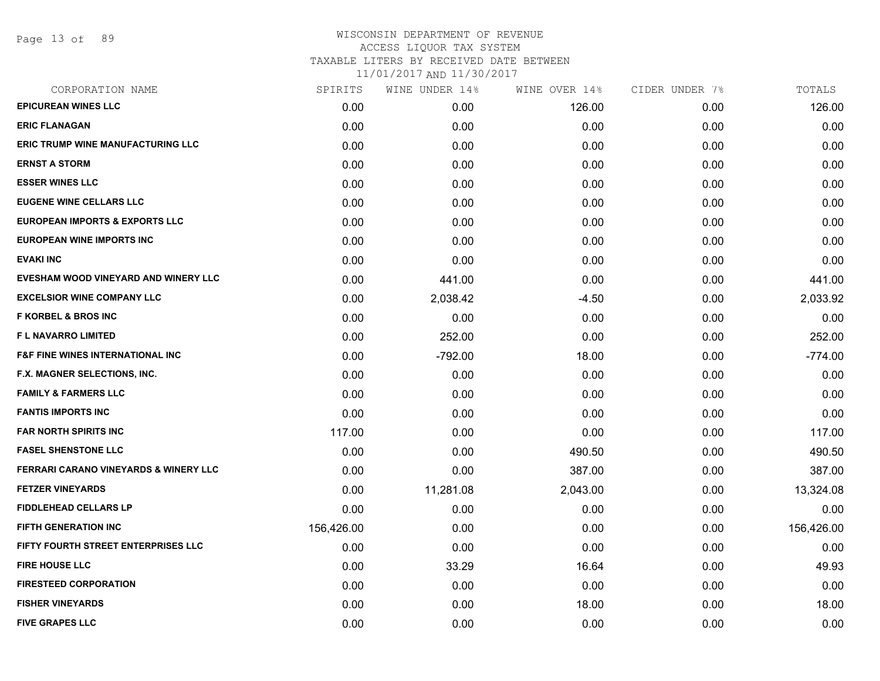Page 13 of 89

| CORPORATION NAME                                 | SPIRITS    | WINE UNDER 14% | WINE OVER 14% | CIDER UNDER 7% | TOTALS     |
|--------------------------------------------------|------------|----------------|---------------|----------------|------------|
| <b>EPICUREAN WINES LLC</b>                       | 0.00       | 0.00           | 126.00        | 0.00           | 126.00     |
| <b>ERIC FLANAGAN</b>                             | 0.00       | 0.00           | 0.00          | 0.00           | 0.00       |
| <b>ERIC TRUMP WINE MANUFACTURING LLC</b>         | 0.00       | 0.00           | 0.00          | 0.00           | 0.00       |
| <b>ERNST A STORM</b>                             | 0.00       | 0.00           | 0.00          | 0.00           | 0.00       |
| <b>ESSER WINES LLC</b>                           | 0.00       | 0.00           | 0.00          | 0.00           | 0.00       |
| <b>EUGENE WINE CELLARS LLC</b>                   | 0.00       | 0.00           | 0.00          | 0.00           | 0.00       |
| <b>EUROPEAN IMPORTS &amp; EXPORTS LLC</b>        | 0.00       | 0.00           | 0.00          | 0.00           | 0.00       |
| <b>EUROPEAN WINE IMPORTS INC</b>                 | 0.00       | 0.00           | 0.00          | 0.00           | 0.00       |
| <b>EVAKI INC</b>                                 | 0.00       | 0.00           | 0.00          | 0.00           | 0.00       |
| EVESHAM WOOD VINEYARD AND WINERY LLC             | 0.00       | 441.00         | 0.00          | 0.00           | 441.00     |
| <b>EXCELSIOR WINE COMPANY LLC</b>                | 0.00       | 2,038.42       | $-4.50$       | 0.00           | 2,033.92   |
| <b>F KORBEL &amp; BROS INC</b>                   | 0.00       | 0.00           | 0.00          | 0.00           | 0.00       |
| <b>FL NAVARRO LIMITED</b>                        | 0.00       | 252.00         | 0.00          | 0.00           | 252.00     |
| <b>F&amp;F FINE WINES INTERNATIONAL INC</b>      | 0.00       | $-792.00$      | 18.00         | 0.00           | $-774.00$  |
| F.X. MAGNER SELECTIONS, INC.                     | 0.00       | 0.00           | 0.00          | 0.00           | 0.00       |
| <b>FAMILY &amp; FARMERS LLC</b>                  | 0.00       | 0.00           | 0.00          | 0.00           | 0.00       |
| <b>FANTIS IMPORTS INC</b>                        | 0.00       | 0.00           | 0.00          | 0.00           | 0.00       |
| <b>FAR NORTH SPIRITS INC</b>                     | 117.00     | 0.00           | 0.00          | 0.00           | 117.00     |
| <b>FASEL SHENSTONE LLC</b>                       | 0.00       | 0.00           | 490.50        | 0.00           | 490.50     |
| <b>FERRARI CARANO VINEYARDS &amp; WINERY LLC</b> | 0.00       | 0.00           | 387.00        | 0.00           | 387.00     |
| <b>FETZER VINEYARDS</b>                          | 0.00       | 11,281.08      | 2,043.00      | 0.00           | 13,324.08  |
| <b>FIDDLEHEAD CELLARS LP</b>                     | 0.00       | 0.00           | 0.00          | 0.00           | 0.00       |
| FIFTH GENERATION INC                             | 156,426.00 | 0.00           | 0.00          | 0.00           | 156,426.00 |
| FIFTY FOURTH STREET ENTERPRISES LLC              | 0.00       | 0.00           | 0.00          | 0.00           | 0.00       |
| <b>FIRE HOUSE LLC</b>                            | 0.00       | 33.29          | 16.64         | 0.00           | 49.93      |
| <b>FIRESTEED CORPORATION</b>                     | 0.00       | 0.00           | 0.00          | 0.00           | 0.00       |
| <b>FISHER VINEYARDS</b>                          | 0.00       | 0.00           | 18.00         | 0.00           | 18.00      |
| <b>FIVE GRAPES LLC</b>                           | 0.00       | 0.00           | 0.00          | 0.00           | 0.00       |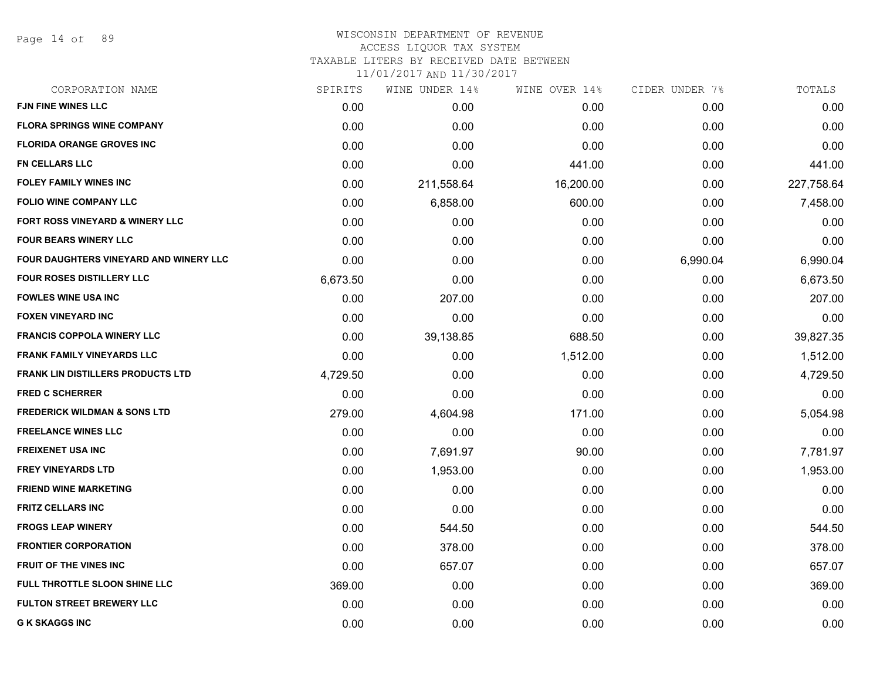Page 14 of 89

# WISCONSIN DEPARTMENT OF REVENUE ACCESS LIQUOR TAX SYSTEM

TAXABLE LITERS BY RECEIVED DATE BETWEEN

| CORPORATION NAME                         | SPIRITS  | WINE UNDER 14% | WINE OVER 14% | CIDER UNDER 7% | TOTALS     |
|------------------------------------------|----------|----------------|---------------|----------------|------------|
| <b>FJN FINE WINES LLC</b>                | 0.00     | 0.00           | 0.00          | 0.00           | 0.00       |
| <b>FLORA SPRINGS WINE COMPANY</b>        | 0.00     | 0.00           | 0.00          | 0.00           | 0.00       |
| <b>FLORIDA ORANGE GROVES INC</b>         | 0.00     | 0.00           | 0.00          | 0.00           | 0.00       |
| <b>FN CELLARS LLC</b>                    | 0.00     | 0.00           | 441.00        | 0.00           | 441.00     |
| <b>FOLEY FAMILY WINES INC</b>            | 0.00     | 211,558.64     | 16,200.00     | 0.00           | 227,758.64 |
| <b>FOLIO WINE COMPANY LLC</b>            | 0.00     | 6,858.00       | 600.00        | 0.00           | 7,458.00   |
| FORT ROSS VINEYARD & WINERY LLC          | 0.00     | 0.00           | 0.00          | 0.00           | 0.00       |
| <b>FOUR BEARS WINERY LLC</b>             | 0.00     | 0.00           | 0.00          | 0.00           | 0.00       |
| FOUR DAUGHTERS VINEYARD AND WINERY LLC   | 0.00     | 0.00           | 0.00          | 6,990.04       | 6,990.04   |
| <b>FOUR ROSES DISTILLERY LLC</b>         | 6,673.50 | 0.00           | 0.00          | 0.00           | 6,673.50   |
| <b>FOWLES WINE USA INC</b>               | 0.00     | 207.00         | 0.00          | 0.00           | 207.00     |
| <b>FOXEN VINEYARD INC</b>                | 0.00     | 0.00           | 0.00          | 0.00           | 0.00       |
| <b>FRANCIS COPPOLA WINERY LLC</b>        | 0.00     | 39,138.85      | 688.50        | 0.00           | 39,827.35  |
| <b>FRANK FAMILY VINEYARDS LLC</b>        | 0.00     | 0.00           | 1,512.00      | 0.00           | 1,512.00   |
| <b>FRANK LIN DISTILLERS PRODUCTS LTD</b> | 4,729.50 | 0.00           | 0.00          | 0.00           | 4,729.50   |
| <b>FRED C SCHERRER</b>                   | 0.00     | 0.00           | 0.00          | 0.00           | 0.00       |
| <b>FREDERICK WILDMAN &amp; SONS LTD</b>  | 279.00   | 4,604.98       | 171.00        | 0.00           | 5,054.98   |
| <b>FREELANCE WINES LLC</b>               | 0.00     | 0.00           | 0.00          | 0.00           | 0.00       |
| <b>FREIXENET USA INC</b>                 | 0.00     | 7,691.97       | 90.00         | 0.00           | 7,781.97   |
| <b>FREY VINEYARDS LTD</b>                | 0.00     | 1,953.00       | 0.00          | 0.00           | 1,953.00   |
| <b>FRIEND WINE MARKETING</b>             | 0.00     | 0.00           | 0.00          | 0.00           | 0.00       |
| <b>FRITZ CELLARS INC</b>                 | 0.00     | 0.00           | 0.00          | 0.00           | 0.00       |
| <b>FROGS LEAP WINERY</b>                 | 0.00     | 544.50         | 0.00          | 0.00           | 544.50     |
| <b>FRONTIER CORPORATION</b>              | 0.00     | 378.00         | 0.00          | 0.00           | 378.00     |
| <b>FRUIT OF THE VINES INC</b>            | 0.00     | 657.07         | 0.00          | 0.00           | 657.07     |
| FULL THROTTLE SLOON SHINE LLC            | 369.00   | 0.00           | 0.00          | 0.00           | 369.00     |
| <b>FULTON STREET BREWERY LLC</b>         | 0.00     | 0.00           | 0.00          | 0.00           | 0.00       |
| <b>G K SKAGGS INC</b>                    | 0.00     | 0.00           | 0.00          | 0.00           | 0.00       |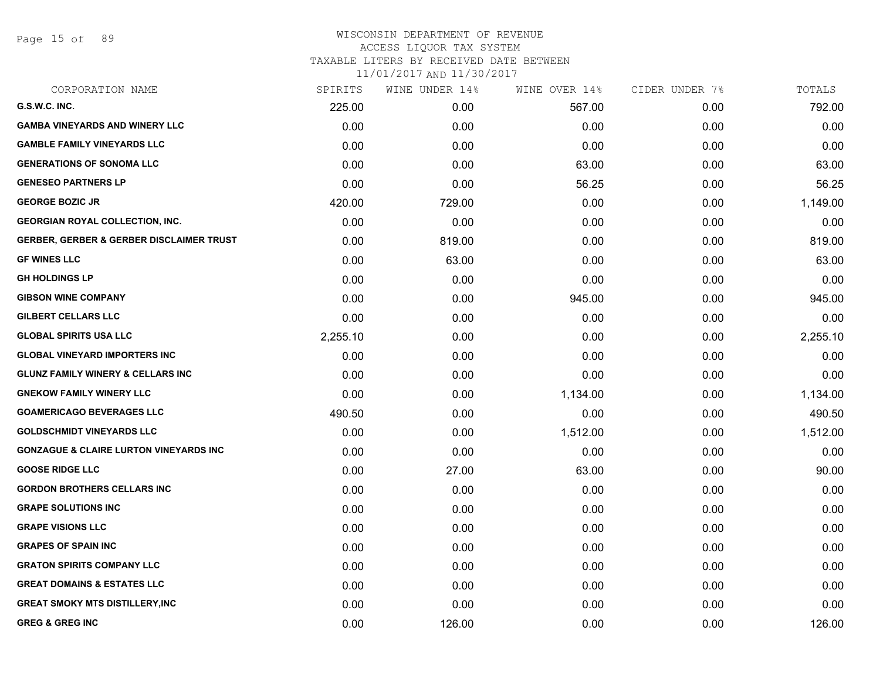Page 15 of 89

# WISCONSIN DEPARTMENT OF REVENUE ACCESS LIQUOR TAX SYSTEM

TAXABLE LITERS BY RECEIVED DATE BETWEEN

| CORPORATION NAME                                    | SPIRITS  | WINE UNDER 14% | WINE OVER 14% | CIDER UNDER 7% | TOTALS   |
|-----------------------------------------------------|----------|----------------|---------------|----------------|----------|
| G.S.W.C. INC.                                       | 225.00   | 0.00           | 567.00        | 0.00           | 792.00   |
| <b>GAMBA VINEYARDS AND WINERY LLC</b>               | 0.00     | 0.00           | 0.00          | 0.00           | 0.00     |
| <b>GAMBLE FAMILY VINEYARDS LLC</b>                  | 0.00     | 0.00           | 0.00          | 0.00           | 0.00     |
| <b>GENERATIONS OF SONOMA LLC</b>                    | 0.00     | 0.00           | 63.00         | 0.00           | 63.00    |
| <b>GENESEO PARTNERS LP</b>                          | 0.00     | 0.00           | 56.25         | 0.00           | 56.25    |
| <b>GEORGE BOZIC JR</b>                              | 420.00   | 729.00         | 0.00          | 0.00           | 1,149.00 |
| <b>GEORGIAN ROYAL COLLECTION, INC.</b>              | 0.00     | 0.00           | 0.00          | 0.00           | 0.00     |
| <b>GERBER, GERBER &amp; GERBER DISCLAIMER TRUST</b> | 0.00     | 819.00         | 0.00          | 0.00           | 819.00   |
| <b>GF WINES LLC</b>                                 | 0.00     | 63.00          | 0.00          | 0.00           | 63.00    |
| <b>GH HOLDINGS LP</b>                               | 0.00     | 0.00           | 0.00          | 0.00           | 0.00     |
| <b>GIBSON WINE COMPANY</b>                          | 0.00     | 0.00           | 945.00        | 0.00           | 945.00   |
| <b>GILBERT CELLARS LLC</b>                          | 0.00     | 0.00           | 0.00          | 0.00           | 0.00     |
| <b>GLOBAL SPIRITS USA LLC</b>                       | 2,255.10 | 0.00           | 0.00          | 0.00           | 2,255.10 |
| <b>GLOBAL VINEYARD IMPORTERS INC</b>                | 0.00     | 0.00           | 0.00          | 0.00           | 0.00     |
| <b>GLUNZ FAMILY WINERY &amp; CELLARS INC</b>        | 0.00     | 0.00           | 0.00          | 0.00           | 0.00     |
| <b>GNEKOW FAMILY WINERY LLC</b>                     | 0.00     | 0.00           | 1,134.00      | 0.00           | 1,134.00 |
| <b>GOAMERICAGO BEVERAGES LLC</b>                    | 490.50   | 0.00           | 0.00          | 0.00           | 490.50   |
| <b>GOLDSCHMIDT VINEYARDS LLC</b>                    | 0.00     | 0.00           | 1,512.00      | 0.00           | 1,512.00 |
| <b>GONZAGUE &amp; CLAIRE LURTON VINEYARDS INC</b>   | 0.00     | 0.00           | 0.00          | 0.00           | 0.00     |
| <b>GOOSE RIDGE LLC</b>                              | 0.00     | 27.00          | 63.00         | 0.00           | 90.00    |
| <b>GORDON BROTHERS CELLARS INC</b>                  | 0.00     | 0.00           | 0.00          | 0.00           | 0.00     |
| <b>GRAPE SOLUTIONS INC</b>                          | 0.00     | 0.00           | 0.00          | 0.00           | 0.00     |
| <b>GRAPE VISIONS LLC</b>                            | 0.00     | 0.00           | 0.00          | 0.00           | 0.00     |
| <b>GRAPES OF SPAIN INC</b>                          | 0.00     | 0.00           | 0.00          | 0.00           | 0.00     |
| <b>GRATON SPIRITS COMPANY LLC</b>                   | 0.00     | 0.00           | 0.00          | 0.00           | 0.00     |
| <b>GREAT DOMAINS &amp; ESTATES LLC</b>              | 0.00     | 0.00           | 0.00          | 0.00           | 0.00     |
| <b>GREAT SMOKY MTS DISTILLERY, INC</b>              | 0.00     | 0.00           | 0.00          | 0.00           | 0.00     |
| <b>GREG &amp; GREG INC</b>                          | 0.00     | 126.00         | 0.00          | 0.00           | 126.00   |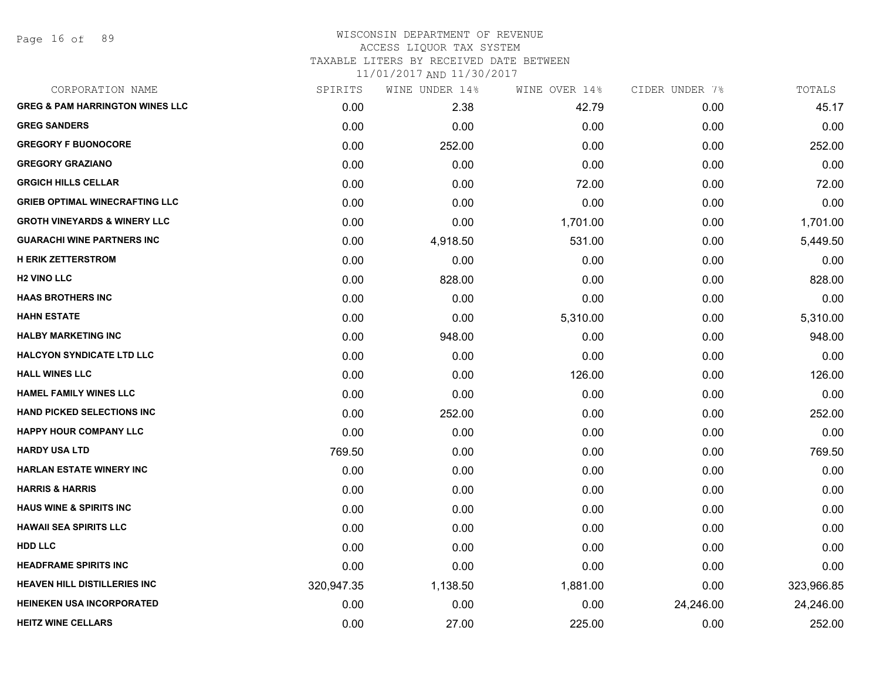Page 16 of 89

#### WISCONSIN DEPARTMENT OF REVENUE ACCESS LIQUOR TAX SYSTEM

TAXABLE LITERS BY RECEIVED DATE BETWEEN

| CORPORATION NAME                           | SPIRITS    | WINE UNDER 14% | WINE OVER 14% | CIDER UNDER 7% | TOTALS     |
|--------------------------------------------|------------|----------------|---------------|----------------|------------|
| <b>GREG &amp; PAM HARRINGTON WINES LLC</b> | 0.00       | 2.38           | 42.79         | 0.00           | 45.17      |
| <b>GREG SANDERS</b>                        | 0.00       | 0.00           | 0.00          | 0.00           | 0.00       |
| <b>GREGORY F BUONOCORE</b>                 | 0.00       | 252.00         | 0.00          | 0.00           | 252.00     |
| <b>GREGORY GRAZIANO</b>                    | 0.00       | 0.00           | 0.00          | 0.00           | 0.00       |
| <b>GRGICH HILLS CELLAR</b>                 | 0.00       | 0.00           | 72.00         | 0.00           | 72.00      |
| <b>GRIEB OPTIMAL WINECRAFTING LLC</b>      | 0.00       | 0.00           | 0.00          | 0.00           | 0.00       |
| <b>GROTH VINEYARDS &amp; WINERY LLC</b>    | 0.00       | 0.00           | 1,701.00      | 0.00           | 1,701.00   |
| <b>GUARACHI WINE PARTNERS INC</b>          | 0.00       | 4,918.50       | 531.00        | 0.00           | 5,449.50   |
| <b>H ERIK ZETTERSTROM</b>                  | 0.00       | 0.00           | 0.00          | 0.00           | 0.00       |
| <b>H2 VINO LLC</b>                         | 0.00       | 828.00         | 0.00          | 0.00           | 828.00     |
| <b>HAAS BROTHERS INC</b>                   | 0.00       | 0.00           | 0.00          | 0.00           | 0.00       |
| <b>HAHN ESTATE</b>                         | 0.00       | 0.00           | 5,310.00      | 0.00           | 5,310.00   |
| <b>HALBY MARKETING INC</b>                 | 0.00       | 948.00         | 0.00          | 0.00           | 948.00     |
| <b>HALCYON SYNDICATE LTD LLC</b>           | 0.00       | 0.00           | 0.00          | 0.00           | 0.00       |
| <b>HALL WINES LLC</b>                      | 0.00       | 0.00           | 126.00        | 0.00           | 126.00     |
| <b>HAMEL FAMILY WINES LLC</b>              | 0.00       | 0.00           | 0.00          | 0.00           | 0.00       |
| <b>HAND PICKED SELECTIONS INC</b>          | 0.00       | 252.00         | 0.00          | 0.00           | 252.00     |
| <b>HAPPY HOUR COMPANY LLC</b>              | 0.00       | 0.00           | 0.00          | 0.00           | 0.00       |
| <b>HARDY USA LTD</b>                       | 769.50     | 0.00           | 0.00          | 0.00           | 769.50     |
| <b>HARLAN ESTATE WINERY INC</b>            | 0.00       | 0.00           | 0.00          | 0.00           | 0.00       |
| <b>HARRIS &amp; HARRIS</b>                 | 0.00       | 0.00           | 0.00          | 0.00           | 0.00       |
| <b>HAUS WINE &amp; SPIRITS INC</b>         | 0.00       | 0.00           | 0.00          | 0.00           | 0.00       |
| <b>HAWAII SEA SPIRITS LLC</b>              | 0.00       | 0.00           | 0.00          | 0.00           | 0.00       |
| <b>HDD LLC</b>                             | 0.00       | 0.00           | 0.00          | 0.00           | 0.00       |
| <b>HEADFRAME SPIRITS INC</b>               | 0.00       | 0.00           | 0.00          | 0.00           | 0.00       |
| <b>HEAVEN HILL DISTILLERIES INC</b>        | 320,947.35 | 1,138.50       | 1,881.00      | 0.00           | 323,966.85 |
| <b>HEINEKEN USA INCORPORATED</b>           | 0.00       | 0.00           | 0.00          | 24,246.00      | 24,246.00  |
| <b>HEITZ WINE CELLARS</b>                  | 0.00       | 27.00          | 225.00        | 0.00           | 252.00     |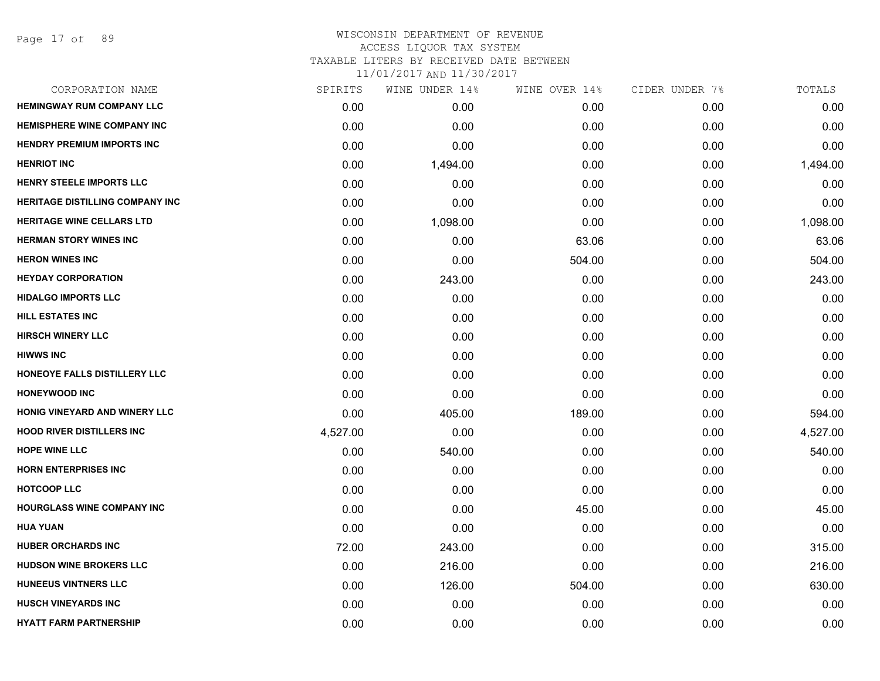#### WISCONSIN DEPARTMENT OF REVENUE ACCESS LIQUOR TAX SYSTEM TAXABLE LITERS BY RECEIVED DATE BETWEEN

| CORPORATION NAME                       | SPIRITS  | WINE UNDER 14% | WINE OVER 14% | CIDER UNDER 7% | TOTALS   |
|----------------------------------------|----------|----------------|---------------|----------------|----------|
| <b>HEMINGWAY RUM COMPANY LLC</b>       | 0.00     | 0.00           | 0.00          | 0.00           | 0.00     |
| <b>HEMISPHERE WINE COMPANY INC</b>     | 0.00     | 0.00           | 0.00          | 0.00           | 0.00     |
| <b>HENDRY PREMIUM IMPORTS INC</b>      | 0.00     | 0.00           | 0.00          | 0.00           | 0.00     |
| <b>HENRIOT INC</b>                     | 0.00     | 1,494.00       | 0.00          | 0.00           | 1,494.00 |
| <b>HENRY STEELE IMPORTS LLC</b>        | 0.00     | 0.00           | 0.00          | 0.00           | 0.00     |
| <b>HERITAGE DISTILLING COMPANY INC</b> | 0.00     | 0.00           | 0.00          | 0.00           | 0.00     |
| <b>HERITAGE WINE CELLARS LTD</b>       | 0.00     | 1,098.00       | 0.00          | 0.00           | 1,098.00 |
| <b>HERMAN STORY WINES INC</b>          | 0.00     | 0.00           | 63.06         | 0.00           | 63.06    |
| <b>HERON WINES INC</b>                 | 0.00     | 0.00           | 504.00        | 0.00           | 504.00   |
| <b>HEYDAY CORPORATION</b>              | 0.00     | 243.00         | 0.00          | 0.00           | 243.00   |
| <b>HIDALGO IMPORTS LLC</b>             | 0.00     | 0.00           | 0.00          | 0.00           | 0.00     |
| <b>HILL ESTATES INC</b>                | 0.00     | 0.00           | 0.00          | 0.00           | 0.00     |
| <b>HIRSCH WINERY LLC</b>               | 0.00     | 0.00           | 0.00          | 0.00           | 0.00     |
| <b>HIWWS INC</b>                       | 0.00     | 0.00           | 0.00          | 0.00           | 0.00     |
| HONEOYE FALLS DISTILLERY LLC           | 0.00     | 0.00           | 0.00          | 0.00           | 0.00     |
| <b>HONEYWOOD INC</b>                   | 0.00     | 0.00           | 0.00          | 0.00           | 0.00     |
| HONIG VINEYARD AND WINERY LLC          | 0.00     | 405.00         | 189.00        | 0.00           | 594.00   |
| <b>HOOD RIVER DISTILLERS INC</b>       | 4,527.00 | 0.00           | 0.00          | 0.00           | 4,527.00 |
| <b>HOPE WINE LLC</b>                   | 0.00     | 540.00         | 0.00          | 0.00           | 540.00   |
| <b>HORN ENTERPRISES INC</b>            | 0.00     | 0.00           | 0.00          | 0.00           | 0.00     |
| <b>HOTCOOP LLC</b>                     | 0.00     | 0.00           | 0.00          | 0.00           | 0.00     |
| <b>HOURGLASS WINE COMPANY INC</b>      | 0.00     | 0.00           | 45.00         | 0.00           | 45.00    |
| <b>HUA YUAN</b>                        | 0.00     | 0.00           | 0.00          | 0.00           | 0.00     |
| <b>HUBER ORCHARDS INC</b>              | 72.00    | 243.00         | 0.00          | 0.00           | 315.00   |
| <b>HUDSON WINE BROKERS LLC</b>         | 0.00     | 216.00         | 0.00          | 0.00           | 216.00   |
| <b>HUNEEUS VINTNERS LLC</b>            | 0.00     | 126.00         | 504.00        | 0.00           | 630.00   |
| <b>HUSCH VINEYARDS INC</b>             | 0.00     | 0.00           | 0.00          | 0.00           | 0.00     |
| <b>HYATT FARM PARTNERSHIP</b>          | 0.00     | 0.00           | 0.00          | 0.00           | 0.00     |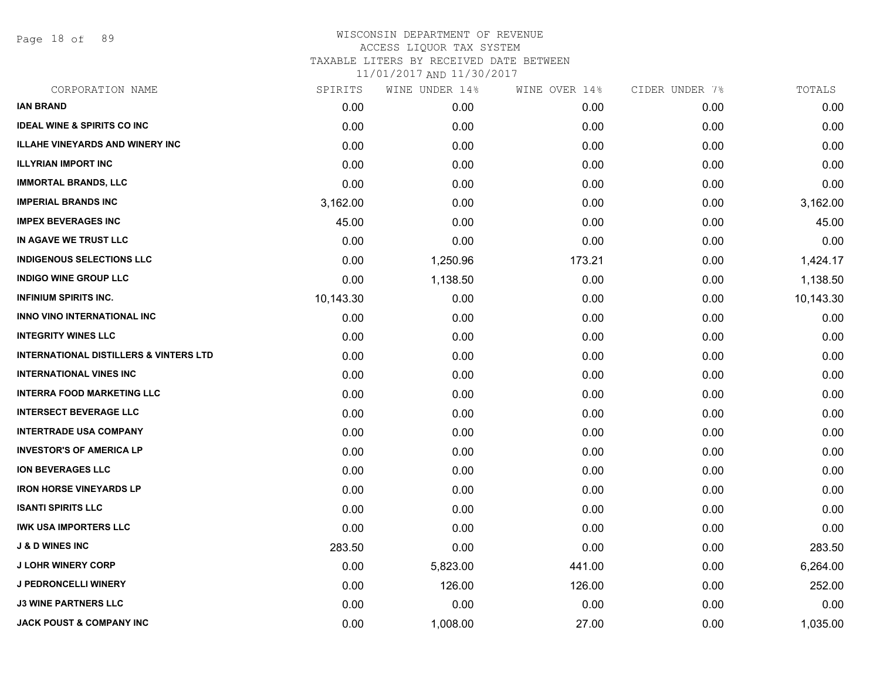Page 18 of 89

| CORPORATION NAME                                  | SPIRITS   | WINE UNDER 14% | WINE OVER 14% | CIDER UNDER 7% | TOTALS    |
|---------------------------------------------------|-----------|----------------|---------------|----------------|-----------|
| <b>IAN BRAND</b>                                  | 0.00      | 0.00           | 0.00          | 0.00           | 0.00      |
| <b>IDEAL WINE &amp; SPIRITS CO INC</b>            | 0.00      | 0.00           | 0.00          | 0.00           | 0.00      |
| <b>ILLAHE VINEYARDS AND WINERY INC</b>            | 0.00      | 0.00           | 0.00          | 0.00           | 0.00      |
| <b>ILLYRIAN IMPORT INC</b>                        | 0.00      | 0.00           | 0.00          | 0.00           | 0.00      |
| <b>IMMORTAL BRANDS, LLC</b>                       | 0.00      | 0.00           | 0.00          | 0.00           | 0.00      |
| <b>IMPERIAL BRANDS INC</b>                        | 3,162.00  | 0.00           | 0.00          | 0.00           | 3,162.00  |
| <b>IMPEX BEVERAGES INC</b>                        | 45.00     | 0.00           | 0.00          | 0.00           | 45.00     |
| IN AGAVE WE TRUST LLC                             | 0.00      | 0.00           | 0.00          | 0.00           | 0.00      |
| <b>INDIGENOUS SELECTIONS LLC</b>                  | 0.00      | 1,250.96       | 173.21        | 0.00           | 1,424.17  |
| <b>INDIGO WINE GROUP LLC</b>                      | 0.00      | 1,138.50       | 0.00          | 0.00           | 1,138.50  |
| <b>INFINIUM SPIRITS INC.</b>                      | 10,143.30 | 0.00           | 0.00          | 0.00           | 10,143.30 |
| <b>INNO VINO INTERNATIONAL INC</b>                | 0.00      | 0.00           | 0.00          | 0.00           | 0.00      |
| <b>INTEGRITY WINES LLC</b>                        | 0.00      | 0.00           | 0.00          | 0.00           | 0.00      |
| <b>INTERNATIONAL DISTILLERS &amp; VINTERS LTD</b> | 0.00      | 0.00           | 0.00          | 0.00           | 0.00      |
| <b>INTERNATIONAL VINES INC</b>                    | 0.00      | 0.00           | 0.00          | 0.00           | 0.00      |
| <b>INTERRA FOOD MARKETING LLC</b>                 | 0.00      | 0.00           | 0.00          | 0.00           | 0.00      |
| <b>INTERSECT BEVERAGE LLC</b>                     | 0.00      | 0.00           | 0.00          | 0.00           | 0.00      |
| <b>INTERTRADE USA COMPANY</b>                     | 0.00      | 0.00           | 0.00          | 0.00           | 0.00      |
| <b>INVESTOR'S OF AMERICA LP</b>                   | 0.00      | 0.00           | 0.00          | 0.00           | 0.00      |
| <b>ION BEVERAGES LLC</b>                          | 0.00      | 0.00           | 0.00          | 0.00           | 0.00      |
| <b>IRON HORSE VINEYARDS LP</b>                    | 0.00      | 0.00           | 0.00          | 0.00           | 0.00      |
| <b>ISANTI SPIRITS LLC</b>                         | 0.00      | 0.00           | 0.00          | 0.00           | 0.00      |
| <b>IWK USA IMPORTERS LLC</b>                      | 0.00      | 0.00           | 0.00          | 0.00           | 0.00      |
| <b>J &amp; D WINES INC</b>                        | 283.50    | 0.00           | 0.00          | 0.00           | 283.50    |
| <b>J LOHR WINERY CORP</b>                         | 0.00      | 5,823.00       | 441.00        | 0.00           | 6,264.00  |
| <b>J PEDRONCELLI WINERY</b>                       | 0.00      | 126.00         | 126.00        | 0.00           | 252.00    |
| <b>J3 WINE PARTNERS LLC</b>                       | 0.00      | 0.00           | 0.00          | 0.00           | 0.00      |
| <b>JACK POUST &amp; COMPANY INC</b>               | 0.00      | 1,008.00       | 27.00         | 0.00           | 1,035.00  |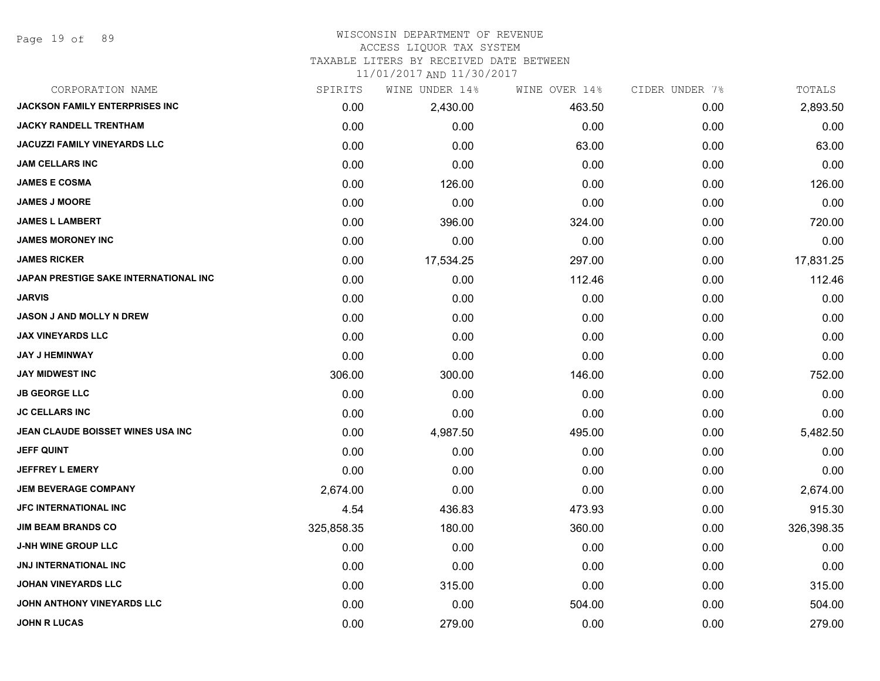Page 19 of 89

#### WISCONSIN DEPARTMENT OF REVENUE ACCESS LIQUOR TAX SYSTEM

TAXABLE LITERS BY RECEIVED DATE BETWEEN

| CORPORATION NAME                         | SPIRITS    | WINE UNDER 14% | WINE OVER 14% | CIDER UNDER 7% | TOTALS     |
|------------------------------------------|------------|----------------|---------------|----------------|------------|
| <b>JACKSON FAMILY ENTERPRISES INC</b>    | 0.00       | 2,430.00       | 463.50        | 0.00           | 2,893.50   |
| <b>JACKY RANDELL TRENTHAM</b>            | 0.00       | 0.00           | 0.00          | 0.00           | 0.00       |
| <b>JACUZZI FAMILY VINEYARDS LLC</b>      | 0.00       | 0.00           | 63.00         | 0.00           | 63.00      |
| <b>JAM CELLARS INC</b>                   | 0.00       | 0.00           | 0.00          | 0.00           | 0.00       |
| <b>JAMES E COSMA</b>                     | 0.00       | 126.00         | 0.00          | 0.00           | 126.00     |
| <b>JAMES J MOORE</b>                     | 0.00       | 0.00           | 0.00          | 0.00           | 0.00       |
| <b>JAMES L LAMBERT</b>                   | 0.00       | 396.00         | 324.00        | 0.00           | 720.00     |
| <b>JAMES MORONEY INC</b>                 | 0.00       | 0.00           | 0.00          | 0.00           | 0.00       |
| <b>JAMES RICKER</b>                      | 0.00       | 17,534.25      | 297.00        | 0.00           | 17,831.25  |
| JAPAN PRESTIGE SAKE INTERNATIONAL INC    | 0.00       | 0.00           | 112.46        | 0.00           | 112.46     |
| <b>JARVIS</b>                            | 0.00       | 0.00           | 0.00          | 0.00           | 0.00       |
| <b>JASON J AND MOLLY N DREW</b>          | 0.00       | 0.00           | 0.00          | 0.00           | 0.00       |
| <b>JAX VINEYARDS LLC</b>                 | 0.00       | 0.00           | 0.00          | 0.00           | 0.00       |
| <b>JAY J HEMINWAY</b>                    | 0.00       | 0.00           | 0.00          | 0.00           | 0.00       |
| <b>JAY MIDWEST INC</b>                   | 306.00     | 300.00         | 146.00        | 0.00           | 752.00     |
| <b>JB GEORGE LLC</b>                     | 0.00       | 0.00           | 0.00          | 0.00           | 0.00       |
| <b>JC CELLARS INC</b>                    | 0.00       | 0.00           | 0.00          | 0.00           | 0.00       |
| <b>JEAN CLAUDE BOISSET WINES USA INC</b> | 0.00       | 4,987.50       | 495.00        | 0.00           | 5,482.50   |
| <b>JEFF QUINT</b>                        | 0.00       | 0.00           | 0.00          | 0.00           | 0.00       |
| <b>JEFFREY L EMERY</b>                   | 0.00       | 0.00           | 0.00          | 0.00           | 0.00       |
| <b>JEM BEVERAGE COMPANY</b>              | 2,674.00   | 0.00           | 0.00          | 0.00           | 2,674.00   |
| <b>JFC INTERNATIONAL INC</b>             | 4.54       | 436.83         | 473.93        | 0.00           | 915.30     |
| <b>JIM BEAM BRANDS CO</b>                | 325,858.35 | 180.00         | 360.00        | 0.00           | 326,398.35 |
| <b>J-NH WINE GROUP LLC</b>               | 0.00       | 0.00           | 0.00          | 0.00           | 0.00       |
| <b>JNJ INTERNATIONAL INC</b>             | 0.00       | 0.00           | 0.00          | 0.00           | 0.00       |
| JOHAN VINEYARDS LLC                      | 0.00       | 315.00         | 0.00          | 0.00           | 315.00     |
| JOHN ANTHONY VINEYARDS LLC               | 0.00       | 0.00           | 504.00        | 0.00           | 504.00     |
| <b>JOHN R LUCAS</b>                      | 0.00       | 279.00         | 0.00          | 0.00           | 279.00     |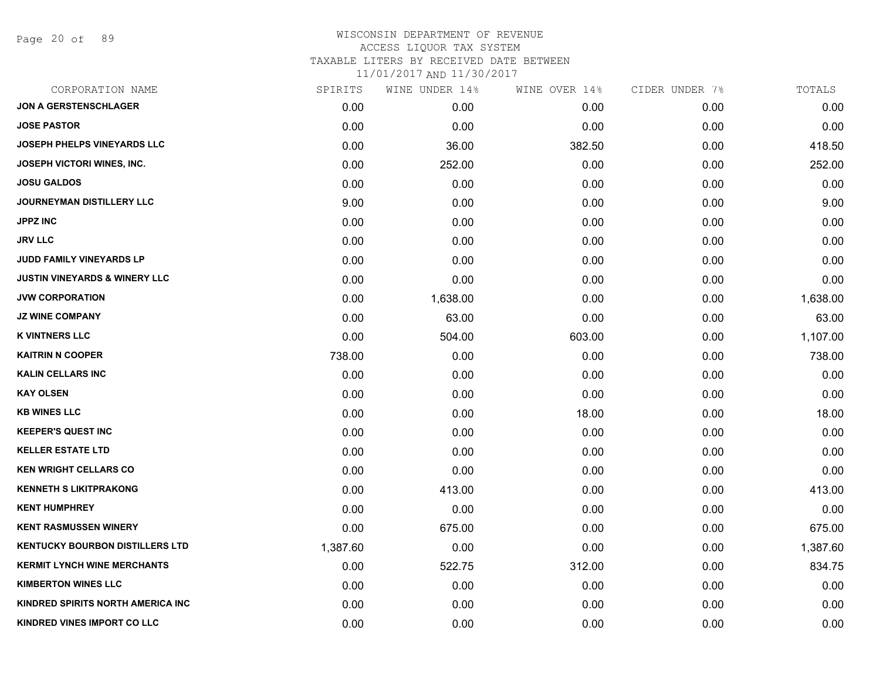Page 20 of 89

| CORPORATION NAME                         | SPIRITS  | WINE UNDER 14% | WINE OVER 14% | CIDER UNDER 7% | TOTALS   |
|------------------------------------------|----------|----------------|---------------|----------------|----------|
| <b>JON A GERSTENSCHLAGER</b>             | 0.00     | 0.00           | 0.00          | 0.00           | 0.00     |
| <b>JOSE PASTOR</b>                       | 0.00     | 0.00           | 0.00          | 0.00           | 0.00     |
| JOSEPH PHELPS VINEYARDS LLC              | 0.00     | 36.00          | 382.50        | 0.00           | 418.50   |
| <b>JOSEPH VICTORI WINES, INC.</b>        | 0.00     | 252.00         | 0.00          | 0.00           | 252.00   |
| <b>JOSU GALDOS</b>                       | 0.00     | 0.00           | 0.00          | 0.00           | 0.00     |
| JOURNEYMAN DISTILLERY LLC                | 9.00     | 0.00           | 0.00          | 0.00           | 9.00     |
| <b>JPPZ INC</b>                          | 0.00     | 0.00           | 0.00          | 0.00           | 0.00     |
| <b>JRV LLC</b>                           | 0.00     | 0.00           | 0.00          | 0.00           | 0.00     |
| JUDD FAMILY VINEYARDS LP                 | 0.00     | 0.00           | 0.00          | 0.00           | 0.00     |
| <b>JUSTIN VINEYARDS &amp; WINERY LLC</b> | 0.00     | 0.00           | 0.00          | 0.00           | 0.00     |
| <b>JVW CORPORATION</b>                   | 0.00     | 1,638.00       | 0.00          | 0.00           | 1,638.00 |
| <b>JZ WINE COMPANY</b>                   | 0.00     | 63.00          | 0.00          | 0.00           | 63.00    |
| <b>K VINTNERS LLC</b>                    | 0.00     | 504.00         | 603.00        | 0.00           | 1,107.00 |
| <b>KAITRIN N COOPER</b>                  | 738.00   | 0.00           | 0.00          | 0.00           | 738.00   |
| <b>KALIN CELLARS INC</b>                 | 0.00     | 0.00           | 0.00          | 0.00           | 0.00     |
| <b>KAY OLSEN</b>                         | 0.00     | 0.00           | 0.00          | 0.00           | 0.00     |
| <b>KB WINES LLC</b>                      | 0.00     | 0.00           | 18.00         | 0.00           | 18.00    |
| <b>KEEPER'S QUEST INC</b>                | 0.00     | 0.00           | 0.00          | 0.00           | 0.00     |
| <b>KELLER ESTATE LTD</b>                 | 0.00     | 0.00           | 0.00          | 0.00           | 0.00     |
| <b>KEN WRIGHT CELLARS CO</b>             | 0.00     | 0.00           | 0.00          | 0.00           | 0.00     |
| <b>KENNETH S LIKITPRAKONG</b>            | 0.00     | 413.00         | 0.00          | 0.00           | 413.00   |
| <b>KENT HUMPHREY</b>                     | 0.00     | 0.00           | 0.00          | 0.00           | 0.00     |
| <b>KENT RASMUSSEN WINERY</b>             | 0.00     | 675.00         | 0.00          | 0.00           | 675.00   |
| KENTUCKY BOURBON DISTILLERS LTD          | 1,387.60 | 0.00           | 0.00          | 0.00           | 1,387.60 |
| <b>KERMIT LYNCH WINE MERCHANTS</b>       | 0.00     | 522.75         | 312.00        | 0.00           | 834.75   |
| <b>KIMBERTON WINES LLC</b>               | 0.00     | 0.00           | 0.00          | 0.00           | 0.00     |
| KINDRED SPIRITS NORTH AMERICA INC        | 0.00     | 0.00           | 0.00          | 0.00           | 0.00     |
| KINDRED VINES IMPORT CO LLC              | 0.00     | 0.00           | 0.00          | 0.00           | 0.00     |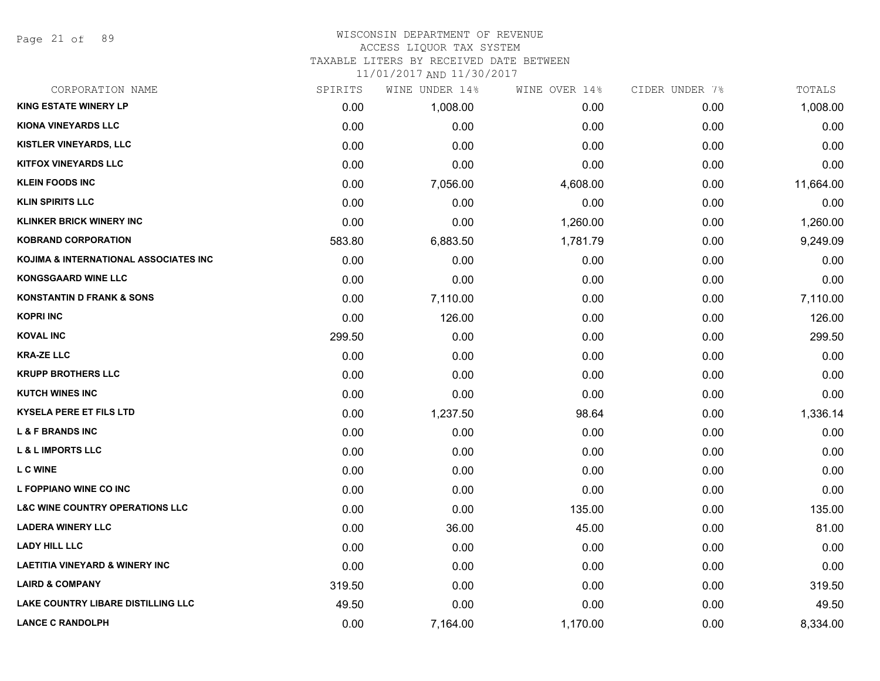Page 21 of 89

# WISCONSIN DEPARTMENT OF REVENUE

# ACCESS LIQUOR TAX SYSTEM

TAXABLE LITERS BY RECEIVED DATE BETWEEN

| CORPORATION NAME                           | SPIRITS | WINE UNDER 14% | WINE OVER 14% | CIDER UNDER 7% | TOTALS    |
|--------------------------------------------|---------|----------------|---------------|----------------|-----------|
| <b>KING ESTATE WINERY LP</b>               | 0.00    | 1,008.00       | 0.00          | 0.00           | 1,008.00  |
| <b>KIONA VINEYARDS LLC</b>                 | 0.00    | 0.00           | 0.00          | 0.00           | 0.00      |
| KISTLER VINEYARDS, LLC                     | 0.00    | 0.00           | 0.00          | 0.00           | 0.00      |
| <b>KITFOX VINEYARDS LLC</b>                | 0.00    | 0.00           | 0.00          | 0.00           | 0.00      |
| <b>KLEIN FOODS INC</b>                     | 0.00    | 7,056.00       | 4,608.00      | 0.00           | 11,664.00 |
| <b>KLIN SPIRITS LLC</b>                    | 0.00    | 0.00           | 0.00          | 0.00           | 0.00      |
| <b>KLINKER BRICK WINERY INC</b>            | 0.00    | 0.00           | 1,260.00      | 0.00           | 1,260.00  |
| <b>KOBRAND CORPORATION</b>                 | 583.80  | 6,883.50       | 1,781.79      | 0.00           | 9,249.09  |
| KOJIMA & INTERNATIONAL ASSOCIATES INC      | 0.00    | 0.00           | 0.00          | 0.00           | 0.00      |
| <b>KONGSGAARD WINE LLC</b>                 | 0.00    | 0.00           | 0.00          | 0.00           | 0.00      |
| <b>KONSTANTIN D FRANK &amp; SONS</b>       | 0.00    | 7,110.00       | 0.00          | 0.00           | 7,110.00  |
| <b>KOPRI INC</b>                           | 0.00    | 126.00         | 0.00          | 0.00           | 126.00    |
| <b>KOVAL INC</b>                           | 299.50  | 0.00           | 0.00          | 0.00           | 299.50    |
| <b>KRA-ZE LLC</b>                          | 0.00    | 0.00           | 0.00          | 0.00           | 0.00      |
| <b>KRUPP BROTHERS LLC</b>                  | 0.00    | 0.00           | 0.00          | 0.00           | 0.00      |
| <b>KUTCH WINES INC</b>                     | 0.00    | 0.00           | 0.00          | 0.00           | 0.00      |
| KYSELA PERE ET FILS LTD                    | 0.00    | 1,237.50       | 98.64         | 0.00           | 1,336.14  |
| <b>L &amp; F BRANDS INC</b>                | 0.00    | 0.00           | 0.00          | 0.00           | 0.00      |
| <b>L &amp; L IMPORTS LLC</b>               | 0.00    | 0.00           | 0.00          | 0.00           | 0.00      |
| <b>L C WINE</b>                            | 0.00    | 0.00           | 0.00          | 0.00           | 0.00      |
| L FOPPIANO WINE CO INC                     | 0.00    | 0.00           | 0.00          | 0.00           | 0.00      |
| <b>L&amp;C WINE COUNTRY OPERATIONS LLC</b> | 0.00    | 0.00           | 135.00        | 0.00           | 135.00    |
| <b>LADERA WINERY LLC</b>                   | 0.00    | 36.00          | 45.00         | 0.00           | 81.00     |
| <b>LADY HILL LLC</b>                       | 0.00    | 0.00           | 0.00          | 0.00           | 0.00      |
| <b>LAETITIA VINEYARD &amp; WINERY INC</b>  | 0.00    | 0.00           | 0.00          | 0.00           | 0.00      |
| <b>LAIRD &amp; COMPANY</b>                 | 319.50  | 0.00           | 0.00          | 0.00           | 319.50    |
| <b>LAKE COUNTRY LIBARE DISTILLING LLC</b>  | 49.50   | 0.00           | 0.00          | 0.00           | 49.50     |
| <b>LANCE C RANDOLPH</b>                    | 0.00    | 7,164.00       | 1,170.00      | 0.00           | 8,334.00  |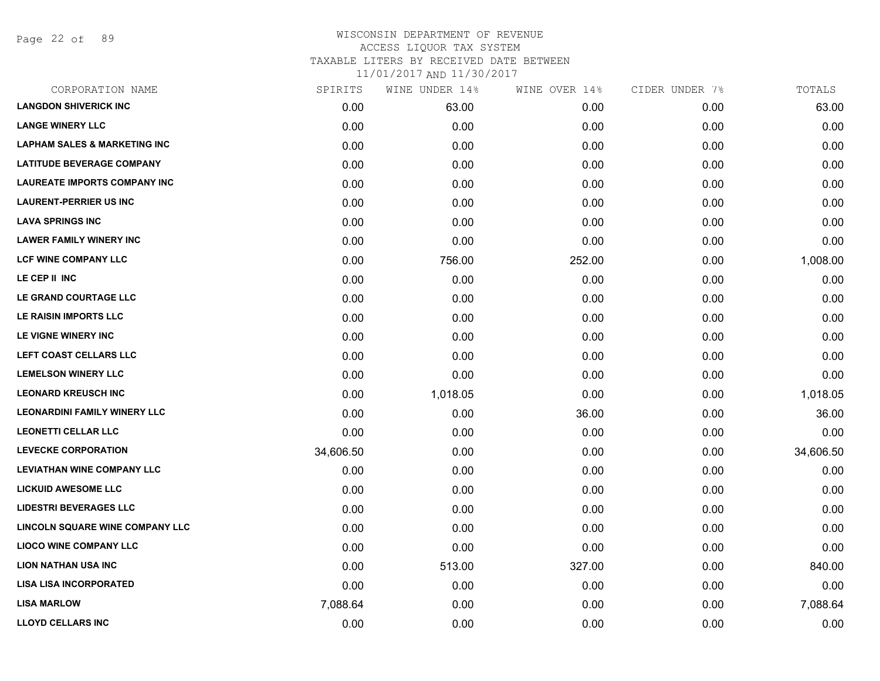Page 22 of 89

| SPIRITS   | WINE UNDER 14% | WINE OVER 14% | CIDER UNDER 7% | TOTALS    |
|-----------|----------------|---------------|----------------|-----------|
| 0.00      | 63.00          | 0.00          | 0.00           | 63.00     |
| 0.00      | 0.00           | 0.00          | 0.00           | 0.00      |
| 0.00      | 0.00           | 0.00          | 0.00           | 0.00      |
| 0.00      | 0.00           | 0.00          | 0.00           | 0.00      |
| 0.00      | 0.00           | 0.00          | 0.00           | 0.00      |
| 0.00      | 0.00           | 0.00          | 0.00           | 0.00      |
| 0.00      | 0.00           | 0.00          | 0.00           | 0.00      |
| 0.00      | 0.00           | 0.00          | 0.00           | 0.00      |
| 0.00      | 756.00         | 252.00        | 0.00           | 1,008.00  |
| 0.00      | 0.00           | 0.00          | 0.00           | 0.00      |
| 0.00      | 0.00           | 0.00          | 0.00           | 0.00      |
| 0.00      | 0.00           | 0.00          | 0.00           | 0.00      |
| 0.00      | 0.00           | 0.00          | 0.00           | 0.00      |
| 0.00      | 0.00           | 0.00          | 0.00           | 0.00      |
| 0.00      | 0.00           | 0.00          | 0.00           | 0.00      |
| 0.00      | 1,018.05       | 0.00          | 0.00           | 1,018.05  |
| 0.00      | 0.00           | 36.00         | 0.00           | 36.00     |
| 0.00      | 0.00           | 0.00          | 0.00           | 0.00      |
| 34,606.50 | 0.00           | 0.00          | 0.00           | 34,606.50 |
| 0.00      | 0.00           | 0.00          | 0.00           | 0.00      |
| 0.00      | 0.00           | 0.00          | 0.00           | 0.00      |
| 0.00      | 0.00           | 0.00          | 0.00           | 0.00      |
| 0.00      | 0.00           | 0.00          | 0.00           | 0.00      |
| 0.00      | 0.00           | 0.00          | 0.00           | 0.00      |
| 0.00      | 513.00         | 327.00        | 0.00           | 840.00    |
| 0.00      | 0.00           | 0.00          | 0.00           | 0.00      |
| 7,088.64  | 0.00           | 0.00          | 0.00           | 7,088.64  |
| 0.00      | 0.00           | 0.00          | 0.00           | 0.00      |
|           |                |               |                |           |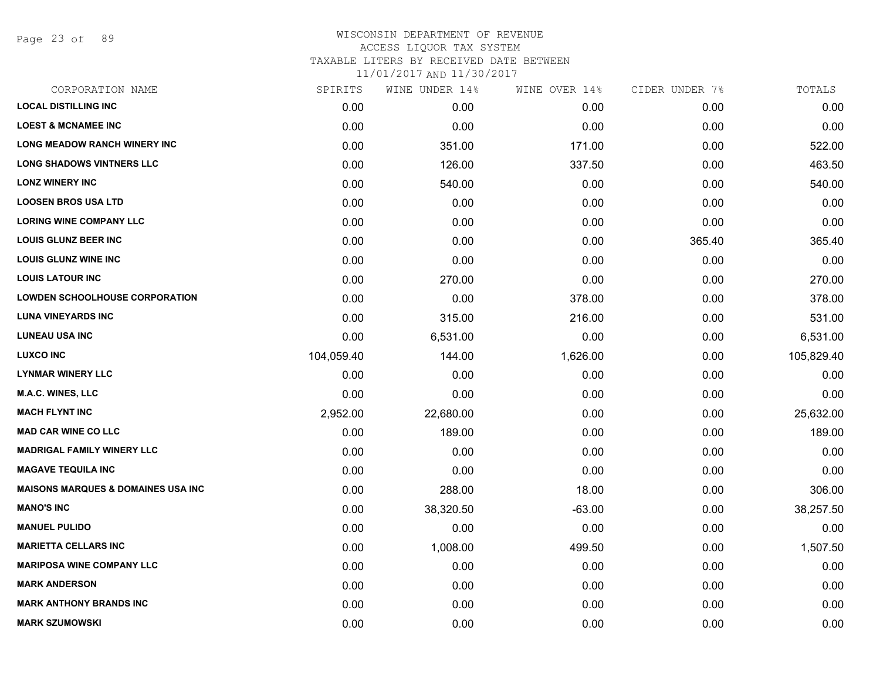Page 23 of 89

| CORPORATION NAME                              | SPIRITS    | WINE UNDER 14% | WINE OVER 14% | CIDER UNDER 7% | TOTALS     |
|-----------------------------------------------|------------|----------------|---------------|----------------|------------|
| <b>LOCAL DISTILLING INC</b>                   | 0.00       | 0.00           | 0.00          | 0.00           | 0.00       |
| <b>LOEST &amp; MCNAMEE INC</b>                | 0.00       | 0.00           | 0.00          | 0.00           | 0.00       |
| <b>LONG MEADOW RANCH WINERY INC</b>           | 0.00       | 351.00         | 171.00        | 0.00           | 522.00     |
| <b>LONG SHADOWS VINTNERS LLC</b>              | 0.00       | 126.00         | 337.50        | 0.00           | 463.50     |
| <b>LONZ WINERY INC</b>                        | 0.00       | 540.00         | 0.00          | 0.00           | 540.00     |
| <b>LOOSEN BROS USA LTD</b>                    | 0.00       | 0.00           | 0.00          | 0.00           | 0.00       |
| <b>LORING WINE COMPANY LLC</b>                | 0.00       | 0.00           | 0.00          | 0.00           | 0.00       |
| <b>LOUIS GLUNZ BEER INC</b>                   | 0.00       | 0.00           | 0.00          | 365.40         | 365.40     |
| <b>LOUIS GLUNZ WINE INC</b>                   | 0.00       | 0.00           | 0.00          | 0.00           | 0.00       |
| <b>LOUIS LATOUR INC</b>                       | 0.00       | 270.00         | 0.00          | 0.00           | 270.00     |
| <b>LOWDEN SCHOOLHOUSE CORPORATION</b>         | 0.00       | 0.00           | 378.00        | 0.00           | 378.00     |
| <b>LUNA VINEYARDS INC</b>                     | 0.00       | 315.00         | 216.00        | 0.00           | 531.00     |
| <b>LUNEAU USA INC</b>                         | 0.00       | 6,531.00       | 0.00          | 0.00           | 6,531.00   |
| <b>LUXCO INC</b>                              | 104,059.40 | 144.00         | 1,626.00      | 0.00           | 105,829.40 |
| <b>LYNMAR WINERY LLC</b>                      | 0.00       | 0.00           | 0.00          | 0.00           | 0.00       |
| <b>M.A.C. WINES, LLC</b>                      | 0.00       | 0.00           | 0.00          | 0.00           | 0.00       |
| <b>MACH FLYNT INC</b>                         | 2,952.00   | 22,680.00      | 0.00          | 0.00           | 25,632.00  |
| <b>MAD CAR WINE CO LLC</b>                    | 0.00       | 189.00         | 0.00          | 0.00           | 189.00     |
| <b>MADRIGAL FAMILY WINERY LLC</b>             | 0.00       | 0.00           | 0.00          | 0.00           | 0.00       |
| <b>MAGAVE TEQUILA INC</b>                     | 0.00       | 0.00           | 0.00          | 0.00           | 0.00       |
| <b>MAISONS MARQUES &amp; DOMAINES USA INC</b> | 0.00       | 288.00         | 18.00         | 0.00           | 306.00     |
| <b>MANO'S INC</b>                             | 0.00       | 38,320.50      | $-63.00$      | 0.00           | 38,257.50  |
| <b>MANUEL PULIDO</b>                          | 0.00       | 0.00           | 0.00          | 0.00           | 0.00       |
| <b>MARIETTA CELLARS INC</b>                   | 0.00       | 1,008.00       | 499.50        | 0.00           | 1,507.50   |
| <b>MARIPOSA WINE COMPANY LLC</b>              | 0.00       | 0.00           | 0.00          | 0.00           | 0.00       |
| <b>MARK ANDERSON</b>                          | 0.00       | 0.00           | 0.00          | 0.00           | 0.00       |
| <b>MARK ANTHONY BRANDS INC</b>                | 0.00       | 0.00           | 0.00          | 0.00           | 0.00       |
| <b>MARK SZUMOWSKI</b>                         | 0.00       | 0.00           | 0.00          | 0.00           | 0.00       |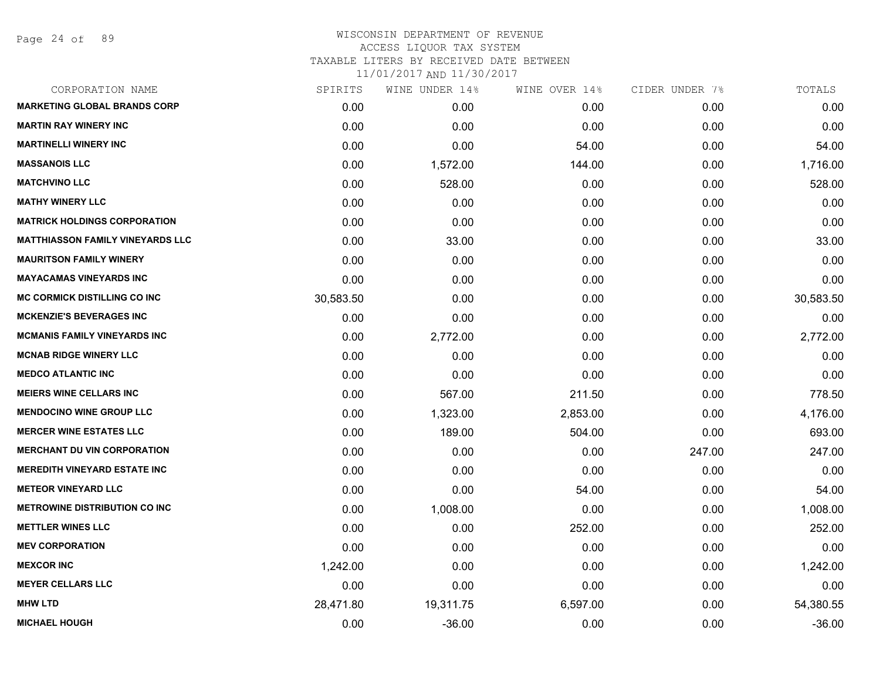Page 24 of 89

| CORPORATION NAME                        | SPIRITS   | WINE UNDER 14% | WINE OVER 14% | CIDER UNDER 7% | TOTALS    |
|-----------------------------------------|-----------|----------------|---------------|----------------|-----------|
| <b>MARKETING GLOBAL BRANDS CORP</b>     | 0.00      | 0.00           | 0.00          | 0.00           | 0.00      |
| <b>MARTIN RAY WINERY INC</b>            | 0.00      | 0.00           | 0.00          | 0.00           | 0.00      |
| <b>MARTINELLI WINERY INC</b>            | 0.00      | 0.00           | 54.00         | 0.00           | 54.00     |
| <b>MASSANOIS LLC</b>                    | 0.00      | 1,572.00       | 144.00        | 0.00           | 1,716.00  |
| <b>MATCHVINO LLC</b>                    | 0.00      | 528.00         | 0.00          | 0.00           | 528.00    |
| <b>MATHY WINERY LLC</b>                 | 0.00      | 0.00           | 0.00          | 0.00           | 0.00      |
| <b>MATRICK HOLDINGS CORPORATION</b>     | 0.00      | 0.00           | 0.00          | 0.00           | 0.00      |
| <b>MATTHIASSON FAMILY VINEYARDS LLC</b> | 0.00      | 33.00          | 0.00          | 0.00           | 33.00     |
| <b>MAURITSON FAMILY WINERY</b>          | 0.00      | 0.00           | 0.00          | 0.00           | 0.00      |
| <b>MAYACAMAS VINEYARDS INC</b>          | 0.00      | 0.00           | 0.00          | 0.00           | 0.00      |
| <b>MC CORMICK DISTILLING CO INC</b>     | 30,583.50 | 0.00           | 0.00          | 0.00           | 30,583.50 |
| <b>MCKENZIE'S BEVERAGES INC</b>         | 0.00      | 0.00           | 0.00          | 0.00           | 0.00      |
| <b>MCMANIS FAMILY VINEYARDS INC</b>     | 0.00      | 2,772.00       | 0.00          | 0.00           | 2,772.00  |
| <b>MCNAB RIDGE WINERY LLC</b>           | 0.00      | 0.00           | 0.00          | 0.00           | 0.00      |
| <b>MEDCO ATLANTIC INC</b>               | 0.00      | 0.00           | 0.00          | 0.00           | 0.00      |
| <b>MEIERS WINE CELLARS INC</b>          | 0.00      | 567.00         | 211.50        | 0.00           | 778.50    |
| <b>MENDOCINO WINE GROUP LLC</b>         | 0.00      | 1,323.00       | 2,853.00      | 0.00           | 4,176.00  |
| <b>MERCER WINE ESTATES LLC</b>          | 0.00      | 189.00         | 504.00        | 0.00           | 693.00    |
| <b>MERCHANT DU VIN CORPORATION</b>      | 0.00      | 0.00           | 0.00          | 247.00         | 247.00    |
| <b>MEREDITH VINEYARD ESTATE INC</b>     | 0.00      | 0.00           | 0.00          | 0.00           | 0.00      |
| <b>METEOR VINEYARD LLC</b>              | 0.00      | 0.00           | 54.00         | 0.00           | 54.00     |
| <b>METROWINE DISTRIBUTION CO INC</b>    | 0.00      | 1,008.00       | 0.00          | 0.00           | 1,008.00  |
| <b>METTLER WINES LLC</b>                | 0.00      | 0.00           | 252.00        | 0.00           | 252.00    |
| <b>MEV CORPORATION</b>                  | 0.00      | 0.00           | 0.00          | 0.00           | 0.00      |
| <b>MEXCOR INC</b>                       | 1,242.00  | 0.00           | 0.00          | 0.00           | 1,242.00  |
| <b>MEYER CELLARS LLC</b>                | 0.00      | 0.00           | 0.00          | 0.00           | 0.00      |
| <b>MHW LTD</b>                          | 28,471.80 | 19,311.75      | 6,597.00      | 0.00           | 54,380.55 |
| <b>MICHAEL HOUGH</b>                    | 0.00      | $-36.00$       | 0.00          | 0.00           | $-36.00$  |
|                                         |           |                |               |                |           |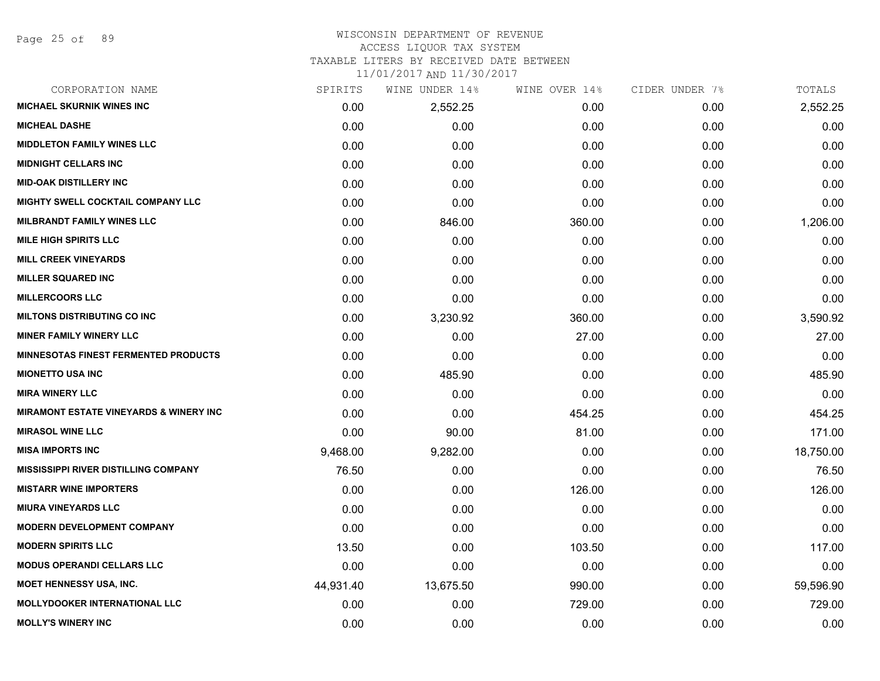# WISCONSIN DEPARTMENT OF REVENUE

ACCESS LIQUOR TAX SYSTEM

TAXABLE LITERS BY RECEIVED DATE BETWEEN

| CORPORATION NAME                                  | SPIRITS   | WINE UNDER 14% | WINE OVER 14% | CIDER UNDER 7% | TOTALS    |
|---------------------------------------------------|-----------|----------------|---------------|----------------|-----------|
| <b>MICHAEL SKURNIK WINES INC</b>                  | 0.00      | 2,552.25       | 0.00          | 0.00           | 2,552.25  |
| <b>MICHEAL DASHE</b>                              | 0.00      | 0.00           | 0.00          | 0.00           | 0.00      |
| <b>MIDDLETON FAMILY WINES LLC</b>                 | 0.00      | 0.00           | 0.00          | 0.00           | 0.00      |
| <b>MIDNIGHT CELLARS INC</b>                       | 0.00      | 0.00           | 0.00          | 0.00           | 0.00      |
| <b>MID-OAK DISTILLERY INC</b>                     | 0.00      | 0.00           | 0.00          | 0.00           | 0.00      |
| MIGHTY SWELL COCKTAIL COMPANY LLC                 | 0.00      | 0.00           | 0.00          | 0.00           | 0.00      |
| <b>MILBRANDT FAMILY WINES LLC</b>                 | 0.00      | 846.00         | 360.00        | 0.00           | 1,206.00  |
| <b>MILE HIGH SPIRITS LLC</b>                      | 0.00      | 0.00           | 0.00          | 0.00           | 0.00      |
| <b>MILL CREEK VINEYARDS</b>                       | 0.00      | 0.00           | 0.00          | 0.00           | 0.00      |
| <b>MILLER SQUARED INC</b>                         | 0.00      | 0.00           | 0.00          | 0.00           | 0.00      |
| <b>MILLERCOORS LLC</b>                            | 0.00      | 0.00           | 0.00          | 0.00           | 0.00      |
| <b>MILTONS DISTRIBUTING CO INC</b>                | 0.00      | 3,230.92       | 360.00        | 0.00           | 3,590.92  |
| <b>MINER FAMILY WINERY LLC</b>                    | 0.00      | 0.00           | 27.00         | 0.00           | 27.00     |
| <b>MINNESOTAS FINEST FERMENTED PRODUCTS</b>       | 0.00      | 0.00           | 0.00          | 0.00           | 0.00      |
| <b>MIONETTO USA INC</b>                           | 0.00      | 485.90         | 0.00          | 0.00           | 485.90    |
| <b>MIRA WINERY LLC</b>                            | 0.00      | 0.00           | 0.00          | 0.00           | 0.00      |
| <b>MIRAMONT ESTATE VINEYARDS &amp; WINERY INC</b> | 0.00      | 0.00           | 454.25        | 0.00           | 454.25    |
| <b>MIRASOL WINE LLC</b>                           | 0.00      | 90.00          | 81.00         | 0.00           | 171.00    |
| <b>MISA IMPORTS INC</b>                           | 9,468.00  | 9,282.00       | 0.00          | 0.00           | 18,750.00 |
| <b>MISSISSIPPI RIVER DISTILLING COMPANY</b>       | 76.50     | 0.00           | 0.00          | 0.00           | 76.50     |
| <b>MISTARR WINE IMPORTERS</b>                     | 0.00      | 0.00           | 126.00        | 0.00           | 126.00    |
| <b>MIURA VINEYARDS LLC</b>                        | 0.00      | 0.00           | 0.00          | 0.00           | 0.00      |
| <b>MODERN DEVELOPMENT COMPANY</b>                 | 0.00      | 0.00           | 0.00          | 0.00           | 0.00      |
| <b>MODERN SPIRITS LLC</b>                         | 13.50     | 0.00           | 103.50        | 0.00           | 117.00    |
| <b>MODUS OPERANDI CELLARS LLC</b>                 | 0.00      | 0.00           | 0.00          | 0.00           | 0.00      |
| <b>MOET HENNESSY USA, INC.</b>                    | 44,931.40 | 13,675.50      | 990.00        | 0.00           | 59,596.90 |
| <b>MOLLYDOOKER INTERNATIONAL LLC</b>              | 0.00      | 0.00           | 729.00        | 0.00           | 729.00    |
| <b>MOLLY'S WINERY INC</b>                         | 0.00      | 0.00           | 0.00          | 0.00           | 0.00      |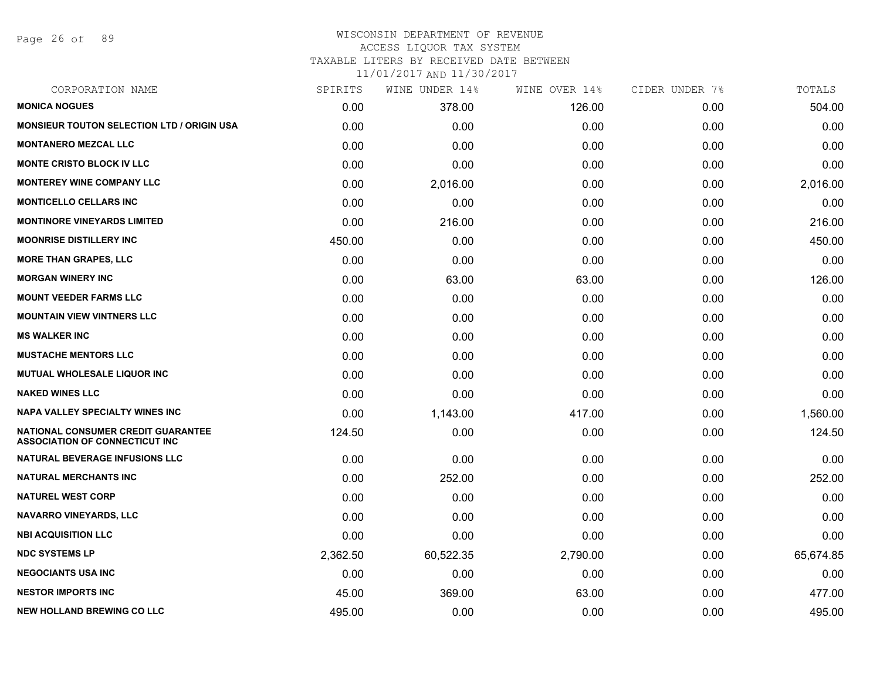Page 26 of 89

#### WISCONSIN DEPARTMENT OF REVENUE ACCESS LIQUOR TAX SYSTEM

TAXABLE LITERS BY RECEIVED DATE BETWEEN

| CORPORATION NAME                                                                   | SPIRITS  | WINE UNDER 14% | WINE OVER 14% | CIDER UNDER 7% | TOTALS    |
|------------------------------------------------------------------------------------|----------|----------------|---------------|----------------|-----------|
| <b>MONICA NOGUES</b>                                                               | 0.00     | 378.00         | 126.00        | 0.00           | 504.00    |
| <b>MONSIEUR TOUTON SELECTION LTD / ORIGIN USA</b>                                  | 0.00     | 0.00           | 0.00          | 0.00           | 0.00      |
| <b>MONTANERO MEZCAL LLC</b>                                                        | 0.00     | 0.00           | 0.00          | 0.00           | 0.00      |
| <b>MONTE CRISTO BLOCK IV LLC</b>                                                   | 0.00     | 0.00           | 0.00          | 0.00           | 0.00      |
| <b>MONTEREY WINE COMPANY LLC</b>                                                   | 0.00     | 2,016.00       | 0.00          | 0.00           | 2,016.00  |
| <b>MONTICELLO CELLARS INC</b>                                                      | 0.00     | 0.00           | 0.00          | 0.00           | 0.00      |
| <b>MONTINORE VINEYARDS LIMITED</b>                                                 | 0.00     | 216.00         | 0.00          | 0.00           | 216.00    |
| <b>MOONRISE DISTILLERY INC</b>                                                     | 450.00   | 0.00           | 0.00          | 0.00           | 450.00    |
| <b>MORE THAN GRAPES, LLC</b>                                                       | 0.00     | 0.00           | 0.00          | 0.00           | 0.00      |
| <b>MORGAN WINERY INC</b>                                                           | 0.00     | 63.00          | 63.00         | 0.00           | 126.00    |
| <b>MOUNT VEEDER FARMS LLC</b>                                                      | 0.00     | 0.00           | 0.00          | 0.00           | 0.00      |
| <b>MOUNTAIN VIEW VINTNERS LLC</b>                                                  | 0.00     | 0.00           | 0.00          | 0.00           | 0.00      |
| <b>MS WALKER INC</b>                                                               | 0.00     | 0.00           | 0.00          | 0.00           | 0.00      |
| <b>MUSTACHE MENTORS LLC</b>                                                        | 0.00     | 0.00           | 0.00          | 0.00           | 0.00      |
| MUTUAL WHOLESALE LIQUOR INC                                                        | 0.00     | 0.00           | 0.00          | 0.00           | 0.00      |
| <b>NAKED WINES LLC</b>                                                             | 0.00     | 0.00           | 0.00          | 0.00           | 0.00      |
| <b>NAPA VALLEY SPECIALTY WINES INC</b>                                             | 0.00     | 1,143.00       | 417.00        | 0.00           | 1,560.00  |
| <b>NATIONAL CONSUMER CREDIT GUARANTEE</b><br><b>ASSOCIATION OF CONNECTICUT INC</b> | 124.50   | 0.00           | 0.00          | 0.00           | 124.50    |
| <b>NATURAL BEVERAGE INFUSIONS LLC</b>                                              | 0.00     | 0.00           | 0.00          | 0.00           | 0.00      |
| <b>NATURAL MERCHANTS INC</b>                                                       | 0.00     | 252.00         | 0.00          | 0.00           | 252.00    |
| <b>NATUREL WEST CORP</b>                                                           | 0.00     | 0.00           | 0.00          | 0.00           | 0.00      |
| NAVARRO VINEYARDS, LLC                                                             | 0.00     | 0.00           | 0.00          | 0.00           | 0.00      |
| <b>NBI ACQUISITION LLC</b>                                                         | 0.00     | 0.00           | 0.00          | 0.00           | 0.00      |
| <b>NDC SYSTEMS LP</b>                                                              | 2,362.50 | 60,522.35      | 2,790.00      | 0.00           | 65,674.85 |
| <b>NEGOCIANTS USA INC</b>                                                          | 0.00     | 0.00           | 0.00          | 0.00           | 0.00      |
| <b>NESTOR IMPORTS INC</b>                                                          | 45.00    | 369.00         | 63.00         | 0.00           | 477.00    |
| <b>NEW HOLLAND BREWING CO LLC</b>                                                  | 495.00   | 0.00           | 0.00          | 0.00           | 495.00    |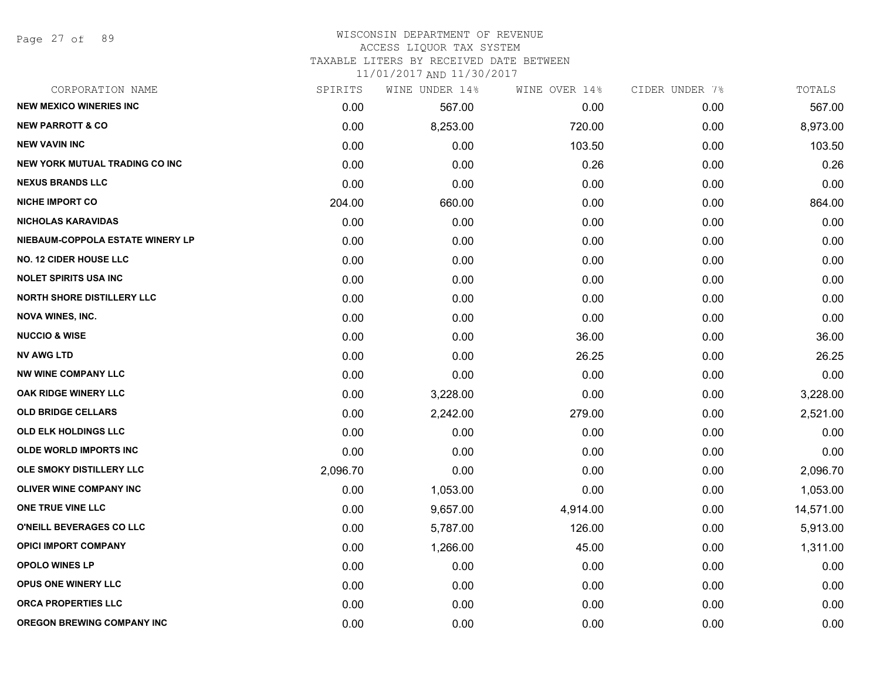Page 27 of 89

#### WISCONSIN DEPARTMENT OF REVENUE ACCESS LIQUOR TAX SYSTEM TAXABLE LITERS BY RECEIVED DATE BETWEEN

| CORPORATION NAME                      | SPIRITS  | WINE UNDER 14% | WINE OVER 14% | CIDER UNDER 7% | TOTALS    |
|---------------------------------------|----------|----------------|---------------|----------------|-----------|
| <b>NEW MEXICO WINERIES INC</b>        | 0.00     | 567.00         | 0.00          | 0.00           | 567.00    |
| <b>NEW PARROTT &amp; CO</b>           | 0.00     | 8,253.00       | 720.00        | 0.00           | 8,973.00  |
| <b>NEW VAVIN INC</b>                  | 0.00     | 0.00           | 103.50        | 0.00           | 103.50    |
| <b>NEW YORK MUTUAL TRADING CO INC</b> | 0.00     | 0.00           | 0.26          | 0.00           | 0.26      |
| <b>NEXUS BRANDS LLC</b>               | 0.00     | 0.00           | 0.00          | 0.00           | 0.00      |
| <b>NICHE IMPORT CO</b>                | 204.00   | 660.00         | 0.00          | 0.00           | 864.00    |
| <b>NICHOLAS KARAVIDAS</b>             | 0.00     | 0.00           | 0.00          | 0.00           | 0.00      |
| NIEBAUM-COPPOLA ESTATE WINERY LP      | 0.00     | 0.00           | 0.00          | 0.00           | 0.00      |
| <b>NO. 12 CIDER HOUSE LLC</b>         | 0.00     | 0.00           | 0.00          | 0.00           | 0.00      |
| <b>NOLET SPIRITS USA INC</b>          | 0.00     | 0.00           | 0.00          | 0.00           | 0.00      |
| <b>NORTH SHORE DISTILLERY LLC</b>     | 0.00     | 0.00           | 0.00          | 0.00           | 0.00      |
| <b>NOVA WINES, INC.</b>               | 0.00     | 0.00           | 0.00          | 0.00           | 0.00      |
| <b>NUCCIO &amp; WISE</b>              | 0.00     | 0.00           | 36.00         | 0.00           | 36.00     |
| <b>NV AWG LTD</b>                     | 0.00     | 0.00           | 26.25         | 0.00           | 26.25     |
| <b>NW WINE COMPANY LLC</b>            | 0.00     | 0.00           | 0.00          | 0.00           | 0.00      |
| OAK RIDGE WINERY LLC                  | 0.00     | 3,228.00       | 0.00          | 0.00           | 3,228.00  |
| <b>OLD BRIDGE CELLARS</b>             | 0.00     | 2,242.00       | 279.00        | 0.00           | 2,521.00  |
| <b>OLD ELK HOLDINGS LLC</b>           | 0.00     | 0.00           | 0.00          | 0.00           | 0.00      |
| OLDE WORLD IMPORTS INC                | 0.00     | 0.00           | 0.00          | 0.00           | 0.00      |
| OLE SMOKY DISTILLERY LLC              | 2,096.70 | 0.00           | 0.00          | 0.00           | 2,096.70  |
| <b>OLIVER WINE COMPANY INC</b>        | 0.00     | 1,053.00       | 0.00          | 0.00           | 1,053.00  |
| ONE TRUE VINE LLC                     | 0.00     | 9,657.00       | 4,914.00      | 0.00           | 14,571.00 |
| O'NEILL BEVERAGES CO LLC              | 0.00     | 5,787.00       | 126.00        | 0.00           | 5,913.00  |
| <b>OPICI IMPORT COMPANY</b>           | 0.00     | 1,266.00       | 45.00         | 0.00           | 1,311.00  |
| <b>OPOLO WINES LP</b>                 | 0.00     | 0.00           | 0.00          | 0.00           | 0.00      |
| OPUS ONE WINERY LLC                   | 0.00     | 0.00           | 0.00          | 0.00           | 0.00      |
| ORCA PROPERTIES LLC                   | 0.00     | 0.00           | 0.00          | 0.00           | 0.00      |
| <b>OREGON BREWING COMPANY INC</b>     | 0.00     | 0.00           | 0.00          | 0.00           | 0.00      |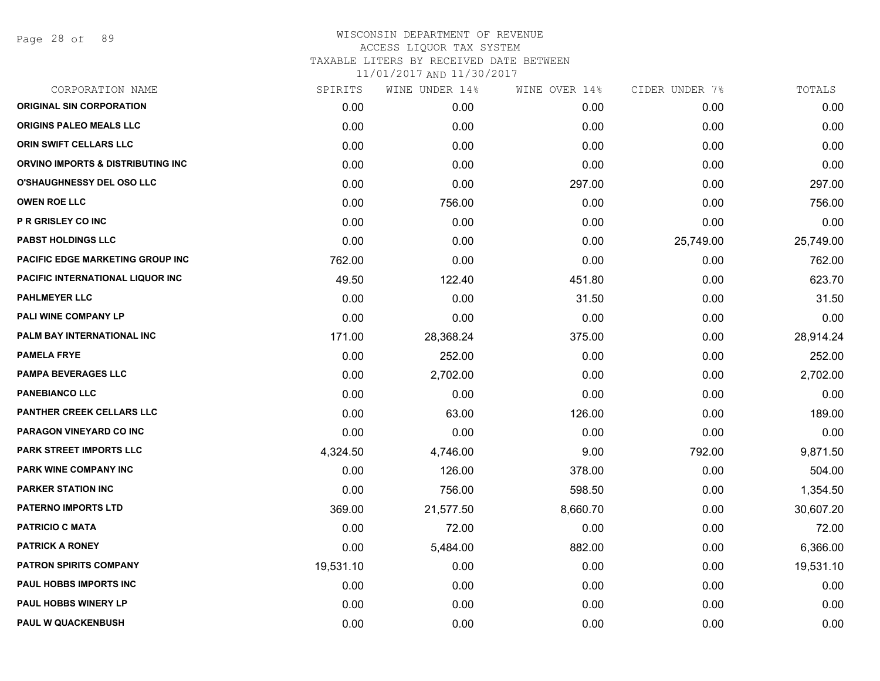| CORPORATION NAME                  | SPIRITS   | WINE UNDER 14% | WINE OVER 14% | CIDER UNDER 7% | TOTALS    |
|-----------------------------------|-----------|----------------|---------------|----------------|-----------|
| <b>ORIGINAL SIN CORPORATION</b>   | 0.00      | 0.00           | 0.00          | 0.00           | 0.00      |
| <b>ORIGINS PALEO MEALS LLC</b>    | 0.00      | 0.00           | 0.00          | 0.00           | 0.00      |
| ORIN SWIFT CELLARS LLC            | 0.00      | 0.00           | 0.00          | 0.00           | 0.00      |
| ORVINO IMPORTS & DISTRIBUTING INC | 0.00      | 0.00           | 0.00          | 0.00           | 0.00      |
| O'SHAUGHNESSY DEL OSO LLC         | 0.00      | 0.00           | 297.00        | 0.00           | 297.00    |
| <b>OWEN ROE LLC</b>               | 0.00      | 756.00         | 0.00          | 0.00           | 756.00    |
| P R GRISLEY CO INC                | 0.00      | 0.00           | 0.00          | 0.00           | 0.00      |
| PABST HOLDINGS LLC                | 0.00      | 0.00           | 0.00          | 25,749.00      | 25,749.00 |
| PACIFIC EDGE MARKETING GROUP INC  | 762.00    | 0.00           | 0.00          | 0.00           | 762.00    |
| PACIFIC INTERNATIONAL LIQUOR INC  | 49.50     | 122.40         | 451.80        | 0.00           | 623.70    |
| <b>PAHLMEYER LLC</b>              | 0.00      | 0.00           | 31.50         | 0.00           | 31.50     |
| PALI WINE COMPANY LP              | 0.00      | 0.00           | 0.00          | 0.00           | 0.00      |
| PALM BAY INTERNATIONAL INC        | 171.00    | 28,368.24      | 375.00        | 0.00           | 28,914.24 |
| <b>PAMELA FRYE</b>                | 0.00      | 252.00         | 0.00          | 0.00           | 252.00    |
| <b>PAMPA BEVERAGES LLC</b>        | 0.00      | 2,702.00       | 0.00          | 0.00           | 2,702.00  |
| <b>PANEBIANCO LLC</b>             | 0.00      | 0.00           | 0.00          | 0.00           | 0.00      |
| PANTHER CREEK CELLARS LLC         | 0.00      | 63.00          | 126.00        | 0.00           | 189.00    |
| PARAGON VINEYARD CO INC           | 0.00      | 0.00           | 0.00          | 0.00           | 0.00      |
| PARK STREET IMPORTS LLC           | 4,324.50  | 4,746.00       | 9.00          | 792.00         | 9,871.50  |
| <b>PARK WINE COMPANY INC</b>      | 0.00      | 126.00         | 378.00        | 0.00           | 504.00    |
| <b>PARKER STATION INC</b>         | 0.00      | 756.00         | 598.50        | 0.00           | 1,354.50  |
| <b>PATERNO IMPORTS LTD</b>        | 369.00    | 21,577.50      | 8,660.70      | 0.00           | 30,607.20 |
| <b>PATRICIO C MATA</b>            | 0.00      | 72.00          | 0.00          | 0.00           | 72.00     |
| <b>PATRICK A RONEY</b>            | 0.00      | 5,484.00       | 882.00        | 0.00           | 6,366.00  |
| PATRON SPIRITS COMPANY            | 19,531.10 | 0.00           | 0.00          | 0.00           | 19,531.10 |
| PAUL HOBBS IMPORTS INC            | 0.00      | 0.00           | 0.00          | 0.00           | 0.00      |
| <b>PAUL HOBBS WINERY LP</b>       | 0.00      | 0.00           | 0.00          | 0.00           | 0.00      |
| <b>PAUL W QUACKENBUSH</b>         | 0.00      | 0.00           | 0.00          | 0.00           | 0.00      |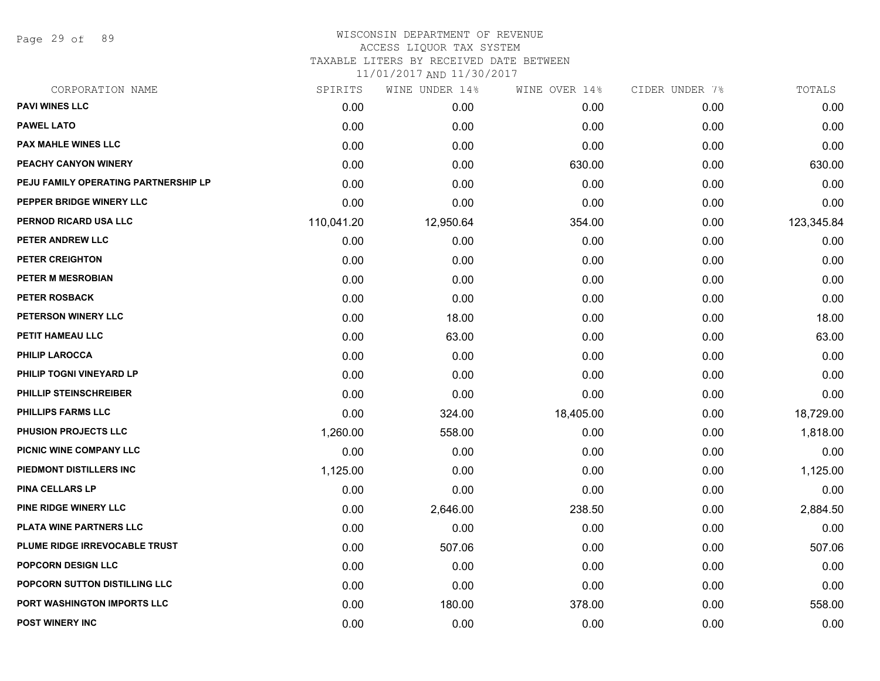Page 29 of 89

#### WISCONSIN DEPARTMENT OF REVENUE ACCESS LIQUOR TAX SYSTEM TAXABLE LITERS BY RECEIVED DATE BETWEEN

| CORPORATION NAME                     | SPIRITS    | WINE UNDER 14% | WINE OVER 14% | CIDER UNDER 7% | TOTALS     |
|--------------------------------------|------------|----------------|---------------|----------------|------------|
| <b>PAVI WINES LLC</b>                | 0.00       | 0.00           | 0.00          | 0.00           | 0.00       |
| <b>PAWEL LATO</b>                    | 0.00       | 0.00           | 0.00          | 0.00           | 0.00       |
| <b>PAX MAHLE WINES LLC</b>           | 0.00       | 0.00           | 0.00          | 0.00           | 0.00       |
| PEACHY CANYON WINERY                 | 0.00       | 0.00           | 630.00        | 0.00           | 630.00     |
| PEJU FAMILY OPERATING PARTNERSHIP LP | 0.00       | 0.00           | 0.00          | 0.00           | 0.00       |
| PEPPER BRIDGE WINERY LLC             | 0.00       | 0.00           | 0.00          | 0.00           | 0.00       |
| PERNOD RICARD USA LLC                | 110,041.20 | 12,950.64      | 354.00        | 0.00           | 123,345.84 |
| PETER ANDREW LLC                     | 0.00       | 0.00           | 0.00          | 0.00           | 0.00       |
| <b>PETER CREIGHTON</b>               | 0.00       | 0.00           | 0.00          | 0.00           | 0.00       |
| <b>PETER M MESROBIAN</b>             | 0.00       | 0.00           | 0.00          | 0.00           | 0.00       |
| <b>PETER ROSBACK</b>                 | 0.00       | 0.00           | 0.00          | 0.00           | 0.00       |
| PETERSON WINERY LLC                  | 0.00       | 18.00          | 0.00          | 0.00           | 18.00      |
| PETIT HAMEAU LLC                     | 0.00       | 63.00          | 0.00          | 0.00           | 63.00      |
| <b>PHILIP LAROCCA</b>                | 0.00       | 0.00           | 0.00          | 0.00           | 0.00       |
| PHILIP TOGNI VINEYARD LP             | 0.00       | 0.00           | 0.00          | 0.00           | 0.00       |
| PHILLIP STEINSCHREIBER               | 0.00       | 0.00           | 0.00          | 0.00           | 0.00       |
| <b>PHILLIPS FARMS LLC</b>            | 0.00       | 324.00         | 18,405.00     | 0.00           | 18,729.00  |
| PHUSION PROJECTS LLC                 | 1,260.00   | 558.00         | 0.00          | 0.00           | 1,818.00   |
| PICNIC WINE COMPANY LLC              | 0.00       | 0.00           | 0.00          | 0.00           | 0.00       |
| PIEDMONT DISTILLERS INC              | 1,125.00   | 0.00           | 0.00          | 0.00           | 1,125.00   |
| <b>PINA CELLARS LP</b>               | 0.00       | 0.00           | 0.00          | 0.00           | 0.00       |
| PINE RIDGE WINERY LLC                | 0.00       | 2,646.00       | 238.50        | 0.00           | 2,884.50   |
| PLATA WINE PARTNERS LLC              | 0.00       | 0.00           | 0.00          | 0.00           | 0.00       |
| <b>PLUME RIDGE IRREVOCABLE TRUST</b> | 0.00       | 507.06         | 0.00          | 0.00           | 507.06     |
| <b>POPCORN DESIGN LLC</b>            | 0.00       | 0.00           | 0.00          | 0.00           | 0.00       |
| POPCORN SUTTON DISTILLING LLC        | 0.00       | 0.00           | 0.00          | 0.00           | 0.00       |
| PORT WASHINGTON IMPORTS LLC          | 0.00       | 180.00         | 378.00        | 0.00           | 558.00     |
| <b>POST WINERY INC</b>               | 0.00       | 0.00           | 0.00          | 0.00           | 0.00       |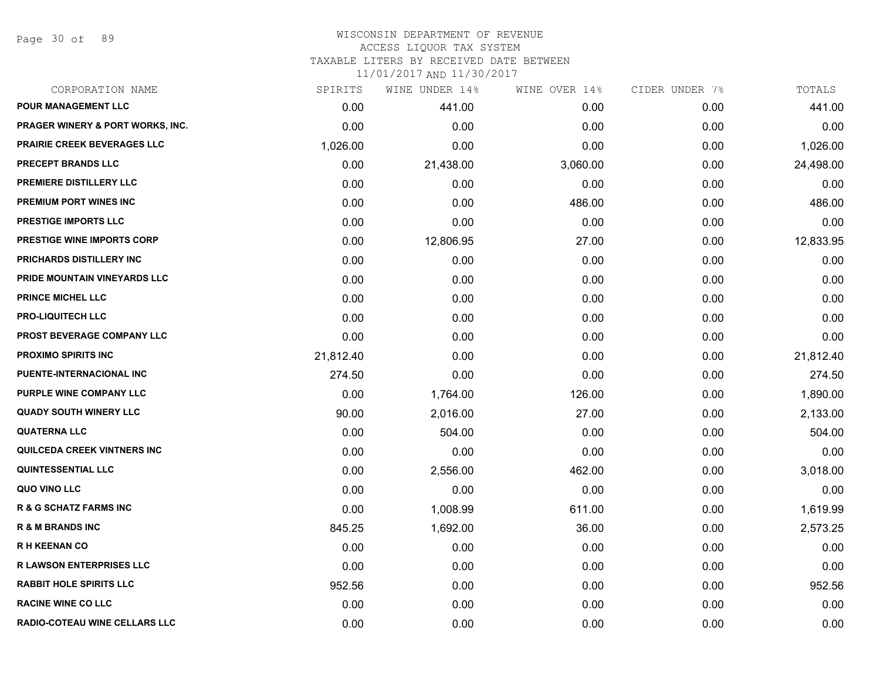Page 30 of 89

# WISCONSIN DEPARTMENT OF REVENUE ACCESS LIQUOR TAX SYSTEM TAXABLE LITERS BY RECEIVED DATE BETWEEN

| CORPORATION NAME                            | SPIRITS   | WINE UNDER 14% | WINE OVER 14% | CIDER UNDER 7% | TOTALS    |
|---------------------------------------------|-----------|----------------|---------------|----------------|-----------|
| <b>POUR MANAGEMENT LLC</b>                  | 0.00      | 441.00         | 0.00          | 0.00           | 441.00    |
| <b>PRAGER WINERY &amp; PORT WORKS, INC.</b> | 0.00      | 0.00           | 0.00          | 0.00           | 0.00      |
| <b>PRAIRIE CREEK BEVERAGES LLC</b>          | 1,026.00  | 0.00           | 0.00          | 0.00           | 1,026.00  |
| <b>PRECEPT BRANDS LLC</b>                   | 0.00      | 21,438.00      | 3,060.00      | 0.00           | 24,498.00 |
| PREMIERE DISTILLERY LLC                     | 0.00      | 0.00           | 0.00          | 0.00           | 0.00      |
| PREMIUM PORT WINES INC                      | 0.00      | 0.00           | 486.00        | 0.00           | 486.00    |
| PRESTIGE IMPORTS LLC                        | 0.00      | 0.00           | 0.00          | 0.00           | 0.00      |
| <b>PRESTIGE WINE IMPORTS CORP</b>           | 0.00      | 12,806.95      | 27.00         | 0.00           | 12,833.95 |
| PRICHARDS DISTILLERY INC                    | 0.00      | 0.00           | 0.00          | 0.00           | 0.00      |
| PRIDE MOUNTAIN VINEYARDS LLC                | 0.00      | 0.00           | 0.00          | 0.00           | 0.00      |
| <b>PRINCE MICHEL LLC</b>                    | 0.00      | 0.00           | 0.00          | 0.00           | 0.00      |
| <b>PRO-LIQUITECH LLC</b>                    | 0.00      | 0.00           | 0.00          | 0.00           | 0.00      |
| PROST BEVERAGE COMPANY LLC                  | 0.00      | 0.00           | 0.00          | 0.00           | 0.00      |
| <b>PROXIMO SPIRITS INC</b>                  | 21,812.40 | 0.00           | 0.00          | 0.00           | 21,812.40 |
| PUENTE-INTERNACIONAL INC                    | 274.50    | 0.00           | 0.00          | 0.00           | 274.50    |
| PURPLE WINE COMPANY LLC                     | 0.00      | 1,764.00       | 126.00        | 0.00           | 1,890.00  |
| <b>QUADY SOUTH WINERY LLC</b>               | 90.00     | 2,016.00       | 27.00         | 0.00           | 2,133.00  |
| <b>QUATERNA LLC</b>                         | 0.00      | 504.00         | 0.00          | 0.00           | 504.00    |
| <b>QUILCEDA CREEK VINTNERS INC</b>          | 0.00      | 0.00           | 0.00          | 0.00           | 0.00      |
| <b>QUINTESSENTIAL LLC</b>                   | 0.00      | 2,556.00       | 462.00        | 0.00           | 3,018.00  |
| QUO VINO LLC                                | 0.00      | 0.00           | 0.00          | 0.00           | 0.00      |
| <b>R &amp; G SCHATZ FARMS INC</b>           | 0.00      | 1,008.99       | 611.00        | 0.00           | 1,619.99  |
| <b>R &amp; M BRANDS INC</b>                 | 845.25    | 1,692.00       | 36.00         | 0.00           | 2,573.25  |
| <b>RH KEENAN CO</b>                         | 0.00      | 0.00           | 0.00          | 0.00           | 0.00      |
| <b>R LAWSON ENTERPRISES LLC</b>             | 0.00      | 0.00           | 0.00          | 0.00           | 0.00      |
| <b>RABBIT HOLE SPIRITS LLC</b>              | 952.56    | 0.00           | 0.00          | 0.00           | 952.56    |
| <b>RACINE WINE CO LLC</b>                   | 0.00      | 0.00           | 0.00          | 0.00           | 0.00      |
| <b>RADIO-COTEAU WINE CELLARS LLC</b>        | 0.00      | 0.00           | 0.00          | 0.00           | 0.00      |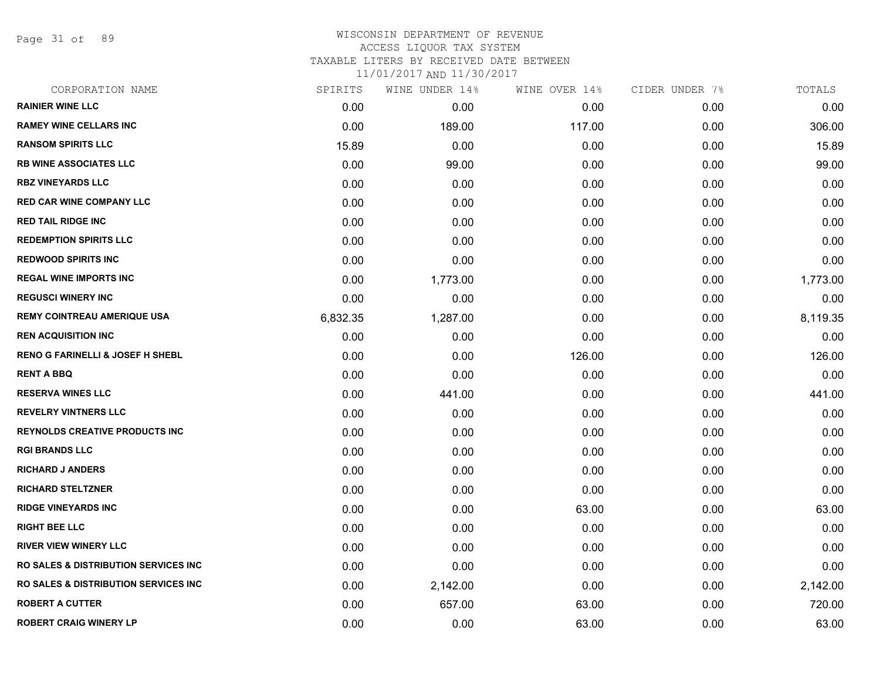Page 31 of 89

## WISCONSIN DEPARTMENT OF REVENUE ACCESS LIQUOR TAX SYSTEM TAXABLE LITERS BY RECEIVED DATE BETWEEN

| CORPORATION NAME                                 | SPIRITS  | WINE UNDER 14% | WINE OVER 14% | CIDER UNDER 7% | TOTALS   |
|--------------------------------------------------|----------|----------------|---------------|----------------|----------|
| <b>RAINIER WINE LLC</b>                          | 0.00     | 0.00           | 0.00          | 0.00           | 0.00     |
| <b>RAMEY WINE CELLARS INC</b>                    | 0.00     | 189.00         | 117.00        | 0.00           | 306.00   |
| <b>RANSOM SPIRITS LLC</b>                        | 15.89    | 0.00           | 0.00          | 0.00           | 15.89    |
| <b>RB WINE ASSOCIATES LLC</b>                    | 0.00     | 99.00          | 0.00          | 0.00           | 99.00    |
| <b>RBZ VINEYARDS LLC</b>                         | 0.00     | 0.00           | 0.00          | 0.00           | 0.00     |
| <b>RED CAR WINE COMPANY LLC</b>                  | 0.00     | 0.00           | 0.00          | 0.00           | 0.00     |
| <b>RED TAIL RIDGE INC</b>                        | 0.00     | 0.00           | 0.00          | 0.00           | 0.00     |
| <b>REDEMPTION SPIRITS LLC</b>                    | 0.00     | 0.00           | 0.00          | 0.00           | 0.00     |
| <b>REDWOOD SPIRITS INC</b>                       | 0.00     | 0.00           | 0.00          | 0.00           | 0.00     |
| <b>REGAL WINE IMPORTS INC</b>                    | 0.00     | 1,773.00       | 0.00          | 0.00           | 1,773.00 |
| <b>REGUSCI WINERY INC</b>                        | 0.00     | 0.00           | 0.00          | 0.00           | 0.00     |
| <b>REMY COINTREAU AMERIQUE USA</b>               | 6,832.35 | 1,287.00       | 0.00          | 0.00           | 8,119.35 |
| <b>REN ACQUISITION INC</b>                       | 0.00     | 0.00           | 0.00          | 0.00           | 0.00     |
| <b>RENO G FARINELLI &amp; JOSEF H SHEBL</b>      | 0.00     | 0.00           | 126.00        | 0.00           | 126.00   |
| <b>RENT A BBQ</b>                                | 0.00     | 0.00           | 0.00          | 0.00           | 0.00     |
| <b>RESERVA WINES LLC</b>                         | 0.00     | 441.00         | 0.00          | 0.00           | 441.00   |
| <b>REVELRY VINTNERS LLC</b>                      | 0.00     | 0.00           | 0.00          | 0.00           | 0.00     |
| <b>REYNOLDS CREATIVE PRODUCTS INC.</b>           | 0.00     | 0.00           | 0.00          | 0.00           | 0.00     |
| <b>RGI BRANDS LLC</b>                            | 0.00     | 0.00           | 0.00          | 0.00           | 0.00     |
| <b>RICHARD J ANDERS</b>                          | 0.00     | 0.00           | 0.00          | 0.00           | 0.00     |
| <b>RICHARD STELTZNER</b>                         | 0.00     | 0.00           | 0.00          | 0.00           | 0.00     |
| <b>RIDGE VINEYARDS INC</b>                       | 0.00     | 0.00           | 63.00         | 0.00           | 63.00    |
| <b>RIGHT BEE LLC</b>                             | 0.00     | 0.00           | 0.00          | 0.00           | 0.00     |
| <b>RIVER VIEW WINERY LLC</b>                     | 0.00     | 0.00           | 0.00          | 0.00           | 0.00     |
| <b>RO SALES &amp; DISTRIBUTION SERVICES INC.</b> | 0.00     | 0.00           | 0.00          | 0.00           | 0.00     |
| <b>RO SALES &amp; DISTRIBUTION SERVICES INC</b>  | 0.00     | 2,142.00       | 0.00          | 0.00           | 2,142.00 |
| <b>ROBERT A CUTTER</b>                           | 0.00     | 657.00         | 63.00         | 0.00           | 720.00   |
| <b>ROBERT CRAIG WINERY LP</b>                    | 0.00     | 0.00           | 63.00         | 0.00           | 63.00    |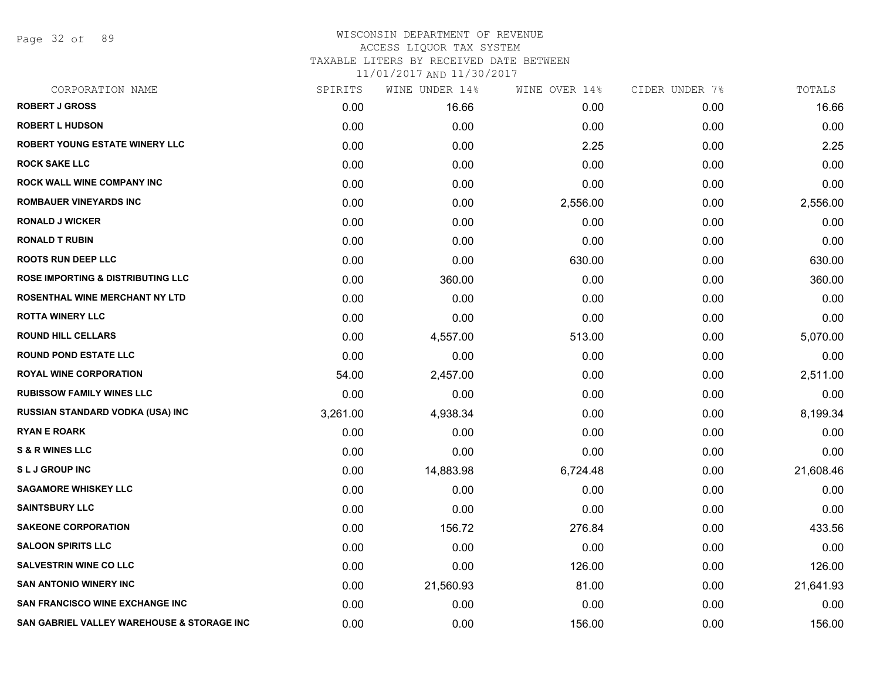Page 32 of 89

| CORPORATION NAME                             | SPIRITS  | WINE UNDER 14% | WINE OVER 14% | CIDER UNDER 7% | TOTALS    |
|----------------------------------------------|----------|----------------|---------------|----------------|-----------|
| <b>ROBERT J GROSS</b>                        | 0.00     | 16.66          | 0.00          | 0.00           | 16.66     |
| <b>ROBERT L HUDSON</b>                       | 0.00     | 0.00           | 0.00          | 0.00           | 0.00      |
| ROBERT YOUNG ESTATE WINERY LLC               | 0.00     | 0.00           | 2.25          | 0.00           | 2.25      |
| <b>ROCK SAKE LLC</b>                         | 0.00     | 0.00           | 0.00          | 0.00           | 0.00      |
| ROCK WALL WINE COMPANY INC                   | 0.00     | 0.00           | 0.00          | 0.00           | 0.00      |
| <b>ROMBAUER VINEYARDS INC</b>                | 0.00     | 0.00           | 2,556.00      | 0.00           | 2,556.00  |
| <b>RONALD J WICKER</b>                       | 0.00     | 0.00           | 0.00          | 0.00           | 0.00      |
| <b>RONALD T RUBIN</b>                        | 0.00     | 0.00           | 0.00          | 0.00           | 0.00      |
| <b>ROOTS RUN DEEP LLC</b>                    | 0.00     | 0.00           | 630.00        | 0.00           | 630.00    |
| <b>ROSE IMPORTING &amp; DISTRIBUTING LLC</b> | 0.00     | 360.00         | 0.00          | 0.00           | 360.00    |
| ROSENTHAL WINE MERCHANT NY LTD               | 0.00     | 0.00           | 0.00          | 0.00           | 0.00      |
| <b>ROTTA WINERY LLC</b>                      | 0.00     | 0.00           | 0.00          | 0.00           | 0.00      |
| <b>ROUND HILL CELLARS</b>                    | 0.00     | 4,557.00       | 513.00        | 0.00           | 5,070.00  |
| <b>ROUND POND ESTATE LLC</b>                 | 0.00     | 0.00           | 0.00          | 0.00           | 0.00      |
| <b>ROYAL WINE CORPORATION</b>                | 54.00    | 2,457.00       | 0.00          | 0.00           | 2,511.00  |
| <b>RUBISSOW FAMILY WINES LLC</b>             | 0.00     | 0.00           | 0.00          | 0.00           | 0.00      |
| <b>RUSSIAN STANDARD VODKA (USA) INC</b>      | 3,261.00 | 4,938.34       | 0.00          | 0.00           | 8,199.34  |
| <b>RYAN E ROARK</b>                          | 0.00     | 0.00           | 0.00          | 0.00           | 0.00      |
| <b>S &amp; R WINES LLC</b>                   | 0.00     | 0.00           | 0.00          | 0.00           | 0.00      |
| <b>SLJ GROUP INC</b>                         | 0.00     | 14,883.98      | 6,724.48      | 0.00           | 21,608.46 |
| <b>SAGAMORE WHISKEY LLC</b>                  | 0.00     | 0.00           | 0.00          | 0.00           | 0.00      |
| <b>SAINTSBURY LLC</b>                        | 0.00     | 0.00           | 0.00          | 0.00           | 0.00      |
| <b>SAKEONE CORPORATION</b>                   | 0.00     | 156.72         | 276.84        | 0.00           | 433.56    |
| <b>SALOON SPIRITS LLC</b>                    | 0.00     | 0.00           | 0.00          | 0.00           | 0.00      |
| <b>SALVESTRIN WINE CO LLC</b>                | 0.00     | 0.00           | 126.00        | 0.00           | 126.00    |
| <b>SAN ANTONIO WINERY INC</b>                | 0.00     | 21,560.93      | 81.00         | 0.00           | 21,641.93 |
| <b>SAN FRANCISCO WINE EXCHANGE INC</b>       | 0.00     | 0.00           | 0.00          | 0.00           | 0.00      |
| SAN GABRIEL VALLEY WAREHOUSE & STORAGE INC   | 0.00     | 0.00           | 156.00        | 0.00           | 156.00    |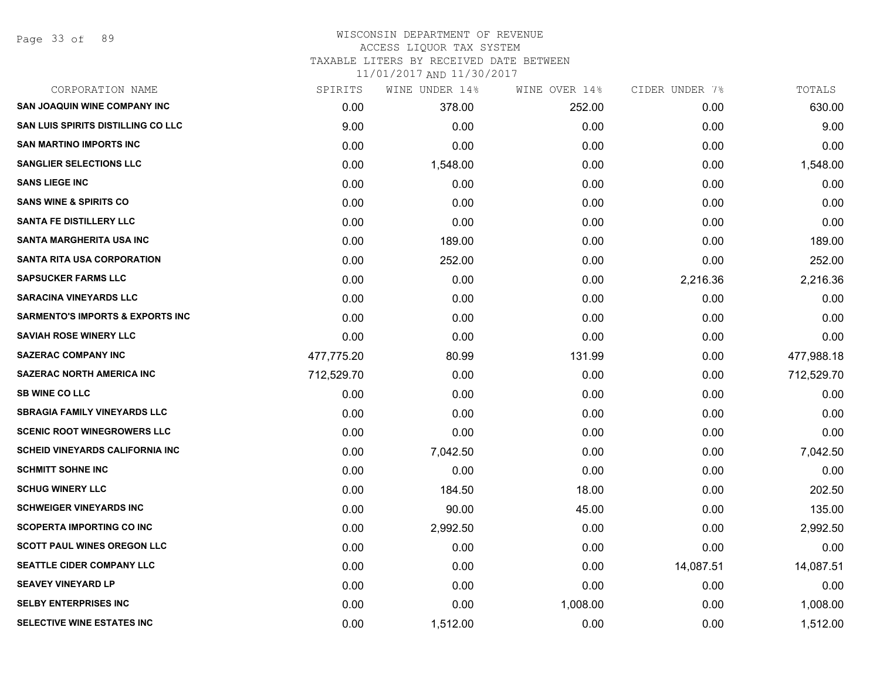Page 33 of 89

#### WISCONSIN DEPARTMENT OF REVENUE ACCESS LIQUOR TAX SYSTEM

TAXABLE LITERS BY RECEIVED DATE BETWEEN

| CORPORATION NAME                            | SPIRITS    | WINE UNDER 14% | WINE OVER 14% | CIDER UNDER 7% | TOTALS     |
|---------------------------------------------|------------|----------------|---------------|----------------|------------|
| <b>SAN JOAQUIN WINE COMPANY INC</b>         | 0.00       | 378.00         | 252.00        | 0.00           | 630.00     |
| <b>SAN LUIS SPIRITS DISTILLING CO LLC</b>   | 9.00       | 0.00           | 0.00          | 0.00           | 9.00       |
| <b>SAN MARTINO IMPORTS INC</b>              | 0.00       | 0.00           | 0.00          | 0.00           | 0.00       |
| <b>SANGLIER SELECTIONS LLC</b>              | 0.00       | 1,548.00       | 0.00          | 0.00           | 1,548.00   |
| <b>SANS LIEGE INC</b>                       | 0.00       | 0.00           | 0.00          | 0.00           | 0.00       |
| <b>SANS WINE &amp; SPIRITS CO</b>           | 0.00       | 0.00           | 0.00          | 0.00           | 0.00       |
| <b>SANTA FE DISTILLERY LLC</b>              | 0.00       | 0.00           | 0.00          | 0.00           | 0.00       |
| <b>SANTA MARGHERITA USA INC</b>             | 0.00       | 189.00         | 0.00          | 0.00           | 189.00     |
| <b>SANTA RITA USA CORPORATION</b>           | 0.00       | 252.00         | 0.00          | 0.00           | 252.00     |
| <b>SAPSUCKER FARMS LLC</b>                  | 0.00       | 0.00           | 0.00          | 2,216.36       | 2,216.36   |
| <b>SARACINA VINEYARDS LLC</b>               | 0.00       | 0.00           | 0.00          | 0.00           | 0.00       |
| <b>SARMENTO'S IMPORTS &amp; EXPORTS INC</b> | 0.00       | 0.00           | 0.00          | 0.00           | 0.00       |
| <b>SAVIAH ROSE WINERY LLC</b>               | 0.00       | 0.00           | 0.00          | 0.00           | 0.00       |
| <b>SAZERAC COMPANY INC</b>                  | 477,775.20 | 80.99          | 131.99        | 0.00           | 477,988.18 |
| <b>SAZERAC NORTH AMERICA INC</b>            | 712,529.70 | 0.00           | 0.00          | 0.00           | 712,529.70 |
| <b>SB WINE CO LLC</b>                       | 0.00       | 0.00           | 0.00          | 0.00           | 0.00       |
| <b>SBRAGIA FAMILY VINEYARDS LLC</b>         | 0.00       | 0.00           | 0.00          | 0.00           | 0.00       |
| <b>SCENIC ROOT WINEGROWERS LLC</b>          | 0.00       | 0.00           | 0.00          | 0.00           | 0.00       |
| <b>SCHEID VINEYARDS CALIFORNIA INC</b>      | 0.00       | 7,042.50       | 0.00          | 0.00           | 7,042.50   |
| <b>SCHMITT SOHNE INC</b>                    | 0.00       | 0.00           | 0.00          | 0.00           | 0.00       |
| <b>SCHUG WINERY LLC</b>                     | 0.00       | 184.50         | 18.00         | 0.00           | 202.50     |
| <b>SCHWEIGER VINEYARDS INC</b>              | 0.00       | 90.00          | 45.00         | 0.00           | 135.00     |
| <b>SCOPERTA IMPORTING CO INC</b>            | 0.00       | 2,992.50       | 0.00          | 0.00           | 2,992.50   |
| <b>SCOTT PAUL WINES OREGON LLC</b>          | 0.00       | 0.00           | 0.00          | 0.00           | 0.00       |
| SEATTLE CIDER COMPANY LLC                   | 0.00       | 0.00           | 0.00          | 14,087.51      | 14,087.51  |
| <b>SEAVEY VINEYARD LP</b>                   | 0.00       | 0.00           | 0.00          | 0.00           | 0.00       |
| <b>SELBY ENTERPRISES INC</b>                | 0.00       | 0.00           | 1,008.00      | 0.00           | 1,008.00   |
| SELECTIVE WINE ESTATES INC                  | 0.00       | 1,512.00       | 0.00          | 0.00           | 1,512.00   |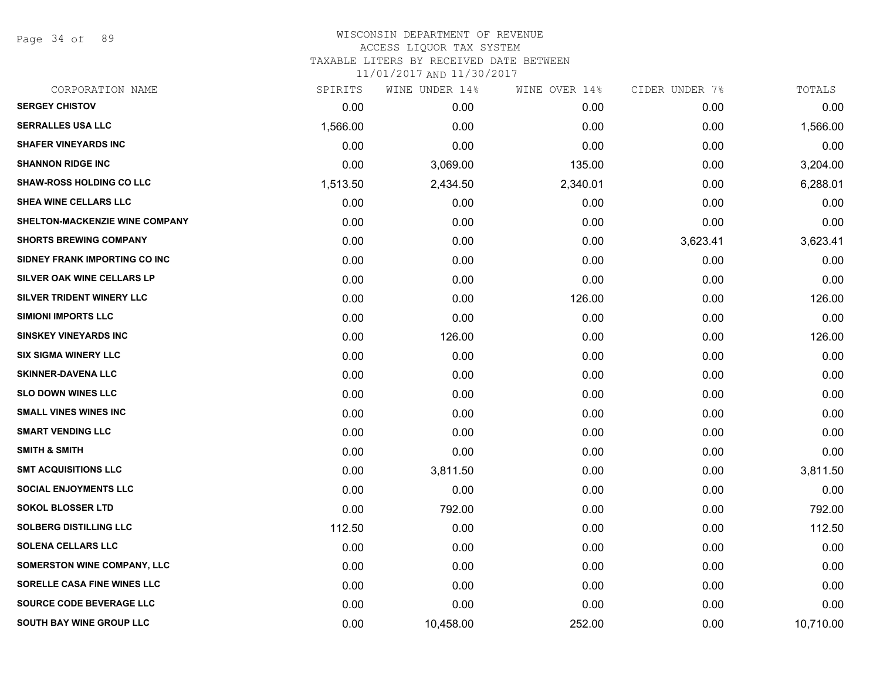Page 34 of 89

#### WISCONSIN DEPARTMENT OF REVENUE ACCESS LIQUOR TAX SYSTEM TAXABLE LITERS BY RECEIVED DATE BETWEEN

| CORPORATION NAME                 | SPIRITS  | WINE UNDER 14% | WINE OVER 14% | CIDER UNDER 7% | TOTALS    |
|----------------------------------|----------|----------------|---------------|----------------|-----------|
| <b>SERGEY CHISTOV</b>            | 0.00     | 0.00           | 0.00          | 0.00           | 0.00      |
| <b>SERRALLES USA LLC</b>         | 1,566.00 | 0.00           | 0.00          | 0.00           | 1,566.00  |
| <b>SHAFER VINEYARDS INC</b>      | 0.00     | 0.00           | 0.00          | 0.00           | 0.00      |
| <b>SHANNON RIDGE INC</b>         | 0.00     | 3,069.00       | 135.00        | 0.00           | 3,204.00  |
| <b>SHAW-ROSS HOLDING CO LLC</b>  | 1,513.50 | 2,434.50       | 2,340.01      | 0.00           | 6,288.01  |
| SHEA WINE CELLARS LLC            | 0.00     | 0.00           | 0.00          | 0.00           | 0.00      |
| SHELTON-MACKENZIE WINE COMPANY   | 0.00     | 0.00           | 0.00          | 0.00           | 0.00      |
| <b>SHORTS BREWING COMPANY</b>    | 0.00     | 0.00           | 0.00          | 3,623.41       | 3,623.41  |
| SIDNEY FRANK IMPORTING CO INC    | 0.00     | 0.00           | 0.00          | 0.00           | 0.00      |
| SILVER OAK WINE CELLARS LP       | 0.00     | 0.00           | 0.00          | 0.00           | 0.00      |
| <b>SILVER TRIDENT WINERY LLC</b> | 0.00     | 0.00           | 126.00        | 0.00           | 126.00    |
| <b>SIMIONI IMPORTS LLC</b>       | 0.00     | 0.00           | 0.00          | 0.00           | 0.00      |
| <b>SINSKEY VINEYARDS INC</b>     | 0.00     | 126.00         | 0.00          | 0.00           | 126.00    |
| <b>SIX SIGMA WINERY LLC</b>      | 0.00     | 0.00           | 0.00          | 0.00           | 0.00      |
| <b>SKINNER-DAVENA LLC</b>        | 0.00     | 0.00           | 0.00          | 0.00           | 0.00      |
| <b>SLO DOWN WINES LLC</b>        | 0.00     | 0.00           | 0.00          | 0.00           | 0.00      |
| <b>SMALL VINES WINES INC</b>     | 0.00     | 0.00           | 0.00          | 0.00           | 0.00      |
| <b>SMART VENDING LLC</b>         | 0.00     | 0.00           | 0.00          | 0.00           | 0.00      |
| <b>SMITH &amp; SMITH</b>         | 0.00     | 0.00           | 0.00          | 0.00           | 0.00      |
| <b>SMT ACQUISITIONS LLC</b>      | 0.00     | 3,811.50       | 0.00          | 0.00           | 3,811.50  |
| <b>SOCIAL ENJOYMENTS LLC</b>     | 0.00     | 0.00           | 0.00          | 0.00           | 0.00      |
| <b>SOKOL BLOSSER LTD</b>         | 0.00     | 792.00         | 0.00          | 0.00           | 792.00    |
| <b>SOLBERG DISTILLING LLC</b>    | 112.50   | 0.00           | 0.00          | 0.00           | 112.50    |
| <b>SOLENA CELLARS LLC</b>        | 0.00     | 0.00           | 0.00          | 0.00           | 0.00      |
| SOMERSTON WINE COMPANY, LLC      | 0.00     | 0.00           | 0.00          | 0.00           | 0.00      |
| SORELLE CASA FINE WINES LLC      | 0.00     | 0.00           | 0.00          | 0.00           | 0.00      |
| SOURCE CODE BEVERAGE LLC         | 0.00     | 0.00           | 0.00          | 0.00           | 0.00      |
| <b>SOUTH BAY WINE GROUP LLC</b>  | 0.00     | 10,458.00      | 252.00        | 0.00           | 10,710.00 |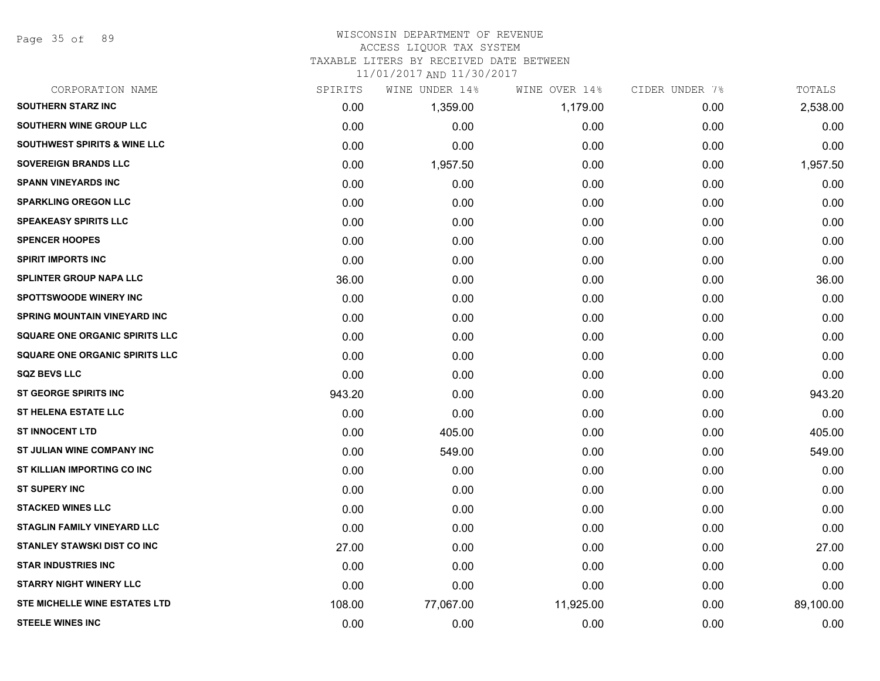Page 35 of 89

#### WISCONSIN DEPARTMENT OF REVENUE ACCESS LIQUOR TAX SYSTEM

TAXABLE LITERS BY RECEIVED DATE BETWEEN

| CORPORATION NAME                        | SPIRITS | WINE UNDER 14% | WINE OVER 14% | CIDER UNDER 7% | TOTALS    |
|-----------------------------------------|---------|----------------|---------------|----------------|-----------|
| <b>SOUTHERN STARZ INC</b>               | 0.00    | 1,359.00       | 1,179.00      | 0.00           | 2,538.00  |
| <b>SOUTHERN WINE GROUP LLC</b>          | 0.00    | 0.00           | 0.00          | 0.00           | 0.00      |
| <b>SOUTHWEST SPIRITS &amp; WINE LLC</b> | 0.00    | 0.00           | 0.00          | 0.00           | 0.00      |
| <b>SOVEREIGN BRANDS LLC</b>             | 0.00    | 1,957.50       | 0.00          | 0.00           | 1,957.50  |
| <b>SPANN VINEYARDS INC</b>              | 0.00    | 0.00           | 0.00          | 0.00           | 0.00      |
| <b>SPARKLING OREGON LLC</b>             | 0.00    | 0.00           | 0.00          | 0.00           | 0.00      |
| <b>SPEAKEASY SPIRITS LLC</b>            | 0.00    | 0.00           | 0.00          | 0.00           | 0.00      |
| <b>SPENCER HOOPES</b>                   | 0.00    | 0.00           | 0.00          | 0.00           | 0.00      |
| <b>SPIRIT IMPORTS INC</b>               | 0.00    | 0.00           | 0.00          | 0.00           | 0.00      |
| <b>SPLINTER GROUP NAPA LLC</b>          | 36.00   | 0.00           | 0.00          | 0.00           | 36.00     |
| <b>SPOTTSWOODE WINERY INC</b>           | 0.00    | 0.00           | 0.00          | 0.00           | 0.00      |
| SPRING MOUNTAIN VINEYARD INC            | 0.00    | 0.00           | 0.00          | 0.00           | 0.00      |
| <b>SQUARE ONE ORGANIC SPIRITS LLC</b>   | 0.00    | 0.00           | 0.00          | 0.00           | 0.00      |
| <b>SQUARE ONE ORGANIC SPIRITS LLC</b>   | 0.00    | 0.00           | 0.00          | 0.00           | 0.00      |
| <b>SQZ BEVS LLC</b>                     | 0.00    | 0.00           | 0.00          | 0.00           | 0.00      |
| <b>ST GEORGE SPIRITS INC</b>            | 943.20  | 0.00           | 0.00          | 0.00           | 943.20    |
| <b>ST HELENA ESTATE LLC</b>             | 0.00    | 0.00           | 0.00          | 0.00           | 0.00      |
| <b>ST INNOCENT LTD</b>                  | 0.00    | 405.00         | 0.00          | 0.00           | 405.00    |
| ST JULIAN WINE COMPANY INC              | 0.00    | 549.00         | 0.00          | 0.00           | 549.00    |
| ST KILLIAN IMPORTING CO INC             | 0.00    | 0.00           | 0.00          | 0.00           | 0.00      |
| <b>ST SUPERY INC</b>                    | 0.00    | 0.00           | 0.00          | 0.00           | 0.00      |
| <b>STACKED WINES LLC</b>                | 0.00    | 0.00           | 0.00          | 0.00           | 0.00      |
| <b>STAGLIN FAMILY VINEYARD LLC</b>      | 0.00    | 0.00           | 0.00          | 0.00           | 0.00      |
| <b>STANLEY STAWSKI DIST CO INC</b>      | 27.00   | 0.00           | 0.00          | 0.00           | 27.00     |
| <b>STAR INDUSTRIES INC</b>              | 0.00    | 0.00           | 0.00          | 0.00           | 0.00      |
| <b>STARRY NIGHT WINERY LLC</b>          | 0.00    | 0.00           | 0.00          | 0.00           | 0.00      |
| STE MICHELLE WINE ESTATES LTD           | 108.00  | 77,067.00      | 11,925.00     | 0.00           | 89,100.00 |
| <b>STEELE WINES INC</b>                 | 0.00    | 0.00           | 0.00          | 0.00           | 0.00      |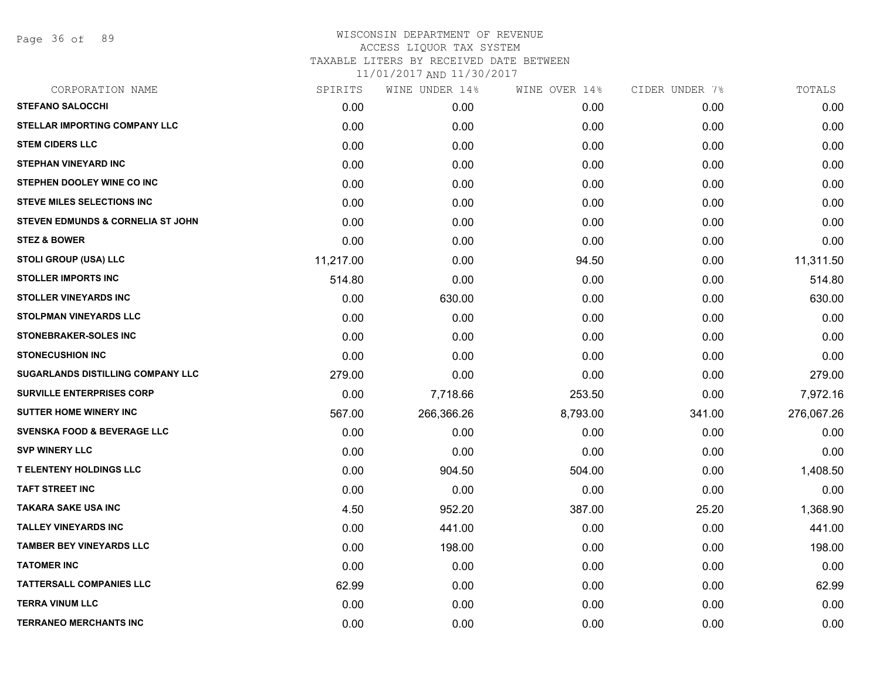Page 36 of 89

# WISCONSIN DEPARTMENT OF REVENUE ACCESS LIQUOR TAX SYSTEM TAXABLE LITERS BY RECEIVED DATE BETWEEN

| CORPORATION NAME                       | SPIRITS   | WINE UNDER 14% | WINE OVER 14% | CIDER UNDER 7% | TOTALS     |
|----------------------------------------|-----------|----------------|---------------|----------------|------------|
| <b>STEFANO SALOCCHI</b>                | 0.00      | 0.00           | 0.00          | 0.00           | 0.00       |
| <b>STELLAR IMPORTING COMPANY LLC</b>   | 0.00      | 0.00           | 0.00          | 0.00           | 0.00       |
| <b>STEM CIDERS LLC</b>                 | 0.00      | 0.00           | 0.00          | 0.00           | 0.00       |
| <b>STEPHAN VINEYARD INC</b>            | 0.00      | 0.00           | 0.00          | 0.00           | 0.00       |
| STEPHEN DOOLEY WINE CO INC             | 0.00      | 0.00           | 0.00          | 0.00           | 0.00       |
| <b>STEVE MILES SELECTIONS INC</b>      | 0.00      | 0.00           | 0.00          | 0.00           | 0.00       |
| STEVEN EDMUNDS & CORNELIA ST JOHN      | 0.00      | 0.00           | 0.00          | 0.00           | 0.00       |
| <b>STEZ &amp; BOWER</b>                | 0.00      | 0.00           | 0.00          | 0.00           | 0.00       |
| <b>STOLI GROUP (USA) LLC</b>           | 11,217.00 | 0.00           | 94.50         | 0.00           | 11,311.50  |
| <b>STOLLER IMPORTS INC</b>             | 514.80    | 0.00           | 0.00          | 0.00           | 514.80     |
| <b>STOLLER VINEYARDS INC</b>           | 0.00      | 630.00         | 0.00          | 0.00           | 630.00     |
| STOLPMAN VINEYARDS LLC                 | 0.00      | 0.00           | 0.00          | 0.00           | 0.00       |
| <b>STONEBRAKER-SOLES INC</b>           | 0.00      | 0.00           | 0.00          | 0.00           | 0.00       |
| <b>STONECUSHION INC</b>                | 0.00      | 0.00           | 0.00          | 0.00           | 0.00       |
| SUGARLANDS DISTILLING COMPANY LLC      | 279.00    | 0.00           | 0.00          | 0.00           | 279.00     |
| <b>SURVILLE ENTERPRISES CORP</b>       | 0.00      | 7,718.66       | 253.50        | 0.00           | 7,972.16   |
| <b>SUTTER HOME WINERY INC</b>          | 567.00    | 266,366.26     | 8,793.00      | 341.00         | 276,067.26 |
| <b>SVENSKA FOOD &amp; BEVERAGE LLC</b> | 0.00      | 0.00           | 0.00          | 0.00           | 0.00       |
| <b>SVP WINERY LLC</b>                  | 0.00      | 0.00           | 0.00          | 0.00           | 0.00       |
| <b>T ELENTENY HOLDINGS LLC</b>         | 0.00      | 904.50         | 504.00        | 0.00           | 1,408.50   |
| <b>TAFT STREET INC</b>                 | 0.00      | 0.00           | 0.00          | 0.00           | 0.00       |
| <b>TAKARA SAKE USA INC</b>             | 4.50      | 952.20         | 387.00        | 25.20          | 1,368.90   |
| <b>TALLEY VINEYARDS INC</b>            | 0.00      | 441.00         | 0.00          | 0.00           | 441.00     |
| <b>TAMBER BEY VINEYARDS LLC</b>        | 0.00      | 198.00         | 0.00          | 0.00           | 198.00     |
| <b>TATOMER INC</b>                     | 0.00      | 0.00           | 0.00          | 0.00           | 0.00       |
| <b>TATTERSALL COMPANIES LLC</b>        | 62.99     | 0.00           | 0.00          | 0.00           | 62.99      |
| <b>TERRA VINUM LLC</b>                 | 0.00      | 0.00           | 0.00          | 0.00           | 0.00       |
| <b>TERRANEO MERCHANTS INC</b>          | 0.00      | 0.00           | 0.00          | 0.00           | 0.00       |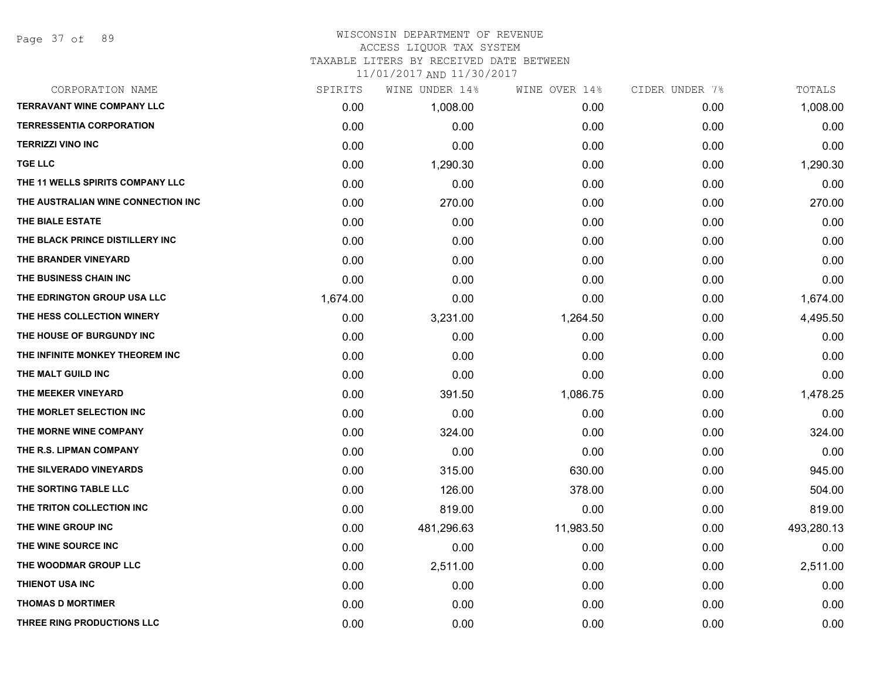#### WISCONSIN DEPARTMENT OF REVENUE ACCESS LIQUOR TAX SYSTEM

TAXABLE LITERS BY RECEIVED DATE BETWEEN

| CORPORATION NAME                   | SPIRITS  | WINE UNDER 14% | WINE OVER 14% | CIDER UNDER 7% | TOTALS     |
|------------------------------------|----------|----------------|---------------|----------------|------------|
| <b>TERRAVANT WINE COMPANY LLC</b>  | 0.00     | 1,008.00       | 0.00          | 0.00           | 1,008.00   |
| <b>TERRESSENTIA CORPORATION</b>    | 0.00     | 0.00           | 0.00          | 0.00           | 0.00       |
| <b>TERRIZZI VINO INC</b>           | 0.00     | 0.00           | 0.00          | 0.00           | 0.00       |
| <b>TGE LLC</b>                     | 0.00     | 1,290.30       | 0.00          | 0.00           | 1,290.30   |
| THE 11 WELLS SPIRITS COMPANY LLC   | 0.00     | 0.00           | 0.00          | 0.00           | 0.00       |
| THE AUSTRALIAN WINE CONNECTION INC | 0.00     | 270.00         | 0.00          | 0.00           | 270.00     |
| THE BIALE ESTATE                   | 0.00     | 0.00           | 0.00          | 0.00           | 0.00       |
| THE BLACK PRINCE DISTILLERY INC    | 0.00     | 0.00           | 0.00          | 0.00           | 0.00       |
| THE BRANDER VINEYARD               | 0.00     | 0.00           | 0.00          | 0.00           | 0.00       |
| THE BUSINESS CHAIN INC             | 0.00     | 0.00           | 0.00          | 0.00           | 0.00       |
| THE EDRINGTON GROUP USA LLC        | 1,674.00 | 0.00           | 0.00          | 0.00           | 1,674.00   |
| THE HESS COLLECTION WINERY         | 0.00     | 3,231.00       | 1,264.50      | 0.00           | 4,495.50   |
| THE HOUSE OF BURGUNDY INC          | 0.00     | 0.00           | 0.00          | 0.00           | 0.00       |
| THE INFINITE MONKEY THEOREM INC    | 0.00     | 0.00           | 0.00          | 0.00           | 0.00       |
| THE MALT GUILD INC                 | 0.00     | 0.00           | 0.00          | 0.00           | 0.00       |
| THE MEEKER VINEYARD                | 0.00     | 391.50         | 1,086.75      | 0.00           | 1,478.25   |
| THE MORLET SELECTION INC           | 0.00     | 0.00           | 0.00          | 0.00           | 0.00       |
| THE MORNE WINE COMPANY             | 0.00     | 324.00         | 0.00          | 0.00           | 324.00     |
| THE R.S. LIPMAN COMPANY            | 0.00     | 0.00           | 0.00          | 0.00           | 0.00       |
| THE SILVERADO VINEYARDS            | 0.00     | 315.00         | 630.00        | 0.00           | 945.00     |
| THE SORTING TABLE LLC              | 0.00     | 126.00         | 378.00        | 0.00           | 504.00     |
| THE TRITON COLLECTION INC          | 0.00     | 819.00         | 0.00          | 0.00           | 819.00     |
| THE WINE GROUP INC                 | 0.00     | 481,296.63     | 11,983.50     | 0.00           | 493,280.13 |
| THE WINE SOURCE INC                | 0.00     | 0.00           | 0.00          | 0.00           | 0.00       |
| THE WOODMAR GROUP LLC              | 0.00     | 2,511.00       | 0.00          | 0.00           | 2,511.00   |
| THIENOT USA INC                    | 0.00     | 0.00           | 0.00          | 0.00           | 0.00       |
| <b>THOMAS D MORTIMER</b>           | 0.00     | 0.00           | 0.00          | 0.00           | 0.00       |
| THREE RING PRODUCTIONS LLC         | 0.00     | 0.00           | 0.00          | 0.00           | 0.00       |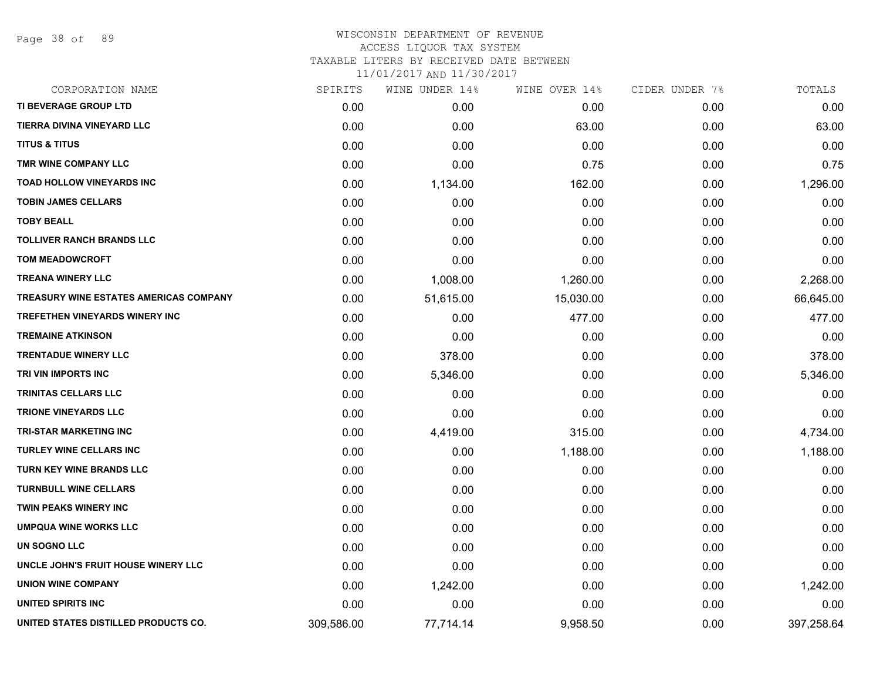Page 38 of 89

## WISCONSIN DEPARTMENT OF REVENUE ACCESS LIQUOR TAX SYSTEM TAXABLE LITERS BY RECEIVED DATE BETWEEN

| CORPORATION NAME                              | SPIRITS    | WINE UNDER 14% | WINE OVER 14% | CIDER UNDER 7% | TOTALS     |
|-----------------------------------------------|------------|----------------|---------------|----------------|------------|
| TI BEVERAGE GROUP LTD                         | 0.00       | 0.00           | 0.00          | 0.00           | 0.00       |
| <b>TIERRA DIVINA VINEYARD LLC</b>             | 0.00       | 0.00           | 63.00         | 0.00           | 63.00      |
| <b>TITUS &amp; TITUS</b>                      | 0.00       | 0.00           | 0.00          | 0.00           | 0.00       |
| TMR WINE COMPANY LLC                          | 0.00       | 0.00           | 0.75          | 0.00           | 0.75       |
| <b>TOAD HOLLOW VINEYARDS INC</b>              | 0.00       | 1,134.00       | 162.00        | 0.00           | 1,296.00   |
| <b>TOBIN JAMES CELLARS</b>                    | 0.00       | 0.00           | 0.00          | 0.00           | 0.00       |
| <b>TOBY BEALL</b>                             | 0.00       | 0.00           | 0.00          | 0.00           | 0.00       |
| <b>TOLLIVER RANCH BRANDS LLC</b>              | 0.00       | 0.00           | 0.00          | 0.00           | 0.00       |
| <b>TOM MEADOWCROFT</b>                        | 0.00       | 0.00           | 0.00          | 0.00           | 0.00       |
| <b>TREANA WINERY LLC</b>                      | 0.00       | 1,008.00       | 1,260.00      | 0.00           | 2,268.00   |
| <b>TREASURY WINE ESTATES AMERICAS COMPANY</b> | 0.00       | 51,615.00      | 15,030.00     | 0.00           | 66,645.00  |
| <b>TREFETHEN VINEYARDS WINERY INC</b>         | 0.00       | 0.00           | 477.00        | 0.00           | 477.00     |
| <b>TREMAINE ATKINSON</b>                      | 0.00       | 0.00           | 0.00          | 0.00           | 0.00       |
| <b>TRENTADUE WINERY LLC</b>                   | 0.00       | 378.00         | 0.00          | 0.00           | 378.00     |
| TRI VIN IMPORTS INC                           | 0.00       | 5,346.00       | 0.00          | 0.00           | 5,346.00   |
| <b>TRINITAS CELLARS LLC</b>                   | 0.00       | 0.00           | 0.00          | 0.00           | 0.00       |
| <b>TRIONE VINEYARDS LLC</b>                   | 0.00       | 0.00           | 0.00          | 0.00           | 0.00       |
| <b>TRI-STAR MARKETING INC</b>                 | 0.00       | 4,419.00       | 315.00        | 0.00           | 4,734.00   |
| <b>TURLEY WINE CELLARS INC</b>                | 0.00       | 0.00           | 1,188.00      | 0.00           | 1,188.00   |
| TURN KEY WINE BRANDS LLC                      | 0.00       | 0.00           | 0.00          | 0.00           | 0.00       |
| <b>TURNBULL WINE CELLARS</b>                  | 0.00       | 0.00           | 0.00          | 0.00           | 0.00       |
| TWIN PEAKS WINERY INC                         | 0.00       | 0.00           | 0.00          | 0.00           | 0.00       |
| <b>UMPQUA WINE WORKS LLC</b>                  | 0.00       | 0.00           | 0.00          | 0.00           | 0.00       |
| <b>UN SOGNO LLC</b>                           | 0.00       | 0.00           | 0.00          | 0.00           | 0.00       |
| UNCLE JOHN'S FRUIT HOUSE WINERY LLC           | 0.00       | 0.00           | 0.00          | 0.00           | 0.00       |
| <b>UNION WINE COMPANY</b>                     | 0.00       | 1,242.00       | 0.00          | 0.00           | 1,242.00   |
| UNITED SPIRITS INC                            | 0.00       | 0.00           | 0.00          | 0.00           | 0.00       |
| UNITED STATES DISTILLED PRODUCTS CO.          | 309,586.00 | 77,714.14      | 9,958.50      | 0.00           | 397,258.64 |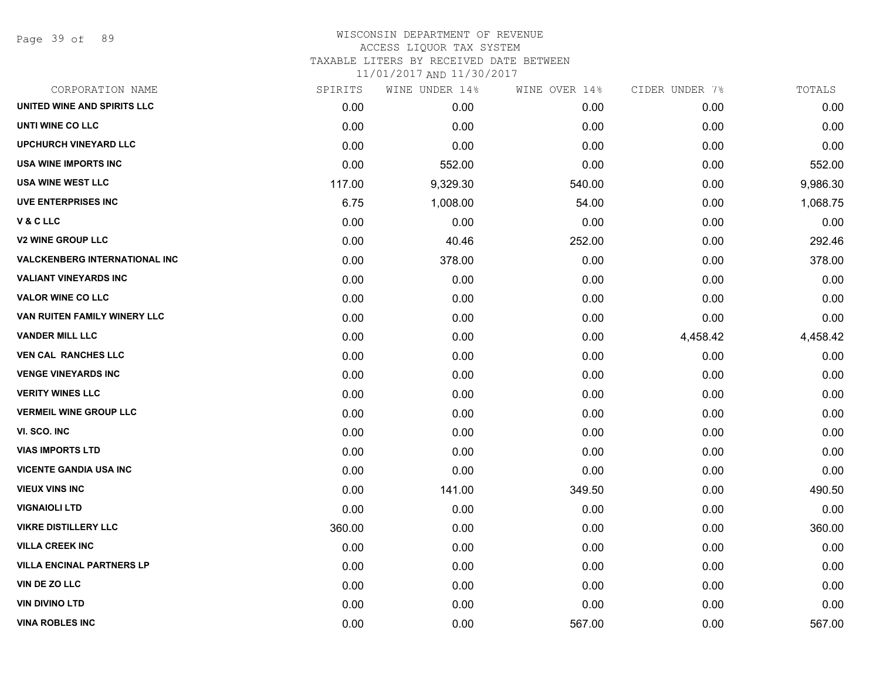Page 39 of 89

### WISCONSIN DEPARTMENT OF REVENUE ACCESS LIQUOR TAX SYSTEM TAXABLE LITERS BY RECEIVED DATE BETWEEN

| CORPORATION NAME                     | SPIRITS | WINE UNDER 14% | WINE OVER 14% | CIDER UNDER 7% | TOTALS   |
|--------------------------------------|---------|----------------|---------------|----------------|----------|
| UNITED WINE AND SPIRITS LLC          | 0.00    | 0.00           | 0.00          | 0.00           | 0.00     |
| UNTI WINE CO LLC                     | 0.00    | 0.00           | 0.00          | 0.00           | 0.00     |
| <b>UPCHURCH VINEYARD LLC</b>         | 0.00    | 0.00           | 0.00          | 0.00           | 0.00     |
| USA WINE IMPORTS INC                 | 0.00    | 552.00         | 0.00          | 0.00           | 552.00   |
| <b>USA WINE WEST LLC</b>             | 117.00  | 9,329.30       | 540.00        | 0.00           | 9,986.30 |
| UVE ENTERPRISES INC                  | 6.75    | 1,008.00       | 54.00         | 0.00           | 1,068.75 |
| V & C LLC                            | 0.00    | 0.00           | 0.00          | 0.00           | 0.00     |
| <b>V2 WINE GROUP LLC</b>             | 0.00    | 40.46          | 252.00        | 0.00           | 292.46   |
| <b>VALCKENBERG INTERNATIONAL INC</b> | 0.00    | 378.00         | 0.00          | 0.00           | 378.00   |
| <b>VALIANT VINEYARDS INC</b>         | 0.00    | 0.00           | 0.00          | 0.00           | 0.00     |
| <b>VALOR WINE CO LLC</b>             | 0.00    | 0.00           | 0.00          | 0.00           | 0.00     |
| VAN RUITEN FAMILY WINERY LLC         | 0.00    | 0.00           | 0.00          | 0.00           | 0.00     |
| <b>VANDER MILL LLC</b>               | 0.00    | 0.00           | 0.00          | 4,458.42       | 4,458.42 |
| <b>VEN CAL RANCHES LLC</b>           | 0.00    | 0.00           | 0.00          | 0.00           | 0.00     |
| <b>VENGE VINEYARDS INC</b>           | 0.00    | 0.00           | 0.00          | 0.00           | 0.00     |
| <b>VERITY WINES LLC</b>              | 0.00    | 0.00           | 0.00          | 0.00           | 0.00     |
| <b>VERMEIL WINE GROUP LLC</b>        | 0.00    | 0.00           | 0.00          | 0.00           | 0.00     |
| VI. SCO. INC                         | 0.00    | 0.00           | 0.00          | 0.00           | 0.00     |
| <b>VIAS IMPORTS LTD</b>              | 0.00    | 0.00           | 0.00          | 0.00           | 0.00     |
| <b>VICENTE GANDIA USA INC</b>        | 0.00    | 0.00           | 0.00          | 0.00           | 0.00     |
| <b>VIEUX VINS INC</b>                | 0.00    | 141.00         | 349.50        | 0.00           | 490.50   |
| <b>VIGNAIOLI LTD</b>                 | 0.00    | 0.00           | 0.00          | 0.00           | 0.00     |
| <b>VIKRE DISTILLERY LLC</b>          | 360.00  | 0.00           | 0.00          | 0.00           | 360.00   |
| <b>VILLA CREEK INC</b>               | 0.00    | 0.00           | 0.00          | 0.00           | 0.00     |
| <b>VILLA ENCINAL PARTNERS LP</b>     | 0.00    | 0.00           | 0.00          | 0.00           | 0.00     |
| VIN DE ZO LLC                        | 0.00    | 0.00           | 0.00          | 0.00           | 0.00     |
| <b>VIN DIVINO LTD</b>                | 0.00    | 0.00           | 0.00          | 0.00           | 0.00     |
| <b>VINA ROBLES INC</b>               | 0.00    | 0.00           | 567.00        | 0.00           | 567.00   |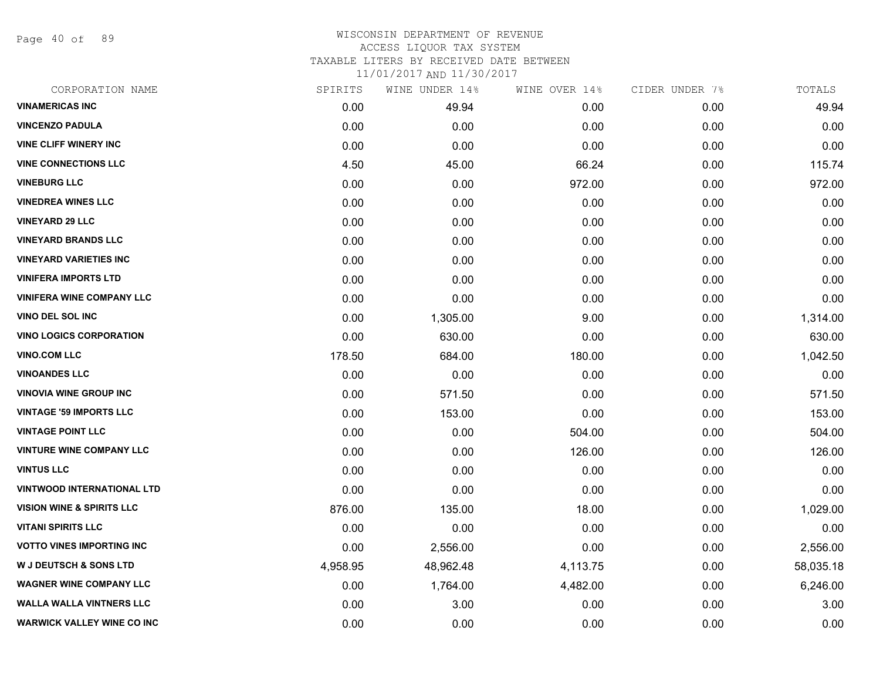Page 40 of 89

### WISCONSIN DEPARTMENT OF REVENUE ACCESS LIQUOR TAX SYSTEM TAXABLE LITERS BY RECEIVED DATE BETWEEN

| CORPORATION NAME                     | SPIRITS  | WINE UNDER 14% | WINE OVER 14% | CIDER UNDER 7% | TOTALS    |
|--------------------------------------|----------|----------------|---------------|----------------|-----------|
| <b>VINAMERICAS INC</b>               | 0.00     | 49.94          | 0.00          | 0.00           | 49.94     |
| <b>VINCENZO PADULA</b>               | 0.00     | 0.00           | 0.00          | 0.00           | 0.00      |
| <b>VINE CLIFF WINERY INC</b>         | 0.00     | 0.00           | 0.00          | 0.00           | 0.00      |
| <b>VINE CONNECTIONS LLC</b>          | 4.50     | 45.00          | 66.24         | 0.00           | 115.74    |
| <b>VINEBURG LLC</b>                  | 0.00     | 0.00           | 972.00        | 0.00           | 972.00    |
| <b>VINEDREA WINES LLC</b>            | 0.00     | 0.00           | 0.00          | 0.00           | 0.00      |
| <b>VINEYARD 29 LLC</b>               | 0.00     | 0.00           | 0.00          | 0.00           | 0.00      |
| <b>VINEYARD BRANDS LLC</b>           | 0.00     | 0.00           | 0.00          | 0.00           | 0.00      |
| <b>VINEYARD VARIETIES INC</b>        | 0.00     | 0.00           | 0.00          | 0.00           | 0.00      |
| <b>VINIFERA IMPORTS LTD</b>          | 0.00     | 0.00           | 0.00          | 0.00           | 0.00      |
| <b>VINIFERA WINE COMPANY LLC</b>     | 0.00     | 0.00           | 0.00          | 0.00           | 0.00      |
| <b>VINO DEL SOL INC</b>              | 0.00     | 1,305.00       | 9.00          | 0.00           | 1,314.00  |
| <b>VINO LOGICS CORPORATION</b>       | 0.00     | 630.00         | 0.00          | 0.00           | 630.00    |
| <b>VINO.COM LLC</b>                  | 178.50   | 684.00         | 180.00        | 0.00           | 1,042.50  |
| <b>VINOANDES LLC</b>                 | 0.00     | 0.00           | 0.00          | 0.00           | 0.00      |
| <b>VINOVIA WINE GROUP INC</b>        | 0.00     | 571.50         | 0.00          | 0.00           | 571.50    |
| <b>VINTAGE '59 IMPORTS LLC</b>       | 0.00     | 153.00         | 0.00          | 0.00           | 153.00    |
| <b>VINTAGE POINT LLC</b>             | 0.00     | 0.00           | 504.00        | 0.00           | 504.00    |
| <b>VINTURE WINE COMPANY LLC</b>      | 0.00     | 0.00           | 126.00        | 0.00           | 126.00    |
| <b>VINTUS LLC</b>                    | 0.00     | 0.00           | 0.00          | 0.00           | 0.00      |
| <b>VINTWOOD INTERNATIONAL LTD</b>    | 0.00     | 0.00           | 0.00          | 0.00           | 0.00      |
| <b>VISION WINE &amp; SPIRITS LLC</b> | 876.00   | 135.00         | 18.00         | 0.00           | 1,029.00  |
| <b>VITANI SPIRITS LLC</b>            | 0.00     | 0.00           | 0.00          | 0.00           | 0.00      |
| <b>VOTTO VINES IMPORTING INC.</b>    | 0.00     | 2,556.00       | 0.00          | 0.00           | 2,556.00  |
| <b>W J DEUTSCH &amp; SONS LTD</b>    | 4,958.95 | 48,962.48      | 4,113.75      | 0.00           | 58,035.18 |
| <b>WAGNER WINE COMPANY LLC</b>       | 0.00     | 1,764.00       | 4,482.00      | 0.00           | 6,246.00  |
| <b>WALLA WALLA VINTNERS LLC</b>      | 0.00     | 3.00           | 0.00          | 0.00           | 3.00      |
| <b>WARWICK VALLEY WINE CO INC</b>    | 0.00     | 0.00           | 0.00          | 0.00           | 0.00      |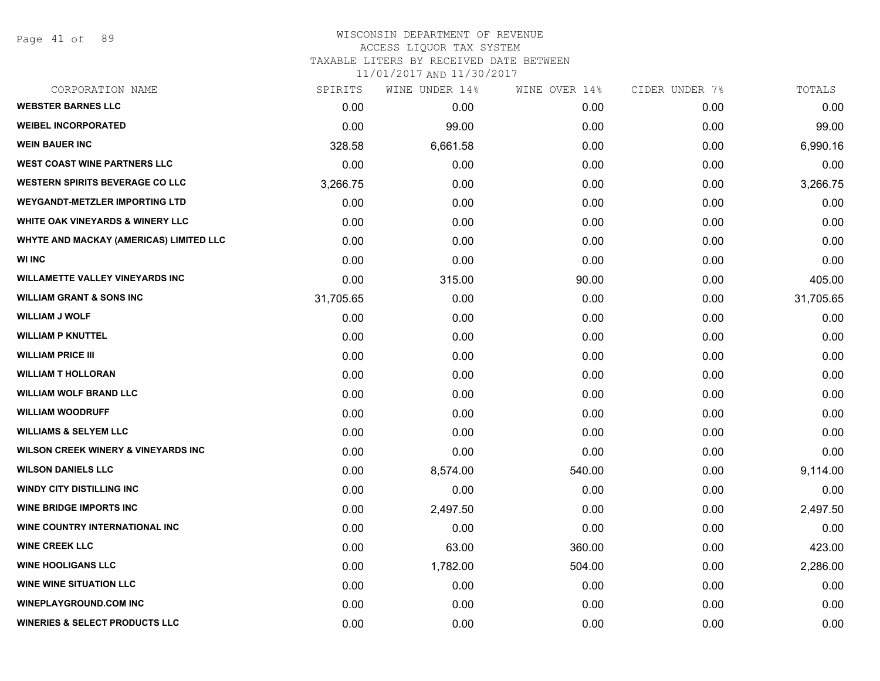Page 41 of 89

### WISCONSIN DEPARTMENT OF REVENUE ACCESS LIQUOR TAX SYSTEM TAXABLE LITERS BY RECEIVED DATE BETWEEN

| CORPORATION NAME                               | SPIRITS   | WINE UNDER 14% | WINE OVER 14% | CIDER UNDER 7% | TOTALS    |
|------------------------------------------------|-----------|----------------|---------------|----------------|-----------|
| <b>WEBSTER BARNES LLC</b>                      | 0.00      | 0.00           | 0.00          | 0.00           | 0.00      |
| <b>WEIBEL INCORPORATED</b>                     | 0.00      | 99.00          | 0.00          | 0.00           | 99.00     |
| <b>WEIN BAUER INC</b>                          | 328.58    | 6,661.58       | 0.00          | 0.00           | 6,990.16  |
| <b>WEST COAST WINE PARTNERS LLC</b>            | 0.00      | 0.00           | 0.00          | 0.00           | 0.00      |
| <b>WESTERN SPIRITS BEVERAGE CO LLC</b>         | 3,266.75  | 0.00           | 0.00          | 0.00           | 3,266.75  |
| <b>WEYGANDT-METZLER IMPORTING LTD</b>          | 0.00      | 0.00           | 0.00          | 0.00           | 0.00      |
| WHITE OAK VINEYARDS & WINERY LLC               | 0.00      | 0.00           | 0.00          | 0.00           | 0.00      |
| WHYTE AND MACKAY (AMERICAS) LIMITED LLC        | 0.00      | 0.00           | 0.00          | 0.00           | 0.00      |
| <b>WI INC</b>                                  | 0.00      | 0.00           | 0.00          | 0.00           | 0.00      |
| <b>WILLAMETTE VALLEY VINEYARDS INC</b>         | 0.00      | 315.00         | 90.00         | 0.00           | 405.00    |
| <b>WILLIAM GRANT &amp; SONS INC</b>            | 31,705.65 | 0.00           | 0.00          | 0.00           | 31,705.65 |
| <b>WILLIAM J WOLF</b>                          | 0.00      | 0.00           | 0.00          | 0.00           | 0.00      |
| <b>WILLIAM P KNUTTEL</b>                       | 0.00      | 0.00           | 0.00          | 0.00           | 0.00      |
| <b>WILLIAM PRICE III</b>                       | 0.00      | 0.00           | 0.00          | 0.00           | 0.00      |
| <b>WILLIAM T HOLLORAN</b>                      | 0.00      | 0.00           | 0.00          | 0.00           | 0.00      |
| <b>WILLIAM WOLF BRAND LLC</b>                  | 0.00      | 0.00           | 0.00          | 0.00           | 0.00      |
| <b>WILLIAM WOODRUFF</b>                        | 0.00      | 0.00           | 0.00          | 0.00           | 0.00      |
| <b>WILLIAMS &amp; SELYEM LLC</b>               | 0.00      | 0.00           | 0.00          | 0.00           | 0.00      |
| <b>WILSON CREEK WINERY &amp; VINEYARDS INC</b> | 0.00      | 0.00           | 0.00          | 0.00           | 0.00      |
| <b>WILSON DANIELS LLC</b>                      | 0.00      | 8,574.00       | 540.00        | 0.00           | 9,114.00  |
| <b>WINDY CITY DISTILLING INC</b>               | 0.00      | 0.00           | 0.00          | 0.00           | 0.00      |
| <b>WINE BRIDGE IMPORTS INC</b>                 | 0.00      | 2,497.50       | 0.00          | 0.00           | 2,497.50  |
| WINE COUNTRY INTERNATIONAL INC                 | 0.00      | 0.00           | 0.00          | 0.00           | 0.00      |
| <b>WINE CREEK LLC</b>                          | 0.00      | 63.00          | 360.00        | 0.00           | 423.00    |
| <b>WINE HOOLIGANS LLC</b>                      | 0.00      | 1,782.00       | 504.00        | 0.00           | 2,286.00  |
| <b>WINE WINE SITUATION LLC</b>                 | 0.00      | 0.00           | 0.00          | 0.00           | 0.00      |
| <b>WINEPLAYGROUND.COM INC</b>                  | 0.00      | 0.00           | 0.00          | 0.00           | 0.00      |
| <b>WINERIES &amp; SELECT PRODUCTS LLC</b>      | 0.00      | 0.00           | 0.00          | 0.00           | 0.00      |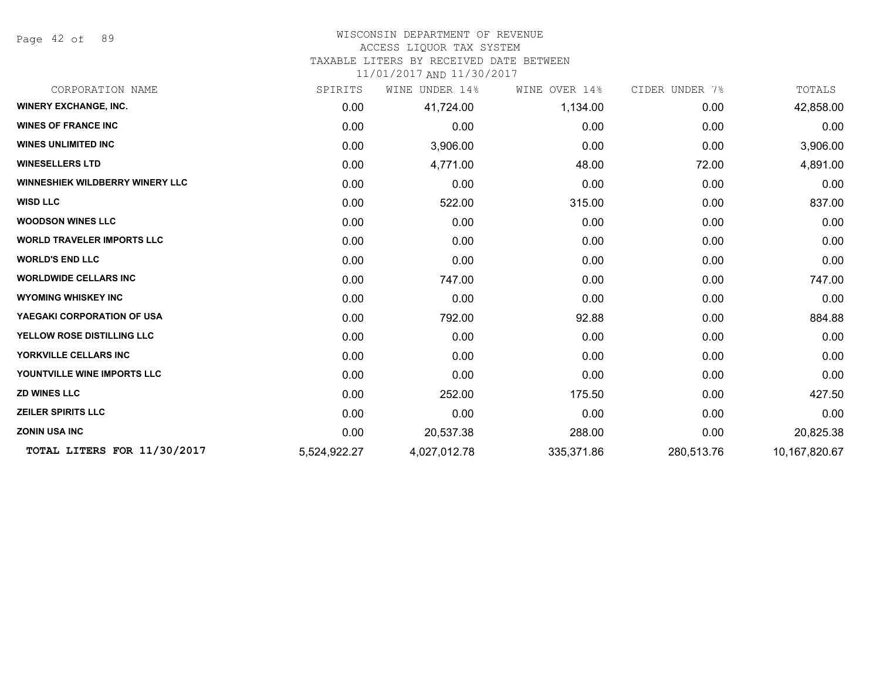Page 42 of 89

# WISCONSIN DEPARTMENT OF REVENUE

## ACCESS LIQUOR TAX SYSTEM

TAXABLE LITERS BY RECEIVED DATE BETWEEN

| CORPORATION NAME                       | SPIRITS      | WINE<br>UNDER 14% | WINE OVER 14% | CIDER UNDER 7% | TOTALS        |
|----------------------------------------|--------------|-------------------|---------------|----------------|---------------|
| <b>WINERY EXCHANGE, INC.</b>           | 0.00         | 41,724.00         | 1,134.00      | 0.00           | 42,858.00     |
| <b>WINES OF FRANCE INC.</b>            | 0.00         | 0.00              | 0.00          | 0.00           | 0.00          |
| <b>WINES UNLIMITED INC</b>             | 0.00         | 3,906.00          | 0.00          | 0.00           | 3,906.00      |
| <b>WINESELLERS LTD</b>                 | 0.00         | 4,771.00          | 48.00         | 72.00          | 4,891.00      |
| <b>WINNESHIEK WILDBERRY WINERY LLC</b> | 0.00         | 0.00              | 0.00          | 0.00           | 0.00          |
| <b>WISD LLC</b>                        | 0.00         | 522.00            | 315.00        | 0.00           | 837.00        |
| <b>WOODSON WINES LLC</b>               | 0.00         | 0.00              | 0.00          | 0.00           | 0.00          |
| <b>WORLD TRAVELER IMPORTS LLC</b>      | 0.00         | 0.00              | 0.00          | 0.00           | 0.00          |
| <b>WORLD'S END LLC</b>                 | 0.00         | 0.00              | 0.00          | 0.00           | 0.00          |
| <b>WORLDWIDE CELLARS INC</b>           | 0.00         | 747.00            | 0.00          | 0.00           | 747.00        |
| <b>WYOMING WHISKEY INC</b>             | 0.00         | 0.00              | 0.00          | 0.00           | 0.00          |
| YAEGAKI CORPORATION OF USA             | 0.00         | 792.00            | 92.88         | 0.00           | 884.88        |
| YELLOW ROSE DISTILLING LLC             | 0.00         | 0.00              | 0.00          | 0.00           | 0.00          |
| YORKVILLE CELLARS INC                  | 0.00         | 0.00              | 0.00          | 0.00           | 0.00          |
| YOUNTVILLE WINE IMPORTS LLC            | 0.00         | 0.00              | 0.00          | 0.00           | 0.00          |
| <b>ZD WINES LLC</b>                    | 0.00         | 252.00            | 175.50        | 0.00           | 427.50        |
| <b>ZEILER SPIRITS LLC</b>              | 0.00         | 0.00              | 0.00          | 0.00           | 0.00          |
| <b>ZONIN USA INC</b>                   | 0.00         | 20,537.38         | 288.00        | 0.00           | 20,825.38     |
| TOTAL LITERS FOR 11/30/2017            | 5,524,922.27 | 4,027,012.78      | 335,371.86    | 280,513.76     | 10,167,820.67 |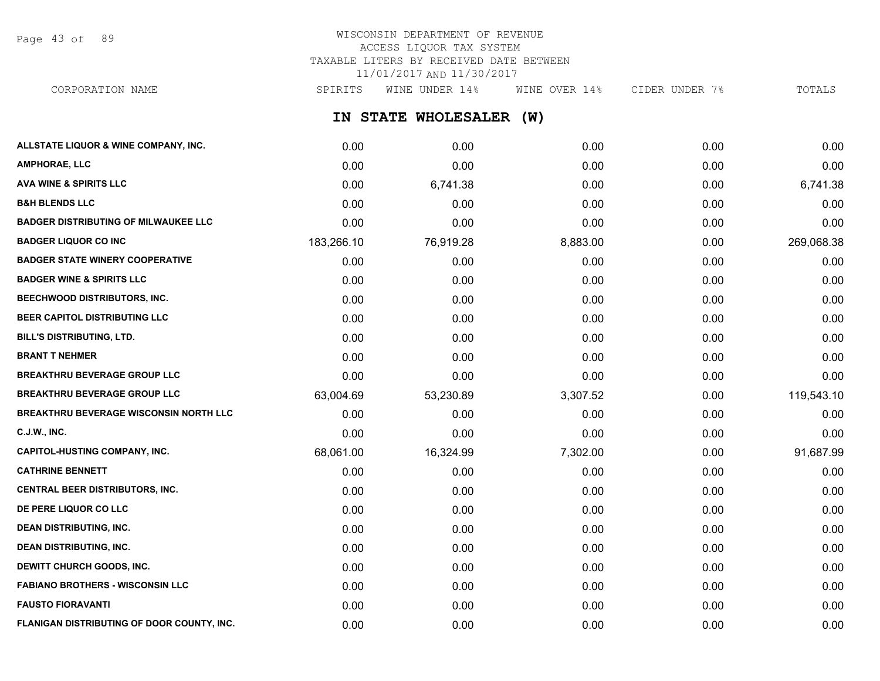Page 43 of 89

# WISCONSIN DEPARTMENT OF REVENUE ACCESS LIQUOR TAX SYSTEM TAXABLE LITERS BY RECEIVED DATE BETWEEN 11/01/2017 AND 11/30/2017

**IN STATE WHOLESALER (W) ALLSTATE LIQUOR & WINE COMPANY, INC.** 0.00 0.00 0.00 0.00 0.00 **AMPHORAE, LLC** 0.00 0.00 0.00 0.00 0.00 **AVA WINE & SPIRITS LLC** 0.00 6,741.38 0.00 0.00 6,741.38 **B&H BLENDS LLC** 0.00 0.00 0.00 0.00 0.00 **BADGER DISTRIBUTING OF MILWAUKEE LLC** 0.00 0.00 0.00 0.00 0.00 BADGER LIQUOR CO INC 183,266.10 76,919.28 8,883.00 269,068.38 **BADGER STATE WINERY COOPERATIVE** 0.00 0.00 0.00 0.00 0.00 CORPORATION NAME SPIRITS WINE UNDER 14% WINE OVER 14% CIDER UNDER 7% TOTALS

| <b>BADGER WINE &amp; SPIRITS LLC</b>              | 0.00      | 0.00      | 0.00     | 0.00 | 0.00       |
|---------------------------------------------------|-----------|-----------|----------|------|------------|
| <b>BEECHWOOD DISTRIBUTORS, INC.</b>               | 0.00      | 0.00      | 0.00     | 0.00 | 0.00       |
| <b>BEER CAPITOL DISTRIBUTING LLC</b>              | 0.00      | 0.00      | 0.00     | 0.00 | 0.00       |
| <b>BILL'S DISTRIBUTING, LTD.</b>                  | 0.00      | 0.00      | 0.00     | 0.00 | 0.00       |
| <b>BRANT T NEHMER</b>                             | 0.00      | 0.00      | 0.00     | 0.00 | 0.00       |
| <b>BREAKTHRU BEVERAGE GROUP LLC</b>               | 0.00      | 0.00      | 0.00     | 0.00 | 0.00       |
| <b>BREAKTHRU BEVERAGE GROUP LLC</b>               | 63,004.69 | 53,230.89 | 3,307.52 | 0.00 | 119,543.10 |
| <b>BREAKTHRU BEVERAGE WISCONSIN NORTH LLC</b>     | 0.00      | 0.00      | 0.00     | 0.00 | 0.00       |
| <b>C.J.W., INC.</b>                               | 0.00      | 0.00      | 0.00     | 0.00 | 0.00       |
| <b>CAPITOL-HUSTING COMPANY, INC.</b>              | 68,061.00 | 16,324.99 | 7,302.00 | 0.00 | 91,687.99  |
| <b>CATHRINE BENNETT</b>                           | 0.00      | 0.00      | 0.00     | 0.00 | 0.00       |
| CENTRAL BEER DISTRIBUTORS, INC.                   | 0.00      | 0.00      | 0.00     | 0.00 | 0.00       |
| DE PERE LIQUOR CO LLC                             | 0.00      | 0.00      | 0.00     | 0.00 | 0.00       |
| <b>DEAN DISTRIBUTING, INC.</b>                    | 0.00      | 0.00      | 0.00     | 0.00 | 0.00       |
| <b>DEAN DISTRIBUTING, INC.</b>                    | 0.00      | 0.00      | 0.00     | 0.00 | 0.00       |
| <b>DEWITT CHURCH GOODS, INC.</b>                  | 0.00      | 0.00      | 0.00     | 0.00 | 0.00       |
| <b>FABIANO BROTHERS - WISCONSIN LLC</b>           | 0.00      | 0.00      | 0.00     | 0.00 | 0.00       |
| <b>FAUSTO FIORAVANTI</b>                          | 0.00      | 0.00      | 0.00     | 0.00 | 0.00       |
| <b>FLANIGAN DISTRIBUTING OF DOOR COUNTY, INC.</b> | 0.00      | 0.00      | 0.00     | 0.00 | 0.00       |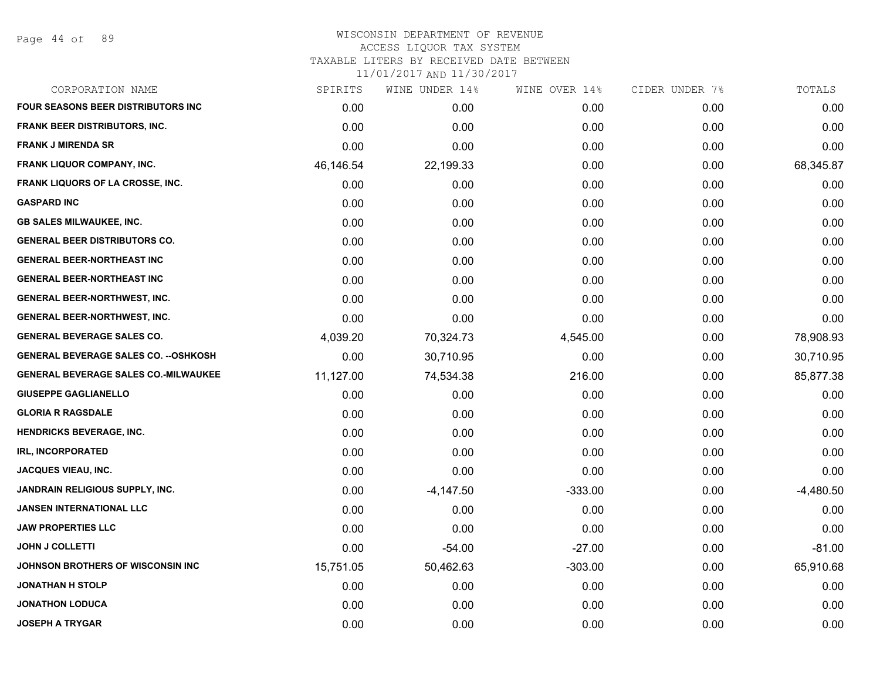Page 44 of 89

# WISCONSIN DEPARTMENT OF REVENUE ACCESS LIQUOR TAX SYSTEM TAXABLE LITERS BY RECEIVED DATE BETWEEN

| CORPORATION NAME                             | SPIRITS   | WINE UNDER 14% | WINE OVER 14% | CIDER UNDER 7% | TOTALS      |
|----------------------------------------------|-----------|----------------|---------------|----------------|-------------|
| <b>FOUR SEASONS BEER DISTRIBUTORS INC</b>    | 0.00      | 0.00           | 0.00          | 0.00           | 0.00        |
| <b>FRANK BEER DISTRIBUTORS, INC.</b>         | 0.00      | 0.00           | 0.00          | 0.00           | 0.00        |
| <b>FRANK J MIRENDA SR</b>                    | 0.00      | 0.00           | 0.00          | 0.00           | 0.00        |
| <b>FRANK LIQUOR COMPANY, INC.</b>            | 46,146.54 | 22,199.33      | 0.00          | 0.00           | 68,345.87   |
| FRANK LIQUORS OF LA CROSSE, INC.             | 0.00      | 0.00           | 0.00          | 0.00           | 0.00        |
| <b>GASPARD INC</b>                           | 0.00      | 0.00           | 0.00          | 0.00           | 0.00        |
| <b>GB SALES MILWAUKEE, INC.</b>              | 0.00      | 0.00           | 0.00          | 0.00           | 0.00        |
| <b>GENERAL BEER DISTRIBUTORS CO.</b>         | 0.00      | 0.00           | 0.00          | 0.00           | 0.00        |
| <b>GENERAL BEER-NORTHEAST INC</b>            | 0.00      | 0.00           | 0.00          | 0.00           | 0.00        |
| <b>GENERAL BEER-NORTHEAST INC</b>            | 0.00      | 0.00           | 0.00          | 0.00           | 0.00        |
| <b>GENERAL BEER-NORTHWEST, INC.</b>          | 0.00      | 0.00           | 0.00          | 0.00           | 0.00        |
| GENERAL BEER-NORTHWEST, INC.                 | 0.00      | 0.00           | 0.00          | 0.00           | 0.00        |
| <b>GENERAL BEVERAGE SALES CO.</b>            | 4,039.20  | 70,324.73      | 4,545.00      | 0.00           | 78,908.93   |
| <b>GENERAL BEVERAGE SALES CO. -- OSHKOSH</b> | 0.00      | 30,710.95      | 0.00          | 0.00           | 30,710.95   |
| GENERAL BEVERAGE SALES CO.-MILWAUKEE         | 11,127.00 | 74,534.38      | 216.00        | 0.00           | 85,877.38   |
| <b>GIUSEPPE GAGLIANELLO</b>                  | 0.00      | 0.00           | 0.00          | 0.00           | 0.00        |
| <b>GLORIA R RAGSDALE</b>                     | 0.00      | 0.00           | 0.00          | 0.00           | 0.00        |
| <b>HENDRICKS BEVERAGE, INC.</b>              | 0.00      | 0.00           | 0.00          | 0.00           | 0.00        |
| IRL, INCORPORATED                            | 0.00      | 0.00           | 0.00          | 0.00           | 0.00        |
| <b>JACQUES VIEAU, INC.</b>                   | 0.00      | 0.00           | 0.00          | 0.00           | 0.00        |
| JANDRAIN RELIGIOUS SUPPLY, INC.              | 0.00      | $-4,147.50$    | $-333.00$     | 0.00           | $-4,480.50$ |
| <b>JANSEN INTERNATIONAL LLC</b>              | 0.00      | 0.00           | 0.00          | 0.00           | 0.00        |
| <b>JAW PROPERTIES LLC</b>                    | 0.00      | 0.00           | 0.00          | 0.00           | 0.00        |
| <b>JOHN J COLLETTI</b>                       | 0.00      | $-54.00$       | $-27.00$      | 0.00           | $-81.00$    |
| <b>JOHNSON BROTHERS OF WISCONSIN INC</b>     | 15,751.05 | 50,462.63      | $-303.00$     | 0.00           | 65,910.68   |
| JONATHAN H STOLP                             | 0.00      | 0.00           | 0.00          | 0.00           | 0.00        |
| <b>JONATHON LODUCA</b>                       | 0.00      | 0.00           | 0.00          | 0.00           | 0.00        |
| <b>JOSEPH A TRYGAR</b>                       | 0.00      | 0.00           | 0.00          | 0.00           | 0.00        |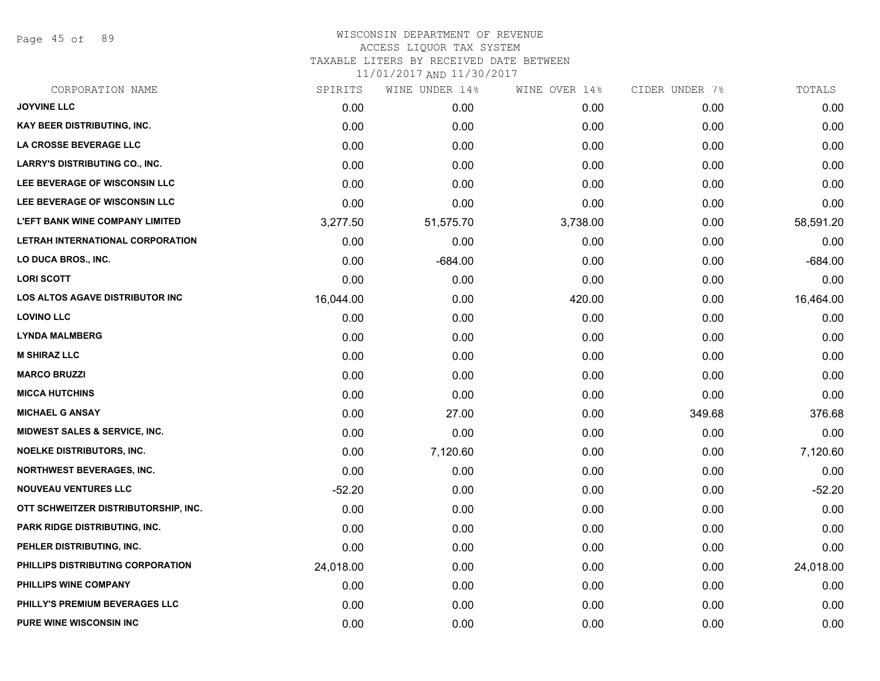Page 45 of 89

| CORPORATION NAME                         | SPIRITS   | WINE UNDER 14% | WINE OVER 14% | CIDER UNDER 7% | TOTALS    |
|------------------------------------------|-----------|----------------|---------------|----------------|-----------|
| <b>JOYVINE LLC</b>                       | 0.00      | 0.00           | 0.00          | 0.00           | 0.00      |
| KAY BEER DISTRIBUTING, INC.              | 0.00      | 0.00           | 0.00          | 0.00           | 0.00      |
| LA CROSSE BEVERAGE LLC                   | 0.00      | 0.00           | 0.00          | 0.00           | 0.00      |
| <b>LARRY'S DISTRIBUTING CO., INC.</b>    | 0.00      | 0.00           | 0.00          | 0.00           | 0.00      |
| LEE BEVERAGE OF WISCONSIN LLC            | 0.00      | 0.00           | 0.00          | 0.00           | 0.00      |
| LEE BEVERAGE OF WISCONSIN LLC            | 0.00      | 0.00           | 0.00          | 0.00           | 0.00      |
| <b>L'EFT BANK WINE COMPANY LIMITED</b>   | 3,277.50  | 51,575.70      | 3,738.00      | 0.00           | 58,591.20 |
| LETRAH INTERNATIONAL CORPORATION         | 0.00      | 0.00           | 0.00          | 0.00           | 0.00      |
| LO DUCA BROS., INC.                      | 0.00      | $-684.00$      | 0.00          | 0.00           | $-684.00$ |
| <b>LORI SCOTT</b>                        | 0.00      | 0.00           | 0.00          | 0.00           | 0.00      |
| <b>LOS ALTOS AGAVE DISTRIBUTOR INC</b>   | 16,044.00 | 0.00           | 420.00        | 0.00           | 16,464.00 |
| <b>LOVINO LLC</b>                        | 0.00      | 0.00           | 0.00          | 0.00           | 0.00      |
| <b>LYNDA MALMBERG</b>                    | 0.00      | 0.00           | 0.00          | 0.00           | 0.00      |
| <b>M SHIRAZ LLC</b>                      | 0.00      | 0.00           | 0.00          | 0.00           | 0.00      |
| <b>MARCO BRUZZI</b>                      | 0.00      | 0.00           | 0.00          | 0.00           | 0.00      |
| <b>MICCA HUTCHINS</b>                    | 0.00      | 0.00           | 0.00          | 0.00           | 0.00      |
| <b>MICHAEL G ANSAY</b>                   | 0.00      | 27.00          | 0.00          | 349.68         | 376.68    |
| <b>MIDWEST SALES &amp; SERVICE, INC.</b> | 0.00      | 0.00           | 0.00          | 0.00           | 0.00      |
| <b>NOELKE DISTRIBUTORS, INC.</b>         | 0.00      | 7,120.60       | 0.00          | 0.00           | 7,120.60  |
| <b>NORTHWEST BEVERAGES, INC.</b>         | 0.00      | 0.00           | 0.00          | 0.00           | 0.00      |
| <b>NOUVEAU VENTURES LLC</b>              | $-52.20$  | 0.00           | 0.00          | 0.00           | $-52.20$  |
| OTT SCHWEITZER DISTRIBUTORSHIP, INC.     | 0.00      | 0.00           | 0.00          | 0.00           | 0.00      |
| <b>PARK RIDGE DISTRIBUTING, INC.</b>     | 0.00      | 0.00           | 0.00          | 0.00           | 0.00      |
| PEHLER DISTRIBUTING, INC.                | 0.00      | 0.00           | 0.00          | 0.00           | 0.00      |
| PHILLIPS DISTRIBUTING CORPORATION        | 24,018.00 | 0.00           | 0.00          | 0.00           | 24,018.00 |
| PHILLIPS WINE COMPANY                    | 0.00      | 0.00           | 0.00          | 0.00           | 0.00      |
| PHILLY'S PREMIUM BEVERAGES LLC           | 0.00      | 0.00           | 0.00          | 0.00           | 0.00      |
| <b>PURE WINE WISCONSIN INC</b>           | 0.00      | 0.00           | 0.00          | 0.00           | 0.00      |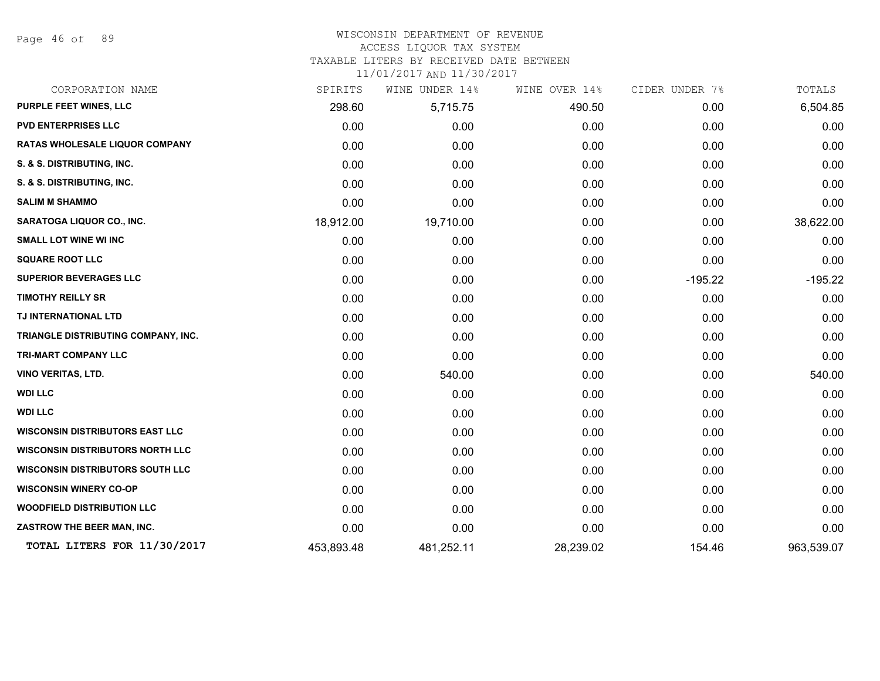Page 46 of 89

# WISCONSIN DEPARTMENT OF REVENUE

#### ACCESS LIQUOR TAX SYSTEM

TAXABLE LITERS BY RECEIVED DATE BETWEEN

| CORPORATION NAME                        | SPIRITS    | WINE UNDER 14% | WINE OVER 14% | CIDER UNDER 7% | TOTALS     |
|-----------------------------------------|------------|----------------|---------------|----------------|------------|
| <b>PURPLE FEET WINES, LLC</b>           | 298.60     | 5,715.75       | 490.50        | 0.00           | 6,504.85   |
| <b>PVD ENTERPRISES LLC</b>              | 0.00       | 0.00           | 0.00          | 0.00           | 0.00       |
| <b>RATAS WHOLESALE LIQUOR COMPANY</b>   | 0.00       | 0.00           | 0.00          | 0.00           | 0.00       |
| S. & S. DISTRIBUTING, INC.              | 0.00       | 0.00           | 0.00          | 0.00           | 0.00       |
| S. & S. DISTRIBUTING, INC.              | 0.00       | 0.00           | 0.00          | 0.00           | 0.00       |
| <b>SALIM M SHAMMO</b>                   | 0.00       | 0.00           | 0.00          | 0.00           | 0.00       |
| SARATOGA LIQUOR CO., INC.               | 18,912.00  | 19,710.00      | 0.00          | 0.00           | 38,622.00  |
| <b>SMALL LOT WINE WI INC</b>            | 0.00       | 0.00           | 0.00          | 0.00           | 0.00       |
| <b>SQUARE ROOT LLC</b>                  | 0.00       | 0.00           | 0.00          | 0.00           | 0.00       |
| <b>SUPERIOR BEVERAGES LLC</b>           | 0.00       | 0.00           | 0.00          | $-195.22$      | $-195.22$  |
| <b>TIMOTHY REILLY SR</b>                | 0.00       | 0.00           | 0.00          | 0.00           | 0.00       |
| TJ INTERNATIONAL LTD                    | 0.00       | 0.00           | 0.00          | 0.00           | 0.00       |
| TRIANGLE DISTRIBUTING COMPANY, INC.     | 0.00       | 0.00           | 0.00          | 0.00           | 0.00       |
| TRI-MART COMPANY LLC                    | 0.00       | 0.00           | 0.00          | 0.00           | 0.00       |
| VINO VERITAS, LTD.                      | 0.00       | 540.00         | 0.00          | 0.00           | 540.00     |
| <b>WDI LLC</b>                          | 0.00       | 0.00           | 0.00          | 0.00           | 0.00       |
| <b>WDI LLC</b>                          | 0.00       | 0.00           | 0.00          | 0.00           | 0.00       |
| <b>WISCONSIN DISTRIBUTORS EAST LLC</b>  | 0.00       | 0.00           | 0.00          | 0.00           | 0.00       |
| <b>WISCONSIN DISTRIBUTORS NORTH LLC</b> | 0.00       | 0.00           | 0.00          | 0.00           | 0.00       |
| <b>WISCONSIN DISTRIBUTORS SOUTH LLC</b> | 0.00       | 0.00           | 0.00          | 0.00           | 0.00       |
| <b>WISCONSIN WINERY CO-OP</b>           | 0.00       | 0.00           | 0.00          | 0.00           | 0.00       |
| <b>WOODFIELD DISTRIBUTION LLC</b>       | 0.00       | 0.00           | 0.00          | 0.00           | 0.00       |
| ZASTROW THE BEER MAN, INC.              | 0.00       | 0.00           | 0.00          | 0.00           | 0.00       |
| TOTAL LITERS FOR 11/30/2017             | 453,893.48 | 481,252.11     | 28,239.02     | 154.46         | 963,539.07 |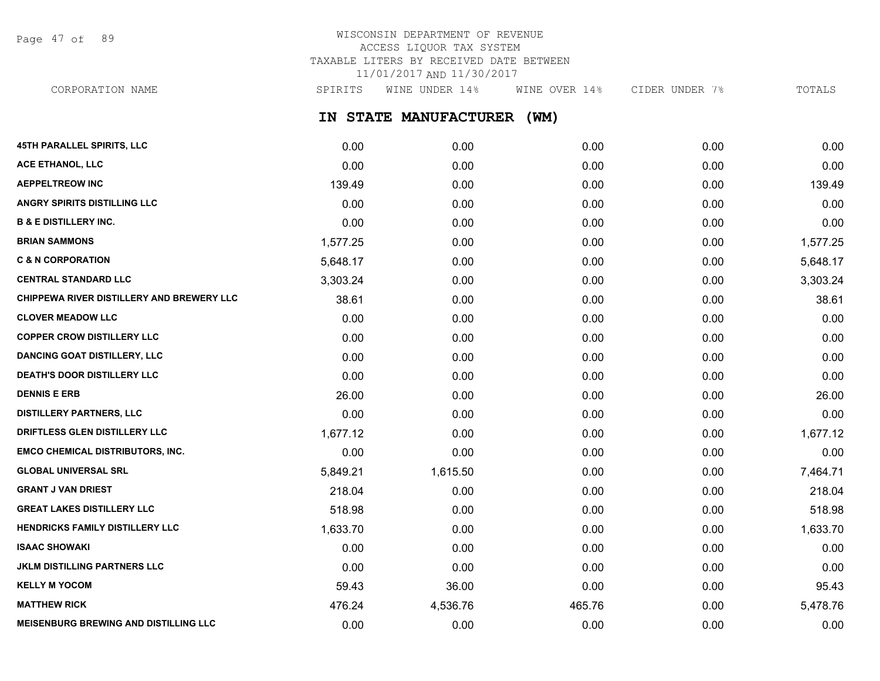Page 47 of 89

# WISCONSIN DEPARTMENT OF REVENUE ACCESS LIQUOR TAX SYSTEM TAXABLE LITERS BY RECEIVED DATE BETWEEN 11/01/2017 AND 11/30/2017

CORPORATION NAME SPIRITS WINE UNDER 14% WINE OVER 14% CIDER UNDER 7% TOTALS

**IN STATE MANUFACTURER (WM)**

| 45TH PARALLEL SPIRITS, LLC                   | 0.00     | 0.00     | 0.00   | 0.00 | 0.00     |
|----------------------------------------------|----------|----------|--------|------|----------|
| ACE ETHANOL, LLC                             | 0.00     | 0.00     | 0.00   | 0.00 | 0.00     |
| <b>AEPPELTREOW INC</b>                       | 139.49   | 0.00     | 0.00   | 0.00 | 139.49   |
| <b>ANGRY SPIRITS DISTILLING LLC</b>          | 0.00     | 0.00     | 0.00   | 0.00 | 0.00     |
| <b>B &amp; E DISTILLERY INC.</b>             | 0.00     | 0.00     | 0.00   | 0.00 | 0.00     |
| <b>BRIAN SAMMONS</b>                         | 1,577.25 | 0.00     | 0.00   | 0.00 | 1,577.25 |
| <b>C &amp; N CORPORATION</b>                 | 5,648.17 | 0.00     | 0.00   | 0.00 | 5,648.17 |
| <b>CENTRAL STANDARD LLC</b>                  | 3,303.24 | 0.00     | 0.00   | 0.00 | 3,303.24 |
| CHIPPEWA RIVER DISTILLERY AND BREWERY LLC    | 38.61    | 0.00     | 0.00   | 0.00 | 38.61    |
| <b>CLOVER MEADOW LLC</b>                     | 0.00     | 0.00     | 0.00   | 0.00 | 0.00     |
| <b>COPPER CROW DISTILLERY LLC</b>            | 0.00     | 0.00     | 0.00   | 0.00 | 0.00     |
| <b>DANCING GOAT DISTILLERY, LLC</b>          | 0.00     | 0.00     | 0.00   | 0.00 | 0.00     |
| <b>DEATH'S DOOR DISTILLERY LLC</b>           | 0.00     | 0.00     | 0.00   | 0.00 | 0.00     |
| <b>DENNIS E ERB</b>                          | 26.00    | 0.00     | 0.00   | 0.00 | 26.00    |
| <b>DISTILLERY PARTNERS, LLC</b>              | 0.00     | 0.00     | 0.00   | 0.00 | 0.00     |
| DRIFTLESS GLEN DISTILLERY LLC                | 1,677.12 | 0.00     | 0.00   | 0.00 | 1,677.12 |
| <b>EMCO CHEMICAL DISTRIBUTORS, INC.</b>      | 0.00     | 0.00     | 0.00   | 0.00 | 0.00     |
| <b>GLOBAL UNIVERSAL SRL</b>                  | 5,849.21 | 1,615.50 | 0.00   | 0.00 | 7,464.71 |
| <b>GRANT J VAN DRIEST</b>                    | 218.04   | 0.00     | 0.00   | 0.00 | 218.04   |
| <b>GREAT LAKES DISTILLERY LLC</b>            | 518.98   | 0.00     | 0.00   | 0.00 | 518.98   |
| HENDRICKS FAMILY DISTILLERY LLC              | 1,633.70 | 0.00     | 0.00   | 0.00 | 1,633.70 |
| <b>ISAAC SHOWAKI</b>                         | 0.00     | 0.00     | 0.00   | 0.00 | 0.00     |
| <b>JKLM DISTILLING PARTNERS LLC</b>          | 0.00     | 0.00     | 0.00   | 0.00 | 0.00     |
| <b>KELLY M YOCOM</b>                         | 59.43    | 36.00    | 0.00   | 0.00 | 95.43    |
| <b>MATTHEW RICK</b>                          | 476.24   | 4,536.76 | 465.76 | 0.00 | 5,478.76 |
| <b>MEISENBURG BREWING AND DISTILLING LLC</b> | 0.00     | 0.00     | 0.00   | 0.00 | 0.00     |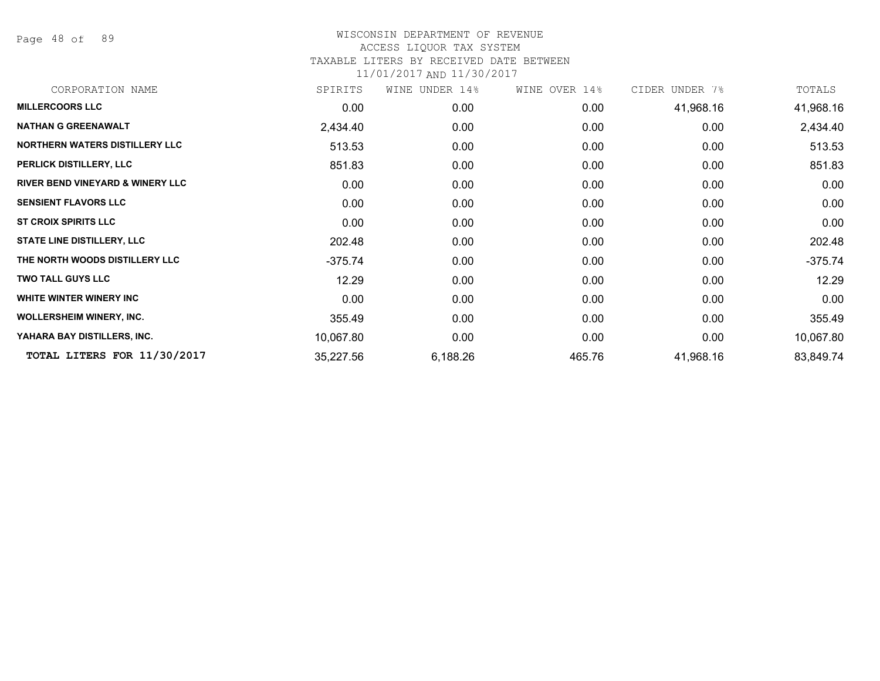Page 48 of 89

| CORPORATION NAME                            | SPIRITS   | WINE<br>UNDER 14% | WINE OVER 14% | CIDER UNDER 7% | TOTALS    |
|---------------------------------------------|-----------|-------------------|---------------|----------------|-----------|
| <b>MILLERCOORS LLC</b>                      | 0.00      | 0.00              | 0.00          | 41,968.16      | 41,968.16 |
| <b>NATHAN G GREENAWALT</b>                  | 2,434.40  | 0.00              | 0.00          | 0.00           | 2,434.40  |
| <b>NORTHERN WATERS DISTILLERY LLC</b>       | 513.53    | 0.00              | 0.00          | 0.00           | 513.53    |
| PERLICK DISTILLERY, LLC                     | 851.83    | 0.00              | 0.00          | 0.00           | 851.83    |
| <b>RIVER BEND VINEYARD &amp; WINERY LLC</b> | 0.00      | 0.00              | 0.00          | 0.00           | 0.00      |
| <b>SENSIENT FLAVORS LLC</b>                 | 0.00      | 0.00              | 0.00          | 0.00           | 0.00      |
| <b>ST CROIX SPIRITS LLC</b>                 | 0.00      | 0.00              | 0.00          | 0.00           | 0.00      |
| <b>STATE LINE DISTILLERY, LLC</b>           | 202.48    | 0.00              | 0.00          | 0.00           | 202.48    |
| THE NORTH WOODS DISTILLERY LLC              | $-375.74$ | 0.00              | 0.00          | 0.00           | $-375.74$ |
| <b>TWO TALL GUYS LLC</b>                    | 12.29     | 0.00              | 0.00          | 0.00           | 12.29     |
| WHITE WINTER WINERY INC                     | 0.00      | 0.00              | 0.00          | 0.00           | 0.00      |
| <b>WOLLERSHEIM WINERY, INC.</b>             | 355.49    | 0.00              | 0.00          | 0.00           | 355.49    |
| YAHARA BAY DISTILLERS, INC.                 | 10,067.80 | 0.00              | 0.00          | 0.00           | 10,067.80 |
| TOTAL LITERS FOR 11/30/2017                 | 35,227.56 | 6,188.26          | 465.76        | 41,968.16      | 83,849.74 |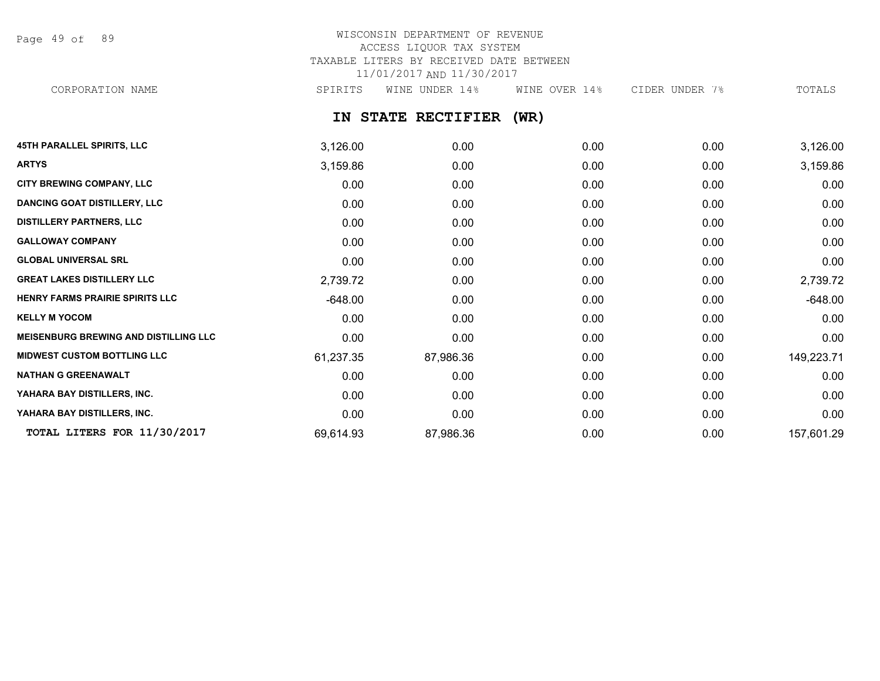Page 49 of 89

## WISCONSIN DEPARTMENT OF REVENUE ACCESS LIQUOR TAX SYSTEM TAXABLE LITERS BY RECEIVED DATE BETWEEN 11/01/2017 AND 11/30/2017 CORPORATION NAME SPIRITS WINE UNDER 14% WINE OVER 14% CIDER UNDER 7% TOTALS

**IN STATE RECTIFIER (WR)**

| <b>45TH PARALLEL SPIRITS, LLC</b>            | 3,126.00  | 0.00      | 0.00 | 0.00 | 3,126.00   |
|----------------------------------------------|-----------|-----------|------|------|------------|
| <b>ARTYS</b>                                 | 3,159.86  | 0.00      | 0.00 | 0.00 | 3,159.86   |
| CITY BREWING COMPANY, LLC                    | 0.00      | 0.00      | 0.00 | 0.00 | 0.00       |
| DANCING GOAT DISTILLERY, LLC                 | 0.00      | 0.00      | 0.00 | 0.00 | 0.00       |
| <b>DISTILLERY PARTNERS, LLC</b>              | 0.00      | 0.00      | 0.00 | 0.00 | 0.00       |
| <b>GALLOWAY COMPANY</b>                      | 0.00      | 0.00      | 0.00 | 0.00 | 0.00       |
| <b>GLOBAL UNIVERSAL SRL</b>                  | 0.00      | 0.00      | 0.00 | 0.00 | 0.00       |
| <b>GREAT LAKES DISTILLERY LLC</b>            | 2,739.72  | 0.00      | 0.00 | 0.00 | 2,739.72   |
| HENRY FARMS PRAIRIE SPIRITS LLC              | $-648.00$ | 0.00      | 0.00 | 0.00 | $-648.00$  |
| <b>KELLY M YOCOM</b>                         | 0.00      | 0.00      | 0.00 | 0.00 | 0.00       |
| <b>MEISENBURG BREWING AND DISTILLING LLC</b> | 0.00      | 0.00      | 0.00 | 0.00 | 0.00       |
| <b>MIDWEST CUSTOM BOTTLING LLC</b>           | 61,237.35 | 87,986.36 | 0.00 | 0.00 | 149,223.71 |
| <b>NATHAN G GREENAWALT</b>                   | 0.00      | 0.00      | 0.00 | 0.00 | 0.00       |
| YAHARA BAY DISTILLERS, INC.                  | 0.00      | 0.00      | 0.00 | 0.00 | 0.00       |
| YAHARA BAY DISTILLERS, INC.                  | 0.00      | 0.00      | 0.00 | 0.00 | 0.00       |
| TOTAL LITERS FOR 11/30/2017                  | 69,614.93 | 87,986.36 | 0.00 | 0.00 | 157,601.29 |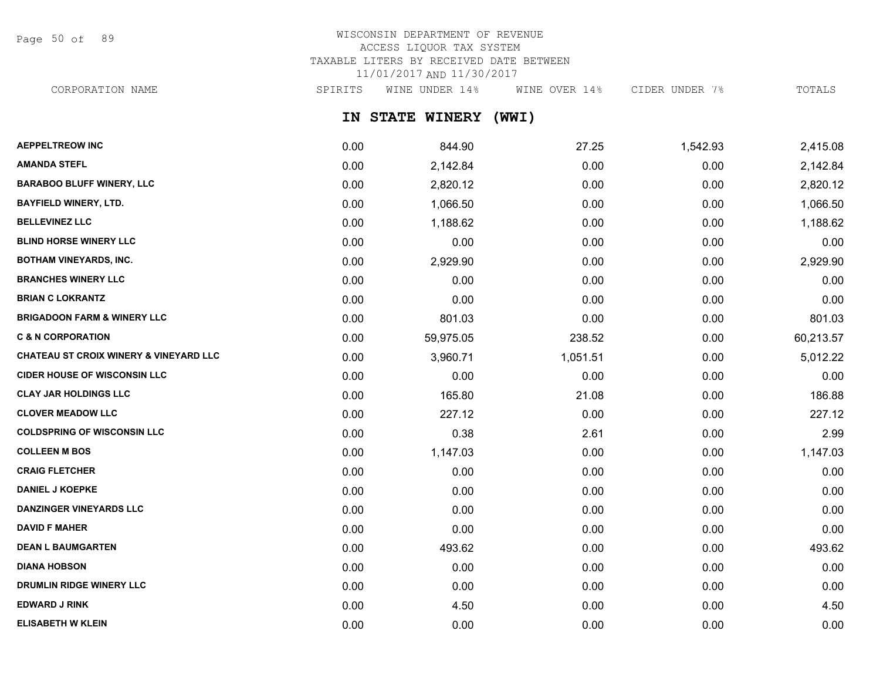Page 50 of 89

# WISCONSIN DEPARTMENT OF REVENUE ACCESS LIQUOR TAX SYSTEM TAXABLE LITERS BY RECEIVED DATE BETWEEN 11/01/2017 AND 11/30/2017

CORPORATION NAME SPIRITS WINE UNDER 14% WINE OVER 14% CIDER UNDER 7% TOTALS

**IN STATE WINERY (WWI)**

| <b>AEPPELTREOW INC</b>                            | 0.00 | 844.90    | 27.25    | 1,542.93 | 2,415.08  |
|---------------------------------------------------|------|-----------|----------|----------|-----------|
| <b>AMANDA STEFL</b>                               | 0.00 | 2,142.84  | 0.00     | 0.00     | 2,142.84  |
| <b>BARABOO BLUFF WINERY, LLC</b>                  | 0.00 | 2,820.12  | 0.00     | 0.00     | 2,820.12  |
| <b>BAYFIELD WINERY, LTD.</b>                      | 0.00 | 1,066.50  | 0.00     | 0.00     | 1,066.50  |
| <b>BELLEVINEZ LLC</b>                             | 0.00 | 1,188.62  | 0.00     | 0.00     | 1,188.62  |
| <b>BLIND HORSE WINERY LLC</b>                     | 0.00 | 0.00      | 0.00     | 0.00     | 0.00      |
| <b>BOTHAM VINEYARDS, INC.</b>                     | 0.00 | 2,929.90  | 0.00     | 0.00     | 2,929.90  |
| <b>BRANCHES WINERY LLC</b>                        | 0.00 | 0.00      | 0.00     | 0.00     | 0.00      |
| <b>BRIAN C LOKRANTZ</b>                           | 0.00 | 0.00      | 0.00     | 0.00     | 0.00      |
| <b>BRIGADOON FARM &amp; WINERY LLC</b>            | 0.00 | 801.03    | 0.00     | 0.00     | 801.03    |
| <b>C &amp; N CORPORATION</b>                      | 0.00 | 59,975.05 | 238.52   | 0.00     | 60,213.57 |
| <b>CHATEAU ST CROIX WINERY &amp; VINEYARD LLC</b> | 0.00 | 3,960.71  | 1,051.51 | 0.00     | 5,012.22  |
| <b>CIDER HOUSE OF WISCONSIN LLC</b>               | 0.00 | 0.00      | 0.00     | 0.00     | 0.00      |
| <b>CLAY JAR HOLDINGS LLC</b>                      | 0.00 | 165.80    | 21.08    | 0.00     | 186.88    |
| <b>CLOVER MEADOW LLC</b>                          | 0.00 | 227.12    | 0.00     | 0.00     | 227.12    |
| <b>COLDSPRING OF WISCONSIN LLC</b>                | 0.00 | 0.38      | 2.61     | 0.00     | 2.99      |
| <b>COLLEEN M BOS</b>                              | 0.00 | 1,147.03  | 0.00     | 0.00     | 1,147.03  |
| <b>CRAIG FLETCHER</b>                             | 0.00 | 0.00      | 0.00     | 0.00     | 0.00      |
| <b>DANIEL J KOEPKE</b>                            | 0.00 | 0.00      | 0.00     | 0.00     | 0.00      |
| DANZINGER VINEYARDS LLC                           | 0.00 | 0.00      | 0.00     | 0.00     | 0.00      |
| <b>DAVID F MAHER</b>                              | 0.00 | 0.00      | 0.00     | 0.00     | 0.00      |
| <b>DEAN L BAUMGARTEN</b>                          | 0.00 | 493.62    | 0.00     | 0.00     | 493.62    |
| <b>DIANA HOBSON</b>                               | 0.00 | 0.00      | 0.00     | 0.00     | 0.00      |
| DRUMLIN RIDGE WINERY LLC                          | 0.00 | 0.00      | 0.00     | 0.00     | 0.00      |
| <b>EDWARD J RINK</b>                              | 0.00 | 4.50      | 0.00     | 0.00     | 4.50      |
| <b>ELISABETH W KLEIN</b>                          | 0.00 | 0.00      | 0.00     | 0.00     | 0.00      |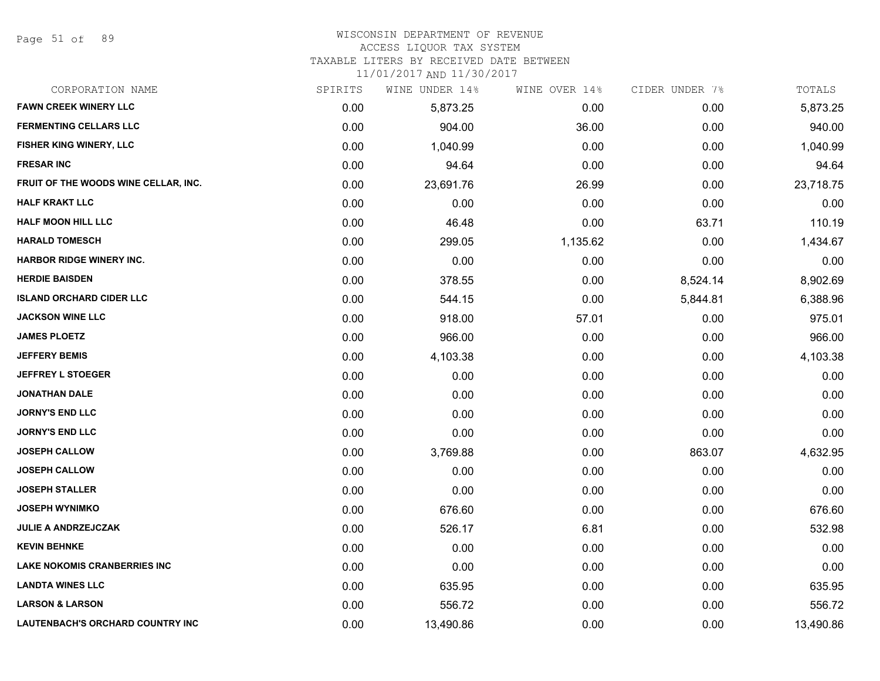#### WISCONSIN DEPARTMENT OF REVENUE

#### ACCESS LIQUOR TAX SYSTEM

TAXABLE LITERS BY RECEIVED DATE BETWEEN

| CORPORATION NAME                        | SPIRITS | WINE UNDER 14% | WINE OVER 14% | CIDER UNDER 7% | TOTALS    |
|-----------------------------------------|---------|----------------|---------------|----------------|-----------|
| <b>FAWN CREEK WINERY LLC</b>            | 0.00    | 5,873.25       | 0.00          | 0.00           | 5,873.25  |
| <b>FERMENTING CELLARS LLC</b>           | 0.00    | 904.00         | 36.00         | 0.00           | 940.00    |
| FISHER KING WINERY, LLC                 | 0.00    | 1,040.99       | 0.00          | 0.00           | 1,040.99  |
| <b>FRESAR INC</b>                       | 0.00    | 94.64          | 0.00          | 0.00           | 94.64     |
| FRUIT OF THE WOODS WINE CELLAR, INC.    | 0.00    | 23,691.76      | 26.99         | 0.00           | 23,718.75 |
| <b>HALF KRAKT LLC</b>                   | 0.00    | 0.00           | 0.00          | 0.00           | 0.00      |
| <b>HALF MOON HILL LLC</b>               | 0.00    | 46.48          | 0.00          | 63.71          | 110.19    |
| <b>HARALD TOMESCH</b>                   | 0.00    | 299.05         | 1,135.62      | 0.00           | 1,434.67  |
| <b>HARBOR RIDGE WINERY INC.</b>         | 0.00    | 0.00           | 0.00          | 0.00           | 0.00      |
| <b>HERDIE BAISDEN</b>                   | 0.00    | 378.55         | 0.00          | 8,524.14       | 8,902.69  |
| <b>ISLAND ORCHARD CIDER LLC</b>         | 0.00    | 544.15         | 0.00          | 5,844.81       | 6,388.96  |
| <b>JACKSON WINE LLC</b>                 | 0.00    | 918.00         | 57.01         | 0.00           | 975.01    |
| <b>JAMES PLOETZ</b>                     | 0.00    | 966.00         | 0.00          | 0.00           | 966.00    |
| <b>JEFFERY BEMIS</b>                    | 0.00    | 4,103.38       | 0.00          | 0.00           | 4,103.38  |
| <b>JEFFREY L STOEGER</b>                | 0.00    | 0.00           | 0.00          | 0.00           | 0.00      |
| <b>JONATHAN DALE</b>                    | 0.00    | 0.00           | 0.00          | 0.00           | 0.00      |
| <b>JORNY'S END LLC</b>                  | 0.00    | 0.00           | 0.00          | 0.00           | 0.00      |
| <b>JORNY'S END LLC</b>                  | 0.00    | 0.00           | 0.00          | 0.00           | 0.00      |
| <b>JOSEPH CALLOW</b>                    | 0.00    | 3,769.88       | 0.00          | 863.07         | 4,632.95  |
| <b>JOSEPH CALLOW</b>                    | 0.00    | 0.00           | 0.00          | 0.00           | 0.00      |
| <b>JOSEPH STALLER</b>                   | 0.00    | 0.00           | 0.00          | 0.00           | 0.00      |
| <b>JOSEPH WYNIMKO</b>                   | 0.00    | 676.60         | 0.00          | 0.00           | 676.60    |
| <b>JULIE A ANDRZEJCZAK</b>              | 0.00    | 526.17         | 6.81          | 0.00           | 532.98    |
| <b>KEVIN BEHNKE</b>                     | 0.00    | 0.00           | 0.00          | 0.00           | 0.00      |
| <b>LAKE NOKOMIS CRANBERRIES INC</b>     | 0.00    | 0.00           | 0.00          | 0.00           | 0.00      |
| <b>LANDTA WINES LLC</b>                 | 0.00    | 635.95         | 0.00          | 0.00           | 635.95    |
| <b>LARSON &amp; LARSON</b>              | 0.00    | 556.72         | 0.00          | 0.00           | 556.72    |
| <b>LAUTENBACH'S ORCHARD COUNTRY INC</b> | 0.00    | 13,490.86      | 0.00          | 0.00           | 13,490.86 |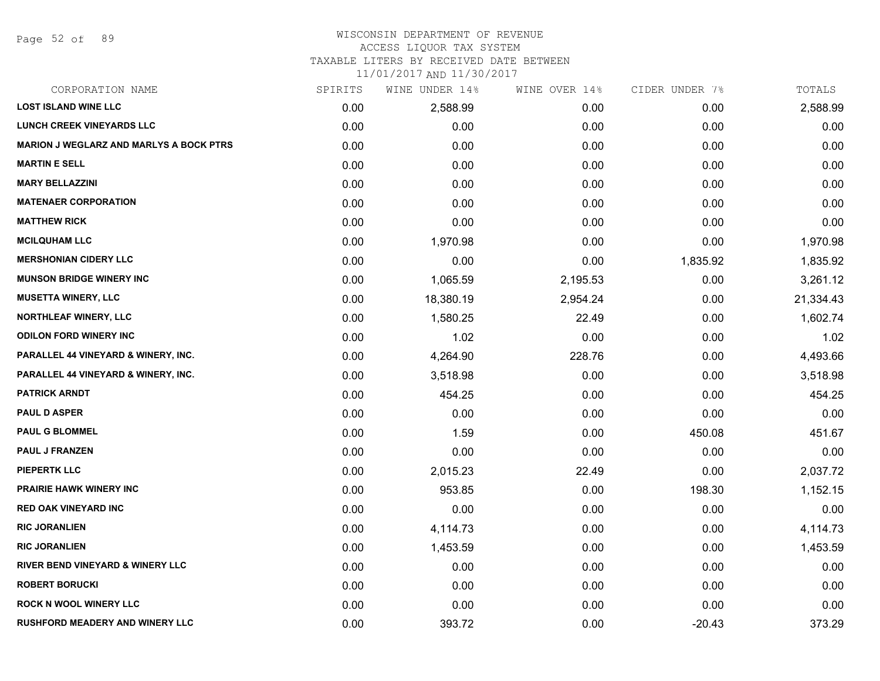Page 52 of 89

# WISCONSIN DEPARTMENT OF REVENUE

## ACCESS LIQUOR TAX SYSTEM

TAXABLE LITERS BY RECEIVED DATE BETWEEN

| CORPORATION NAME                               | SPIRITS | WINE UNDER 14% | WINE OVER 14% | CIDER UNDER 7% | TOTALS    |
|------------------------------------------------|---------|----------------|---------------|----------------|-----------|
| <b>LOST ISLAND WINE LLC</b>                    | 0.00    | 2,588.99       | 0.00          | 0.00           | 2,588.99  |
| <b>LUNCH CREEK VINEYARDS LLC</b>               | 0.00    | 0.00           | 0.00          | 0.00           | 0.00      |
| <b>MARION J WEGLARZ AND MARLYS A BOCK PTRS</b> | 0.00    | 0.00           | 0.00          | 0.00           | 0.00      |
| <b>MARTIN E SELL</b>                           | 0.00    | 0.00           | 0.00          | 0.00           | 0.00      |
| <b>MARY BELLAZZINI</b>                         | 0.00    | 0.00           | 0.00          | 0.00           | 0.00      |
| <b>MATENAER CORPORATION</b>                    | 0.00    | 0.00           | 0.00          | 0.00           | 0.00      |
| <b>MATTHEW RICK</b>                            | 0.00    | 0.00           | 0.00          | 0.00           | 0.00      |
| <b>MCILQUHAM LLC</b>                           | 0.00    | 1,970.98       | 0.00          | 0.00           | 1,970.98  |
| <b>MERSHONIAN CIDERY LLC</b>                   | 0.00    | 0.00           | 0.00          | 1,835.92       | 1,835.92  |
| <b>MUNSON BRIDGE WINERY INC</b>                | 0.00    | 1,065.59       | 2,195.53      | 0.00           | 3,261.12  |
| <b>MUSETTA WINERY, LLC</b>                     | 0.00    | 18,380.19      | 2,954.24      | 0.00           | 21,334.43 |
| NORTHLEAF WINERY, LLC                          | 0.00    | 1,580.25       | 22.49         | 0.00           | 1,602.74  |
| <b>ODILON FORD WINERY INC</b>                  | 0.00    | 1.02           | 0.00          | 0.00           | 1.02      |
| <b>PARALLEL 44 VINEYARD &amp; WINERY, INC.</b> | 0.00    | 4,264.90       | 228.76        | 0.00           | 4,493.66  |
| <b>PARALLEL 44 VINEYARD &amp; WINERY, INC.</b> | 0.00    | 3,518.98       | 0.00          | 0.00           | 3,518.98  |
| <b>PATRICK ARNDT</b>                           | 0.00    | 454.25         | 0.00          | 0.00           | 454.25    |
| <b>PAUL D ASPER</b>                            | 0.00    | 0.00           | 0.00          | 0.00           | 0.00      |
| <b>PAUL G BLOMMEL</b>                          | 0.00    | 1.59           | 0.00          | 450.08         | 451.67    |
| PAUL J FRANZEN                                 | 0.00    | 0.00           | 0.00          | 0.00           | 0.00      |
| <b>PIEPERTK LLC</b>                            | 0.00    | 2,015.23       | 22.49         | 0.00           | 2,037.72  |
| <b>PRAIRIE HAWK WINERY INC</b>                 | 0.00    | 953.85         | 0.00          | 198.30         | 1,152.15  |
| <b>RED OAK VINEYARD INC</b>                    | 0.00    | 0.00           | 0.00          | 0.00           | 0.00      |
| <b>RIC JORANLIEN</b>                           | 0.00    | 4,114.73       | 0.00          | 0.00           | 4,114.73  |
| <b>RIC JORANLIEN</b>                           | 0.00    | 1,453.59       | 0.00          | 0.00           | 1,453.59  |
| <b>RIVER BEND VINEYARD &amp; WINERY LLC</b>    | 0.00    | 0.00           | 0.00          | 0.00           | 0.00      |
| <b>ROBERT BORUCKI</b>                          | 0.00    | 0.00           | 0.00          | 0.00           | 0.00      |
| <b>ROCK N WOOL WINERY LLC</b>                  | 0.00    | 0.00           | 0.00          | 0.00           | 0.00      |
| <b>RUSHFORD MEADERY AND WINERY LLC</b>         | 0.00    | 393.72         | 0.00          | $-20.43$       | 373.29    |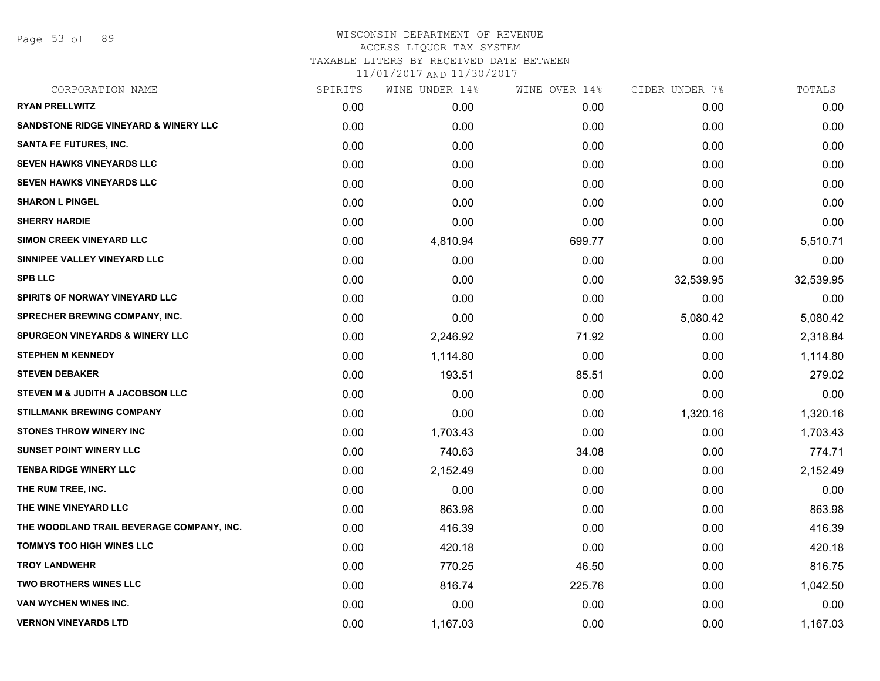Page 53 of 89

# WISCONSIN DEPARTMENT OF REVENUE ACCESS LIQUOR TAX SYSTEM TAXABLE LITERS BY RECEIVED DATE BETWEEN

| CORPORATION NAME                                 | SPIRITS | WINE UNDER 14% | WINE OVER 14% | CIDER UNDER 7% | TOTALS    |
|--------------------------------------------------|---------|----------------|---------------|----------------|-----------|
| <b>RYAN PRELLWITZ</b>                            | 0.00    | 0.00           | 0.00          | 0.00           | 0.00      |
| <b>SANDSTONE RIDGE VINEYARD &amp; WINERY LLC</b> | 0.00    | 0.00           | 0.00          | 0.00           | 0.00      |
| <b>SANTA FE FUTURES, INC.</b>                    | 0.00    | 0.00           | 0.00          | 0.00           | 0.00      |
| <b>SEVEN HAWKS VINEYARDS LLC</b>                 | 0.00    | 0.00           | 0.00          | 0.00           | 0.00      |
| <b>SEVEN HAWKS VINEYARDS LLC</b>                 | 0.00    | 0.00           | 0.00          | 0.00           | 0.00      |
| <b>SHARON L PINGEL</b>                           | 0.00    | 0.00           | 0.00          | 0.00           | 0.00      |
| <b>SHERRY HARDIE</b>                             | 0.00    | 0.00           | 0.00          | 0.00           | 0.00      |
| <b>SIMON CREEK VINEYARD LLC</b>                  | 0.00    | 4,810.94       | 699.77        | 0.00           | 5,510.71  |
| SINNIPEE VALLEY VINEYARD LLC                     | 0.00    | 0.00           | 0.00          | 0.00           | 0.00      |
| <b>SPB LLC</b>                                   | 0.00    | 0.00           | 0.00          | 32,539.95      | 32,539.95 |
| SPIRITS OF NORWAY VINEYARD LLC                   | 0.00    | 0.00           | 0.00          | 0.00           | 0.00      |
| SPRECHER BREWING COMPANY, INC.                   | 0.00    | 0.00           | 0.00          | 5,080.42       | 5,080.42  |
| <b>SPURGEON VINEYARDS &amp; WINERY LLC</b>       | 0.00    | 2,246.92       | 71.92         | 0.00           | 2,318.84  |
| <b>STEPHEN M KENNEDY</b>                         | 0.00    | 1,114.80       | 0.00          | 0.00           | 1,114.80  |
| <b>STEVEN DEBAKER</b>                            | 0.00    | 193.51         | 85.51         | 0.00           | 279.02    |
| STEVEN M & JUDITH A JACOBSON LLC                 | 0.00    | 0.00           | 0.00          | 0.00           | 0.00      |
| <b>STILLMANK BREWING COMPANY</b>                 | 0.00    | 0.00           | 0.00          | 1,320.16       | 1,320.16  |
| <b>STONES THROW WINERY INC</b>                   | 0.00    | 1,703.43       | 0.00          | 0.00           | 1,703.43  |
| <b>SUNSET POINT WINERY LLC</b>                   | 0.00    | 740.63         | 34.08         | 0.00           | 774.71    |
| <b>TENBA RIDGE WINERY LLC</b>                    | 0.00    | 2,152.49       | 0.00          | 0.00           | 2,152.49  |
| THE RUM TREE, INC.                               | 0.00    | 0.00           | 0.00          | 0.00           | 0.00      |
| THE WINE VINEYARD LLC                            | 0.00    | 863.98         | 0.00          | 0.00           | 863.98    |
| THE WOODLAND TRAIL BEVERAGE COMPANY, INC.        | 0.00    | 416.39         | 0.00          | 0.00           | 416.39    |
| <b>TOMMYS TOO HIGH WINES LLC</b>                 | 0.00    | 420.18         | 0.00          | 0.00           | 420.18    |
| <b>TROY LANDWEHR</b>                             | 0.00    | 770.25         | 46.50         | 0.00           | 816.75    |
| <b>TWO BROTHERS WINES LLC</b>                    | 0.00    | 816.74         | 225.76        | 0.00           | 1,042.50  |
| VAN WYCHEN WINES INC.                            | 0.00    | 0.00           | 0.00          | 0.00           | 0.00      |
| <b>VERNON VINEYARDS LTD</b>                      | 0.00    | 1,167.03       | 0.00          | 0.00           | 1,167.03  |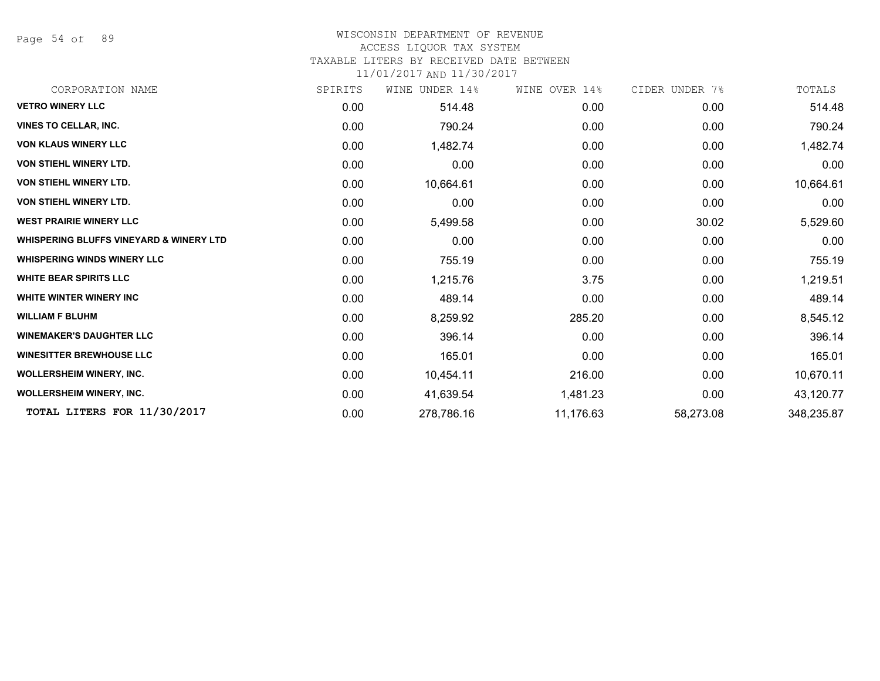Page 54 of 89

# WISCONSIN DEPARTMENT OF REVENUE

# ACCESS LIQUOR TAX SYSTEM

TAXABLE LITERS BY RECEIVED DATE BETWEEN

| CORPORATION NAME                                   | SPIRITS | WINE UNDER 14% | WINE OVER 14% | CIDER UNDER 7% | TOTALS     |
|----------------------------------------------------|---------|----------------|---------------|----------------|------------|
| <b>VETRO WINERY LLC</b>                            | 0.00    | 514.48         | 0.00          | 0.00           | 514.48     |
| <b>VINES TO CELLAR, INC.</b>                       | 0.00    | 790.24         | 0.00          | 0.00           | 790.24     |
| <b>VON KLAUS WINERY LLC</b>                        | 0.00    | 1,482.74       | 0.00          | 0.00           | 1,482.74   |
| VON STIEHL WINERY LTD.                             | 0.00    | 0.00           | 0.00          | 0.00           | 0.00       |
| <b>VON STIEHL WINERY LTD.</b>                      | 0.00    | 10,664.61      | 0.00          | 0.00           | 10,664.61  |
| <b>VON STIEHL WINERY LTD.</b>                      | 0.00    | 0.00           | 0.00          | 0.00           | 0.00       |
| <b>WEST PRAIRIE WINERY LLC</b>                     | 0.00    | 5,499.58       | 0.00          | 30.02          | 5,529.60   |
| <b>WHISPERING BLUFFS VINEYARD &amp; WINERY LTD</b> | 0.00    | 0.00           | 0.00          | 0.00           | 0.00       |
| <b>WHISPERING WINDS WINERY LLC</b>                 | 0.00    | 755.19         | 0.00          | 0.00           | 755.19     |
| <b>WHITE BEAR SPIRITS LLC</b>                      | 0.00    | 1,215.76       | 3.75          | 0.00           | 1,219.51   |
| <b>WHITE WINTER WINERY INC</b>                     | 0.00    | 489.14         | 0.00          | 0.00           | 489.14     |
| <b>WILLIAM F BLUHM</b>                             | 0.00    | 8,259.92       | 285.20        | 0.00           | 8,545.12   |
| <b>WINEMAKER'S DAUGHTER LLC</b>                    | 0.00    | 396.14         | 0.00          | 0.00           | 396.14     |
| <b>WINESITTER BREWHOUSE LLC</b>                    | 0.00    | 165.01         | 0.00          | 0.00           | 165.01     |
| <b>WOLLERSHEIM WINERY, INC.</b>                    | 0.00    | 10,454.11      | 216.00        | 0.00           | 10,670.11  |
| <b>WOLLERSHEIM WINERY, INC.</b>                    | 0.00    | 41,639.54      | 1,481.23      | 0.00           | 43,120.77  |
| TOTAL LITERS FOR 11/30/2017                        | 0.00    | 278,786.16     | 11,176.63     | 58,273.08      | 348,235.87 |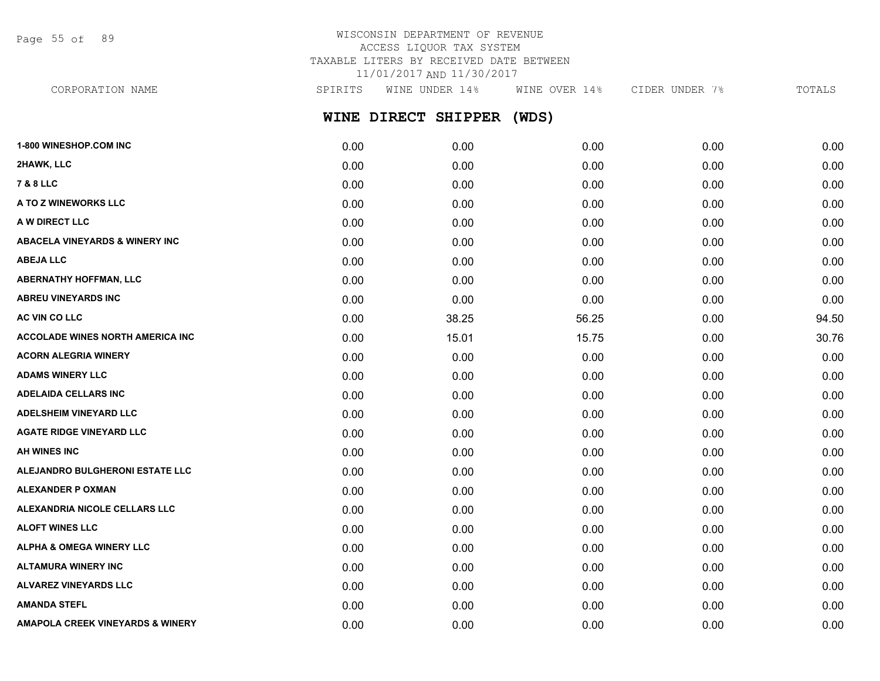Page 55 of 89

# WISCONSIN DEPARTMENT OF REVENUE ACCESS LIQUOR TAX SYSTEM TAXABLE LITERS BY RECEIVED DATE BETWEEN 11/01/2017 AND 11/30/2017

**WINE DIRECT SHIPPER (WDS) 1-800 WINESHOP.COM INC** 0.00 0.00 0.00 0.00 0.00 **2HAWK, LLC** 0.00 0.00 0.00 0.00 0.00 **7 & 8 LLC** 0.00 0.00 0.00 0.00 0.00 **A TO Z WINEWORKS LLC** 0.00 0.00 0.00 0.00 0.00 **A W DIRECT LLC** 0.00 0.00 0.00 0.00 0.00 CORPORATION NAME SPIRITS WINE UNDER 14% WINE OVER 14% CIDER UNDER 7% TOTALS

**ABACELA VINEYARDS & WINERY INC** 0.00 0.00 0.00 0.00 0.00 **ABEJA LLC** 0.00 0.00 0.00 0.00 0.00 **ABERNATHY HOFFMAN, LLC** 0.00 0.00 0.00 0.00 0.00 **ABREU VINEYARDS INC** 0.00 0.00 0.00 0.00 0.00 **AC VIN CO LLC** 0.00 38.25 56.25 0.00 94.50 **ACCOLADE WINES NORTH AMERICA INC 15.01** 0.00 15.01 15.75 0.00 0.00 30.76 **ACORN ALEGRIA WINERY** 0.00 0.00 0.00 0.00 0.00 **ADAMS WINERY LLC** 0.00 0.00 0.00 0.00 0.00 **ADELAIDA CELLARS INC** 0.00 0.00 0.00 0.00 0.00 **ADELSHEIM VINEYARD LLC** 0.00 0.00 0.00 0.00 0.00 **AGATE RIDGE VINEYARD LLC** 0.00 0.00 0.00 0.00 0.00 **AH WINES INC** 0.00 0.00 0.00 0.00 0.00 **ALEJANDRO BULGHERONI ESTATE LLC** 0.00 0.00 0.00 0.00 0.00 **ALEXANDER P OXMAN** 0.00 0.00 0.00 0.00 0.00 **ALEXANDRIA NICOLE CELLARS LLC** 0.00 0.00 0.00 0.00 0.00 **ALOFT WINES LLC** 0.00 0.00 0.00 0.00 0.00 **ALPHA & OMEGA WINERY LLC** 0.00 0.00 0.00 0.00 0.00 **ALTAMURA WINERY INC** 0.00 0.00 0.00 0.00 0.00 **ALVAREZ VINEYARDS LLC** 0.00 0.00 0.00 0.00 0.00

**AMANDA STEFL** 0.00 0.00 0.00 0.00 0.00

**AMAPOLA CREEK VINEYARDS & WINERY** 0.00 0.00 0.00 0.00 0.00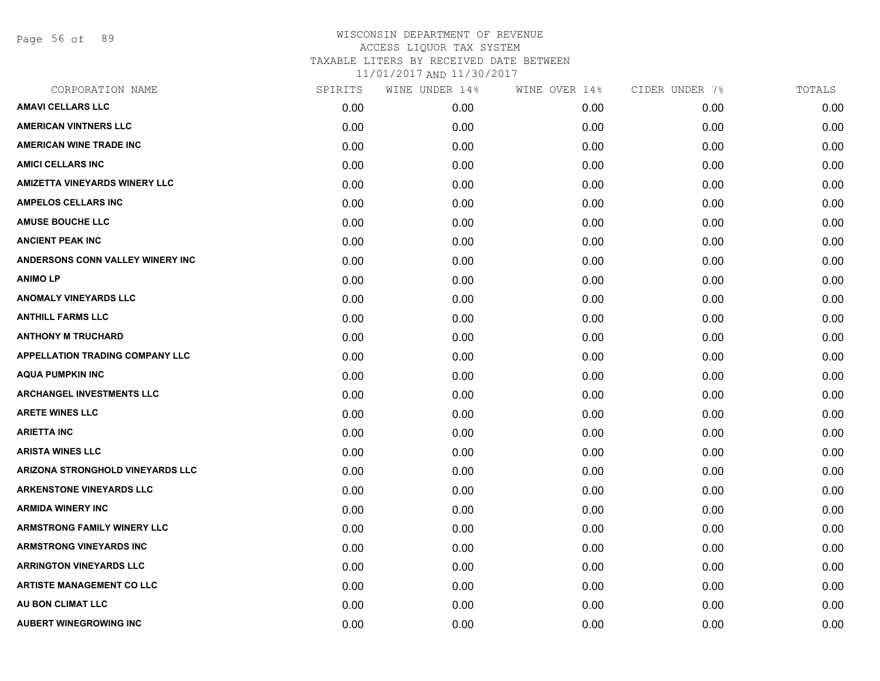Page 56 of 89

| CORPORATION NAME                       | SPIRITS | WINE UNDER 14% | WINE OVER 14% | CIDER UNDER 7% | TOTALS |
|----------------------------------------|---------|----------------|---------------|----------------|--------|
| <b>AMAVI CELLARS LLC</b>               | 0.00    | 0.00           | 0.00          | 0.00           | 0.00   |
| <b>AMERICAN VINTNERS LLC</b>           | 0.00    | 0.00           | 0.00          | 0.00           | 0.00   |
| <b>AMERICAN WINE TRADE INC</b>         | 0.00    | 0.00           | 0.00          | 0.00           | 0.00   |
| <b>AMICI CELLARS INC</b>               | 0.00    | 0.00           | 0.00          | 0.00           | 0.00   |
| <b>AMIZETTA VINEYARDS WINERY LLC</b>   | 0.00    | 0.00           | 0.00          | 0.00           | 0.00   |
| <b>AMPELOS CELLARS INC</b>             | 0.00    | 0.00           | 0.00          | 0.00           | 0.00   |
| <b>AMUSE BOUCHE LLC</b>                | 0.00    | 0.00           | 0.00          | 0.00           | 0.00   |
| <b>ANCIENT PEAK INC</b>                | 0.00    | 0.00           | 0.00          | 0.00           | 0.00   |
| ANDERSONS CONN VALLEY WINERY INC       | 0.00    | 0.00           | 0.00          | 0.00           | 0.00   |
| <b>ANIMO LP</b>                        | 0.00    | 0.00           | 0.00          | 0.00           | 0.00   |
| <b>ANOMALY VINEYARDS LLC</b>           | 0.00    | 0.00           | 0.00          | 0.00           | 0.00   |
| <b>ANTHILL FARMS LLC</b>               | 0.00    | 0.00           | 0.00          | 0.00           | 0.00   |
| <b>ANTHONY M TRUCHARD</b>              | 0.00    | 0.00           | 0.00          | 0.00           | 0.00   |
| <b>APPELLATION TRADING COMPANY LLC</b> | 0.00    | 0.00           | 0.00          | 0.00           | 0.00   |
| <b>AQUA PUMPKIN INC</b>                | 0.00    | 0.00           | 0.00          | 0.00           | 0.00   |
| <b>ARCHANGEL INVESTMENTS LLC</b>       | 0.00    | 0.00           | 0.00          | 0.00           | 0.00   |
| <b>ARETE WINES LLC</b>                 | 0.00    | 0.00           | 0.00          | 0.00           | 0.00   |
| <b>ARIETTA INC</b>                     | 0.00    | 0.00           | 0.00          | 0.00           | 0.00   |
| <b>ARISTA WINES LLC</b>                | 0.00    | 0.00           | 0.00          | 0.00           | 0.00   |
| ARIZONA STRONGHOLD VINEYARDS LLC       | 0.00    | 0.00           | 0.00          | 0.00           | 0.00   |
| <b>ARKENSTONE VINEYARDS LLC</b>        | 0.00    | 0.00           | 0.00          | 0.00           | 0.00   |
| <b>ARMIDA WINERY INC</b>               | 0.00    | 0.00           | 0.00          | 0.00           | 0.00   |
| <b>ARMSTRONG FAMILY WINERY LLC</b>     | 0.00    | 0.00           | 0.00          | 0.00           | 0.00   |
| <b>ARMSTRONG VINEYARDS INC</b>         | 0.00    | 0.00           | 0.00          | 0.00           | 0.00   |
| <b>ARRINGTON VINEYARDS LLC</b>         | 0.00    | 0.00           | 0.00          | 0.00           | 0.00   |
| <b>ARTISTE MANAGEMENT CO LLC</b>       | 0.00    | 0.00           | 0.00          | 0.00           | 0.00   |
| AU BON CLIMAT LLC                      | 0.00    | 0.00           | 0.00          | 0.00           | 0.00   |
| <b>AUBERT WINEGROWING INC</b>          | 0.00    | 0.00           | 0.00          | 0.00           | 0.00   |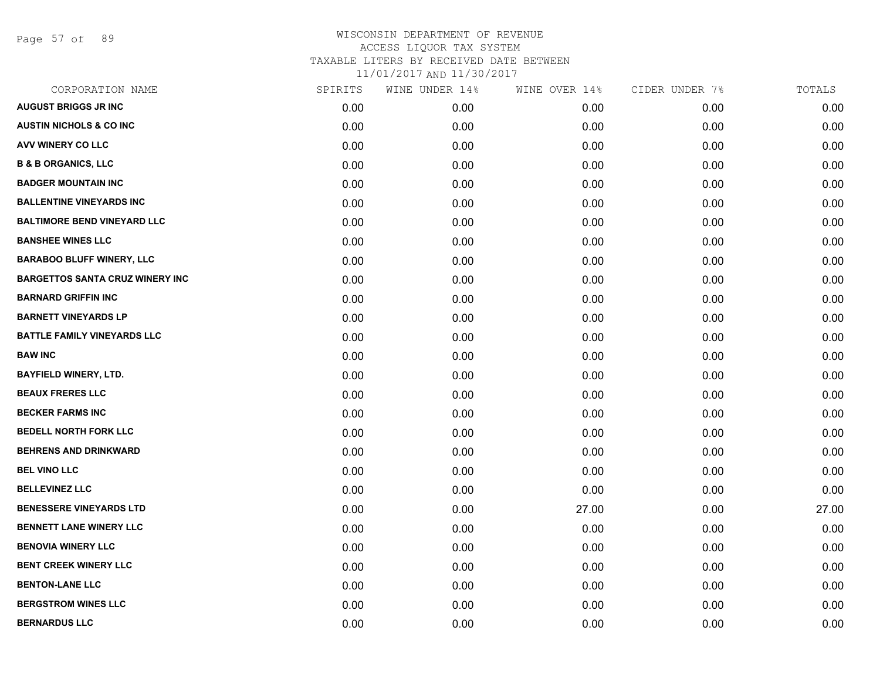Page 57 of 89

| CORPORATION NAME                       | SPIRITS | WINE UNDER 14% | WINE OVER 14% | CIDER UNDER 7% | TOTALS |
|----------------------------------------|---------|----------------|---------------|----------------|--------|
| <b>AUGUST BRIGGS JR INC</b>            | 0.00    | 0.00           | 0.00          | 0.00           | 0.00   |
| <b>AUSTIN NICHOLS &amp; CO INC</b>     | 0.00    | 0.00           | 0.00          | 0.00           | 0.00   |
| AVV WINERY CO LLC                      | 0.00    | 0.00           | 0.00          | 0.00           | 0.00   |
| <b>B &amp; B ORGANICS, LLC</b>         | 0.00    | 0.00           | 0.00          | 0.00           | 0.00   |
| <b>BADGER MOUNTAIN INC</b>             | 0.00    | 0.00           | 0.00          | 0.00           | 0.00   |
| <b>BALLENTINE VINEYARDS INC</b>        | 0.00    | 0.00           | 0.00          | 0.00           | 0.00   |
| <b>BALTIMORE BEND VINEYARD LLC</b>     | 0.00    | 0.00           | 0.00          | 0.00           | 0.00   |
| <b>BANSHEE WINES LLC</b>               | 0.00    | 0.00           | 0.00          | 0.00           | 0.00   |
| <b>BARABOO BLUFF WINERY, LLC</b>       | 0.00    | 0.00           | 0.00          | 0.00           | 0.00   |
| <b>BARGETTOS SANTA CRUZ WINERY INC</b> | 0.00    | 0.00           | 0.00          | 0.00           | 0.00   |
| <b>BARNARD GRIFFIN INC</b>             | 0.00    | 0.00           | 0.00          | 0.00           | 0.00   |
| <b>BARNETT VINEYARDS LP</b>            | 0.00    | 0.00           | 0.00          | 0.00           | 0.00   |
| <b>BATTLE FAMILY VINEYARDS LLC</b>     | 0.00    | 0.00           | 0.00          | 0.00           | 0.00   |
| <b>BAW INC</b>                         | 0.00    | 0.00           | 0.00          | 0.00           | 0.00   |
| <b>BAYFIELD WINERY, LTD.</b>           | 0.00    | 0.00           | 0.00          | 0.00           | 0.00   |
| <b>BEAUX FRERES LLC</b>                | 0.00    | 0.00           | 0.00          | 0.00           | 0.00   |
| <b>BECKER FARMS INC</b>                | 0.00    | 0.00           | 0.00          | 0.00           | 0.00   |
| <b>BEDELL NORTH FORK LLC</b>           | 0.00    | 0.00           | 0.00          | 0.00           | 0.00   |
| <b>BEHRENS AND DRINKWARD</b>           | 0.00    | 0.00           | 0.00          | 0.00           | 0.00   |
| <b>BEL VINO LLC</b>                    | 0.00    | 0.00           | 0.00          | 0.00           | 0.00   |
| <b>BELLEVINEZ LLC</b>                  | 0.00    | 0.00           | 0.00          | 0.00           | 0.00   |
| <b>BENESSERE VINEYARDS LTD</b>         | 0.00    | 0.00           | 27.00         | 0.00           | 27.00  |
| <b>BENNETT LANE WINERY LLC</b>         | 0.00    | 0.00           | 0.00          | 0.00           | 0.00   |
| <b>BENOVIA WINERY LLC</b>              | 0.00    | 0.00           | 0.00          | 0.00           | 0.00   |
| <b>BENT CREEK WINERY LLC</b>           | 0.00    | 0.00           | 0.00          | 0.00           | 0.00   |
| <b>BENTON-LANE LLC</b>                 | 0.00    | 0.00           | 0.00          | 0.00           | 0.00   |
| <b>BERGSTROM WINES LLC</b>             | 0.00    | 0.00           | 0.00          | 0.00           | 0.00   |
| <b>BERNARDUS LLC</b>                   | 0.00    | 0.00           | 0.00          | 0.00           | 0.00   |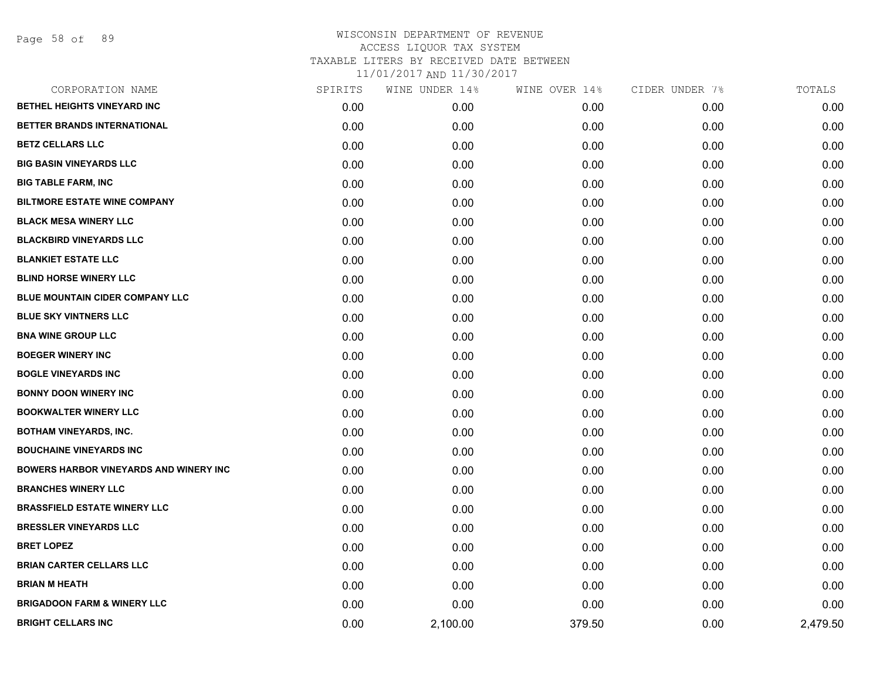| CORPORATION NAME                              | SPIRITS | WINE UNDER 14% | WINE OVER 14% | CIDER UNDER 7% | TOTALS   |
|-----------------------------------------------|---------|----------------|---------------|----------------|----------|
| BETHEL HEIGHTS VINEYARD INC                   | 0.00    | 0.00           | 0.00          | 0.00           | 0.00     |
| BETTER BRANDS INTERNATIONAL                   | 0.00    | 0.00           | 0.00          | 0.00           | 0.00     |
| <b>BETZ CELLARS LLC</b>                       | 0.00    | 0.00           | 0.00          | 0.00           | 0.00     |
| <b>BIG BASIN VINEYARDS LLC</b>                | 0.00    | 0.00           | 0.00          | 0.00           | 0.00     |
| <b>BIG TABLE FARM, INC</b>                    | 0.00    | 0.00           | 0.00          | 0.00           | 0.00     |
| <b>BILTMORE ESTATE WINE COMPANY</b>           | 0.00    | 0.00           | 0.00          | 0.00           | 0.00     |
| <b>BLACK MESA WINERY LLC</b>                  | 0.00    | 0.00           | 0.00          | 0.00           | 0.00     |
| <b>BLACKBIRD VINEYARDS LLC</b>                | 0.00    | 0.00           | 0.00          | 0.00           | 0.00     |
| <b>BLANKIET ESTATE LLC</b>                    | 0.00    | 0.00           | 0.00          | 0.00           | 0.00     |
| <b>BLIND HORSE WINERY LLC</b>                 | 0.00    | 0.00           | 0.00          | 0.00           | 0.00     |
| <b>BLUE MOUNTAIN CIDER COMPANY LLC</b>        | 0.00    | 0.00           | 0.00          | 0.00           | 0.00     |
| <b>BLUE SKY VINTNERS LLC</b>                  | 0.00    | 0.00           | 0.00          | 0.00           | 0.00     |
| <b>BNA WINE GROUP LLC</b>                     | 0.00    | 0.00           | 0.00          | 0.00           | 0.00     |
| <b>BOEGER WINERY INC</b>                      | 0.00    | 0.00           | 0.00          | 0.00           | 0.00     |
| <b>BOGLE VINEYARDS INC</b>                    | 0.00    | 0.00           | 0.00          | 0.00           | 0.00     |
| <b>BONNY DOON WINERY INC</b>                  | 0.00    | 0.00           | 0.00          | 0.00           | 0.00     |
| <b>BOOKWALTER WINERY LLC</b>                  | 0.00    | 0.00           | 0.00          | 0.00           | 0.00     |
| <b>BOTHAM VINEYARDS, INC.</b>                 | 0.00    | 0.00           | 0.00          | 0.00           | 0.00     |
| <b>BOUCHAINE VINEYARDS INC</b>                | 0.00    | 0.00           | 0.00          | 0.00           | 0.00     |
| <b>BOWERS HARBOR VINEYARDS AND WINERY INC</b> | 0.00    | 0.00           | 0.00          | 0.00           | 0.00     |
| <b>BRANCHES WINERY LLC</b>                    | 0.00    | 0.00           | 0.00          | 0.00           | 0.00     |
| <b>BRASSFIELD ESTATE WINERY LLC</b>           | 0.00    | 0.00           | 0.00          | 0.00           | 0.00     |
| <b>BRESSLER VINEYARDS LLC</b>                 | 0.00    | 0.00           | 0.00          | 0.00           | 0.00     |
| <b>BRET LOPEZ</b>                             | 0.00    | 0.00           | 0.00          | 0.00           | 0.00     |
| <b>BRIAN CARTER CELLARS LLC</b>               | 0.00    | 0.00           | 0.00          | 0.00           | 0.00     |
| <b>BRIAN M HEATH</b>                          | 0.00    | 0.00           | 0.00          | 0.00           | 0.00     |
| <b>BRIGADOON FARM &amp; WINERY LLC</b>        | 0.00    | 0.00           | 0.00          | 0.00           | 0.00     |
| <b>BRIGHT CELLARS INC</b>                     | 0.00    | 2,100.00       | 379.50        | 0.00           | 2,479.50 |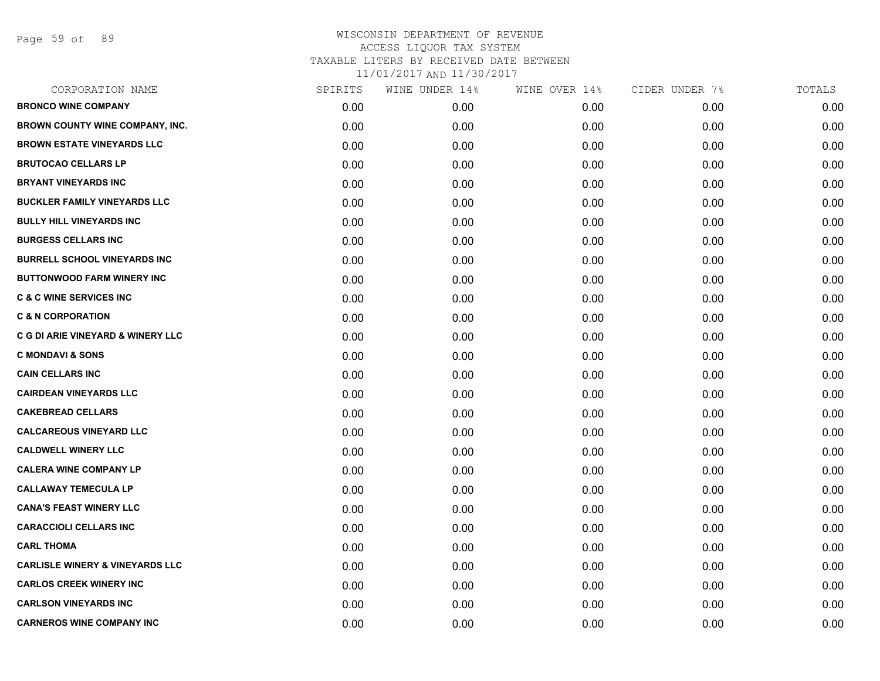Page 59 of 89

| CORPORATION NAME                           | SPIRITS | WINE UNDER 14% | WINE OVER 14% | CIDER UNDER 7% | TOTALS |
|--------------------------------------------|---------|----------------|---------------|----------------|--------|
| <b>BRONCO WINE COMPANY</b>                 | 0.00    | 0.00           | 0.00          | 0.00           | 0.00   |
| BROWN COUNTY WINE COMPANY, INC.            | 0.00    | 0.00           | 0.00          | 0.00           | 0.00   |
| <b>BROWN ESTATE VINEYARDS LLC</b>          | 0.00    | 0.00           | 0.00          | 0.00           | 0.00   |
| <b>BRUTOCAO CELLARS LP</b>                 | 0.00    | 0.00           | 0.00          | 0.00           | 0.00   |
| <b>BRYANT VINEYARDS INC</b>                | 0.00    | 0.00           | 0.00          | 0.00           | 0.00   |
| <b>BUCKLER FAMILY VINEYARDS LLC</b>        | 0.00    | 0.00           | 0.00          | 0.00           | 0.00   |
| <b>BULLY HILL VINEYARDS INC</b>            | 0.00    | 0.00           | 0.00          | 0.00           | 0.00   |
| <b>BURGESS CELLARS INC</b>                 | 0.00    | 0.00           | 0.00          | 0.00           | 0.00   |
| <b>BURRELL SCHOOL VINEYARDS INC</b>        | 0.00    | 0.00           | 0.00          | 0.00           | 0.00   |
| <b>BUTTONWOOD FARM WINERY INC</b>          | 0.00    | 0.00           | 0.00          | 0.00           | 0.00   |
| <b>C &amp; C WINE SERVICES INC</b>         | 0.00    | 0.00           | 0.00          | 0.00           | 0.00   |
| <b>C &amp; N CORPORATION</b>               | 0.00    | 0.00           | 0.00          | 0.00           | 0.00   |
| C G DI ARIE VINEYARD & WINERY LLC          | 0.00    | 0.00           | 0.00          | 0.00           | 0.00   |
| <b>C MONDAVI &amp; SONS</b>                | 0.00    | 0.00           | 0.00          | 0.00           | 0.00   |
| <b>CAIN CELLARS INC</b>                    | 0.00    | 0.00           | 0.00          | 0.00           | 0.00   |
| <b>CAIRDEAN VINEYARDS LLC</b>              | 0.00    | 0.00           | 0.00          | 0.00           | 0.00   |
| <b>CAKEBREAD CELLARS</b>                   | 0.00    | 0.00           | 0.00          | 0.00           | 0.00   |
| <b>CALCAREOUS VINEYARD LLC</b>             | 0.00    | 0.00           | 0.00          | 0.00           | 0.00   |
| <b>CALDWELL WINERY LLC</b>                 | 0.00    | 0.00           | 0.00          | 0.00           | 0.00   |
| <b>CALERA WINE COMPANY LP</b>              | 0.00    | 0.00           | 0.00          | 0.00           | 0.00   |
| <b>CALLAWAY TEMECULA LP</b>                | 0.00    | 0.00           | 0.00          | 0.00           | 0.00   |
| <b>CANA'S FEAST WINERY LLC</b>             | 0.00    | 0.00           | 0.00          | 0.00           | 0.00   |
| <b>CARACCIOLI CELLARS INC</b>              | 0.00    | 0.00           | 0.00          | 0.00           | 0.00   |
| <b>CARL THOMA</b>                          | 0.00    | 0.00           | 0.00          | 0.00           | 0.00   |
| <b>CARLISLE WINERY &amp; VINEYARDS LLC</b> | 0.00    | 0.00           | 0.00          | 0.00           | 0.00   |
| <b>CARLOS CREEK WINERY INC</b>             | 0.00    | 0.00           | 0.00          | 0.00           | 0.00   |
| <b>CARLSON VINEYARDS INC</b>               | 0.00    | 0.00           | 0.00          | 0.00           | 0.00   |
| <b>CARNEROS WINE COMPANY INC</b>           | 0.00    | 0.00           | 0.00          | 0.00           | 0.00   |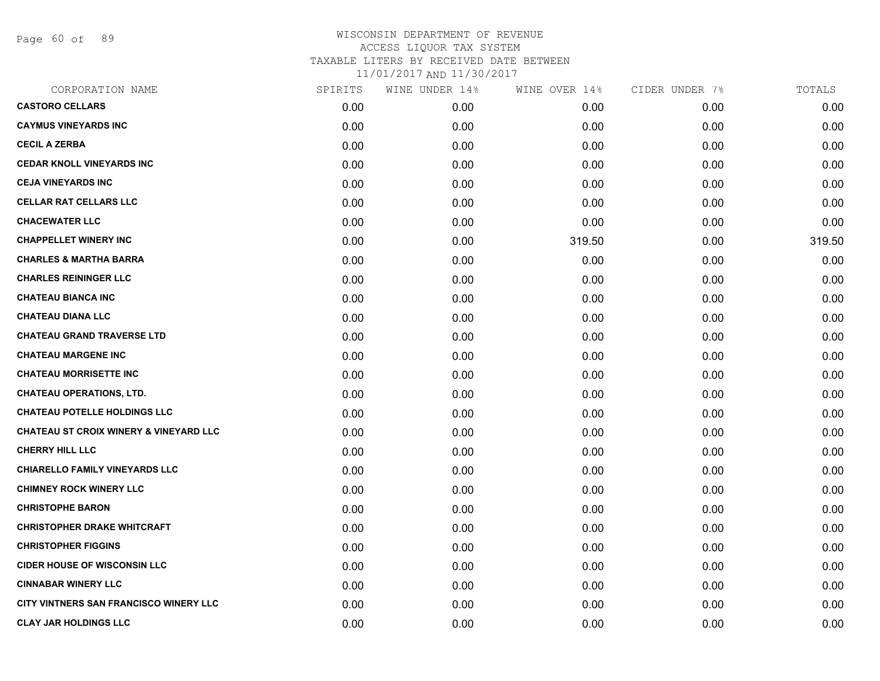Page 60 of 89

| CORPORATION NAME                                  | SPIRITS | WINE UNDER 14% | WINE OVER 14% | CIDER UNDER 7% | TOTALS |
|---------------------------------------------------|---------|----------------|---------------|----------------|--------|
| <b>CASTORO CELLARS</b>                            | 0.00    | 0.00           | 0.00          | 0.00           | 0.00   |
| <b>CAYMUS VINEYARDS INC</b>                       | 0.00    | 0.00           | 0.00          | 0.00           | 0.00   |
| <b>CECIL A ZERBA</b>                              | 0.00    | 0.00           | 0.00          | 0.00           | 0.00   |
| <b>CEDAR KNOLL VINEYARDS INC</b>                  | 0.00    | 0.00           | 0.00          | 0.00           | 0.00   |
| <b>CEJA VINEYARDS INC</b>                         | 0.00    | 0.00           | 0.00          | 0.00           | 0.00   |
| <b>CELLAR RAT CELLARS LLC</b>                     | 0.00    | 0.00           | 0.00          | 0.00           | 0.00   |
| <b>CHACEWATER LLC</b>                             | 0.00    | 0.00           | 0.00          | 0.00           | 0.00   |
| <b>CHAPPELLET WINERY INC</b>                      | 0.00    | 0.00           | 319.50        | 0.00           | 319.50 |
| <b>CHARLES &amp; MARTHA BARRA</b>                 | 0.00    | 0.00           | 0.00          | 0.00           | 0.00   |
| <b>CHARLES REININGER LLC</b>                      | 0.00    | 0.00           | 0.00          | 0.00           | 0.00   |
| <b>CHATEAU BIANCA INC</b>                         | 0.00    | 0.00           | 0.00          | 0.00           | 0.00   |
| <b>CHATEAU DIANA LLC</b>                          | 0.00    | 0.00           | 0.00          | 0.00           | 0.00   |
| <b>CHATEAU GRAND TRAVERSE LTD</b>                 | 0.00    | 0.00           | 0.00          | 0.00           | 0.00   |
| <b>CHATEAU MARGENE INC</b>                        | 0.00    | 0.00           | 0.00          | 0.00           | 0.00   |
| <b>CHATEAU MORRISETTE INC</b>                     | 0.00    | 0.00           | 0.00          | 0.00           | 0.00   |
| <b>CHATEAU OPERATIONS, LTD.</b>                   | 0.00    | 0.00           | 0.00          | 0.00           | 0.00   |
| <b>CHATEAU POTELLE HOLDINGS LLC</b>               | 0.00    | 0.00           | 0.00          | 0.00           | 0.00   |
| <b>CHATEAU ST CROIX WINERY &amp; VINEYARD LLC</b> | 0.00    | 0.00           | 0.00          | 0.00           | 0.00   |
| <b>CHERRY HILL LLC</b>                            | 0.00    | 0.00           | 0.00          | 0.00           | 0.00   |
| <b>CHIARELLO FAMILY VINEYARDS LLC</b>             | 0.00    | 0.00           | 0.00          | 0.00           | 0.00   |
| <b>CHIMNEY ROCK WINERY LLC</b>                    | 0.00    | 0.00           | 0.00          | 0.00           | 0.00   |
| <b>CHRISTOPHE BARON</b>                           | 0.00    | 0.00           | 0.00          | 0.00           | 0.00   |
| <b>CHRISTOPHER DRAKE WHITCRAFT</b>                | 0.00    | 0.00           | 0.00          | 0.00           | 0.00   |
| <b>CHRISTOPHER FIGGINS</b>                        | 0.00    | 0.00           | 0.00          | 0.00           | 0.00   |
| <b>CIDER HOUSE OF WISCONSIN LLC</b>               | 0.00    | 0.00           | 0.00          | 0.00           | 0.00   |
| <b>CINNABAR WINERY LLC</b>                        | 0.00    | 0.00           | 0.00          | 0.00           | 0.00   |
| CITY VINTNERS SAN FRANCISCO WINERY LLC            | 0.00    | 0.00           | 0.00          | 0.00           | 0.00   |
| <b>CLAY JAR HOLDINGS LLC</b>                      | 0.00    | 0.00           | 0.00          | 0.00           | 0.00   |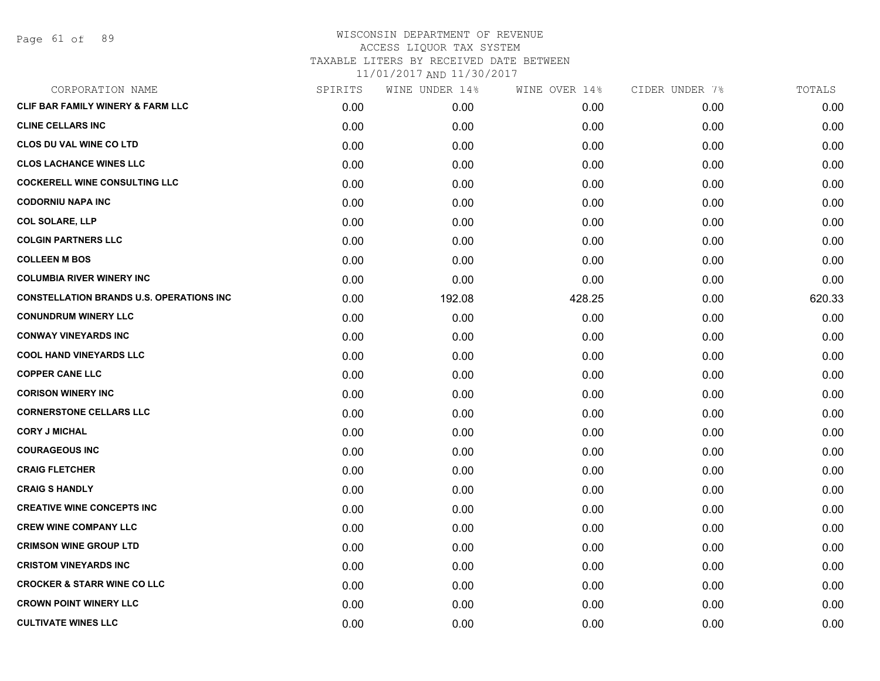Page 61 of 89

| CORPORATION NAME                                | SPIRITS | WINE UNDER 14% | WINE OVER 14% | CIDER UNDER 7% | TOTALS |
|-------------------------------------------------|---------|----------------|---------------|----------------|--------|
| <b>CLIF BAR FAMILY WINERY &amp; FARM LLC</b>    | 0.00    | 0.00           | 0.00          | 0.00           | 0.00   |
| <b>CLINE CELLARS INC</b>                        | 0.00    | 0.00           | 0.00          | 0.00           | 0.00   |
| <b>CLOS DU VAL WINE CO LTD</b>                  | 0.00    | 0.00           | 0.00          | 0.00           | 0.00   |
| <b>CLOS LACHANCE WINES LLC</b>                  | 0.00    | 0.00           | 0.00          | 0.00           | 0.00   |
| <b>COCKERELL WINE CONSULTING LLC</b>            | 0.00    | 0.00           | 0.00          | 0.00           | 0.00   |
| <b>CODORNIU NAPA INC</b>                        | 0.00    | 0.00           | 0.00          | 0.00           | 0.00   |
| <b>COL SOLARE, LLP</b>                          | 0.00    | 0.00           | 0.00          | 0.00           | 0.00   |
| <b>COLGIN PARTNERS LLC</b>                      | 0.00    | 0.00           | 0.00          | 0.00           | 0.00   |
| <b>COLLEEN M BOS</b>                            | 0.00    | 0.00           | 0.00          | 0.00           | 0.00   |
| <b>COLUMBIA RIVER WINERY INC</b>                | 0.00    | 0.00           | 0.00          | 0.00           | 0.00   |
| <b>CONSTELLATION BRANDS U.S. OPERATIONS INC</b> | 0.00    | 192.08         | 428.25        | 0.00           | 620.33 |
| <b>CONUNDRUM WINERY LLC</b>                     | 0.00    | 0.00           | 0.00          | 0.00           | 0.00   |
| <b>CONWAY VINEYARDS INC</b>                     | 0.00    | 0.00           | 0.00          | 0.00           | 0.00   |
| <b>COOL HAND VINEYARDS LLC</b>                  | 0.00    | 0.00           | 0.00          | 0.00           | 0.00   |
| <b>COPPER CANE LLC</b>                          | 0.00    | 0.00           | 0.00          | 0.00           | 0.00   |
| <b>CORISON WINERY INC</b>                       | 0.00    | 0.00           | 0.00          | 0.00           | 0.00   |
| <b>CORNERSTONE CELLARS LLC</b>                  | 0.00    | 0.00           | 0.00          | 0.00           | 0.00   |
| <b>CORY J MICHAL</b>                            | 0.00    | 0.00           | 0.00          | 0.00           | 0.00   |
| <b>COURAGEOUS INC</b>                           | 0.00    | 0.00           | 0.00          | 0.00           | 0.00   |
| <b>CRAIG FLETCHER</b>                           | 0.00    | 0.00           | 0.00          | 0.00           | 0.00   |
| <b>CRAIG S HANDLY</b>                           | 0.00    | 0.00           | 0.00          | 0.00           | 0.00   |
| <b>CREATIVE WINE CONCEPTS INC</b>               | 0.00    | 0.00           | 0.00          | 0.00           | 0.00   |
| <b>CREW WINE COMPANY LLC</b>                    | 0.00    | 0.00           | 0.00          | 0.00           | 0.00   |
| <b>CRIMSON WINE GROUP LTD</b>                   | 0.00    | 0.00           | 0.00          | 0.00           | 0.00   |
| <b>CRISTOM VINEYARDS INC</b>                    | 0.00    | 0.00           | 0.00          | 0.00           | 0.00   |
| <b>CROCKER &amp; STARR WINE CO LLC</b>          | 0.00    | 0.00           | 0.00          | 0.00           | 0.00   |
| <b>CROWN POINT WINERY LLC</b>                   | 0.00    | 0.00           | 0.00          | 0.00           | 0.00   |
| <b>CULTIVATE WINES LLC</b>                      | 0.00    | 0.00           | 0.00          | 0.00           | 0.00   |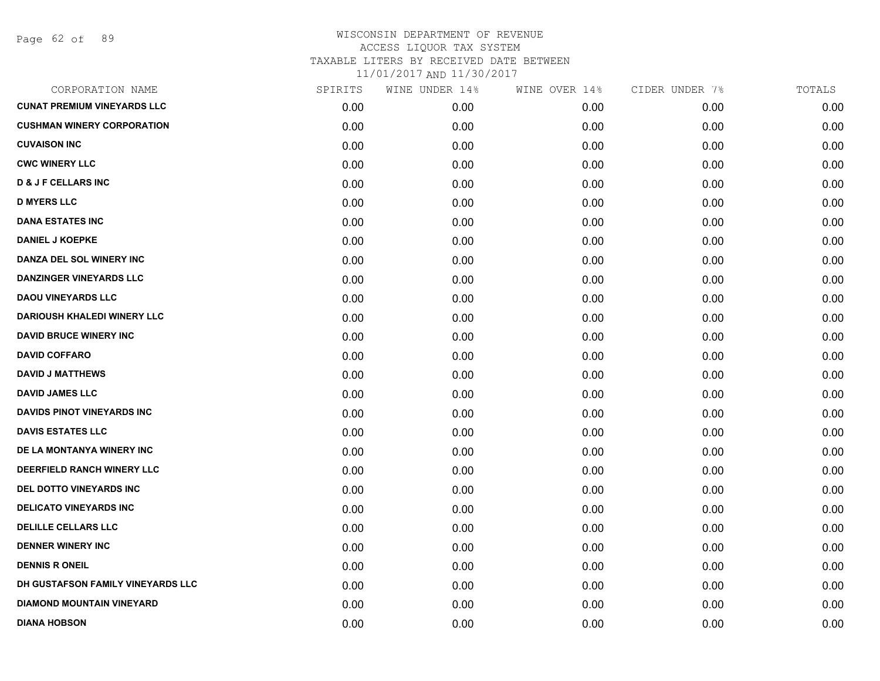Page 62 of 89

| CORPORATION NAME                   | SPIRITS | WINE UNDER 14% | WINE OVER 14% | CIDER UNDER 7% | TOTALS |
|------------------------------------|---------|----------------|---------------|----------------|--------|
| <b>CUNAT PREMIUM VINEYARDS LLC</b> | 0.00    | 0.00           | 0.00          | 0.00           | 0.00   |
| <b>CUSHMAN WINERY CORPORATION</b>  | 0.00    | 0.00           | 0.00          | 0.00           | 0.00   |
| <b>CUVAISON INC</b>                | 0.00    | 0.00           | 0.00          | 0.00           | 0.00   |
| <b>CWC WINERY LLC</b>              | 0.00    | 0.00           | 0.00          | 0.00           | 0.00   |
| <b>D &amp; J F CELLARS INC</b>     | 0.00    | 0.00           | 0.00          | 0.00           | 0.00   |
| <b>D MYERS LLC</b>                 | 0.00    | 0.00           | 0.00          | 0.00           | 0.00   |
| <b>DANA ESTATES INC</b>            | 0.00    | 0.00           | 0.00          | 0.00           | 0.00   |
| <b>DANIEL J KOEPKE</b>             | 0.00    | 0.00           | 0.00          | 0.00           | 0.00   |
| DANZA DEL SOL WINERY INC           | 0.00    | 0.00           | 0.00          | 0.00           | 0.00   |
| <b>DANZINGER VINEYARDS LLC</b>     | 0.00    | 0.00           | 0.00          | 0.00           | 0.00   |
| <b>DAOU VINEYARDS LLC</b>          | 0.00    | 0.00           | 0.00          | 0.00           | 0.00   |
| <b>DARIOUSH KHALEDI WINERY LLC</b> | 0.00    | 0.00           | 0.00          | 0.00           | 0.00   |
| <b>DAVID BRUCE WINERY INC</b>      | 0.00    | 0.00           | 0.00          | 0.00           | 0.00   |
| <b>DAVID COFFARO</b>               | 0.00    | 0.00           | 0.00          | 0.00           | 0.00   |
| <b>DAVID J MATTHEWS</b>            | 0.00    | 0.00           | 0.00          | 0.00           | 0.00   |
| <b>DAVID JAMES LLC</b>             | 0.00    | 0.00           | 0.00          | 0.00           | 0.00   |
| <b>DAVIDS PINOT VINEYARDS INC</b>  | 0.00    | 0.00           | 0.00          | 0.00           | 0.00   |
| <b>DAVIS ESTATES LLC</b>           | 0.00    | 0.00           | 0.00          | 0.00           | 0.00   |
| DE LA MONTANYA WINERY INC          | 0.00    | 0.00           | 0.00          | 0.00           | 0.00   |
| DEERFIELD RANCH WINERY LLC         | 0.00    | 0.00           | 0.00          | 0.00           | 0.00   |
| DEL DOTTO VINEYARDS INC            | 0.00    | 0.00           | 0.00          | 0.00           | 0.00   |
| <b>DELICATO VINEYARDS INC</b>      | 0.00    | 0.00           | 0.00          | 0.00           | 0.00   |
| <b>DELILLE CELLARS LLC</b>         | 0.00    | 0.00           | 0.00          | 0.00           | 0.00   |
| <b>DENNER WINERY INC</b>           | 0.00    | 0.00           | 0.00          | 0.00           | 0.00   |
| <b>DENNIS R ONEIL</b>              | 0.00    | 0.00           | 0.00          | 0.00           | 0.00   |
| DH GUSTAFSON FAMILY VINEYARDS LLC  | 0.00    | 0.00           | 0.00          | 0.00           | 0.00   |
| <b>DIAMOND MOUNTAIN VINEYARD</b>   | 0.00    | 0.00           | 0.00          | 0.00           | 0.00   |
| <b>DIANA HOBSON</b>                | 0.00    | 0.00           | 0.00          | 0.00           | 0.00   |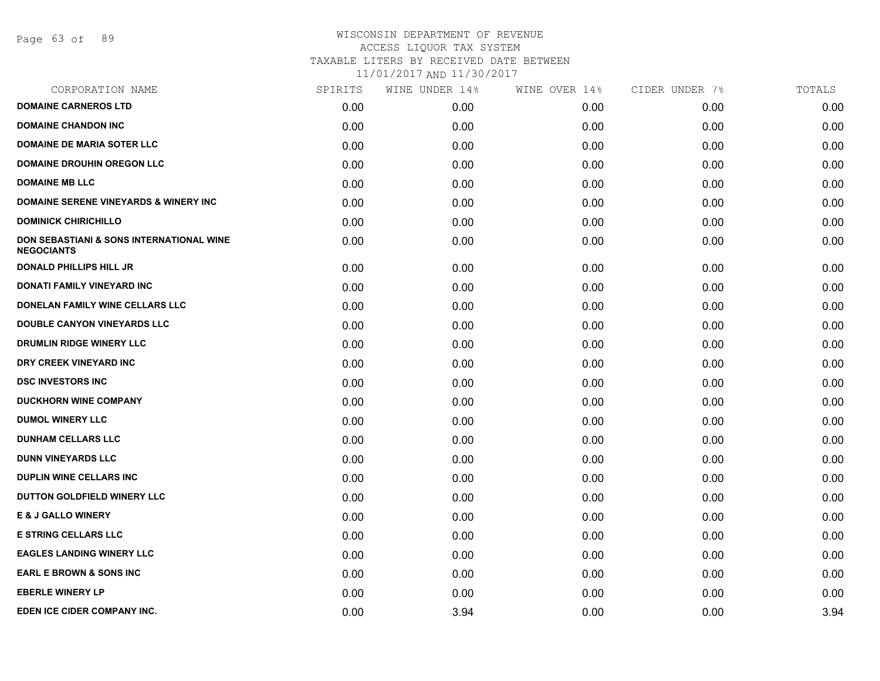Page 63 of 89

### WISCONSIN DEPARTMENT OF REVENUE ACCESS LIQUOR TAX SYSTEM TAXABLE LITERS BY RECEIVED DATE BETWEEN

| CORPORATION NAME                                                         | SPIRITS | WINE UNDER 14% | WINE OVER 14% | CIDER UNDER 7% | TOTALS |
|--------------------------------------------------------------------------|---------|----------------|---------------|----------------|--------|
| <b>DOMAINE CARNEROS LTD</b>                                              | 0.00    | 0.00           | 0.00          | 0.00           | 0.00   |
| <b>DOMAINE CHANDON INC</b>                                               | 0.00    | 0.00           | 0.00          | 0.00           | 0.00   |
| <b>DOMAINE DE MARIA SOTER LLC</b>                                        | 0.00    | 0.00           | 0.00          | 0.00           | 0.00   |
| <b>DOMAINE DROUHIN OREGON LLC</b>                                        | 0.00    | 0.00           | 0.00          | 0.00           | 0.00   |
| <b>DOMAINE MB LLC</b>                                                    | 0.00    | 0.00           | 0.00          | 0.00           | 0.00   |
| <b>DOMAINE SERENE VINEYARDS &amp; WINERY INC</b>                         | 0.00    | 0.00           | 0.00          | 0.00           | 0.00   |
| <b>DOMINICK CHIRICHILLO</b>                                              | 0.00    | 0.00           | 0.00          | 0.00           | 0.00   |
| <b>DON SEBASTIANI &amp; SONS INTERNATIONAL WINE</b><br><b>NEGOCIANTS</b> | 0.00    | 0.00           | 0.00          | 0.00           | 0.00   |
| <b>DONALD PHILLIPS HILL JR</b>                                           | 0.00    | 0.00           | 0.00          | 0.00           | 0.00   |
| DONATI FAMILY VINEYARD INC                                               | 0.00    | 0.00           | 0.00          | 0.00           | 0.00   |
| DONELAN FAMILY WINE CELLARS LLC                                          | 0.00    | 0.00           | 0.00          | 0.00           | 0.00   |
| <b>DOUBLE CANYON VINEYARDS LLC</b>                                       | 0.00    | 0.00           | 0.00          | 0.00           | 0.00   |
| <b>DRUMLIN RIDGE WINERY LLC</b>                                          | 0.00    | 0.00           | 0.00          | 0.00           | 0.00   |
| DRY CREEK VINEYARD INC                                                   | 0.00    | 0.00           | 0.00          | 0.00           | 0.00   |
| <b>DSC INVESTORS INC</b>                                                 | 0.00    | 0.00           | 0.00          | 0.00           | 0.00   |
| <b>DUCKHORN WINE COMPANY</b>                                             | 0.00    | 0.00           | 0.00          | 0.00           | 0.00   |
| <b>DUMOL WINERY LLC</b>                                                  | 0.00    | 0.00           | 0.00          | 0.00           | 0.00   |
| <b>DUNHAM CELLARS LLC</b>                                                | 0.00    | 0.00           | 0.00          | 0.00           | 0.00   |
| <b>DUNN VINEYARDS LLC</b>                                                | 0.00    | 0.00           | 0.00          | 0.00           | 0.00   |
| DUPLIN WINE CELLARS INC                                                  | 0.00    | 0.00           | 0.00          | 0.00           | 0.00   |
| DUTTON GOLDFIELD WINERY LLC                                              | 0.00    | 0.00           | 0.00          | 0.00           | 0.00   |
| <b>E &amp; J GALLO WINERY</b>                                            | 0.00    | 0.00           | 0.00          | 0.00           | 0.00   |
| <b>E STRING CELLARS LLC</b>                                              | 0.00    | 0.00           | 0.00          | 0.00           | 0.00   |
| <b>EAGLES LANDING WINERY LLC</b>                                         | 0.00    | 0.00           | 0.00          | 0.00           | 0.00   |
| <b>EARL E BROWN &amp; SONS INC</b>                                       | 0.00    | 0.00           | 0.00          | 0.00           | 0.00   |
| <b>EBERLE WINERY LP</b>                                                  | 0.00    | 0.00           | 0.00          | 0.00           | 0.00   |
| EDEN ICE CIDER COMPANY INC.                                              | 0.00    | 3.94           | 0.00          | 0.00           | 3.94   |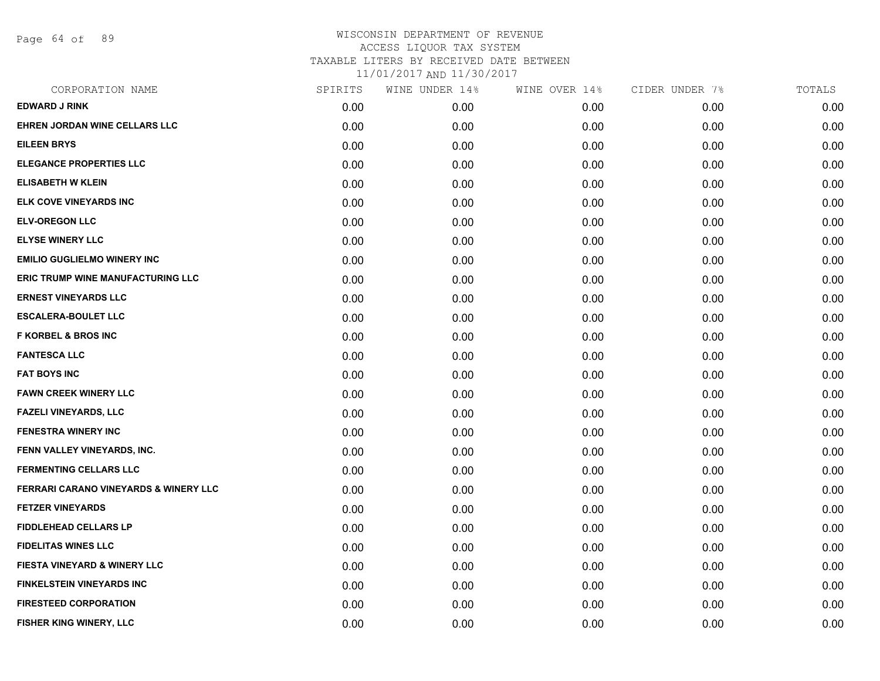Page 64 of 89

| CORPORATION NAME                                 | SPIRITS | WINE UNDER 14% | WINE OVER 14% | CIDER UNDER 7% | TOTALS |
|--------------------------------------------------|---------|----------------|---------------|----------------|--------|
| <b>EDWARD J RINK</b>                             | 0.00    | 0.00           | 0.00          | 0.00           | 0.00   |
| EHREN JORDAN WINE CELLARS LLC                    | 0.00    | 0.00           | 0.00          | 0.00           | 0.00   |
| <b>EILEEN BRYS</b>                               | 0.00    | 0.00           | 0.00          | 0.00           | 0.00   |
| <b>ELEGANCE PROPERTIES LLC</b>                   | 0.00    | 0.00           | 0.00          | 0.00           | 0.00   |
| <b>ELISABETH W KLEIN</b>                         | 0.00    | 0.00           | 0.00          | 0.00           | 0.00   |
| <b>ELK COVE VINEYARDS INC</b>                    | 0.00    | 0.00           | 0.00          | 0.00           | 0.00   |
| <b>ELV-OREGON LLC</b>                            | 0.00    | 0.00           | 0.00          | 0.00           | 0.00   |
| <b>ELYSE WINERY LLC</b>                          | 0.00    | 0.00           | 0.00          | 0.00           | 0.00   |
| <b>EMILIO GUGLIELMO WINERY INC</b>               | 0.00    | 0.00           | 0.00          | 0.00           | 0.00   |
| <b>ERIC TRUMP WINE MANUFACTURING LLC</b>         | 0.00    | 0.00           | 0.00          | 0.00           | 0.00   |
| <b>ERNEST VINEYARDS LLC</b>                      | 0.00    | 0.00           | 0.00          | 0.00           | 0.00   |
| <b>ESCALERA-BOULET LLC</b>                       | 0.00    | 0.00           | 0.00          | 0.00           | 0.00   |
| <b>F KORBEL &amp; BROS INC</b>                   | 0.00    | 0.00           | 0.00          | 0.00           | 0.00   |
| <b>FANTESCA LLC</b>                              | 0.00    | 0.00           | 0.00          | 0.00           | 0.00   |
| <b>FAT BOYS INC</b>                              | 0.00    | 0.00           | 0.00          | 0.00           | 0.00   |
| <b>FAWN CREEK WINERY LLC</b>                     | 0.00    | 0.00           | 0.00          | 0.00           | 0.00   |
| <b>FAZELI VINEYARDS, LLC</b>                     | 0.00    | 0.00           | 0.00          | 0.00           | 0.00   |
| FENESTRA WINERY INC                              | 0.00    | 0.00           | 0.00          | 0.00           | 0.00   |
| FENN VALLEY VINEYARDS, INC.                      | 0.00    | 0.00           | 0.00          | 0.00           | 0.00   |
| <b>FERMENTING CELLARS LLC</b>                    | 0.00    | 0.00           | 0.00          | 0.00           | 0.00   |
| <b>FERRARI CARANO VINEYARDS &amp; WINERY LLC</b> | 0.00    | 0.00           | 0.00          | 0.00           | 0.00   |
| <b>FETZER VINEYARDS</b>                          | 0.00    | 0.00           | 0.00          | 0.00           | 0.00   |
| <b>FIDDLEHEAD CELLARS LP</b>                     | 0.00    | 0.00           | 0.00          | 0.00           | 0.00   |
| <b>FIDELITAS WINES LLC</b>                       | 0.00    | 0.00           | 0.00          | 0.00           | 0.00   |
| <b>FIESTA VINEYARD &amp; WINERY LLC</b>          | 0.00    | 0.00           | 0.00          | 0.00           | 0.00   |
| <b>FINKELSTEIN VINEYARDS INC</b>                 | 0.00    | 0.00           | 0.00          | 0.00           | 0.00   |
| <b>FIRESTEED CORPORATION</b>                     | 0.00    | 0.00           | 0.00          | 0.00           | 0.00   |
| FISHER KING WINERY, LLC                          | 0.00    | 0.00           | 0.00          | 0.00           | 0.00   |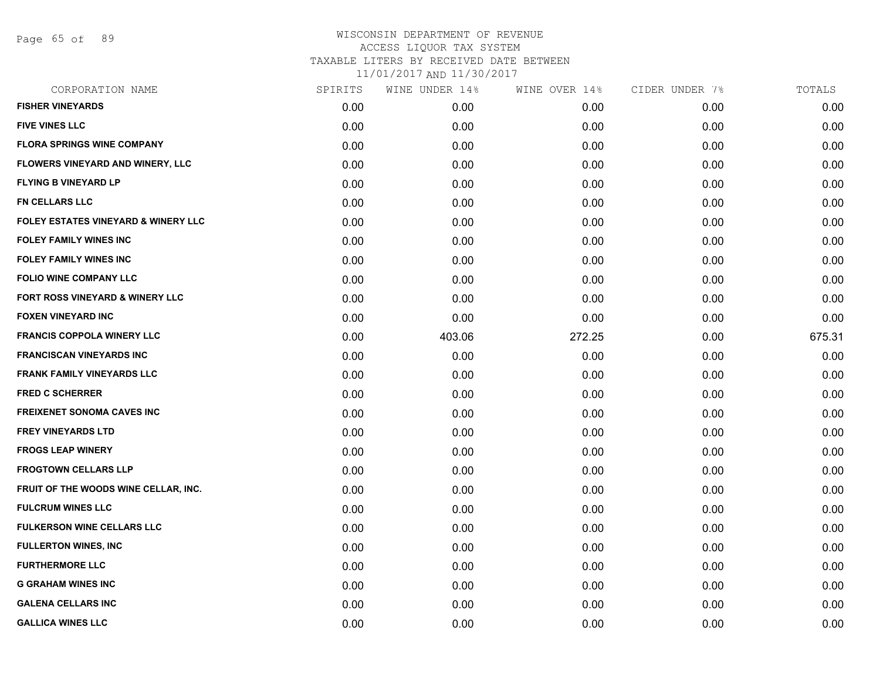Page 65 of 89

| CORPORATION NAME                               | SPIRITS | WINE UNDER 14% | WINE OVER 14% | CIDER UNDER 7% | TOTALS |
|------------------------------------------------|---------|----------------|---------------|----------------|--------|
| <b>FISHER VINEYARDS</b>                        | 0.00    | 0.00           | 0.00          | 0.00           | 0.00   |
| <b>FIVE VINES LLC</b>                          | 0.00    | 0.00           | 0.00          | 0.00           | 0.00   |
| <b>FLORA SPRINGS WINE COMPANY</b>              | 0.00    | 0.00           | 0.00          | 0.00           | 0.00   |
| FLOWERS VINEYARD AND WINERY, LLC               | 0.00    | 0.00           | 0.00          | 0.00           | 0.00   |
| <b>FLYING B VINEYARD LP</b>                    | 0.00    | 0.00           | 0.00          | 0.00           | 0.00   |
| <b>FN CELLARS LLC</b>                          | 0.00    | 0.00           | 0.00          | 0.00           | 0.00   |
| <b>FOLEY ESTATES VINEYARD &amp; WINERY LLC</b> | 0.00    | 0.00           | 0.00          | 0.00           | 0.00   |
| <b>FOLEY FAMILY WINES INC</b>                  | 0.00    | 0.00           | 0.00          | 0.00           | 0.00   |
| <b>FOLEY FAMILY WINES INC</b>                  | 0.00    | 0.00           | 0.00          | 0.00           | 0.00   |
| FOLIO WINE COMPANY LLC                         | 0.00    | 0.00           | 0.00          | 0.00           | 0.00   |
| FORT ROSS VINEYARD & WINERY LLC                | 0.00    | 0.00           | 0.00          | 0.00           | 0.00   |
| <b>FOXEN VINEYARD INC</b>                      | 0.00    | 0.00           | 0.00          | 0.00           | 0.00   |
| <b>FRANCIS COPPOLA WINERY LLC</b>              | 0.00    | 403.06         | 272.25        | 0.00           | 675.31 |
| <b>FRANCISCAN VINEYARDS INC</b>                | 0.00    | 0.00           | 0.00          | 0.00           | 0.00   |
| <b>FRANK FAMILY VINEYARDS LLC</b>              | 0.00    | 0.00           | 0.00          | 0.00           | 0.00   |
| <b>FRED C SCHERRER</b>                         | 0.00    | 0.00           | 0.00          | 0.00           | 0.00   |
| FREIXENET SONOMA CAVES INC                     | 0.00    | 0.00           | 0.00          | 0.00           | 0.00   |
| <b>FREY VINEYARDS LTD</b>                      | 0.00    | 0.00           | 0.00          | 0.00           | 0.00   |
| <b>FROGS LEAP WINERY</b>                       | 0.00    | 0.00           | 0.00          | 0.00           | 0.00   |
| <b>FROGTOWN CELLARS LLP</b>                    | 0.00    | 0.00           | 0.00          | 0.00           | 0.00   |
| FRUIT OF THE WOODS WINE CELLAR, INC.           | 0.00    | 0.00           | 0.00          | 0.00           | 0.00   |
| <b>FULCRUM WINES LLC</b>                       | 0.00    | 0.00           | 0.00          | 0.00           | 0.00   |
| <b>FULKERSON WINE CELLARS LLC</b>              | 0.00    | 0.00           | 0.00          | 0.00           | 0.00   |
| <b>FULLERTON WINES, INC</b>                    | 0.00    | 0.00           | 0.00          | 0.00           | 0.00   |
| <b>FURTHERMORE LLC</b>                         | 0.00    | 0.00           | 0.00          | 0.00           | 0.00   |
| <b>G GRAHAM WINES INC</b>                      | 0.00    | 0.00           | 0.00          | 0.00           | 0.00   |
| <b>GALENA CELLARS INC</b>                      | 0.00    | 0.00           | 0.00          | 0.00           | 0.00   |
| <b>GALLICA WINES LLC</b>                       | 0.00    | 0.00           | 0.00          | 0.00           | 0.00   |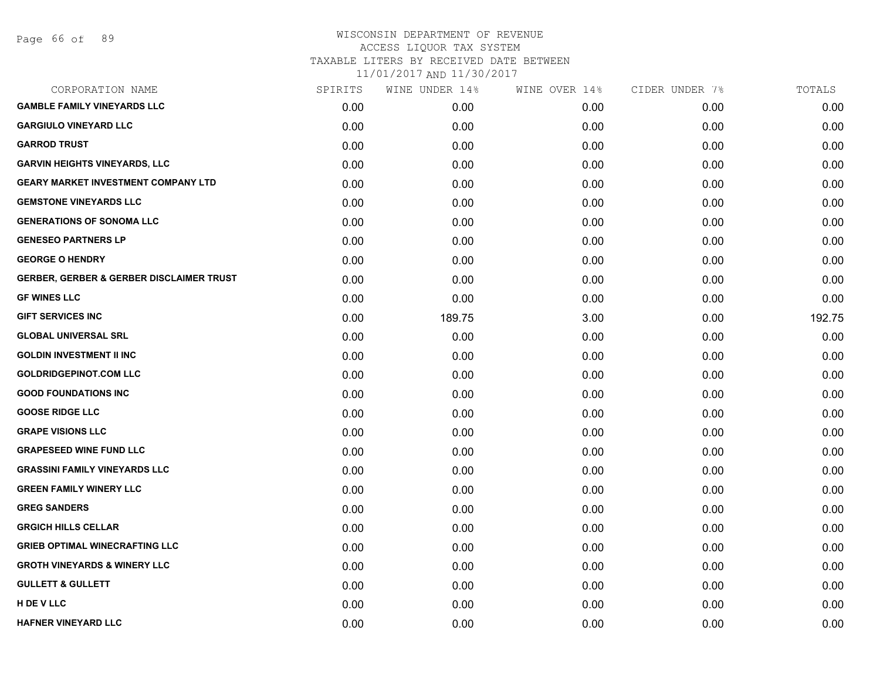# WISCONSIN DEPARTMENT OF REVENUE ACCESS LIQUOR TAX SYSTEM TAXABLE LITERS BY RECEIVED DATE BETWEEN

| CORPORATION NAME                                    | SPIRITS | WINE UNDER 14% | WINE OVER 14% | CIDER UNDER 7% | TOTALS |
|-----------------------------------------------------|---------|----------------|---------------|----------------|--------|
| <b>GAMBLE FAMILY VINEYARDS LLC</b>                  | 0.00    | 0.00           | 0.00          | 0.00           | 0.00   |
| <b>GARGIULO VINEYARD LLC</b>                        | 0.00    | 0.00           | 0.00          | 0.00           | 0.00   |
| <b>GARROD TRUST</b>                                 | 0.00    | 0.00           | 0.00          | 0.00           | 0.00   |
| <b>GARVIN HEIGHTS VINEYARDS, LLC</b>                | 0.00    | 0.00           | 0.00          | 0.00           | 0.00   |
| <b>GEARY MARKET INVESTMENT COMPANY LTD</b>          | 0.00    | 0.00           | 0.00          | 0.00           | 0.00   |
| <b>GEMSTONE VINEYARDS LLC</b>                       | 0.00    | 0.00           | 0.00          | 0.00           | 0.00   |
| <b>GENERATIONS OF SONOMA LLC</b>                    | 0.00    | 0.00           | 0.00          | 0.00           | 0.00   |
| <b>GENESEO PARTNERS LP</b>                          | 0.00    | 0.00           | 0.00          | 0.00           | 0.00   |
| <b>GEORGE O HENDRY</b>                              | 0.00    | 0.00           | 0.00          | 0.00           | 0.00   |
| <b>GERBER, GERBER &amp; GERBER DISCLAIMER TRUST</b> | 0.00    | 0.00           | 0.00          | 0.00           | 0.00   |
| <b>GF WINES LLC</b>                                 | 0.00    | 0.00           | 0.00          | 0.00           | 0.00   |
| <b>GIFT SERVICES INC</b>                            | 0.00    | 189.75         | 3.00          | 0.00           | 192.75 |
| <b>GLOBAL UNIVERSAL SRL</b>                         | 0.00    | 0.00           | 0.00          | 0.00           | 0.00   |
| <b>GOLDIN INVESTMENT II INC</b>                     | 0.00    | 0.00           | 0.00          | 0.00           | 0.00   |
| <b>GOLDRIDGEPINOT.COM LLC</b>                       | 0.00    | 0.00           | 0.00          | 0.00           | 0.00   |
| <b>GOOD FOUNDATIONS INC</b>                         | 0.00    | 0.00           | 0.00          | 0.00           | 0.00   |
| <b>GOOSE RIDGE LLC</b>                              | 0.00    | 0.00           | 0.00          | 0.00           | 0.00   |
| <b>GRAPE VISIONS LLC</b>                            | 0.00    | 0.00           | 0.00          | 0.00           | 0.00   |
| <b>GRAPESEED WINE FUND LLC</b>                      | 0.00    | 0.00           | 0.00          | 0.00           | 0.00   |
| <b>GRASSINI FAMILY VINEYARDS LLC</b>                | 0.00    | 0.00           | 0.00          | 0.00           | 0.00   |
| <b>GREEN FAMILY WINERY LLC</b>                      | 0.00    | 0.00           | 0.00          | 0.00           | 0.00   |
| <b>GREG SANDERS</b>                                 | 0.00    | 0.00           | 0.00          | 0.00           | 0.00   |
| <b>GRGICH HILLS CELLAR</b>                          | 0.00    | 0.00           | 0.00          | 0.00           | 0.00   |
| <b>GRIEB OPTIMAL WINECRAFTING LLC</b>               | 0.00    | 0.00           | 0.00          | 0.00           | 0.00   |
| <b>GROTH VINEYARDS &amp; WINERY LLC</b>             | 0.00    | 0.00           | 0.00          | 0.00           | 0.00   |
| <b>GULLETT &amp; GULLETT</b>                        | 0.00    | 0.00           | 0.00          | 0.00           | 0.00   |
| H DE V LLC                                          | 0.00    | 0.00           | 0.00          | 0.00           | 0.00   |
| <b>HAFNER VINEYARD LLC</b>                          | 0.00    | 0.00           | 0.00          | 0.00           | 0.00   |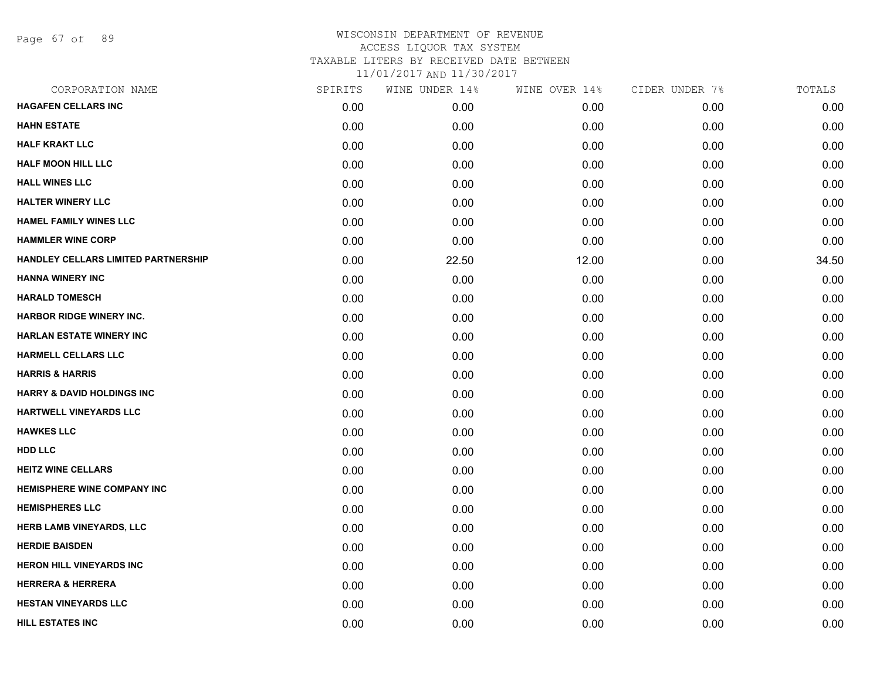Page 67 of 89

## WISCONSIN DEPARTMENT OF REVENUE ACCESS LIQUOR TAX SYSTEM TAXABLE LITERS BY RECEIVED DATE BETWEEN

| CORPORATION NAME                      | SPIRITS | WINE UNDER 14% | WINE OVER 14% | CIDER UNDER 7% | TOTALS |
|---------------------------------------|---------|----------------|---------------|----------------|--------|
| <b>HAGAFEN CELLARS INC</b>            | 0.00    | 0.00           | 0.00          | 0.00           | 0.00   |
| <b>HAHN ESTATE</b>                    | 0.00    | 0.00           | 0.00          | 0.00           | 0.00   |
| <b>HALF KRAKT LLC</b>                 | 0.00    | 0.00           | 0.00          | 0.00           | 0.00   |
| <b>HALF MOON HILL LLC</b>             | 0.00    | 0.00           | 0.00          | 0.00           | 0.00   |
| <b>HALL WINES LLC</b>                 | 0.00    | 0.00           | 0.00          | 0.00           | 0.00   |
| <b>HALTER WINERY LLC</b>              | 0.00    | 0.00           | 0.00          | 0.00           | 0.00   |
| <b>HAMEL FAMILY WINES LLC</b>         | 0.00    | 0.00           | 0.00          | 0.00           | 0.00   |
| <b>HAMMLER WINE CORP</b>              | 0.00    | 0.00           | 0.00          | 0.00           | 0.00   |
| HANDLEY CELLARS LIMITED PARTNERSHIP   | 0.00    | 22.50          | 12.00         | 0.00           | 34.50  |
| <b>HANNA WINERY INC</b>               | 0.00    | 0.00           | 0.00          | 0.00           | 0.00   |
| <b>HARALD TOMESCH</b>                 | 0.00    | 0.00           | 0.00          | 0.00           | 0.00   |
| <b>HARBOR RIDGE WINERY INC.</b>       | 0.00    | 0.00           | 0.00          | 0.00           | 0.00   |
| <b>HARLAN ESTATE WINERY INC</b>       | 0.00    | 0.00           | 0.00          | 0.00           | 0.00   |
| <b>HARMELL CELLARS LLC</b>            | 0.00    | 0.00           | 0.00          | 0.00           | 0.00   |
| <b>HARRIS &amp; HARRIS</b>            | 0.00    | 0.00           | 0.00          | 0.00           | 0.00   |
| <b>HARRY &amp; DAVID HOLDINGS INC</b> | 0.00    | 0.00           | 0.00          | 0.00           | 0.00   |
| HARTWELL VINEYARDS LLC                | 0.00    | 0.00           | 0.00          | 0.00           | 0.00   |
| <b>HAWKES LLC</b>                     | 0.00    | 0.00           | 0.00          | 0.00           | 0.00   |
| <b>HDD LLC</b>                        | 0.00    | 0.00           | 0.00          | 0.00           | 0.00   |
| <b>HEITZ WINE CELLARS</b>             | 0.00    | 0.00           | 0.00          | 0.00           | 0.00   |
| <b>HEMISPHERE WINE COMPANY INC</b>    | 0.00    | 0.00           | 0.00          | 0.00           | 0.00   |
| <b>HEMISPHERES LLC</b>                | 0.00    | 0.00           | 0.00          | 0.00           | 0.00   |
| <b>HERB LAMB VINEYARDS, LLC</b>       | 0.00    | 0.00           | 0.00          | 0.00           | 0.00   |
| <b>HERDIE BAISDEN</b>                 | 0.00    | 0.00           | 0.00          | 0.00           | 0.00   |
| <b>HERON HILL VINEYARDS INC</b>       | 0.00    | 0.00           | 0.00          | 0.00           | 0.00   |
| <b>HERRERA &amp; HERRERA</b>          | 0.00    | 0.00           | 0.00          | 0.00           | 0.00   |
| <b>HESTAN VINEYARDS LLC</b>           | 0.00    | 0.00           | 0.00          | 0.00           | 0.00   |
| <b>HILL ESTATES INC</b>               | 0.00    | 0.00           | 0.00          | 0.00           | 0.00   |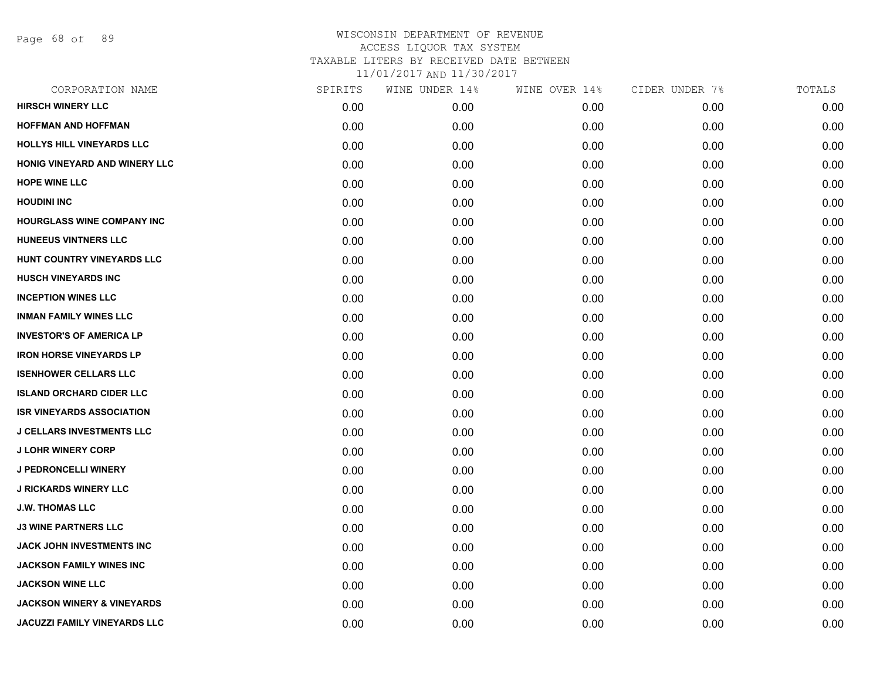Page 68 of 89

| CORPORATION NAME                      | SPIRITS | WINE UNDER 14% | WINE OVER 14% | CIDER UNDER 7% | TOTALS |
|---------------------------------------|---------|----------------|---------------|----------------|--------|
| <b>HIRSCH WINERY LLC</b>              | 0.00    | 0.00           | 0.00          | 0.00           | 0.00   |
| <b>HOFFMAN AND HOFFMAN</b>            | 0.00    | 0.00           | 0.00          | 0.00           | 0.00   |
| <b>HOLLYS HILL VINEYARDS LLC</b>      | 0.00    | 0.00           | 0.00          | 0.00           | 0.00   |
| HONIG VINEYARD AND WINERY LLC         | 0.00    | 0.00           | 0.00          | 0.00           | 0.00   |
| <b>HOPE WINE LLC</b>                  | 0.00    | 0.00           | 0.00          | 0.00           | 0.00   |
| <b>HOUDINI INC</b>                    | 0.00    | 0.00           | 0.00          | 0.00           | 0.00   |
| <b>HOURGLASS WINE COMPANY INC</b>     | 0.00    | 0.00           | 0.00          | 0.00           | 0.00   |
| <b>HUNEEUS VINTNERS LLC</b>           | 0.00    | 0.00           | 0.00          | 0.00           | 0.00   |
| HUNT COUNTRY VINEYARDS LLC            | 0.00    | 0.00           | 0.00          | 0.00           | 0.00   |
| <b>HUSCH VINEYARDS INC</b>            | 0.00    | 0.00           | 0.00          | 0.00           | 0.00   |
| <b>INCEPTION WINES LLC</b>            | 0.00    | 0.00           | 0.00          | 0.00           | 0.00   |
| <b>INMAN FAMILY WINES LLC</b>         | 0.00    | 0.00           | 0.00          | 0.00           | 0.00   |
| <b>INVESTOR'S OF AMERICA LP</b>       | 0.00    | 0.00           | 0.00          | 0.00           | 0.00   |
| <b>IRON HORSE VINEYARDS LP</b>        | 0.00    | 0.00           | 0.00          | 0.00           | 0.00   |
| <b>ISENHOWER CELLARS LLC</b>          | 0.00    | 0.00           | 0.00          | 0.00           | 0.00   |
| <b>ISLAND ORCHARD CIDER LLC</b>       | 0.00    | 0.00           | 0.00          | 0.00           | 0.00   |
| <b>ISR VINEYARDS ASSOCIATION</b>      | 0.00    | 0.00           | 0.00          | 0.00           | 0.00   |
| <b>J CELLARS INVESTMENTS LLC</b>      | 0.00    | 0.00           | 0.00          | 0.00           | 0.00   |
| <b>J LOHR WINERY CORP</b>             | 0.00    | 0.00           | 0.00          | 0.00           | 0.00   |
| J PEDRONCELLI WINERY                  | 0.00    | 0.00           | 0.00          | 0.00           | 0.00   |
| <b>J RICKARDS WINERY LLC</b>          | 0.00    | 0.00           | 0.00          | 0.00           | 0.00   |
| <b>J.W. THOMAS LLC</b>                | 0.00    | 0.00           | 0.00          | 0.00           | 0.00   |
| <b>J3 WINE PARTNERS LLC</b>           | 0.00    | 0.00           | 0.00          | 0.00           | 0.00   |
| JACK JOHN INVESTMENTS INC             | 0.00    | 0.00           | 0.00          | 0.00           | 0.00   |
| <b>JACKSON FAMILY WINES INC</b>       | 0.00    | 0.00           | 0.00          | 0.00           | 0.00   |
| <b>JACKSON WINE LLC</b>               | 0.00    | 0.00           | 0.00          | 0.00           | 0.00   |
| <b>JACKSON WINERY &amp; VINEYARDS</b> | 0.00    | 0.00           | 0.00          | 0.00           | 0.00   |
| <b>JACUZZI FAMILY VINEYARDS LLC</b>   | 0.00    | 0.00           | 0.00          | 0.00           | 0.00   |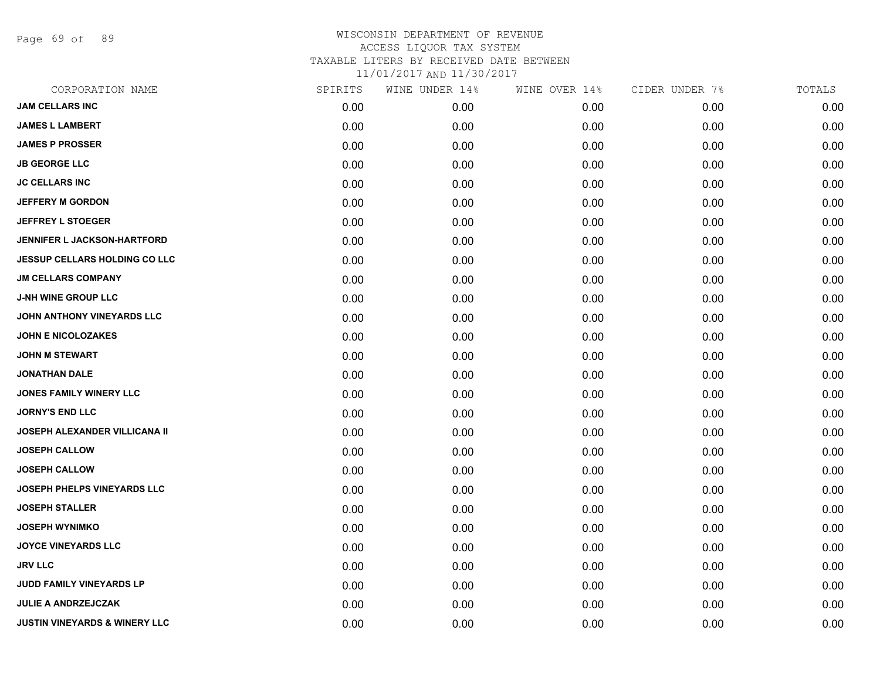Page 69 of 89

| CORPORATION NAME                         | SPIRITS | WINE UNDER 14% | WINE OVER 14% | CIDER UNDER 7% | TOTALS |
|------------------------------------------|---------|----------------|---------------|----------------|--------|
| <b>JAM CELLARS INC</b>                   | 0.00    | 0.00           | 0.00          | 0.00           | 0.00   |
| <b>JAMES L LAMBERT</b>                   | 0.00    | 0.00           | 0.00          | 0.00           | 0.00   |
| <b>JAMES P PROSSER</b>                   | 0.00    | 0.00           | 0.00          | 0.00           | 0.00   |
| <b>JB GEORGE LLC</b>                     | 0.00    | 0.00           | 0.00          | 0.00           | 0.00   |
| <b>JC CELLARS INC</b>                    | 0.00    | 0.00           | 0.00          | 0.00           | 0.00   |
| <b>JEFFERY M GORDON</b>                  | 0.00    | 0.00           | 0.00          | 0.00           | 0.00   |
| <b>JEFFREY L STOEGER</b>                 | 0.00    | 0.00           | 0.00          | 0.00           | 0.00   |
| <b>JENNIFER L JACKSON-HARTFORD</b>       | 0.00    | 0.00           | 0.00          | 0.00           | 0.00   |
| <b>JESSUP CELLARS HOLDING CO LLC</b>     | 0.00    | 0.00           | 0.00          | 0.00           | 0.00   |
| <b>JM CELLARS COMPANY</b>                | 0.00    | 0.00           | 0.00          | 0.00           | 0.00   |
| <b>J-NH WINE GROUP LLC</b>               | 0.00    | 0.00           | 0.00          | 0.00           | 0.00   |
| JOHN ANTHONY VINEYARDS LLC               | 0.00    | 0.00           | 0.00          | 0.00           | 0.00   |
| <b>JOHN E NICOLOZAKES</b>                | 0.00    | 0.00           | 0.00          | 0.00           | 0.00   |
| <b>JOHN M STEWART</b>                    | 0.00    | 0.00           | 0.00          | 0.00           | 0.00   |
| <b>JONATHAN DALE</b>                     | 0.00    | 0.00           | 0.00          | 0.00           | 0.00   |
| JONES FAMILY WINERY LLC                  | 0.00    | 0.00           | 0.00          | 0.00           | 0.00   |
| <b>JORNY'S END LLC</b>                   | 0.00    | 0.00           | 0.00          | 0.00           | 0.00   |
| JOSEPH ALEXANDER VILLICANA II            | 0.00    | 0.00           | 0.00          | 0.00           | 0.00   |
| <b>JOSEPH CALLOW</b>                     | 0.00    | 0.00           | 0.00          | 0.00           | 0.00   |
| <b>JOSEPH CALLOW</b>                     | 0.00    | 0.00           | 0.00          | 0.00           | 0.00   |
| <b>JOSEPH PHELPS VINEYARDS LLC</b>       | 0.00    | 0.00           | 0.00          | 0.00           | 0.00   |
| <b>JOSEPH STALLER</b>                    | 0.00    | 0.00           | 0.00          | 0.00           | 0.00   |
| <b>JOSEPH WYNIMKO</b>                    | 0.00    | 0.00           | 0.00          | 0.00           | 0.00   |
| <b>JOYCE VINEYARDS LLC</b>               | 0.00    | 0.00           | 0.00          | 0.00           | 0.00   |
| <b>JRV LLC</b>                           | 0.00    | 0.00           | 0.00          | 0.00           | 0.00   |
| JUDD FAMILY VINEYARDS LP                 | 0.00    | 0.00           | 0.00          | 0.00           | 0.00   |
| <b>JULIE A ANDRZEJCZAK</b>               | 0.00    | 0.00           | 0.00          | 0.00           | 0.00   |
| <b>JUSTIN VINEYARDS &amp; WINERY LLC</b> | 0.00    | 0.00           | 0.00          | 0.00           | 0.00   |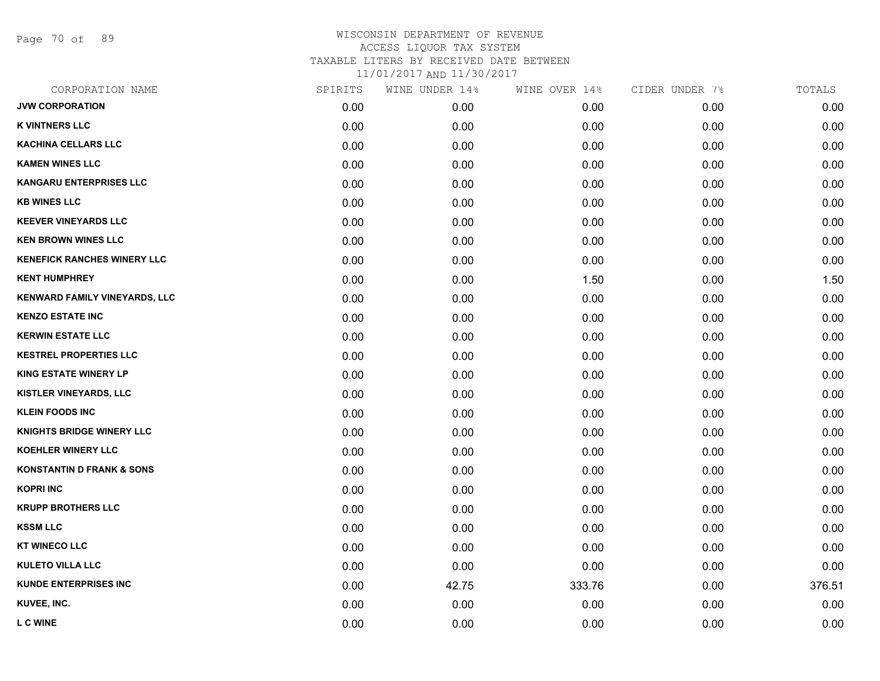Page 70 of 89

| CORPORATION NAME                     | SPIRITS | WINE UNDER 14% | WINE OVER 14% | CIDER UNDER 7% | TOTALS |
|--------------------------------------|---------|----------------|---------------|----------------|--------|
| <b>JVW CORPORATION</b>               | 0.00    | 0.00           | 0.00          | 0.00           | 0.00   |
| <b>K VINTNERS LLC</b>                | 0.00    | 0.00           | 0.00          | 0.00           | 0.00   |
| <b>KACHINA CELLARS LLC</b>           | 0.00    | 0.00           | 0.00          | 0.00           | 0.00   |
| <b>KAMEN WINES LLC</b>               | 0.00    | 0.00           | 0.00          | 0.00           | 0.00   |
| <b>KANGARU ENTERPRISES LLC</b>       | 0.00    | 0.00           | 0.00          | 0.00           | 0.00   |
| <b>KB WINES LLC</b>                  | 0.00    | 0.00           | 0.00          | 0.00           | 0.00   |
| <b>KEEVER VINEYARDS LLC</b>          | 0.00    | 0.00           | 0.00          | 0.00           | 0.00   |
| <b>KEN BROWN WINES LLC</b>           | 0.00    | 0.00           | 0.00          | 0.00           | 0.00   |
| <b>KENEFICK RANCHES WINERY LLC</b>   | 0.00    | 0.00           | 0.00          | 0.00           | 0.00   |
| <b>KENT HUMPHREY</b>                 | 0.00    | 0.00           | 1.50          | 0.00           | 1.50   |
| KENWARD FAMILY VINEYARDS, LLC        | 0.00    | 0.00           | 0.00          | 0.00           | 0.00   |
| <b>KENZO ESTATE INC</b>              | 0.00    | 0.00           | 0.00          | 0.00           | 0.00   |
| <b>KERWIN ESTATE LLC</b>             | 0.00    | 0.00           | 0.00          | 0.00           | 0.00   |
| <b>KESTREL PROPERTIES LLC</b>        | 0.00    | 0.00           | 0.00          | 0.00           | 0.00   |
| <b>KING ESTATE WINERY LP</b>         | 0.00    | 0.00           | 0.00          | 0.00           | 0.00   |
| <b>KISTLER VINEYARDS, LLC</b>        | 0.00    | 0.00           | 0.00          | 0.00           | 0.00   |
| <b>KLEIN FOODS INC</b>               | 0.00    | 0.00           | 0.00          | 0.00           | 0.00   |
| <b>KNIGHTS BRIDGE WINERY LLC</b>     | 0.00    | 0.00           | 0.00          | 0.00           | 0.00   |
| <b>KOEHLER WINERY LLC</b>            | 0.00    | 0.00           | 0.00          | 0.00           | 0.00   |
| <b>KONSTANTIN D FRANK &amp; SONS</b> | 0.00    | 0.00           | 0.00          | 0.00           | 0.00   |
| <b>KOPRI INC</b>                     | 0.00    | 0.00           | 0.00          | 0.00           | 0.00   |
| <b>KRUPP BROTHERS LLC</b>            | 0.00    | 0.00           | 0.00          | 0.00           | 0.00   |
| <b>KSSM LLC</b>                      | 0.00    | 0.00           | 0.00          | 0.00           | 0.00   |
| <b>KT WINECO LLC</b>                 | 0.00    | 0.00           | 0.00          | 0.00           | 0.00   |
| <b>KULETO VILLA LLC</b>              | 0.00    | 0.00           | 0.00          | 0.00           | 0.00   |
| <b>KUNDE ENTERPRISES INC</b>         | 0.00    | 42.75          | 333.76        | 0.00           | 376.51 |
| KUVEE, INC.                          | 0.00    | 0.00           | 0.00          | 0.00           | 0.00   |
| <b>L C WINE</b>                      | 0.00    | 0.00           | 0.00          | 0.00           | 0.00   |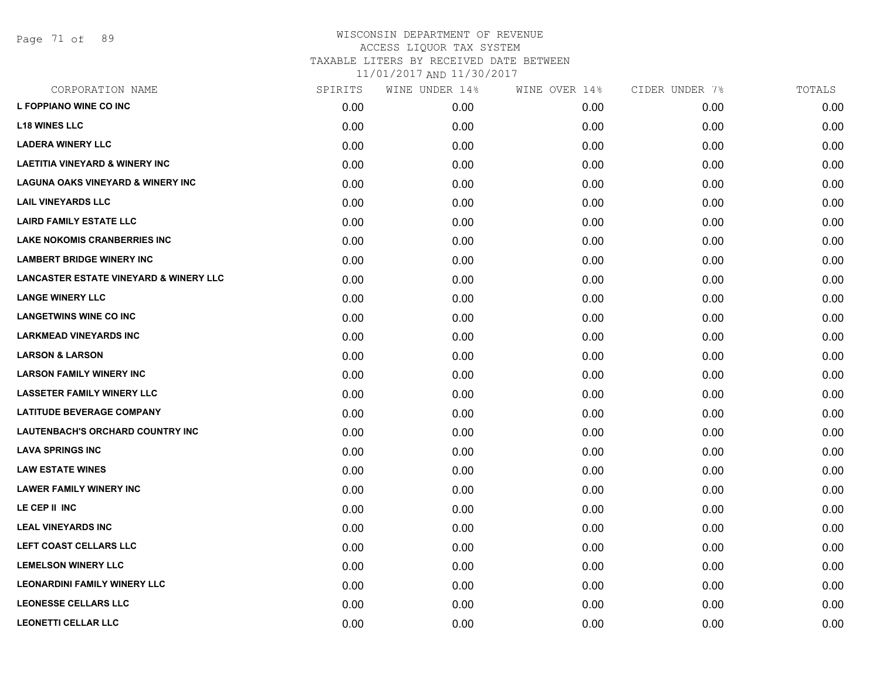| CORPORATION NAME                                  | SPIRITS | WINE UNDER 14% | WINE OVER 14% | CIDER UNDER 7% | TOTALS |
|---------------------------------------------------|---------|----------------|---------------|----------------|--------|
| L FOPPIANO WINE CO INC                            | 0.00    | 0.00           | 0.00          | 0.00           | 0.00   |
| <b>L18 WINES LLC</b>                              | 0.00    | 0.00           | 0.00          | 0.00           | 0.00   |
| <b>LADERA WINERY LLC</b>                          | 0.00    | 0.00           | 0.00          | 0.00           | 0.00   |
| <b>LAETITIA VINEYARD &amp; WINERY INC</b>         | 0.00    | 0.00           | 0.00          | 0.00           | 0.00   |
| <b>LAGUNA OAKS VINEYARD &amp; WINERY INC</b>      | 0.00    | 0.00           | 0.00          | 0.00           | 0.00   |
| <b>LAIL VINEYARDS LLC</b>                         | 0.00    | 0.00           | 0.00          | 0.00           | 0.00   |
| <b>LAIRD FAMILY ESTATE LLC</b>                    | 0.00    | 0.00           | 0.00          | 0.00           | 0.00   |
| <b>LAKE NOKOMIS CRANBERRIES INC</b>               | 0.00    | 0.00           | 0.00          | 0.00           | 0.00   |
| <b>LAMBERT BRIDGE WINERY INC</b>                  | 0.00    | 0.00           | 0.00          | 0.00           | 0.00   |
| <b>LANCASTER ESTATE VINEYARD &amp; WINERY LLC</b> | 0.00    | 0.00           | 0.00          | 0.00           | 0.00   |
| <b>LANGE WINERY LLC</b>                           | 0.00    | 0.00           | 0.00          | 0.00           | 0.00   |
| <b>LANGETWINS WINE CO INC</b>                     | 0.00    | 0.00           | 0.00          | 0.00           | 0.00   |
| <b>LARKMEAD VINEYARDS INC</b>                     | 0.00    | 0.00           | 0.00          | 0.00           | 0.00   |
| <b>LARSON &amp; LARSON</b>                        | 0.00    | 0.00           | 0.00          | 0.00           | 0.00   |
| <b>LARSON FAMILY WINERY INC</b>                   | 0.00    | 0.00           | 0.00          | 0.00           | 0.00   |
| <b>LASSETER FAMILY WINERY LLC</b>                 | 0.00    | 0.00           | 0.00          | 0.00           | 0.00   |
| <b>LATITUDE BEVERAGE COMPANY</b>                  | 0.00    | 0.00           | 0.00          | 0.00           | 0.00   |
| <b>LAUTENBACH'S ORCHARD COUNTRY INC</b>           | 0.00    | 0.00           | 0.00          | 0.00           | 0.00   |
| <b>LAVA SPRINGS INC</b>                           | 0.00    | 0.00           | 0.00          | 0.00           | 0.00   |
| <b>LAW ESTATE WINES</b>                           | 0.00    | 0.00           | 0.00          | 0.00           | 0.00   |
| <b>LAWER FAMILY WINERY INC</b>                    | 0.00    | 0.00           | 0.00          | 0.00           | 0.00   |
| LE CEP II INC                                     | 0.00    | 0.00           | 0.00          | 0.00           | 0.00   |
| <b>LEAL VINEYARDS INC</b>                         | 0.00    | 0.00           | 0.00          | 0.00           | 0.00   |
| LEFT COAST CELLARS LLC                            | 0.00    | 0.00           | 0.00          | 0.00           | 0.00   |
| <b>LEMELSON WINERY LLC</b>                        | 0.00    | 0.00           | 0.00          | 0.00           | 0.00   |
| <b>LEONARDINI FAMILY WINERY LLC</b>               | 0.00    | 0.00           | 0.00          | 0.00           | 0.00   |
| <b>LEONESSE CELLARS LLC</b>                       | 0.00    | 0.00           | 0.00          | 0.00           | 0.00   |
| <b>LEONETTI CELLAR LLC</b>                        | 0.00    | 0.00           | 0.00          | 0.00           | 0.00   |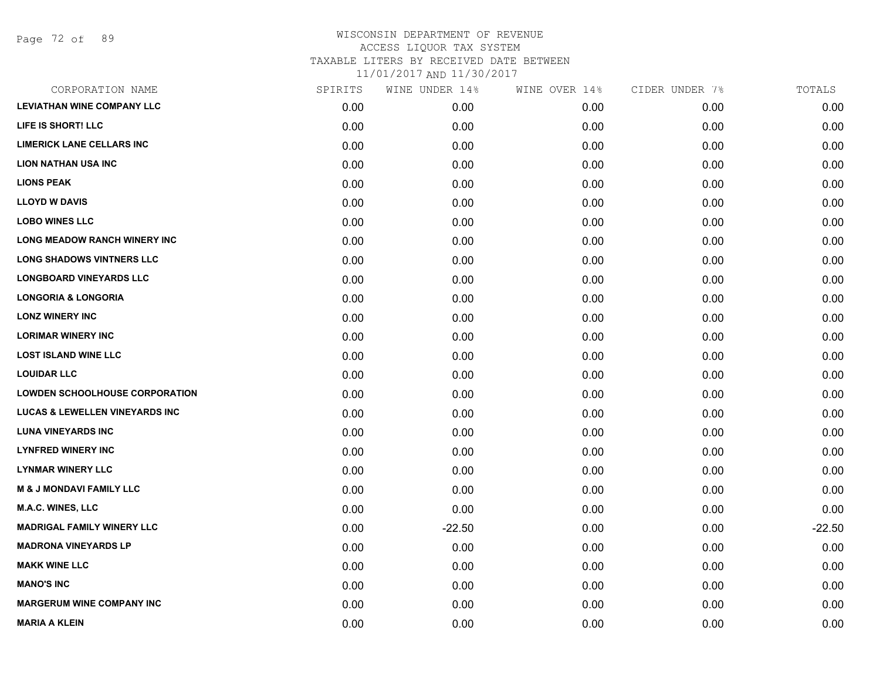Page 72 of 89

| CORPORATION NAME                          | SPIRITS | WINE UNDER 14% | WINE OVER 14% | CIDER UNDER 7% | TOTALS   |
|-------------------------------------------|---------|----------------|---------------|----------------|----------|
| <b>LEVIATHAN WINE COMPANY LLC</b>         | 0.00    | 0.00           | 0.00          | 0.00           | 0.00     |
| LIFE IS SHORT! LLC                        | 0.00    | 0.00           | 0.00          | 0.00           | 0.00     |
| <b>LIMERICK LANE CELLARS INC</b>          | 0.00    | 0.00           | 0.00          | 0.00           | 0.00     |
| <b>LION NATHAN USA INC</b>                | 0.00    | 0.00           | 0.00          | 0.00           | 0.00     |
| <b>LIONS PEAK</b>                         | 0.00    | 0.00           | 0.00          | 0.00           | 0.00     |
| <b>LLOYD W DAVIS</b>                      | 0.00    | 0.00           | 0.00          | 0.00           | 0.00     |
| <b>LOBO WINES LLC</b>                     | 0.00    | 0.00           | 0.00          | 0.00           | 0.00     |
| <b>LONG MEADOW RANCH WINERY INC</b>       | 0.00    | 0.00           | 0.00          | 0.00           | 0.00     |
| <b>LONG SHADOWS VINTNERS LLC</b>          | 0.00    | 0.00           | 0.00          | 0.00           | 0.00     |
| <b>LONGBOARD VINEYARDS LLC</b>            | 0.00    | 0.00           | 0.00          | 0.00           | 0.00     |
| <b>LONGORIA &amp; LONGORIA</b>            | 0.00    | 0.00           | 0.00          | 0.00           | 0.00     |
| <b>LONZ WINERY INC</b>                    | 0.00    | 0.00           | 0.00          | 0.00           | 0.00     |
| <b>LORIMAR WINERY INC</b>                 | 0.00    | 0.00           | 0.00          | 0.00           | 0.00     |
| <b>LOST ISLAND WINE LLC</b>               | 0.00    | 0.00           | 0.00          | 0.00           | 0.00     |
| <b>LOUIDAR LLC</b>                        | 0.00    | 0.00           | 0.00          | 0.00           | 0.00     |
| <b>LOWDEN SCHOOLHOUSE CORPORATION</b>     | 0.00    | 0.00           | 0.00          | 0.00           | 0.00     |
| <b>LUCAS &amp; LEWELLEN VINEYARDS INC</b> | 0.00    | 0.00           | 0.00          | 0.00           | 0.00     |
| <b>LUNA VINEYARDS INC</b>                 | 0.00    | 0.00           | 0.00          | 0.00           | 0.00     |
| <b>LYNFRED WINERY INC</b>                 | 0.00    | 0.00           | 0.00          | 0.00           | 0.00     |
| <b>LYNMAR WINERY LLC</b>                  | 0.00    | 0.00           | 0.00          | 0.00           | 0.00     |
| <b>M &amp; J MONDAVI FAMILY LLC</b>       | 0.00    | 0.00           | 0.00          | 0.00           | 0.00     |
| M.A.C. WINES, LLC                         | 0.00    | 0.00           | 0.00          | 0.00           | 0.00     |
| <b>MADRIGAL FAMILY WINERY LLC</b>         | 0.00    | $-22.50$       | 0.00          | 0.00           | $-22.50$ |
| <b>MADRONA VINEYARDS LP</b>               | 0.00    | 0.00           | 0.00          | 0.00           | 0.00     |
| <b>MAKK WINE LLC</b>                      | 0.00    | 0.00           | 0.00          | 0.00           | 0.00     |
| <b>MANO'S INC</b>                         | 0.00    | 0.00           | 0.00          | 0.00           | 0.00     |
| <b>MARGERUM WINE COMPANY INC</b>          | 0.00    | 0.00           | 0.00          | 0.00           | 0.00     |
| <b>MARIA A KLEIN</b>                      | 0.00    | 0.00           | 0.00          | 0.00           | 0.00     |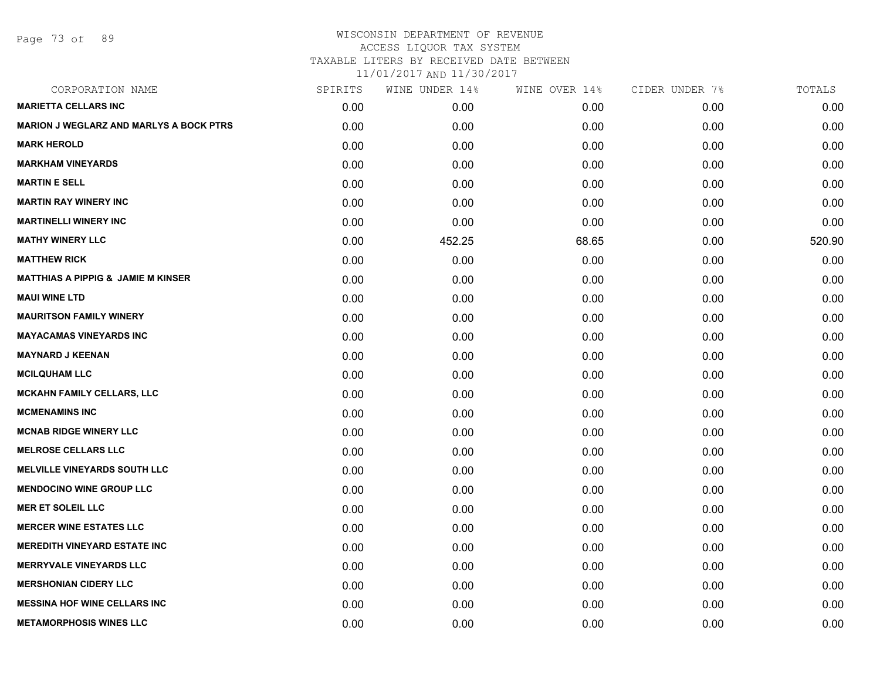Page 73 of 89

## WISCONSIN DEPARTMENT OF REVENUE ACCESS LIQUOR TAX SYSTEM TAXABLE LITERS BY RECEIVED DATE BETWEEN

11/01/2017 AND 11/30/2017

| CORPORATION NAME                               | SPIRITS | WINE UNDER 14% | WINE OVER 14% | CIDER UNDER 7% | TOTALS |
|------------------------------------------------|---------|----------------|---------------|----------------|--------|
| <b>MARIETTA CELLARS INC</b>                    | 0.00    | 0.00           | 0.00          | 0.00           | 0.00   |
| <b>MARION J WEGLARZ AND MARLYS A BOCK PTRS</b> | 0.00    | 0.00           | 0.00          | 0.00           | 0.00   |
| <b>MARK HEROLD</b>                             | 0.00    | 0.00           | 0.00          | 0.00           | 0.00   |
| <b>MARKHAM VINEYARDS</b>                       | 0.00    | 0.00           | 0.00          | 0.00           | 0.00   |
| <b>MARTIN E SELL</b>                           | 0.00    | 0.00           | 0.00          | 0.00           | 0.00   |
| <b>MARTIN RAY WINERY INC</b>                   | 0.00    | 0.00           | 0.00          | 0.00           | 0.00   |
| <b>MARTINELLI WINERY INC</b>                   | 0.00    | 0.00           | 0.00          | 0.00           | 0.00   |
| <b>MATHY WINERY LLC</b>                        | 0.00    | 452.25         | 68.65         | 0.00           | 520.90 |
| <b>MATTHEW RICK</b>                            | 0.00    | 0.00           | 0.00          | 0.00           | 0.00   |
| <b>MATTHIAS A PIPPIG &amp; JAMIE M KINSER</b>  | 0.00    | 0.00           | 0.00          | 0.00           | 0.00   |
| <b>MAUI WINE LTD</b>                           | 0.00    | 0.00           | 0.00          | 0.00           | 0.00   |
| <b>MAURITSON FAMILY WINERY</b>                 | 0.00    | 0.00           | 0.00          | 0.00           | 0.00   |
| <b>MAYACAMAS VINEYARDS INC</b>                 | 0.00    | 0.00           | 0.00          | 0.00           | 0.00   |
| <b>MAYNARD J KEENAN</b>                        | 0.00    | 0.00           | 0.00          | 0.00           | 0.00   |
| <b>MCILQUHAM LLC</b>                           | 0.00    | 0.00           | 0.00          | 0.00           | 0.00   |
| <b>MCKAHN FAMILY CELLARS, LLC</b>              | 0.00    | 0.00           | 0.00          | 0.00           | 0.00   |
| <b>MCMENAMINS INC</b>                          | 0.00    | 0.00           | 0.00          | 0.00           | 0.00   |
| <b>MCNAB RIDGE WINERY LLC</b>                  | 0.00    | 0.00           | 0.00          | 0.00           | 0.00   |
| <b>MELROSE CELLARS LLC</b>                     | 0.00    | 0.00           | 0.00          | 0.00           | 0.00   |
| <b>MELVILLE VINEYARDS SOUTH LLC</b>            | 0.00    | 0.00           | 0.00          | 0.00           | 0.00   |
| <b>MENDOCINO WINE GROUP LLC</b>                | 0.00    | 0.00           | 0.00          | 0.00           | 0.00   |
| <b>MER ET SOLEIL LLC</b>                       | 0.00    | 0.00           | 0.00          | 0.00           | 0.00   |
| <b>MERCER WINE ESTATES LLC</b>                 | 0.00    | 0.00           | 0.00          | 0.00           | 0.00   |
| <b>MEREDITH VINEYARD ESTATE INC</b>            | 0.00    | 0.00           | 0.00          | 0.00           | 0.00   |
| <b>MERRYVALE VINEYARDS LLC</b>                 | 0.00    | 0.00           | 0.00          | 0.00           | 0.00   |
| <b>MERSHONIAN CIDERY LLC</b>                   | 0.00    | 0.00           | 0.00          | 0.00           | 0.00   |
| <b>MESSINA HOF WINE CELLARS INC</b>            | 0.00    | 0.00           | 0.00          | 0.00           | 0.00   |
| <b>METAMORPHOSIS WINES LLC</b>                 | 0.00    | 0.00           | 0.00          | 0.00           | 0.00   |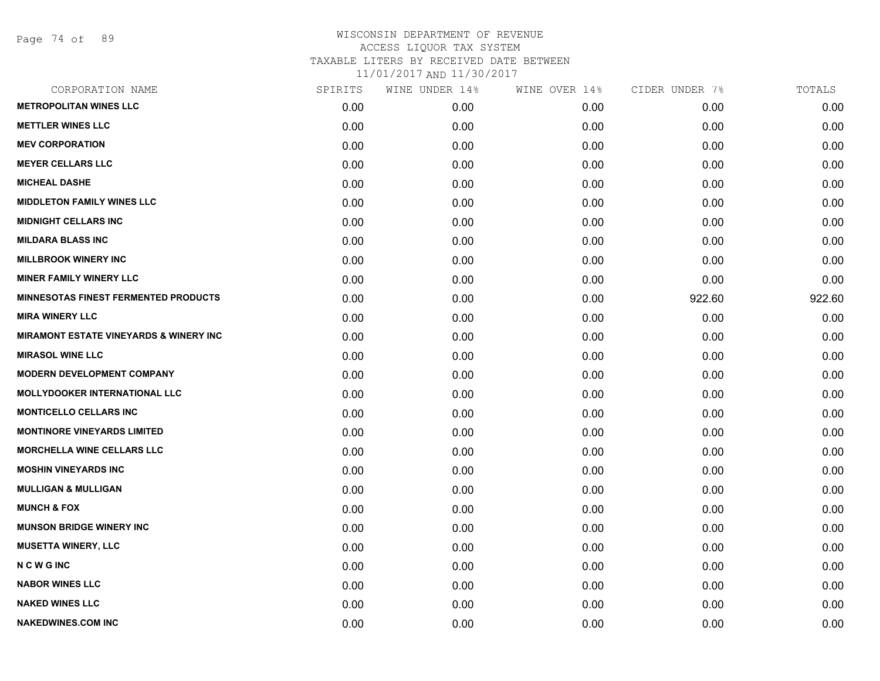Page 74 of 89

| CORPORATION NAME                                  | SPIRITS | WINE UNDER 14% | WINE OVER 14% | CIDER UNDER 7% | TOTALS |
|---------------------------------------------------|---------|----------------|---------------|----------------|--------|
| <b>METROPOLITAN WINES LLC</b>                     | 0.00    | 0.00           | 0.00          | 0.00           | 0.00   |
| <b>METTLER WINES LLC</b>                          | 0.00    | 0.00           | 0.00          | 0.00           | 0.00   |
| <b>MEV CORPORATION</b>                            | 0.00    | 0.00           | 0.00          | 0.00           | 0.00   |
| <b>MEYER CELLARS LLC</b>                          | 0.00    | 0.00           | 0.00          | 0.00           | 0.00   |
| <b>MICHEAL DASHE</b>                              | 0.00    | 0.00           | 0.00          | 0.00           | 0.00   |
| <b>MIDDLETON FAMILY WINES LLC</b>                 | 0.00    | 0.00           | 0.00          | 0.00           | 0.00   |
| <b>MIDNIGHT CELLARS INC</b>                       | 0.00    | 0.00           | 0.00          | 0.00           | 0.00   |
| <b>MILDARA BLASS INC</b>                          | 0.00    | 0.00           | 0.00          | 0.00           | 0.00   |
| <b>MILLBROOK WINERY INC</b>                       | 0.00    | 0.00           | 0.00          | 0.00           | 0.00   |
| <b>MINER FAMILY WINERY LLC</b>                    | 0.00    | 0.00           | 0.00          | 0.00           | 0.00   |
| <b>MINNESOTAS FINEST FERMENTED PRODUCTS</b>       | 0.00    | 0.00           | 0.00          | 922.60         | 922.60 |
| <b>MIRA WINERY LLC</b>                            | 0.00    | 0.00           | 0.00          | 0.00           | 0.00   |
| <b>MIRAMONT ESTATE VINEYARDS &amp; WINERY INC</b> | 0.00    | 0.00           | 0.00          | 0.00           | 0.00   |
| <b>MIRASOL WINE LLC</b>                           | 0.00    | 0.00           | 0.00          | 0.00           | 0.00   |
| <b>MODERN DEVELOPMENT COMPANY</b>                 | 0.00    | 0.00           | 0.00          | 0.00           | 0.00   |
| MOLLYDOOKER INTERNATIONAL LLC                     | 0.00    | 0.00           | 0.00          | 0.00           | 0.00   |
| <b>MONTICELLO CELLARS INC</b>                     | 0.00    | 0.00           | 0.00          | 0.00           | 0.00   |
| <b>MONTINORE VINEYARDS LIMITED</b>                | 0.00    | 0.00           | 0.00          | 0.00           | 0.00   |
| <b>MORCHELLA WINE CELLARS LLC</b>                 | 0.00    | 0.00           | 0.00          | 0.00           | 0.00   |
| <b>MOSHIN VINEYARDS INC</b>                       | 0.00    | 0.00           | 0.00          | 0.00           | 0.00   |
| <b>MULLIGAN &amp; MULLIGAN</b>                    | 0.00    | 0.00           | 0.00          | 0.00           | 0.00   |
| <b>MUNCH &amp; FOX</b>                            | 0.00    | 0.00           | 0.00          | 0.00           | 0.00   |
| <b>MUNSON BRIDGE WINERY INC</b>                   | 0.00    | 0.00           | 0.00          | 0.00           | 0.00   |
| <b>MUSETTA WINERY, LLC</b>                        | 0.00    | 0.00           | 0.00          | 0.00           | 0.00   |
| <b>NCWGINC</b>                                    | 0.00    | 0.00           | 0.00          | 0.00           | 0.00   |
| <b>NABOR WINES LLC</b>                            | 0.00    | 0.00           | 0.00          | 0.00           | 0.00   |
| <b>NAKED WINES LLC</b>                            | 0.00    | 0.00           | 0.00          | 0.00           | 0.00   |
| <b>NAKEDWINES.COM INC</b>                         | 0.00    | 0.00           | 0.00          | 0.00           | 0.00   |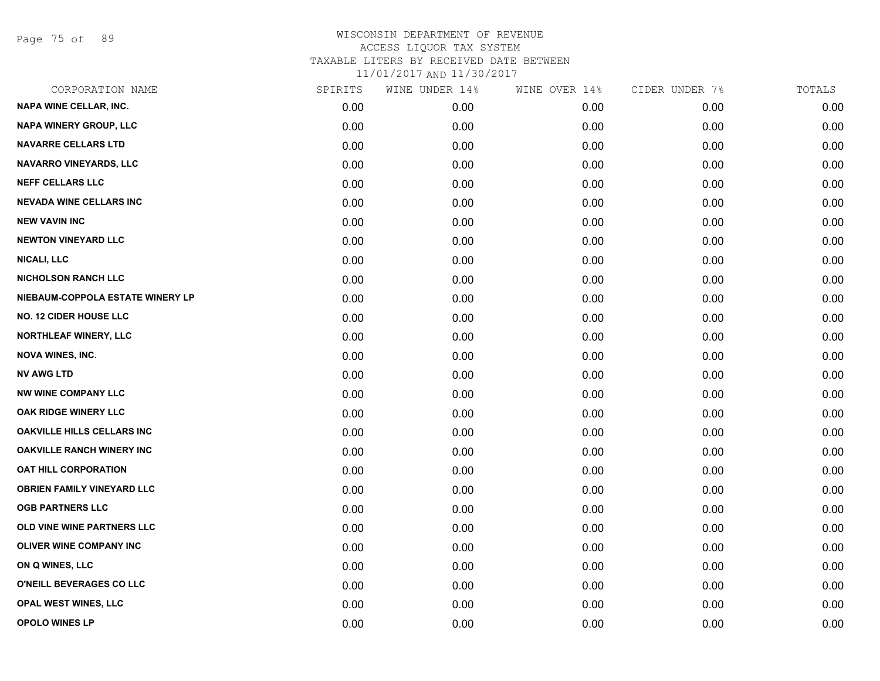Page 75 of 89

| CORPORATION NAME                  | SPIRITS | WINE UNDER 14% | WINE OVER 14% | CIDER UNDER 7% | TOTALS |
|-----------------------------------|---------|----------------|---------------|----------------|--------|
| NAPA WINE CELLAR, INC.            | 0.00    | 0.00           | 0.00          | 0.00           | 0.00   |
| NAPA WINERY GROUP, LLC            | 0.00    | 0.00           | 0.00          | 0.00           | 0.00   |
| <b>NAVARRE CELLARS LTD</b>        | 0.00    | 0.00           | 0.00          | 0.00           | 0.00   |
| <b>NAVARRO VINEYARDS, LLC</b>     | 0.00    | 0.00           | 0.00          | 0.00           | 0.00   |
| <b>NEFF CELLARS LLC</b>           | 0.00    | 0.00           | 0.00          | 0.00           | 0.00   |
| <b>NEVADA WINE CELLARS INC</b>    | 0.00    | 0.00           | 0.00          | 0.00           | 0.00   |
| <b>NEW VAVIN INC</b>              | 0.00    | 0.00           | 0.00          | 0.00           | 0.00   |
| <b>NEWTON VINEYARD LLC</b>        | 0.00    | 0.00           | 0.00          | 0.00           | 0.00   |
| <b>NICALI, LLC</b>                | 0.00    | 0.00           | 0.00          | 0.00           | 0.00   |
| <b>NICHOLSON RANCH LLC</b>        | 0.00    | 0.00           | 0.00          | 0.00           | 0.00   |
| NIEBAUM-COPPOLA ESTATE WINERY LP  | 0.00    | 0.00           | 0.00          | 0.00           | 0.00   |
| <b>NO. 12 CIDER HOUSE LLC</b>     | 0.00    | 0.00           | 0.00          | 0.00           | 0.00   |
| NORTHLEAF WINERY, LLC             | 0.00    | 0.00           | 0.00          | 0.00           | 0.00   |
| <b>NOVA WINES, INC.</b>           | 0.00    | 0.00           | 0.00          | 0.00           | 0.00   |
| <b>NV AWG LTD</b>                 | 0.00    | 0.00           | 0.00          | 0.00           | 0.00   |
| <b>NW WINE COMPANY LLC</b>        | 0.00    | 0.00           | 0.00          | 0.00           | 0.00   |
| OAK RIDGE WINERY LLC              | 0.00    | 0.00           | 0.00          | 0.00           | 0.00   |
| <b>OAKVILLE HILLS CELLARS INC</b> | 0.00    | 0.00           | 0.00          | 0.00           | 0.00   |
| <b>OAKVILLE RANCH WINERY INC</b>  | 0.00    | 0.00           | 0.00          | 0.00           | 0.00   |
| <b>OAT HILL CORPORATION</b>       | 0.00    | 0.00           | 0.00          | 0.00           | 0.00   |
| <b>OBRIEN FAMILY VINEYARD LLC</b> | 0.00    | 0.00           | 0.00          | 0.00           | 0.00   |
| <b>OGB PARTNERS LLC</b>           | 0.00    | 0.00           | 0.00          | 0.00           | 0.00   |
| OLD VINE WINE PARTNERS LLC        | 0.00    | 0.00           | 0.00          | 0.00           | 0.00   |
| <b>OLIVER WINE COMPANY INC</b>    | 0.00    | 0.00           | 0.00          | 0.00           | 0.00   |
| ON Q WINES, LLC                   | 0.00    | 0.00           | 0.00          | 0.00           | 0.00   |
| O'NEILL BEVERAGES CO LLC          | 0.00    | 0.00           | 0.00          | 0.00           | 0.00   |
| <b>OPAL WEST WINES, LLC</b>       | 0.00    | 0.00           | 0.00          | 0.00           | 0.00   |
| <b>OPOLO WINES LP</b>             | 0.00    | 0.00           | 0.00          | 0.00           | 0.00   |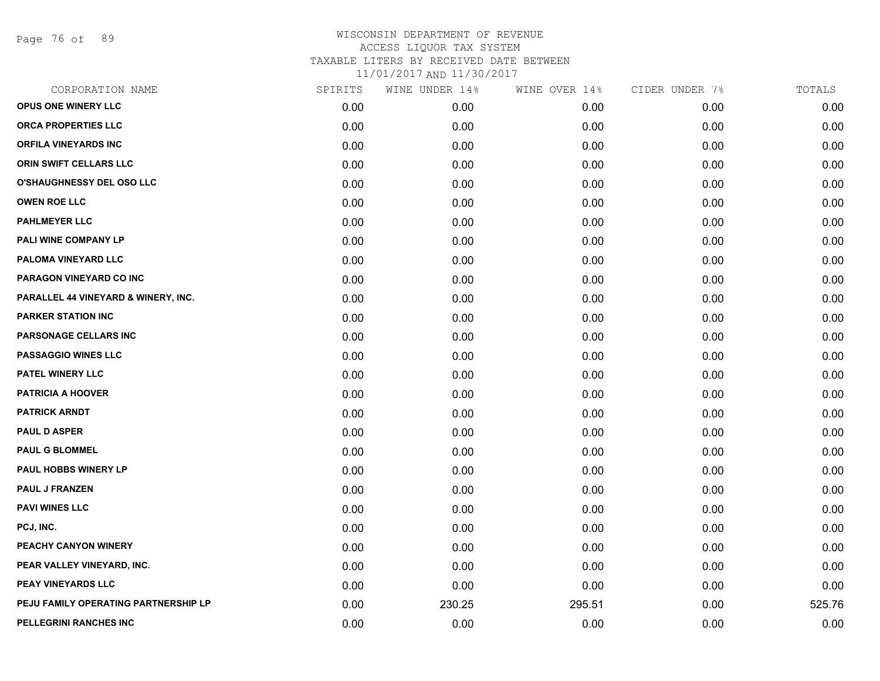Page 76 of 89

| CORPORATION NAME                     | SPIRITS | WINE UNDER 14% | WINE OVER 14% | CIDER UNDER 7% | TOTALS |
|--------------------------------------|---------|----------------|---------------|----------------|--------|
| OPUS ONE WINERY LLC                  | 0.00    | 0.00           | 0.00          | 0.00           | 0.00   |
| <b>ORCA PROPERTIES LLC</b>           | 0.00    | 0.00           | 0.00          | 0.00           | 0.00   |
| <b>ORFILA VINEYARDS INC</b>          | 0.00    | 0.00           | 0.00          | 0.00           | 0.00   |
| <b>ORIN SWIFT CELLARS LLC</b>        | 0.00    | 0.00           | 0.00          | 0.00           | 0.00   |
| O'SHAUGHNESSY DEL OSO LLC            | 0.00    | 0.00           | 0.00          | 0.00           | 0.00   |
| <b>OWEN ROE LLC</b>                  | 0.00    | 0.00           | 0.00          | 0.00           | 0.00   |
| <b>PAHLMEYER LLC</b>                 | 0.00    | 0.00           | 0.00          | 0.00           | 0.00   |
| PALI WINE COMPANY LP                 | 0.00    | 0.00           | 0.00          | 0.00           | 0.00   |
| PALOMA VINEYARD LLC                  | 0.00    | 0.00           | 0.00          | 0.00           | 0.00   |
| PARAGON VINEYARD CO INC              | 0.00    | 0.00           | 0.00          | 0.00           | 0.00   |
| PARALLEL 44 VINEYARD & WINERY, INC.  | 0.00    | 0.00           | 0.00          | 0.00           | 0.00   |
| <b>PARKER STATION INC</b>            | 0.00    | 0.00           | 0.00          | 0.00           | 0.00   |
| PARSONAGE CELLARS INC                | 0.00    | 0.00           | 0.00          | 0.00           | 0.00   |
| <b>PASSAGGIO WINES LLC</b>           | 0.00    | 0.00           | 0.00          | 0.00           | 0.00   |
| <b>PATEL WINERY LLC</b>              | 0.00    | 0.00           | 0.00          | 0.00           | 0.00   |
| <b>PATRICIA A HOOVER</b>             | 0.00    | 0.00           | 0.00          | 0.00           | 0.00   |
| <b>PATRICK ARNDT</b>                 | 0.00    | 0.00           | 0.00          | 0.00           | 0.00   |
| <b>PAUL D ASPER</b>                  | 0.00    | 0.00           | 0.00          | 0.00           | 0.00   |
| <b>PAUL G BLOMMEL</b>                | 0.00    | 0.00           | 0.00          | 0.00           | 0.00   |
| <b>PAUL HOBBS WINERY LP</b>          | 0.00    | 0.00           | 0.00          | 0.00           | 0.00   |
| <b>PAUL J FRANZEN</b>                | 0.00    | 0.00           | 0.00          | 0.00           | 0.00   |
| <b>PAVI WINES LLC</b>                | 0.00    | 0.00           | 0.00          | 0.00           | 0.00   |
| PCJ, INC.                            | 0.00    | 0.00           | 0.00          | 0.00           | 0.00   |
| PEACHY CANYON WINERY                 | 0.00    | 0.00           | 0.00          | 0.00           | 0.00   |
| PEAR VALLEY VINEYARD, INC.           | 0.00    | 0.00           | 0.00          | 0.00           | 0.00   |
| PEAY VINEYARDS LLC                   | 0.00    | 0.00           | 0.00          | 0.00           | 0.00   |
| PEJU FAMILY OPERATING PARTNERSHIP LP | 0.00    | 230.25         | 295.51        | 0.00           | 525.76 |
| <b>PELLEGRINI RANCHES INC</b>        | 0.00    | 0.00           | 0.00          | 0.00           | 0.00   |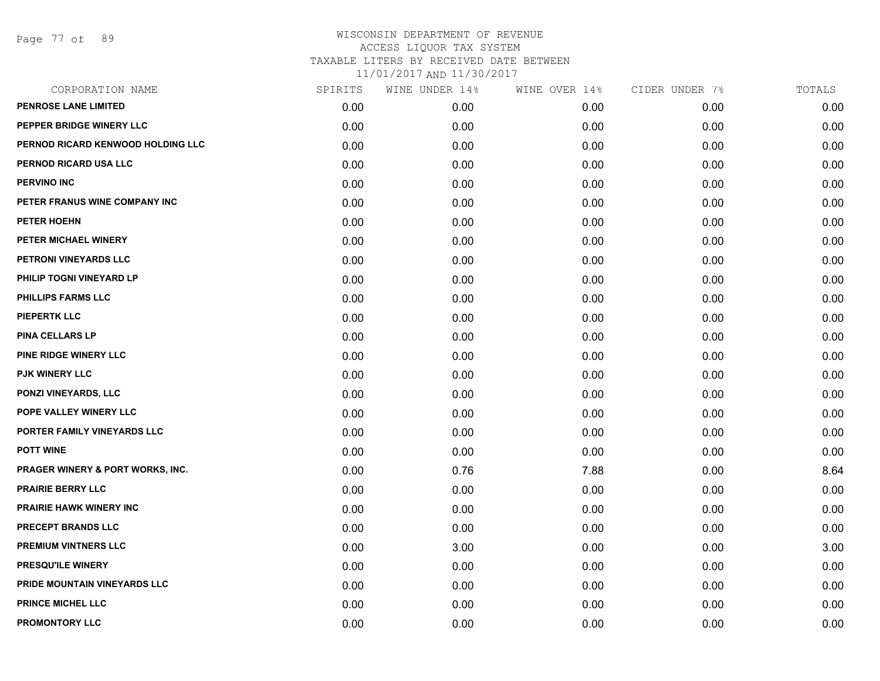Page 77 of 89

| CORPORATION NAME                            | SPIRITS | WINE UNDER 14% | WINE OVER 14% | CIDER UNDER 7% | TOTALS |
|---------------------------------------------|---------|----------------|---------------|----------------|--------|
| <b>PENROSE LANE LIMITED</b>                 | 0.00    | 0.00           | 0.00          | 0.00           | 0.00   |
| PEPPER BRIDGE WINERY LLC                    | 0.00    | 0.00           | 0.00          | 0.00           | 0.00   |
| PERNOD RICARD KENWOOD HOLDING LLC           | 0.00    | 0.00           | 0.00          | 0.00           | 0.00   |
| PERNOD RICARD USA LLC                       | 0.00    | 0.00           | 0.00          | 0.00           | 0.00   |
| <b>PERVINO INC</b>                          | 0.00    | 0.00           | 0.00          | 0.00           | 0.00   |
| PETER FRANUS WINE COMPANY INC               | 0.00    | 0.00           | 0.00          | 0.00           | 0.00   |
| <b>PETER HOEHN</b>                          | 0.00    | 0.00           | 0.00          | 0.00           | 0.00   |
| PETER MICHAEL WINERY                        | 0.00    | 0.00           | 0.00          | 0.00           | 0.00   |
| PETRONI VINEYARDS LLC                       | 0.00    | 0.00           | 0.00          | 0.00           | 0.00   |
| PHILIP TOGNI VINEYARD LP                    | 0.00    | 0.00           | 0.00          | 0.00           | 0.00   |
| <b>PHILLIPS FARMS LLC</b>                   | 0.00    | 0.00           | 0.00          | 0.00           | 0.00   |
| <b>PIEPERTK LLC</b>                         | 0.00    | 0.00           | 0.00          | 0.00           | 0.00   |
| <b>PINA CELLARS LP</b>                      | 0.00    | 0.00           | 0.00          | 0.00           | 0.00   |
| <b>PINE RIDGE WINERY LLC</b>                | 0.00    | 0.00           | 0.00          | 0.00           | 0.00   |
| <b>PJK WINERY LLC</b>                       | 0.00    | 0.00           | 0.00          | 0.00           | 0.00   |
| PONZI VINEYARDS, LLC                        | 0.00    | 0.00           | 0.00          | 0.00           | 0.00   |
| POPE VALLEY WINERY LLC                      | 0.00    | 0.00           | 0.00          | 0.00           | 0.00   |
| PORTER FAMILY VINEYARDS LLC                 | 0.00    | 0.00           | 0.00          | 0.00           | 0.00   |
| <b>POTT WINE</b>                            | 0.00    | 0.00           | 0.00          | 0.00           | 0.00   |
| <b>PRAGER WINERY &amp; PORT WORKS, INC.</b> | 0.00    | 0.76           | 7.88          | 0.00           | 8.64   |
| <b>PRAIRIE BERRY LLC</b>                    | 0.00    | 0.00           | 0.00          | 0.00           | 0.00   |
| PRAIRIE HAWK WINERY INC                     | 0.00    | 0.00           | 0.00          | 0.00           | 0.00   |
| <b>PRECEPT BRANDS LLC</b>                   | 0.00    | 0.00           | 0.00          | 0.00           | 0.00   |
| <b>PREMIUM VINTNERS LLC</b>                 | 0.00    | 3.00           | 0.00          | 0.00           | 3.00   |
| PRESQU'ILE WINERY                           | 0.00    | 0.00           | 0.00          | 0.00           | 0.00   |
| PRIDE MOUNTAIN VINEYARDS LLC                | 0.00    | 0.00           | 0.00          | 0.00           | 0.00   |
| <b>PRINCE MICHEL LLC</b>                    | 0.00    | 0.00           | 0.00          | 0.00           | 0.00   |
| PROMONTORY LLC                              | 0.00    | 0.00           | 0.00          | 0.00           | 0.00   |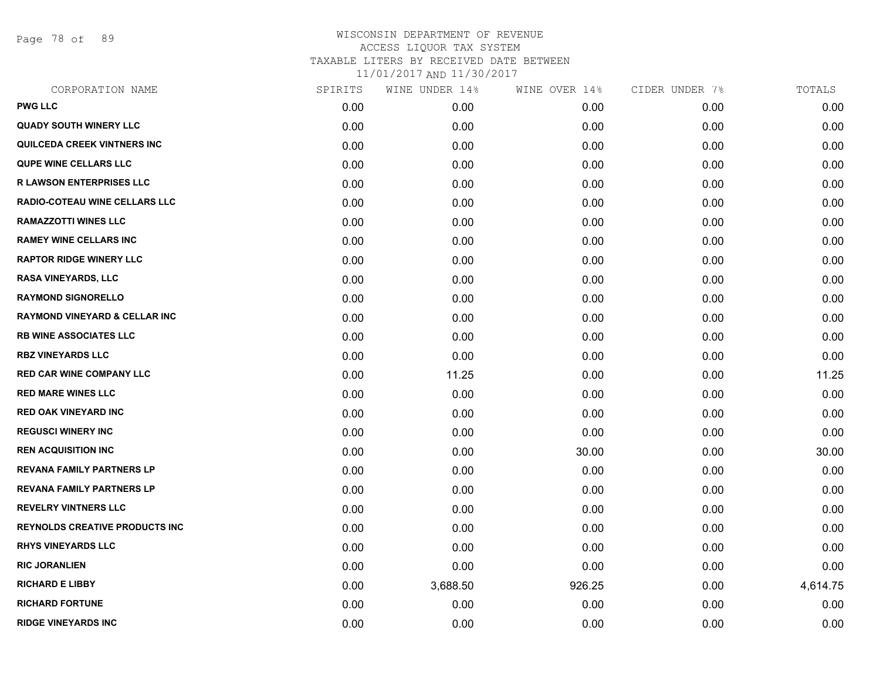Page 78 of 89

| CORPORATION NAME                         | SPIRITS | WINE UNDER 14% | WINE OVER 14% | CIDER UNDER 7% | TOTALS   |
|------------------------------------------|---------|----------------|---------------|----------------|----------|
| <b>PWG LLC</b>                           | 0.00    | 0.00           | 0.00          | 0.00           | 0.00     |
| <b>QUADY SOUTH WINERY LLC</b>            | 0.00    | 0.00           | 0.00          | 0.00           | 0.00     |
| <b>QUILCEDA CREEK VINTNERS INC</b>       | 0.00    | 0.00           | 0.00          | 0.00           | 0.00     |
| <b>QUPE WINE CELLARS LLC</b>             | 0.00    | 0.00           | 0.00          | 0.00           | 0.00     |
| <b>R LAWSON ENTERPRISES LLC</b>          | 0.00    | 0.00           | 0.00          | 0.00           | 0.00     |
| <b>RADIO-COTEAU WINE CELLARS LLC</b>     | 0.00    | 0.00           | 0.00          | 0.00           | 0.00     |
| <b>RAMAZZOTTI WINES LLC</b>              | 0.00    | 0.00           | 0.00          | 0.00           | 0.00     |
| <b>RAMEY WINE CELLARS INC</b>            | 0.00    | 0.00           | 0.00          | 0.00           | 0.00     |
| <b>RAPTOR RIDGE WINERY LLC</b>           | 0.00    | 0.00           | 0.00          | 0.00           | 0.00     |
| RASA VINEYARDS, LLC                      | 0.00    | 0.00           | 0.00          | 0.00           | 0.00     |
| <b>RAYMOND SIGNORELLO</b>                | 0.00    | 0.00           | 0.00          | 0.00           | 0.00     |
| <b>RAYMOND VINEYARD &amp; CELLAR INC</b> | 0.00    | 0.00           | 0.00          | 0.00           | 0.00     |
| <b>RB WINE ASSOCIATES LLC</b>            | 0.00    | 0.00           | 0.00          | 0.00           | 0.00     |
| <b>RBZ VINEYARDS LLC</b>                 | 0.00    | 0.00           | 0.00          | 0.00           | 0.00     |
| <b>RED CAR WINE COMPANY LLC</b>          | 0.00    | 11.25          | 0.00          | 0.00           | 11.25    |
| <b>RED MARE WINES LLC</b>                | 0.00    | 0.00           | 0.00          | 0.00           | 0.00     |
| <b>RED OAK VINEYARD INC</b>              | 0.00    | 0.00           | 0.00          | 0.00           | 0.00     |
| <b>REGUSCI WINERY INC</b>                | 0.00    | 0.00           | 0.00          | 0.00           | 0.00     |
| <b>REN ACQUISITION INC</b>               | 0.00    | 0.00           | 30.00         | 0.00           | 30.00    |
| REVANA FAMILY PARTNERS LP                | 0.00    | 0.00           | 0.00          | 0.00           | 0.00     |
| REVANA FAMILY PARTNERS LP                | 0.00    | 0.00           | 0.00          | 0.00           | 0.00     |
| <b>REVELRY VINTNERS LLC</b>              | 0.00    | 0.00           | 0.00          | 0.00           | 0.00     |
| <b>REYNOLDS CREATIVE PRODUCTS INC</b>    | 0.00    | 0.00           | 0.00          | 0.00           | 0.00     |
| <b>RHYS VINEYARDS LLC</b>                | 0.00    | 0.00           | 0.00          | 0.00           | 0.00     |
| <b>RIC JORANLIEN</b>                     | 0.00    | 0.00           | 0.00          | 0.00           | 0.00     |
| <b>RICHARD E LIBBY</b>                   | 0.00    | 3,688.50       | 926.25        | 0.00           | 4,614.75 |
| <b>RICHARD FORTUNE</b>                   | 0.00    | 0.00           | 0.00          | 0.00           | 0.00     |
| <b>RIDGE VINEYARDS INC</b>               | 0.00    | 0.00           | 0.00          | 0.00           | 0.00     |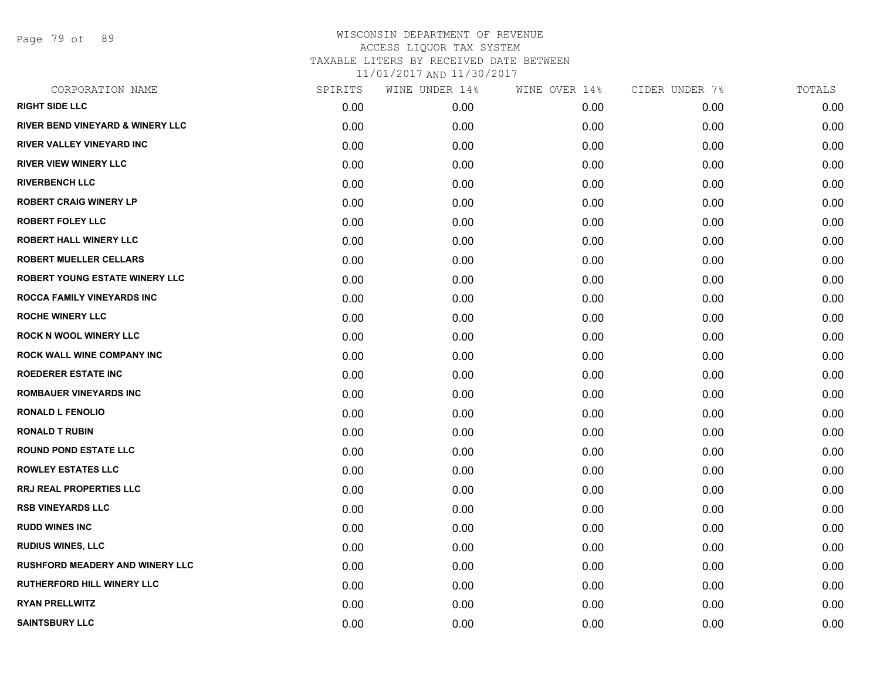Page 79 of 89

| CORPORATION NAME                            | SPIRITS | WINE UNDER 14% | WINE OVER 14% | CIDER UNDER 7% | TOTALS |
|---------------------------------------------|---------|----------------|---------------|----------------|--------|
| <b>RIGHT SIDE LLC</b>                       | 0.00    | 0.00           | 0.00          | 0.00           | 0.00   |
| <b>RIVER BEND VINEYARD &amp; WINERY LLC</b> | 0.00    | 0.00           | 0.00          | 0.00           | 0.00   |
| RIVER VALLEY VINEYARD INC                   | 0.00    | 0.00           | 0.00          | 0.00           | 0.00   |
| <b>RIVER VIEW WINERY LLC</b>                | 0.00    | 0.00           | 0.00          | 0.00           | 0.00   |
| <b>RIVERBENCH LLC</b>                       | 0.00    | 0.00           | 0.00          | 0.00           | 0.00   |
| <b>ROBERT CRAIG WINERY LP</b>               | 0.00    | 0.00           | 0.00          | 0.00           | 0.00   |
| <b>ROBERT FOLEY LLC</b>                     | 0.00    | 0.00           | 0.00          | 0.00           | 0.00   |
| <b>ROBERT HALL WINERY LLC</b>               | 0.00    | 0.00           | 0.00          | 0.00           | 0.00   |
| <b>ROBERT MUELLER CELLARS</b>               | 0.00    | 0.00           | 0.00          | 0.00           | 0.00   |
| <b>ROBERT YOUNG ESTATE WINERY LLC</b>       | 0.00    | 0.00           | 0.00          | 0.00           | 0.00   |
| ROCCA FAMILY VINEYARDS INC                  | 0.00    | 0.00           | 0.00          | 0.00           | 0.00   |
| <b>ROCHE WINERY LLC</b>                     | 0.00    | 0.00           | 0.00          | 0.00           | 0.00   |
| <b>ROCK N WOOL WINERY LLC</b>               | 0.00    | 0.00           | 0.00          | 0.00           | 0.00   |
| ROCK WALL WINE COMPANY INC                  | 0.00    | 0.00           | 0.00          | 0.00           | 0.00   |
| <b>ROEDERER ESTATE INC</b>                  | 0.00    | 0.00           | 0.00          | 0.00           | 0.00   |
| ROMBAUER VINEYARDS INC                      | 0.00    | 0.00           | 0.00          | 0.00           | 0.00   |
| <b>RONALD L FENOLIO</b>                     | 0.00    | 0.00           | 0.00          | 0.00           | 0.00   |
| <b>RONALD T RUBIN</b>                       | 0.00    | 0.00           | 0.00          | 0.00           | 0.00   |
| <b>ROUND POND ESTATE LLC</b>                | 0.00    | 0.00           | 0.00          | 0.00           | 0.00   |
| <b>ROWLEY ESTATES LLC</b>                   | 0.00    | 0.00           | 0.00          | 0.00           | 0.00   |
| <b>RRJ REAL PROPERTIES LLC</b>              | 0.00    | 0.00           | 0.00          | 0.00           | 0.00   |
| <b>RSB VINEYARDS LLC</b>                    | 0.00    | 0.00           | 0.00          | 0.00           | 0.00   |
| <b>RUDD WINES INC</b>                       | 0.00    | 0.00           | 0.00          | 0.00           | 0.00   |
| <b>RUDIUS WINES, LLC</b>                    | 0.00    | 0.00           | 0.00          | 0.00           | 0.00   |
| <b>RUSHFORD MEADERY AND WINERY LLC</b>      | 0.00    | 0.00           | 0.00          | 0.00           | 0.00   |
| RUTHERFORD HILL WINERY LLC                  | 0.00    | 0.00           | 0.00          | 0.00           | 0.00   |
| <b>RYAN PRELLWITZ</b>                       | 0.00    | 0.00           | 0.00          | 0.00           | 0.00   |
| <b>SAINTSBURY LLC</b>                       | 0.00    | 0.00           | 0.00          | 0.00           | 0.00   |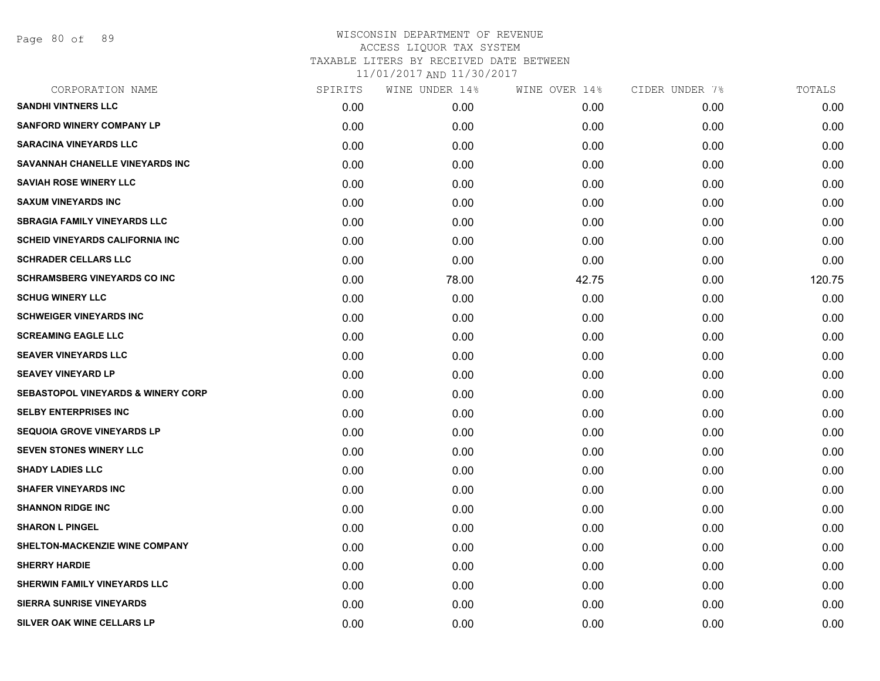Page 80 of 89

| CORPORATION NAME                              | SPIRITS | WINE UNDER 14% | WINE OVER 14% | CIDER UNDER 7% | TOTALS |
|-----------------------------------------------|---------|----------------|---------------|----------------|--------|
| <b>SANDHI VINTNERS LLC</b>                    | 0.00    | 0.00           | 0.00          | 0.00           | 0.00   |
| <b>SANFORD WINERY COMPANY LP</b>              | 0.00    | 0.00           | 0.00          | 0.00           | 0.00   |
| <b>SARACINA VINEYARDS LLC</b>                 | 0.00    | 0.00           | 0.00          | 0.00           | 0.00   |
| SAVANNAH CHANELLE VINEYARDS INC               | 0.00    | 0.00           | 0.00          | 0.00           | 0.00   |
| <b>SAVIAH ROSE WINERY LLC</b>                 | 0.00    | 0.00           | 0.00          | 0.00           | 0.00   |
| <b>SAXUM VINEYARDS INC</b>                    | 0.00    | 0.00           | 0.00          | 0.00           | 0.00   |
| <b>SBRAGIA FAMILY VINEYARDS LLC</b>           | 0.00    | 0.00           | 0.00          | 0.00           | 0.00   |
| <b>SCHEID VINEYARDS CALIFORNIA INC</b>        | 0.00    | 0.00           | 0.00          | 0.00           | 0.00   |
| <b>SCHRADER CELLARS LLC</b>                   | 0.00    | 0.00           | 0.00          | 0.00           | 0.00   |
| <b>SCHRAMSBERG VINEYARDS CO INC</b>           | 0.00    | 78.00          | 42.75         | 0.00           | 120.75 |
| <b>SCHUG WINERY LLC</b>                       | 0.00    | 0.00           | 0.00          | 0.00           | 0.00   |
| <b>SCHWEIGER VINEYARDS INC</b>                | 0.00    | 0.00           | 0.00          | 0.00           | 0.00   |
| <b>SCREAMING EAGLE LLC</b>                    | 0.00    | 0.00           | 0.00          | 0.00           | 0.00   |
| <b>SEAVER VINEYARDS LLC</b>                   | 0.00    | 0.00           | 0.00          | 0.00           | 0.00   |
| <b>SEAVEY VINEYARD LP</b>                     | 0.00    | 0.00           | 0.00          | 0.00           | 0.00   |
| <b>SEBASTOPOL VINEYARDS &amp; WINERY CORP</b> | 0.00    | 0.00           | 0.00          | 0.00           | 0.00   |
| <b>SELBY ENTERPRISES INC</b>                  | 0.00    | 0.00           | 0.00          | 0.00           | 0.00   |
| <b>SEQUOIA GROVE VINEYARDS LP</b>             | 0.00    | 0.00           | 0.00          | 0.00           | 0.00   |
| <b>SEVEN STONES WINERY LLC</b>                | 0.00    | 0.00           | 0.00          | 0.00           | 0.00   |
| <b>SHADY LADIES LLC</b>                       | 0.00    | 0.00           | 0.00          | 0.00           | 0.00   |
| <b>SHAFER VINEYARDS INC</b>                   | 0.00    | 0.00           | 0.00          | 0.00           | 0.00   |
| <b>SHANNON RIDGE INC</b>                      | 0.00    | 0.00           | 0.00          | 0.00           | 0.00   |
| <b>SHARON L PINGEL</b>                        | 0.00    | 0.00           | 0.00          | 0.00           | 0.00   |
| <b>SHELTON-MACKENZIE WINE COMPANY</b>         | 0.00    | 0.00           | 0.00          | 0.00           | 0.00   |
| <b>SHERRY HARDIE</b>                          | 0.00    | 0.00           | 0.00          | 0.00           | 0.00   |
| SHERWIN FAMILY VINEYARDS LLC                  | 0.00    | 0.00           | 0.00          | 0.00           | 0.00   |
| <b>SIERRA SUNRISE VINEYARDS</b>               | 0.00    | 0.00           | 0.00          | 0.00           | 0.00   |
| SILVER OAK WINE CELLARS LP                    | 0.00    | 0.00           | 0.00          | 0.00           | 0.00   |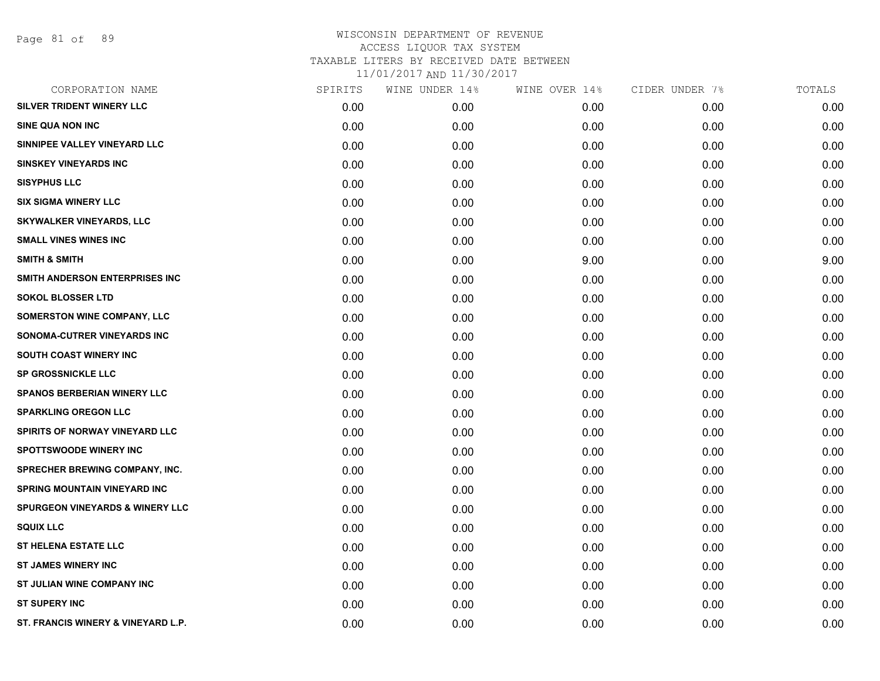| CORPORATION NAME                           | SPIRITS | WINE UNDER 14% | WINE OVER 14% | CIDER UNDER 7% | TOTALS |
|--------------------------------------------|---------|----------------|---------------|----------------|--------|
| SILVER TRIDENT WINERY LLC                  | 0.00    | 0.00           | 0.00          | 0.00           | 0.00   |
| <b>SINE QUA NON INC</b>                    | 0.00    | 0.00           | 0.00          | 0.00           | 0.00   |
| SINNIPEE VALLEY VINEYARD LLC               | 0.00    | 0.00           | 0.00          | 0.00           | 0.00   |
| <b>SINSKEY VINEYARDS INC</b>               | 0.00    | 0.00           | 0.00          | 0.00           | 0.00   |
| <b>SISYPHUS LLC</b>                        | 0.00    | 0.00           | 0.00          | 0.00           | 0.00   |
| <b>SIX SIGMA WINERY LLC</b>                | 0.00    | 0.00           | 0.00          | 0.00           | 0.00   |
| <b>SKYWALKER VINEYARDS, LLC</b>            | 0.00    | 0.00           | 0.00          | 0.00           | 0.00   |
| <b>SMALL VINES WINES INC</b>               | 0.00    | 0.00           | 0.00          | 0.00           | 0.00   |
| <b>SMITH &amp; SMITH</b>                   | 0.00    | 0.00           | 9.00          | 0.00           | 9.00   |
| SMITH ANDERSON ENTERPRISES INC             | 0.00    | 0.00           | 0.00          | 0.00           | 0.00   |
| <b>SOKOL BLOSSER LTD</b>                   | 0.00    | 0.00           | 0.00          | 0.00           | 0.00   |
| SOMERSTON WINE COMPANY, LLC                | 0.00    | 0.00           | 0.00          | 0.00           | 0.00   |
| SONOMA-CUTRER VINEYARDS INC                | 0.00    | 0.00           | 0.00          | 0.00           | 0.00   |
| <b>SOUTH COAST WINERY INC</b>              | 0.00    | 0.00           | 0.00          | 0.00           | 0.00   |
| <b>SP GROSSNICKLE LLC</b>                  | 0.00    | 0.00           | 0.00          | 0.00           | 0.00   |
| <b>SPANOS BERBERIAN WINERY LLC</b>         | 0.00    | 0.00           | 0.00          | 0.00           | 0.00   |
| <b>SPARKLING OREGON LLC</b>                | 0.00    | 0.00           | 0.00          | 0.00           | 0.00   |
| SPIRITS OF NORWAY VINEYARD LLC             | 0.00    | 0.00           | 0.00          | 0.00           | 0.00   |
| <b>SPOTTSWOODE WINERY INC</b>              | 0.00    | 0.00           | 0.00          | 0.00           | 0.00   |
| <b>SPRECHER BREWING COMPANY, INC.</b>      | 0.00    | 0.00           | 0.00          | 0.00           | 0.00   |
| <b>SPRING MOUNTAIN VINEYARD INC</b>        | 0.00    | 0.00           | 0.00          | 0.00           | 0.00   |
| <b>SPURGEON VINEYARDS &amp; WINERY LLC</b> | 0.00    | 0.00           | 0.00          | 0.00           | 0.00   |
| <b>SQUIX LLC</b>                           | 0.00    | 0.00           | 0.00          | 0.00           | 0.00   |
| <b>ST HELENA ESTATE LLC</b>                | 0.00    | 0.00           | 0.00          | 0.00           | 0.00   |
| <b>ST JAMES WINERY INC</b>                 | 0.00    | 0.00           | 0.00          | 0.00           | 0.00   |
| ST JULIAN WINE COMPANY INC                 | 0.00    | 0.00           | 0.00          | 0.00           | 0.00   |
| <b>ST SUPERY INC</b>                       | 0.00    | 0.00           | 0.00          | 0.00           | 0.00   |
| ST. FRANCIS WINERY & VINEYARD L.P.         | 0.00    | 0.00           | 0.00          | 0.00           | 0.00   |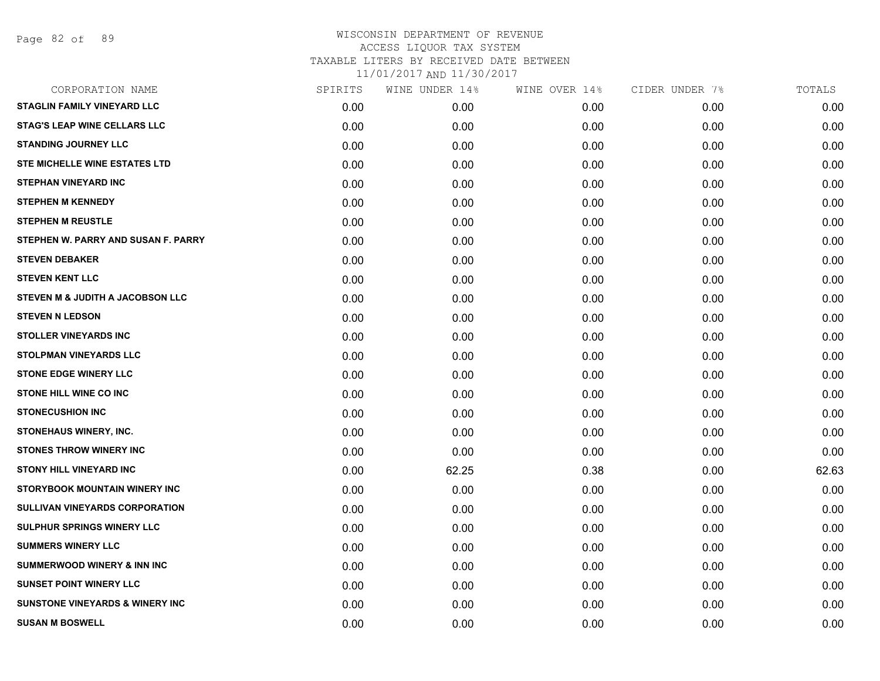| CORPORATION NAME                           | SPIRITS | WINE UNDER 14% | WINE OVER 14% | CIDER UNDER 7% | TOTALS |
|--------------------------------------------|---------|----------------|---------------|----------------|--------|
| <b>STAGLIN FAMILY VINEYARD LLC</b>         | 0.00    | 0.00           | 0.00          | 0.00           | 0.00   |
| <b>STAG'S LEAP WINE CELLARS LLC</b>        | 0.00    | 0.00           | 0.00          | 0.00           | 0.00   |
| <b>STANDING JOURNEY LLC</b>                | 0.00    | 0.00           | 0.00          | 0.00           | 0.00   |
| <b>STE MICHELLE WINE ESTATES LTD</b>       | 0.00    | 0.00           | 0.00          | 0.00           | 0.00   |
| <b>STEPHAN VINEYARD INC</b>                | 0.00    | 0.00           | 0.00          | 0.00           | 0.00   |
| <b>STEPHEN M KENNEDY</b>                   | 0.00    | 0.00           | 0.00          | 0.00           | 0.00   |
| <b>STEPHEN M REUSTLE</b>                   | 0.00    | 0.00           | 0.00          | 0.00           | 0.00   |
| STEPHEN W. PARRY AND SUSAN F. PARRY        | 0.00    | 0.00           | 0.00          | 0.00           | 0.00   |
| <b>STEVEN DEBAKER</b>                      | 0.00    | 0.00           | 0.00          | 0.00           | 0.00   |
| <b>STEVEN KENT LLC</b>                     | 0.00    | 0.00           | 0.00          | 0.00           | 0.00   |
| STEVEN M & JUDITH A JACOBSON LLC           | 0.00    | 0.00           | 0.00          | 0.00           | 0.00   |
| <b>STEVEN N LEDSON</b>                     | 0.00    | 0.00           | 0.00          | 0.00           | 0.00   |
| <b>STOLLER VINEYARDS INC</b>               | 0.00    | 0.00           | 0.00          | 0.00           | 0.00   |
| <b>STOLPMAN VINEYARDS LLC</b>              | 0.00    | 0.00           | 0.00          | 0.00           | 0.00   |
| <b>STONE EDGE WINERY LLC</b>               | 0.00    | 0.00           | 0.00          | 0.00           | 0.00   |
| STONE HILL WINE CO INC                     | 0.00    | 0.00           | 0.00          | 0.00           | 0.00   |
| <b>STONECUSHION INC</b>                    | 0.00    | 0.00           | 0.00          | 0.00           | 0.00   |
| <b>STONEHAUS WINERY, INC.</b>              | 0.00    | 0.00           | 0.00          | 0.00           | 0.00   |
| <b>STONES THROW WINERY INC</b>             | 0.00    | 0.00           | 0.00          | 0.00           | 0.00   |
| <b>STONY HILL VINEYARD INC</b>             | 0.00    | 62.25          | 0.38          | 0.00           | 62.63  |
| STORYBOOK MOUNTAIN WINERY INC              | 0.00    | 0.00           | 0.00          | 0.00           | 0.00   |
| SULLIVAN VINEYARDS CORPORATION             | 0.00    | 0.00           | 0.00          | 0.00           | 0.00   |
| <b>SULPHUR SPRINGS WINERY LLC</b>          | 0.00    | 0.00           | 0.00          | 0.00           | 0.00   |
| <b>SUMMERS WINERY LLC</b>                  | 0.00    | 0.00           | 0.00          | 0.00           | 0.00   |
| <b>SUMMERWOOD WINERY &amp; INN INC</b>     | 0.00    | 0.00           | 0.00          | 0.00           | 0.00   |
| <b>SUNSET POINT WINERY LLC</b>             | 0.00    | 0.00           | 0.00          | 0.00           | 0.00   |
| <b>SUNSTONE VINEYARDS &amp; WINERY INC</b> | 0.00    | 0.00           | 0.00          | 0.00           | 0.00   |
| <b>SUSAN M BOSWELL</b>                     | 0.00    | 0.00           | 0.00          | 0.00           | 0.00   |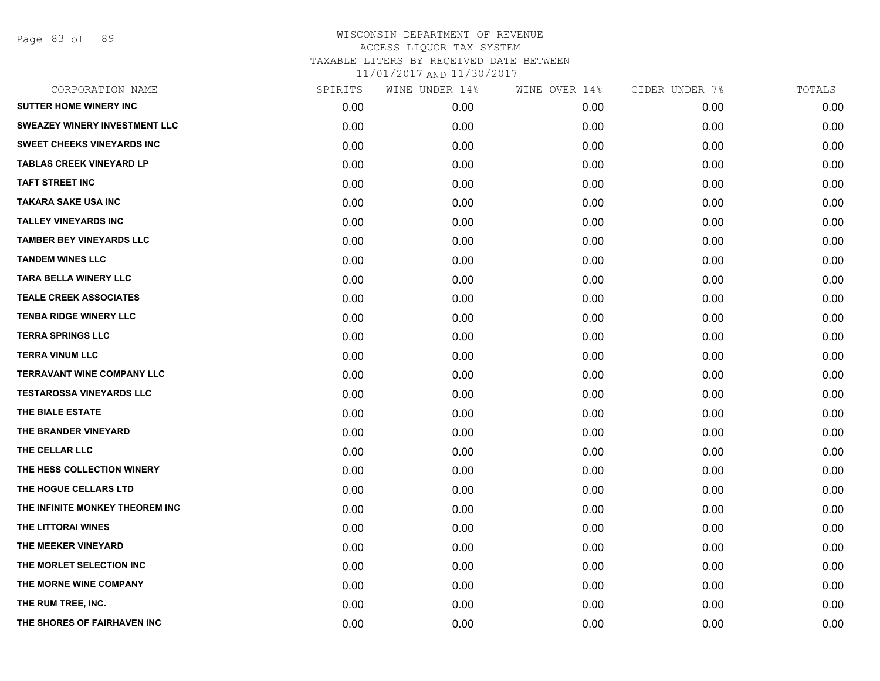Page 83 of 89

| CORPORATION NAME                     | SPIRITS | WINE UNDER 14% | WINE OVER 14% | CIDER UNDER 7% | TOTALS |
|--------------------------------------|---------|----------------|---------------|----------------|--------|
| <b>SUTTER HOME WINERY INC</b>        | 0.00    | 0.00           | 0.00          | 0.00           | 0.00   |
| <b>SWEAZEY WINERY INVESTMENT LLC</b> | 0.00    | 0.00           | 0.00          | 0.00           | 0.00   |
| <b>SWEET CHEEKS VINEYARDS INC</b>    | 0.00    | 0.00           | 0.00          | 0.00           | 0.00   |
| <b>TABLAS CREEK VINEYARD LP</b>      | 0.00    | 0.00           | 0.00          | 0.00           | 0.00   |
| <b>TAFT STREET INC</b>               | 0.00    | 0.00           | 0.00          | 0.00           | 0.00   |
| <b>TAKARA SAKE USA INC</b>           | 0.00    | 0.00           | 0.00          | 0.00           | 0.00   |
| <b>TALLEY VINEYARDS INC</b>          | 0.00    | 0.00           | 0.00          | 0.00           | 0.00   |
| TAMBER BEY VINEYARDS LLC             | 0.00    | 0.00           | 0.00          | 0.00           | 0.00   |
| <b>TANDEM WINES LLC</b>              | 0.00    | 0.00           | 0.00          | 0.00           | 0.00   |
| <b>TARA BELLA WINERY LLC</b>         | 0.00    | 0.00           | 0.00          | 0.00           | 0.00   |
| <b>TEALE CREEK ASSOCIATES</b>        | 0.00    | 0.00           | 0.00          | 0.00           | 0.00   |
| <b>TENBA RIDGE WINERY LLC</b>        | 0.00    | 0.00           | 0.00          | 0.00           | 0.00   |
| <b>TERRA SPRINGS LLC</b>             | 0.00    | 0.00           | 0.00          | 0.00           | 0.00   |
| <b>TERRA VINUM LLC</b>               | 0.00    | 0.00           | 0.00          | 0.00           | 0.00   |
| <b>TERRAVANT WINE COMPANY LLC</b>    | 0.00    | 0.00           | 0.00          | 0.00           | 0.00   |
| <b>TESTAROSSA VINEYARDS LLC</b>      | 0.00    | 0.00           | 0.00          | 0.00           | 0.00   |
| THE BIALE ESTATE                     | 0.00    | 0.00           | 0.00          | 0.00           | 0.00   |
| THE BRANDER VINEYARD                 | 0.00    | 0.00           | 0.00          | 0.00           | 0.00   |
| THE CELLAR LLC                       | 0.00    | 0.00           | 0.00          | 0.00           | 0.00   |
| THE HESS COLLECTION WINERY           | 0.00    | 0.00           | 0.00          | 0.00           | 0.00   |
| THE HOGUE CELLARS LTD                | 0.00    | 0.00           | 0.00          | 0.00           | 0.00   |
| THE INFINITE MONKEY THEOREM INC      | 0.00    | 0.00           | 0.00          | 0.00           | 0.00   |
| THE LITTORAI WINES                   | 0.00    | 0.00           | 0.00          | 0.00           | 0.00   |
| THE MEEKER VINEYARD                  | 0.00    | 0.00           | 0.00          | 0.00           | 0.00   |
| THE MORLET SELECTION INC             | 0.00    | 0.00           | 0.00          | 0.00           | 0.00   |
| THE MORNE WINE COMPANY               | 0.00    | 0.00           | 0.00          | 0.00           | 0.00   |
| THE RUM TREE, INC.                   | 0.00    | 0.00           | 0.00          | 0.00           | 0.00   |
| THE SHORES OF FAIRHAVEN INC          | 0.00    | 0.00           | 0.00          | 0.00           | 0.00   |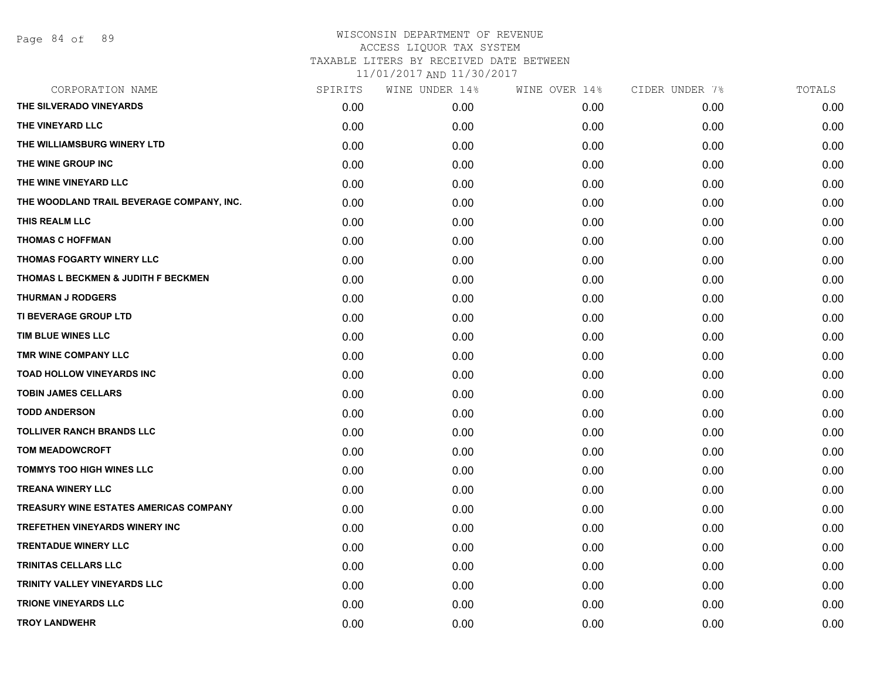### WISCONSIN DEPARTMENT OF REVENUE ACCESS LIQUOR TAX SYSTEM TAXABLE LITERS BY RECEIVED DATE BETWEEN

11/01/2017 AND 11/30/2017

| CORPORATION NAME                               | SPIRITS | WINE UNDER 14% | WINE OVER 14% | CIDER UNDER 7% | TOTALS |
|------------------------------------------------|---------|----------------|---------------|----------------|--------|
| THE SILVERADO VINEYARDS                        | 0.00    | 0.00           | 0.00          | 0.00           | 0.00   |
| THE VINEYARD LLC                               | 0.00    | 0.00           | 0.00          | 0.00           | 0.00   |
| THE WILLIAMSBURG WINERY LTD                    | 0.00    | 0.00           | 0.00          | 0.00           | 0.00   |
| THE WINE GROUP INC                             | 0.00    | 0.00           | 0.00          | 0.00           | 0.00   |
| THE WINE VINEYARD LLC                          | 0.00    | 0.00           | 0.00          | 0.00           | 0.00   |
| THE WOODLAND TRAIL BEVERAGE COMPANY, INC.      | 0.00    | 0.00           | 0.00          | 0.00           | 0.00   |
| THIS REALM LLC                                 | 0.00    | 0.00           | 0.00          | 0.00           | 0.00   |
| <b>THOMAS C HOFFMAN</b>                        | 0.00    | 0.00           | 0.00          | 0.00           | 0.00   |
| THOMAS FOGARTY WINERY LLC                      | 0.00    | 0.00           | 0.00          | 0.00           | 0.00   |
| <b>THOMAS L BECKMEN &amp; JUDITH F BECKMEN</b> | 0.00    | 0.00           | 0.00          | 0.00           | 0.00   |
| <b>THURMAN J RODGERS</b>                       | 0.00    | 0.00           | 0.00          | 0.00           | 0.00   |
| TI BEVERAGE GROUP LTD                          | 0.00    | 0.00           | 0.00          | 0.00           | 0.00   |
| TIM BLUE WINES LLC                             | 0.00    | 0.00           | 0.00          | 0.00           | 0.00   |
| <b>TMR WINE COMPANY LLC</b>                    | 0.00    | 0.00           | 0.00          | 0.00           | 0.00   |
| <b>TOAD HOLLOW VINEYARDS INC</b>               | 0.00    | 0.00           | 0.00          | 0.00           | 0.00   |
| <b>TOBIN JAMES CELLARS</b>                     | 0.00    | 0.00           | 0.00          | 0.00           | 0.00   |
| <b>TODD ANDERSON</b>                           | 0.00    | 0.00           | 0.00          | 0.00           | 0.00   |
| <b>TOLLIVER RANCH BRANDS LLC</b>               | 0.00    | 0.00           | 0.00          | 0.00           | 0.00   |
| <b>TOM MEADOWCROFT</b>                         | 0.00    | 0.00           | 0.00          | 0.00           | 0.00   |
| <b>TOMMYS TOO HIGH WINES LLC</b>               | 0.00    | 0.00           | 0.00          | 0.00           | 0.00   |
| <b>TREANA WINERY LLC</b>                       | 0.00    | 0.00           | 0.00          | 0.00           | 0.00   |
| <b>TREASURY WINE ESTATES AMERICAS COMPANY</b>  | 0.00    | 0.00           | 0.00          | 0.00           | 0.00   |
| TREFETHEN VINEYARDS WINERY INC                 | 0.00    | 0.00           | 0.00          | 0.00           | 0.00   |
| <b>TRENTADUE WINERY LLC</b>                    | 0.00    | 0.00           | 0.00          | 0.00           | 0.00   |
| <b>TRINITAS CELLARS LLC</b>                    | 0.00    | 0.00           | 0.00          | 0.00           | 0.00   |
| TRINITY VALLEY VINEYARDS LLC                   | 0.00    | 0.00           | 0.00          | 0.00           | 0.00   |
| <b>TRIONE VINEYARDS LLC</b>                    | 0.00    | 0.00           | 0.00          | 0.00           | 0.00   |
| <b>TROY LANDWEHR</b>                           | 0.00    | 0.00           | 0.00          | 0.00           | 0.00   |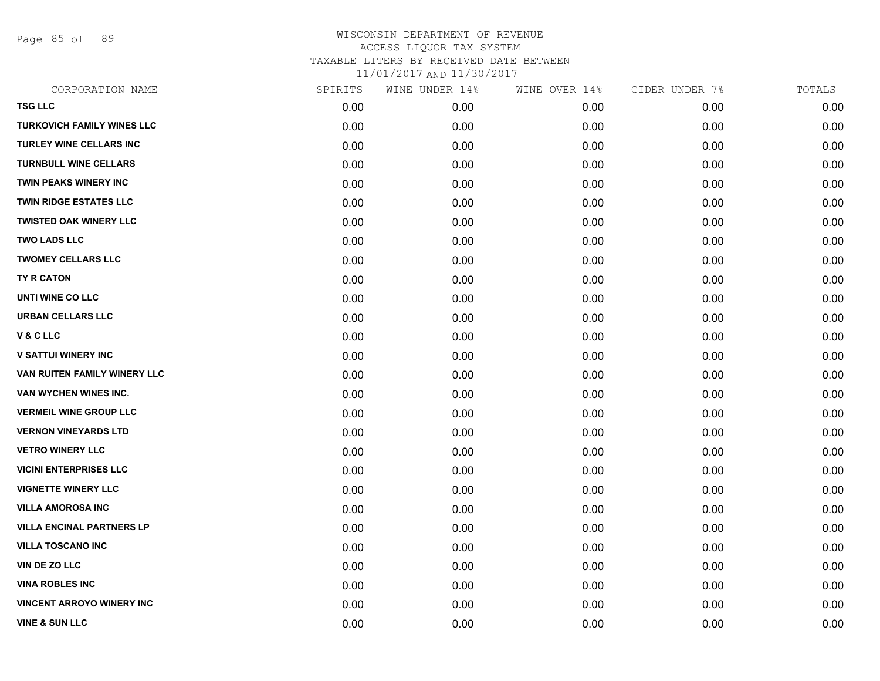Page 85 of 89

| CORPORATION NAME                  | SPIRITS | WINE UNDER 14% | WINE OVER 14% | CIDER UNDER 7% | TOTALS |
|-----------------------------------|---------|----------------|---------------|----------------|--------|
| <b>TSG LLC</b>                    | 0.00    | 0.00           | 0.00          | 0.00           | 0.00   |
| <b>TURKOVICH FAMILY WINES LLC</b> | 0.00    | 0.00           | 0.00          | 0.00           | 0.00   |
| <b>TURLEY WINE CELLARS INC</b>    | 0.00    | 0.00           | 0.00          | 0.00           | 0.00   |
| <b>TURNBULL WINE CELLARS</b>      | 0.00    | 0.00           | 0.00          | 0.00           | 0.00   |
| <b>TWIN PEAKS WINERY INC</b>      | 0.00    | 0.00           | 0.00          | 0.00           | 0.00   |
| <b>TWIN RIDGE ESTATES LLC</b>     | 0.00    | 0.00           | 0.00          | 0.00           | 0.00   |
| <b>TWISTED OAK WINERY LLC</b>     | 0.00    | 0.00           | 0.00          | 0.00           | 0.00   |
| <b>TWO LADS LLC</b>               | 0.00    | 0.00           | 0.00          | 0.00           | 0.00   |
| <b>TWOMEY CELLARS LLC</b>         | 0.00    | 0.00           | 0.00          | 0.00           | 0.00   |
| <b>TY R CATON</b>                 | 0.00    | 0.00           | 0.00          | 0.00           | 0.00   |
| UNTI WINE CO LLC                  | 0.00    | 0.00           | 0.00          | 0.00           | 0.00   |
| <b>URBAN CELLARS LLC</b>          | 0.00    | 0.00           | 0.00          | 0.00           | 0.00   |
| <b>V&amp;CLLC</b>                 | 0.00    | 0.00           | 0.00          | 0.00           | 0.00   |
| <b>V SATTUI WINERY INC</b>        | 0.00    | 0.00           | 0.00          | 0.00           | 0.00   |
| VAN RUITEN FAMILY WINERY LLC      | 0.00    | 0.00           | 0.00          | 0.00           | 0.00   |
| VAN WYCHEN WINES INC.             | 0.00    | 0.00           | 0.00          | 0.00           | 0.00   |
| <b>VERMEIL WINE GROUP LLC</b>     | 0.00    | 0.00           | 0.00          | 0.00           | 0.00   |
| <b>VERNON VINEYARDS LTD</b>       | 0.00    | 0.00           | 0.00          | 0.00           | 0.00   |
| <b>VETRO WINERY LLC</b>           | 0.00    | 0.00           | 0.00          | 0.00           | 0.00   |
| <b>VICINI ENTERPRISES LLC</b>     | 0.00    | 0.00           | 0.00          | 0.00           | 0.00   |
| <b>VIGNETTE WINERY LLC</b>        | 0.00    | 0.00           | 0.00          | 0.00           | 0.00   |
| <b>VILLA AMOROSA INC</b>          | 0.00    | 0.00           | 0.00          | 0.00           | 0.00   |
| <b>VILLA ENCINAL PARTNERS LP</b>  | 0.00    | 0.00           | 0.00          | 0.00           | 0.00   |
| <b>VILLA TOSCANO INC</b>          | 0.00    | 0.00           | 0.00          | 0.00           | 0.00   |
| VIN DE ZO LLC                     | 0.00    | 0.00           | 0.00          | 0.00           | 0.00   |
| <b>VINA ROBLES INC</b>            | 0.00    | 0.00           | 0.00          | 0.00           | 0.00   |
| <b>VINCENT ARROYO WINERY INC</b>  | 0.00    | 0.00           | 0.00          | 0.00           | 0.00   |
| <b>VINE &amp; SUN LLC</b>         | 0.00    | 0.00           | 0.00          | 0.00           | 0.00   |
|                                   |         |                |               |                |        |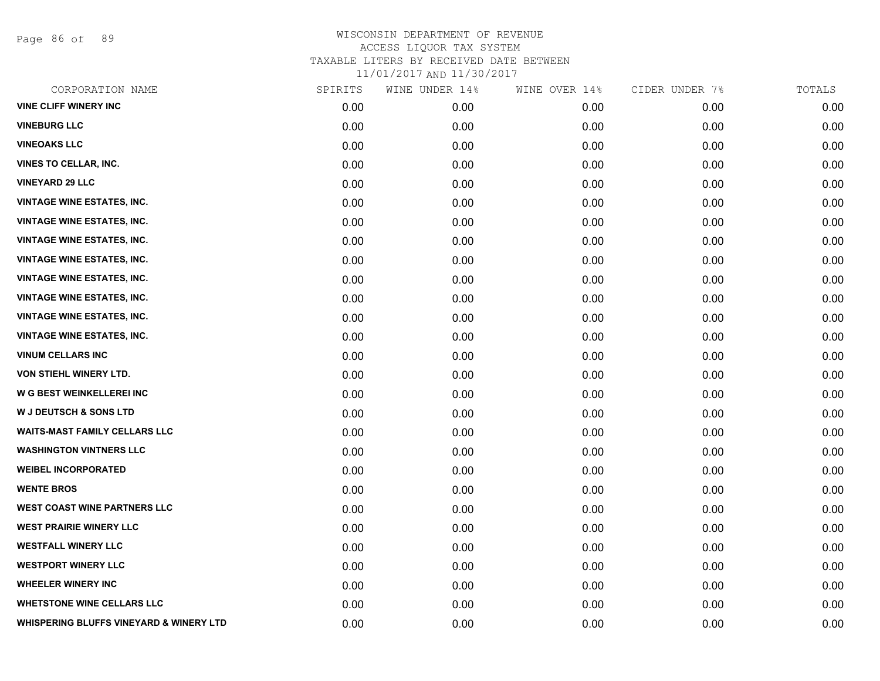Page 86 of 89

| CORPORATION NAME                        | SPIRITS | WINE UNDER 14% | WINE OVER 14% | CIDER UNDER 7% | TOTALS |
|-----------------------------------------|---------|----------------|---------------|----------------|--------|
| <b>VINE CLIFF WINERY INC</b>            | 0.00    | 0.00           | 0.00          | 0.00           | 0.00   |
| <b>VINEBURG LLC</b>                     | 0.00    | 0.00           | 0.00          | 0.00           | 0.00   |
| <b>VINEOAKS LLC</b>                     | 0.00    | 0.00           | 0.00          | 0.00           | 0.00   |
| <b>VINES TO CELLAR, INC.</b>            | 0.00    | 0.00           | 0.00          | 0.00           | 0.00   |
| <b>VINEYARD 29 LLC</b>                  | 0.00    | 0.00           | 0.00          | 0.00           | 0.00   |
| <b>VINTAGE WINE ESTATES, INC.</b>       | 0.00    | 0.00           | 0.00          | 0.00           | 0.00   |
| <b>VINTAGE WINE ESTATES, INC.</b>       | 0.00    | 0.00           | 0.00          | 0.00           | 0.00   |
| <b>VINTAGE WINE ESTATES, INC.</b>       | 0.00    | 0.00           | 0.00          | 0.00           | 0.00   |
| <b>VINTAGE WINE ESTATES, INC.</b>       | 0.00    | 0.00           | 0.00          | 0.00           | 0.00   |
| <b>VINTAGE WINE ESTATES, INC.</b>       | 0.00    | 0.00           | 0.00          | 0.00           | 0.00   |
| <b>VINTAGE WINE ESTATES, INC.</b>       | 0.00    | 0.00           | 0.00          | 0.00           | 0.00   |
| <b>VINTAGE WINE ESTATES, INC.</b>       | 0.00    | 0.00           | 0.00          | 0.00           | 0.00   |
| <b>VINTAGE WINE ESTATES, INC.</b>       | 0.00    | 0.00           | 0.00          | 0.00           | 0.00   |
| <b>VINUM CELLARS INC</b>                | 0.00    | 0.00           | 0.00          | 0.00           | 0.00   |
| VON STIEHL WINERY LTD.                  | 0.00    | 0.00           | 0.00          | 0.00           | 0.00   |
| W G BEST WEINKELLEREI INC               | 0.00    | 0.00           | 0.00          | 0.00           | 0.00   |
| <b>W J DEUTSCH &amp; SONS LTD</b>       | 0.00    | 0.00           | 0.00          | 0.00           | 0.00   |
| <b>WAITS-MAST FAMILY CELLARS LLC</b>    | 0.00    | 0.00           | 0.00          | 0.00           | 0.00   |
| <b>WASHINGTON VINTNERS LLC</b>          | 0.00    | 0.00           | 0.00          | 0.00           | 0.00   |
| <b>WEIBEL INCORPORATED</b>              | 0.00    | 0.00           | 0.00          | 0.00           | 0.00   |
| <b>WENTE BROS</b>                       | 0.00    | 0.00           | 0.00          | 0.00           | 0.00   |
| <b>WEST COAST WINE PARTNERS LLC</b>     | 0.00    | 0.00           | 0.00          | 0.00           | 0.00   |
| <b>WEST PRAIRIE WINERY LLC</b>          | 0.00    | 0.00           | 0.00          | 0.00           | 0.00   |
| <b>WESTFALL WINERY LLC</b>              | 0.00    | 0.00           | 0.00          | 0.00           | 0.00   |
| <b>WESTPORT WINERY LLC</b>              | 0.00    | 0.00           | 0.00          | 0.00           | 0.00   |
| <b>WHEELER WINERY INC</b>               | 0.00    | 0.00           | 0.00          | 0.00           | 0.00   |
| <b>WHETSTONE WINE CELLARS LLC</b>       | 0.00    | 0.00           | 0.00          | 0.00           | 0.00   |
| WHISPERING BLUFFS VINEYARD & WINERY LTD | 0.00    | 0.00           | 0.00          | 0.00           | 0.00   |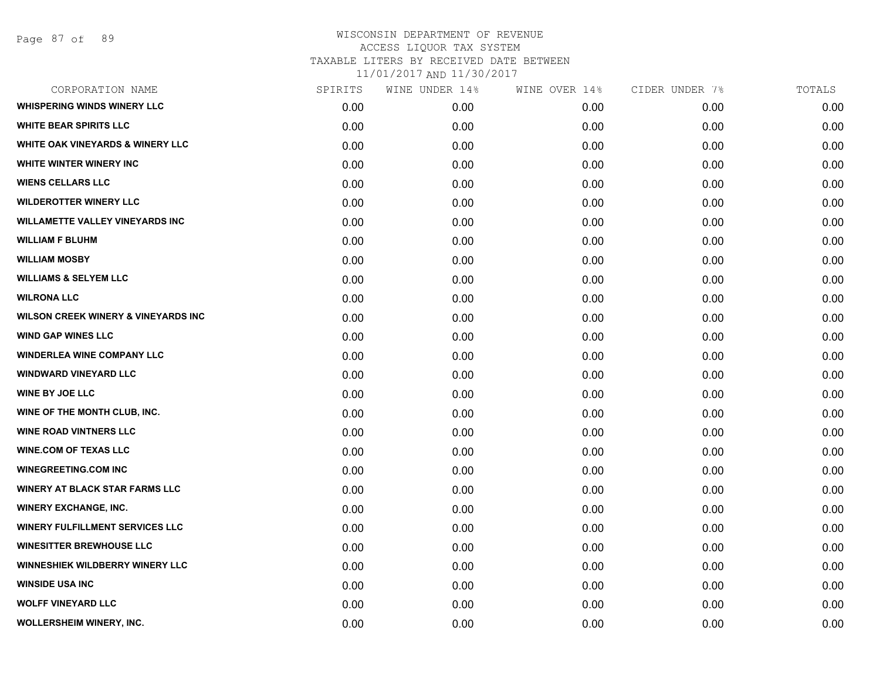| CORPORATION NAME                               | SPIRITS | WINE UNDER 14% | WINE OVER 14% | CIDER UNDER 7% | TOTALS |
|------------------------------------------------|---------|----------------|---------------|----------------|--------|
| <b>WHISPERING WINDS WINERY LLC</b>             | 0.00    | 0.00           | 0.00          | 0.00           | 0.00   |
| <b>WHITE BEAR SPIRITS LLC</b>                  | 0.00    | 0.00           | 0.00          | 0.00           | 0.00   |
| WHITE OAK VINEYARDS & WINERY LLC               | 0.00    | 0.00           | 0.00          | 0.00           | 0.00   |
| <b>WHITE WINTER WINERY INC</b>                 | 0.00    | 0.00           | 0.00          | 0.00           | 0.00   |
| <b>WIENS CELLARS LLC</b>                       | 0.00    | 0.00           | 0.00          | 0.00           | 0.00   |
| <b>WILDEROTTER WINERY LLC</b>                  | 0.00    | 0.00           | 0.00          | 0.00           | 0.00   |
| <b>WILLAMETTE VALLEY VINEYARDS INC</b>         | 0.00    | 0.00           | 0.00          | 0.00           | 0.00   |
| <b>WILLIAM F BLUHM</b>                         | 0.00    | 0.00           | 0.00          | 0.00           | 0.00   |
| <b>WILLIAM MOSBY</b>                           | 0.00    | 0.00           | 0.00          | 0.00           | 0.00   |
| <b>WILLIAMS &amp; SELYEM LLC</b>               | 0.00    | 0.00           | 0.00          | 0.00           | 0.00   |
| <b>WILRONA LLC</b>                             | 0.00    | 0.00           | 0.00          | 0.00           | 0.00   |
| <b>WILSON CREEK WINERY &amp; VINEYARDS INC</b> | 0.00    | 0.00           | 0.00          | 0.00           | 0.00   |
| <b>WIND GAP WINES LLC</b>                      | 0.00    | 0.00           | 0.00          | 0.00           | 0.00   |
| <b>WINDERLEA WINE COMPANY LLC</b>              | 0.00    | 0.00           | 0.00          | 0.00           | 0.00   |
| <b>WINDWARD VINEYARD LLC</b>                   | 0.00    | 0.00           | 0.00          | 0.00           | 0.00   |
| <b>WINE BY JOE LLC</b>                         | 0.00    | 0.00           | 0.00          | 0.00           | 0.00   |
| WINE OF THE MONTH CLUB, INC.                   | 0.00    | 0.00           | 0.00          | 0.00           | 0.00   |
| <b>WINE ROAD VINTNERS LLC</b>                  | 0.00    | 0.00           | 0.00          | 0.00           | 0.00   |
| <b>WINE.COM OF TEXAS LLC</b>                   | 0.00    | 0.00           | 0.00          | 0.00           | 0.00   |
| <b>WINEGREETING.COM INC</b>                    | 0.00    | 0.00           | 0.00          | 0.00           | 0.00   |
| <b>WINERY AT BLACK STAR FARMS LLC</b>          | 0.00    | 0.00           | 0.00          | 0.00           | 0.00   |
| <b>WINERY EXCHANGE, INC.</b>                   | 0.00    | 0.00           | 0.00          | 0.00           | 0.00   |
| <b>WINERY FULFILLMENT SERVICES LLC</b>         | 0.00    | 0.00           | 0.00          | 0.00           | 0.00   |
| <b>WINESITTER BREWHOUSE LLC</b>                | 0.00    | 0.00           | 0.00          | 0.00           | 0.00   |
| WINNESHIEK WILDBERRY WINERY LLC                | 0.00    | 0.00           | 0.00          | 0.00           | 0.00   |
| <b>WINSIDE USA INC</b>                         | 0.00    | 0.00           | 0.00          | 0.00           | 0.00   |
| <b>WOLFF VINEYARD LLC</b>                      | 0.00    | 0.00           | 0.00          | 0.00           | 0.00   |
| <b>WOLLERSHEIM WINERY, INC.</b>                | 0.00    | 0.00           | 0.00          | 0.00           | 0.00   |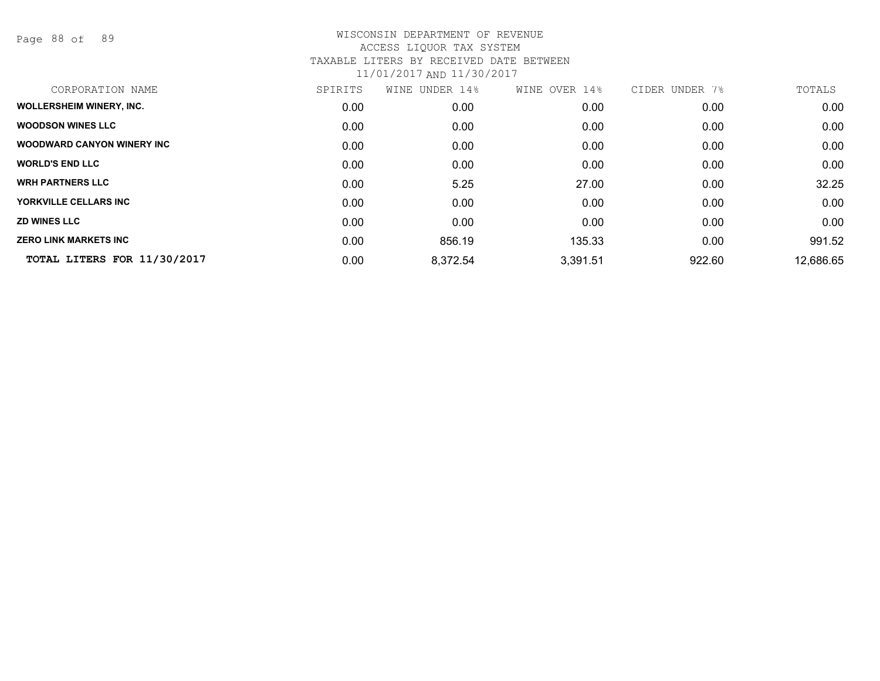Page 88 of 89

| CORPORATION NAME                   | SPIRITS | WINE UNDER 14% | WINE OVER 14% | CIDER UNDER 7% | TOTALS    |
|------------------------------------|---------|----------------|---------------|----------------|-----------|
| <b>WOLLERSHEIM WINERY, INC.</b>    | 0.00    | 0.00           | 0.00          | 0.00           | 0.00      |
| <b>WOODSON WINES LLC</b>           | 0.00    | 0.00           | 0.00          | 0.00           | 0.00      |
| <b>WOODWARD CANYON WINERY INC.</b> | 0.00    | 0.00           | 0.00          | 0.00           | 0.00      |
| <b>WORLD'S END LLC</b>             | 0.00    | 0.00           | 0.00          | 0.00           | 0.00      |
| <b>WRH PARTNERS LLC</b>            | 0.00    | 5.25           | 27.00         | 0.00           | 32.25     |
| YORKVILLE CELLARS INC              | 0.00    | 0.00           | 0.00          | 0.00           | 0.00      |
| <b>ZD WINES LLC</b>                | 0.00    | 0.00           | 0.00          | 0.00           | 0.00      |
| <b>ZERO LINK MARKETS INC</b>       | 0.00    | 856.19         | 135.33        | 0.00           | 991.52    |
| TOTAL LITERS FOR 11/30/2017        | 0.00    | 8,372.54       | 3,391.51      | 922.60         | 12,686.65 |